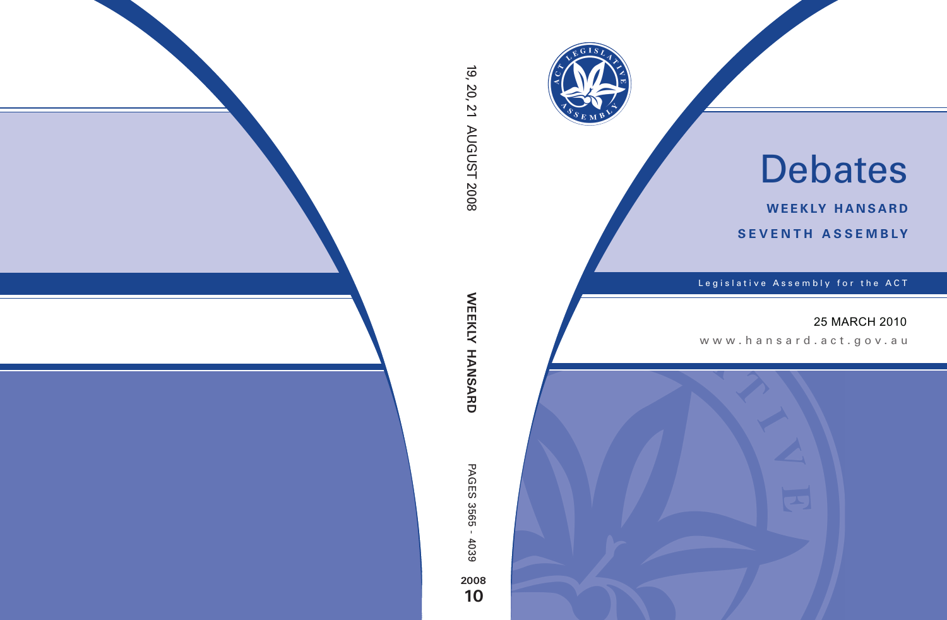

# Debates

**weekly hansard seventh asseMBly**

Legislative Assembly for the ACT

# 25 MARCH 2010

www.hansard.act.gov .au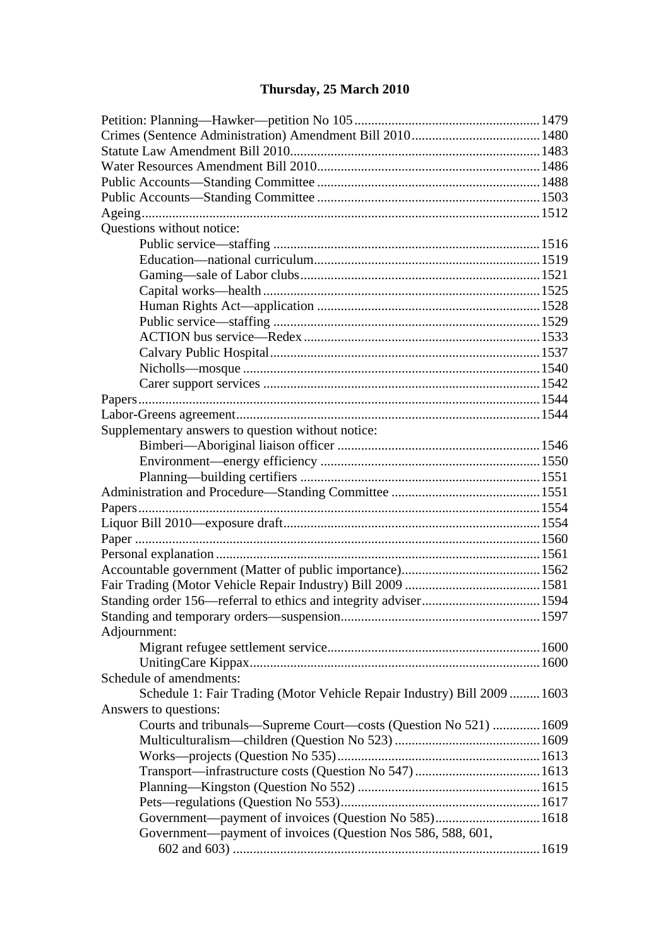# **Thursday, 25 March 2010**

| Questions without notice:                                                |  |  |  |
|--------------------------------------------------------------------------|--|--|--|
|                                                                          |  |  |  |
|                                                                          |  |  |  |
|                                                                          |  |  |  |
|                                                                          |  |  |  |
|                                                                          |  |  |  |
|                                                                          |  |  |  |
|                                                                          |  |  |  |
|                                                                          |  |  |  |
|                                                                          |  |  |  |
|                                                                          |  |  |  |
|                                                                          |  |  |  |
|                                                                          |  |  |  |
| Supplementary answers to question without notice:                        |  |  |  |
|                                                                          |  |  |  |
|                                                                          |  |  |  |
|                                                                          |  |  |  |
|                                                                          |  |  |  |
|                                                                          |  |  |  |
|                                                                          |  |  |  |
|                                                                          |  |  |  |
|                                                                          |  |  |  |
|                                                                          |  |  |  |
|                                                                          |  |  |  |
| Standing order 156—referral to ethics and integrity adviser 1594         |  |  |  |
|                                                                          |  |  |  |
| Adjournment:                                                             |  |  |  |
|                                                                          |  |  |  |
|                                                                          |  |  |  |
| Schedule of amendments:                                                  |  |  |  |
| Schedule 1: Fair Trading (Motor Vehicle Repair Industry) Bill 2009  1603 |  |  |  |
| Answers to questions:                                                    |  |  |  |
| Courts and tribunals-Supreme Court-costs (Question No 521)  1609         |  |  |  |
|                                                                          |  |  |  |
|                                                                          |  |  |  |
|                                                                          |  |  |  |
|                                                                          |  |  |  |
|                                                                          |  |  |  |
|                                                                          |  |  |  |
| Government-payment of invoices (Question Nos 586, 588, 601,              |  |  |  |
|                                                                          |  |  |  |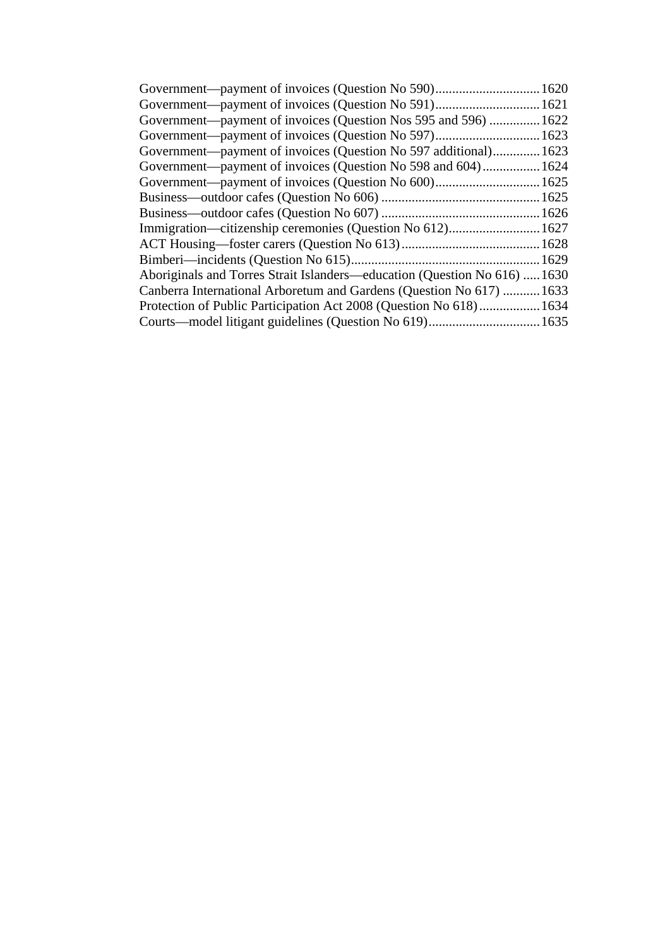| Government—payment of invoices (Question No 591) 1621                     |  |
|---------------------------------------------------------------------------|--|
| Government—payment of invoices (Question Nos 595 and 596)  1622           |  |
|                                                                           |  |
| Government—payment of invoices (Question No 597 additional) 1623          |  |
| Government—payment of invoices (Question No 598 and 604) 1624             |  |
|                                                                           |  |
|                                                                           |  |
|                                                                           |  |
|                                                                           |  |
|                                                                           |  |
|                                                                           |  |
| Aboriginals and Torres Strait Islanders—education (Question No 616)  1630 |  |
| Canberra International Arboretum and Gardens (Question No 617)  1633      |  |
| Protection of Public Participation Act 2008 (Question No 618) 1634        |  |
|                                                                           |  |
|                                                                           |  |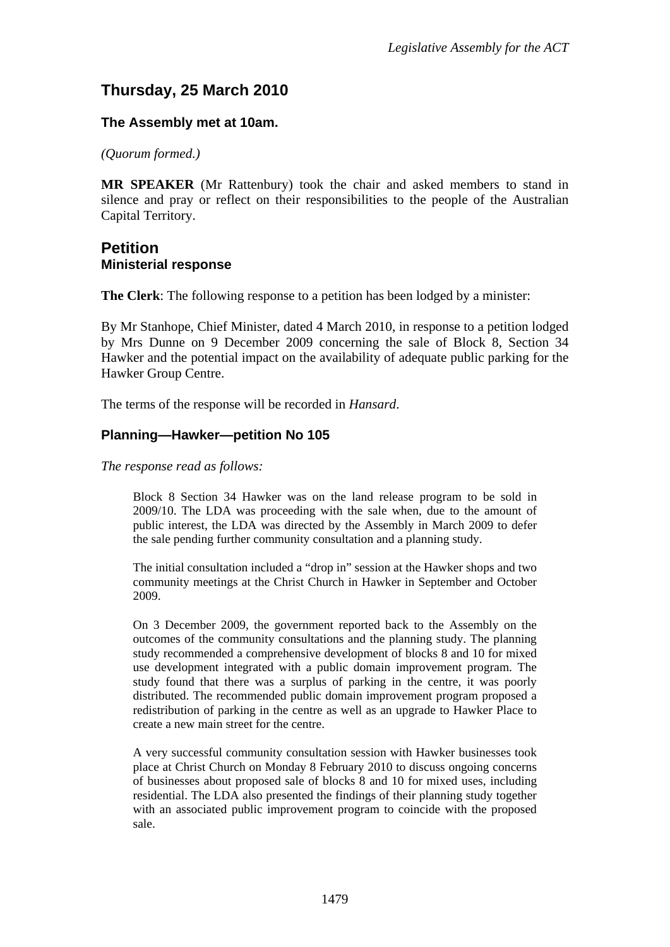# **Thursday, 25 March 2010**

## **The Assembly met at 10am.**

*(Quorum formed.)*

**MR SPEAKER** (Mr Rattenbury) took the chair and asked members to stand in silence and pray or reflect on their responsibilities to the people of the Australian Capital Territory.

## **Petition Ministerial response**

**The Clerk**: The following response to a petition has been lodged by a minister:

By Mr Stanhope, Chief Minister, dated 4 March 2010, in response to a petition lodged by Mrs Dunne on 9 December 2009 concerning the sale of Block 8, Section 34 Hawker and the potential impact on the availability of adequate public parking for the Hawker Group Centre.

The terms of the response will be recorded in *Hansard*.

### <span id="page-3-0"></span>**Planning—Hawker—petition No 105**

*The response read as follows:* 

Block 8 Section 34 Hawker was on the land release program to be sold in 2009/10. The LDA was proceeding with the sale when, due to the amount of public interest, the LDA was directed by the Assembly in March 2009 to defer the sale pending further community consultation and a planning study.

The initial consultation included a "drop in" session at the Hawker shops and two community meetings at the Christ Church in Hawker in September and October 2009.

On 3 December 2009, the government reported back to the Assembly on the outcomes of the community consultations and the planning study. The planning study recommended a comprehensive development of blocks 8 and 10 for mixed use development integrated with a public domain improvement program. The study found that there was a surplus of parking in the centre, it was poorly distributed. The recommended public domain improvement program proposed a redistribution of parking in the centre as well as an upgrade to Hawker Place to create a new main street for the centre.

A very successful community consultation session with Hawker businesses took place at Christ Church on Monday 8 February 2010 to discuss ongoing concerns of businesses about proposed sale of blocks 8 and 10 for mixed uses, including residential. The LDA also presented the findings of their planning study together with an associated public improvement program to coincide with the proposed sale.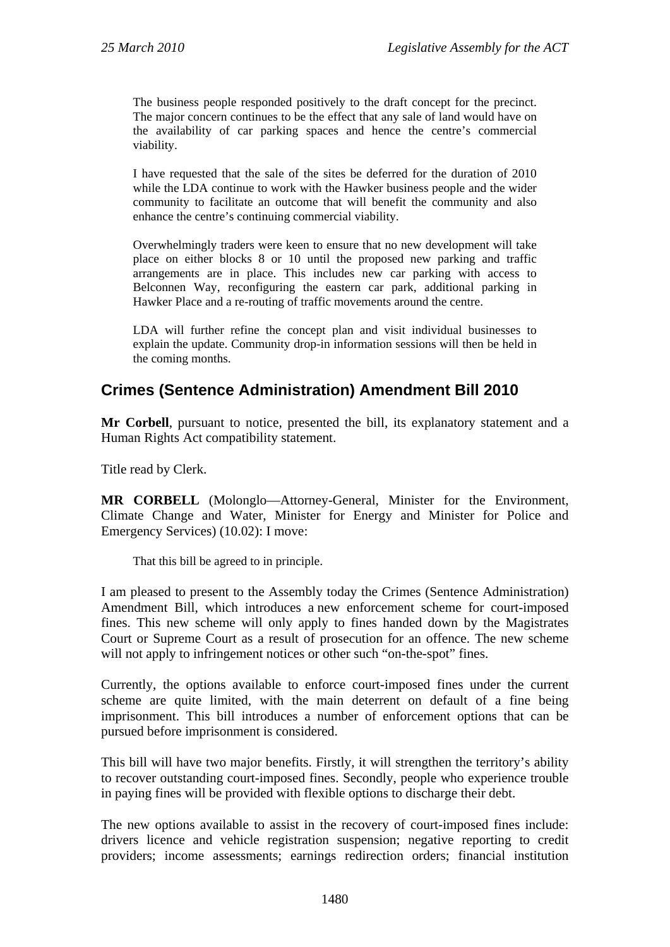The business people responded positively to the draft concept for the precinct. The major concern continues to be the effect that any sale of land would have on the availability of car parking spaces and hence the centre's commercial viability.

I have requested that the sale of the sites be deferred for the duration of 2010 while the LDA continue to work with the Hawker business people and the wider community to facilitate an outcome that will benefit the community and also enhance the centre's continuing commercial viability.

Overwhelmingly traders were keen to ensure that no new development will take place on either blocks 8 or 10 until the proposed new parking and traffic arrangements are in place. This includes new car parking with access to Belconnen Way, reconfiguring the eastern car park, additional parking in Hawker Place and a re-routing of traffic movements around the centre.

LDA will further refine the concept plan and visit individual businesses to explain the update. Community drop-in information sessions will then be held in the coming months.

# <span id="page-4-0"></span>**Crimes (Sentence Administration) Amendment Bill 2010**

**Mr Corbell**, pursuant to notice, presented the bill, its explanatory statement and a Human Rights Act compatibility statement.

Title read by Clerk.

**MR CORBELL** (Molonglo—Attorney-General, Minister for the Environment, Climate Change and Water, Minister for Energy and Minister for Police and Emergency Services) (10.02): I move:

That this bill be agreed to in principle.

I am pleased to present to the Assembly today the Crimes (Sentence Administration) Amendment Bill, which introduces a new enforcement scheme for court-imposed fines. This new scheme will only apply to fines handed down by the Magistrates Court or Supreme Court as a result of prosecution for an offence. The new scheme will not apply to infringement notices or other such "on-the-spot" fines.

Currently, the options available to enforce court-imposed fines under the current scheme are quite limited, with the main deterrent on default of a fine being imprisonment. This bill introduces a number of enforcement options that can be pursued before imprisonment is considered.

This bill will have two major benefits. Firstly, it will strengthen the territory's ability to recover outstanding court-imposed fines. Secondly, people who experience trouble in paying fines will be provided with flexible options to discharge their debt.

The new options available to assist in the recovery of court-imposed fines include: drivers licence and vehicle registration suspension; negative reporting to credit providers; income assessments; earnings redirection orders; financial institution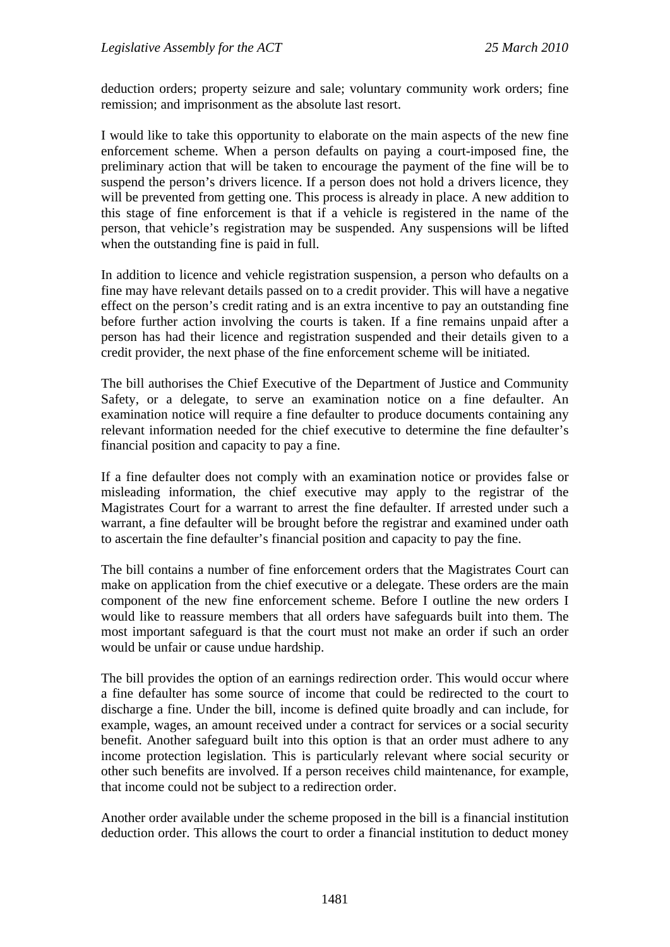deduction orders; property seizure and sale; voluntary community work orders; fine remission; and imprisonment as the absolute last resort.

I would like to take this opportunity to elaborate on the main aspects of the new fine enforcement scheme. When a person defaults on paying a court-imposed fine, the preliminary action that will be taken to encourage the payment of the fine will be to suspend the person's drivers licence. If a person does not hold a drivers licence, they will be prevented from getting one. This process is already in place. A new addition to this stage of fine enforcement is that if a vehicle is registered in the name of the person, that vehicle's registration may be suspended. Any suspensions will be lifted when the outstanding fine is paid in full.

In addition to licence and vehicle registration suspension, a person who defaults on a fine may have relevant details passed on to a credit provider. This will have a negative effect on the person's credit rating and is an extra incentive to pay an outstanding fine before further action involving the courts is taken. If a fine remains unpaid after a person has had their licence and registration suspended and their details given to a credit provider, the next phase of the fine enforcement scheme will be initiated.

The bill authorises the Chief Executive of the Department of Justice and Community Safety, or a delegate, to serve an examination notice on a fine defaulter. An examination notice will require a fine defaulter to produce documents containing any relevant information needed for the chief executive to determine the fine defaulter's financial position and capacity to pay a fine.

If a fine defaulter does not comply with an examination notice or provides false or misleading information, the chief executive may apply to the registrar of the Magistrates Court for a warrant to arrest the fine defaulter. If arrested under such a warrant, a fine defaulter will be brought before the registrar and examined under oath to ascertain the fine defaulter's financial position and capacity to pay the fine.

The bill contains a number of fine enforcement orders that the Magistrates Court can make on application from the chief executive or a delegate. These orders are the main component of the new fine enforcement scheme. Before I outline the new orders I would like to reassure members that all orders have safeguards built into them. The most important safeguard is that the court must not make an order if such an order would be unfair or cause undue hardship.

The bill provides the option of an earnings redirection order. This would occur where a fine defaulter has some source of income that could be redirected to the court to discharge a fine. Under the bill, income is defined quite broadly and can include, for example, wages, an amount received under a contract for services or a social security benefit. Another safeguard built into this option is that an order must adhere to any income protection legislation. This is particularly relevant where social security or other such benefits are involved. If a person receives child maintenance, for example, that income could not be subject to a redirection order.

Another order available under the scheme proposed in the bill is a financial institution deduction order. This allows the court to order a financial institution to deduct money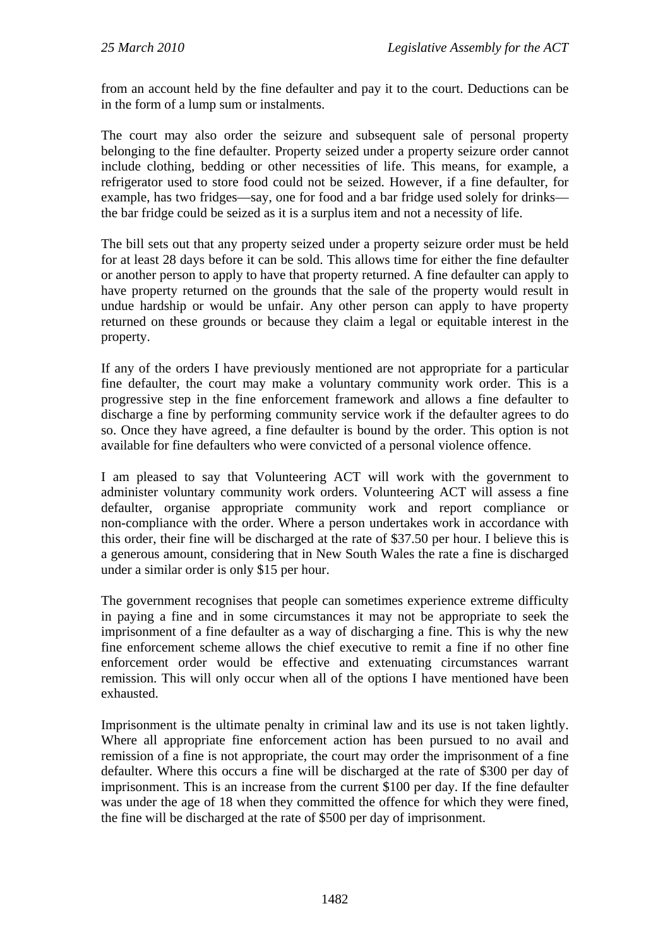from an account held by the fine defaulter and pay it to the court. Deductions can be in the form of a lump sum or instalments.

The court may also order the seizure and subsequent sale of personal property belonging to the fine defaulter. Property seized under a property seizure order cannot include clothing, bedding or other necessities of life. This means, for example, a refrigerator used to store food could not be seized. However, if a fine defaulter, for example, has two fridges—say, one for food and a bar fridge used solely for drinks the bar fridge could be seized as it is a surplus item and not a necessity of life.

The bill sets out that any property seized under a property seizure order must be held for at least 28 days before it can be sold. This allows time for either the fine defaulter or another person to apply to have that property returned. A fine defaulter can apply to have property returned on the grounds that the sale of the property would result in undue hardship or would be unfair. Any other person can apply to have property returned on these grounds or because they claim a legal or equitable interest in the property.

If any of the orders I have previously mentioned are not appropriate for a particular fine defaulter, the court may make a voluntary community work order. This is a progressive step in the fine enforcement framework and allows a fine defaulter to discharge a fine by performing community service work if the defaulter agrees to do so. Once they have agreed, a fine defaulter is bound by the order. This option is not available for fine defaulters who were convicted of a personal violence offence.

I am pleased to say that Volunteering ACT will work with the government to administer voluntary community work orders. Volunteering ACT will assess a fine defaulter, organise appropriate community work and report compliance or non-compliance with the order. Where a person undertakes work in accordance with this order, their fine will be discharged at the rate of \$37.50 per hour. I believe this is a generous amount, considering that in New South Wales the rate a fine is discharged under a similar order is only \$15 per hour.

The government recognises that people can sometimes experience extreme difficulty in paying a fine and in some circumstances it may not be appropriate to seek the imprisonment of a fine defaulter as a way of discharging a fine. This is why the new fine enforcement scheme allows the chief executive to remit a fine if no other fine enforcement order would be effective and extenuating circumstances warrant remission. This will only occur when all of the options I have mentioned have been exhausted.

Imprisonment is the ultimate penalty in criminal law and its use is not taken lightly. Where all appropriate fine enforcement action has been pursued to no avail and remission of a fine is not appropriate, the court may order the imprisonment of a fine defaulter. Where this occurs a fine will be discharged at the rate of \$300 per day of imprisonment. This is an increase from the current \$100 per day. If the fine defaulter was under the age of 18 when they committed the offence for which they were fined, the fine will be discharged at the rate of \$500 per day of imprisonment.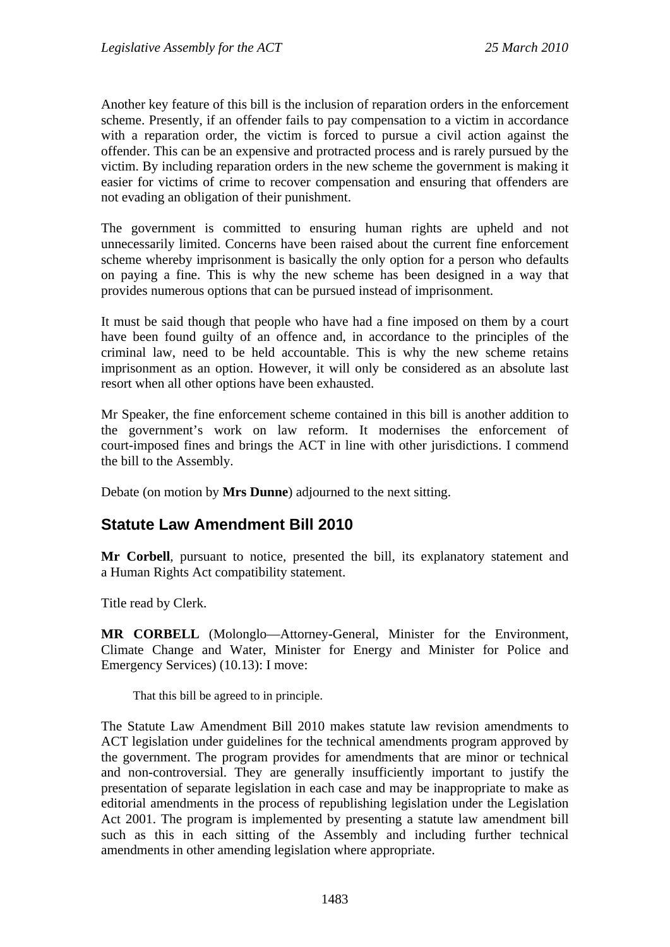Another key feature of this bill is the inclusion of reparation orders in the enforcement scheme. Presently, if an offender fails to pay compensation to a victim in accordance with a reparation order, the victim is forced to pursue a civil action against the offender. This can be an expensive and protracted process and is rarely pursued by the victim. By including reparation orders in the new scheme the government is making it easier for victims of crime to recover compensation and ensuring that offenders are not evading an obligation of their punishment.

The government is committed to ensuring human rights are upheld and not unnecessarily limited. Concerns have been raised about the current fine enforcement scheme whereby imprisonment is basically the only option for a person who defaults on paying a fine. This is why the new scheme has been designed in a way that provides numerous options that can be pursued instead of imprisonment.

It must be said though that people who have had a fine imposed on them by a court have been found guilty of an offence and, in accordance to the principles of the criminal law, need to be held accountable. This is why the new scheme retains imprisonment as an option. However, it will only be considered as an absolute last resort when all other options have been exhausted.

Mr Speaker, the fine enforcement scheme contained in this bill is another addition to the government's work on law reform. It modernises the enforcement of court-imposed fines and brings the ACT in line with other jurisdictions. I commend the bill to the Assembly.

Debate (on motion by **Mrs Dunne**) adjourned to the next sitting.

## <span id="page-7-0"></span>**Statute Law Amendment Bill 2010**

**Mr Corbell**, pursuant to notice, presented the bill, its explanatory statement and a Human Rights Act compatibility statement.

Title read by Clerk.

**MR CORBELL** (Molonglo—Attorney-General, Minister for the Environment, Climate Change and Water, Minister for Energy and Minister for Police and Emergency Services) (10.13): I move:

That this bill be agreed to in principle.

The Statute Law Amendment Bill 2010 makes statute law revision amendments to ACT legislation under guidelines for the technical amendments program approved by the government. The program provides for amendments that are minor or technical and non-controversial. They are generally insufficiently important to justify the presentation of separate legislation in each case and may be inappropriate to make as editorial amendments in the process of republishing legislation under the Legislation Act 2001. The program is implemented by presenting a statute law amendment bill such as this in each sitting of the Assembly and including further technical amendments in other amending legislation where appropriate.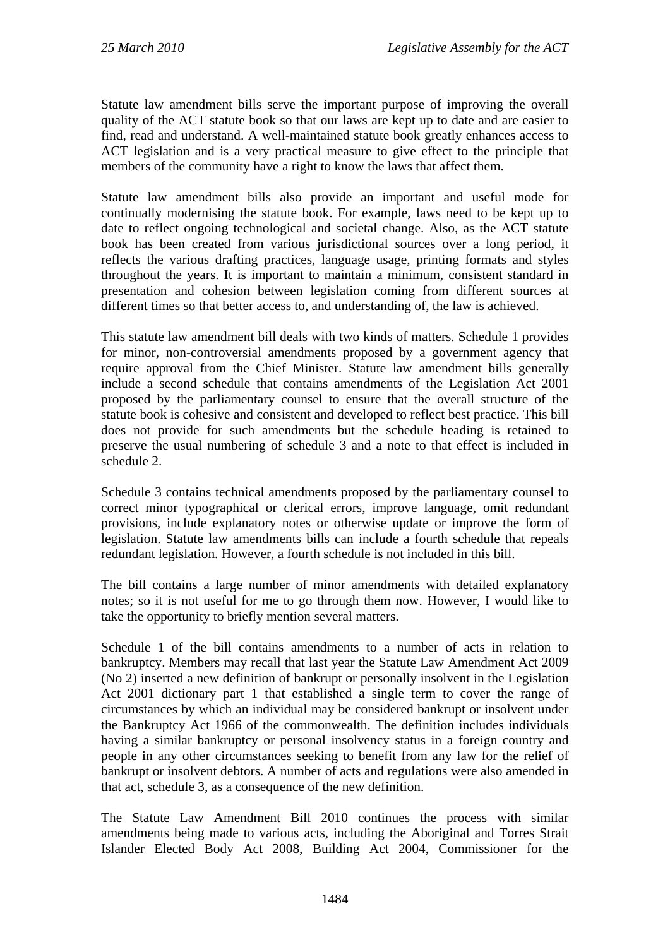Statute law amendment bills serve the important purpose of improving the overall quality of the ACT statute book so that our laws are kept up to date and are easier to find, read and understand. A well-maintained statute book greatly enhances access to ACT legislation and is a very practical measure to give effect to the principle that members of the community have a right to know the laws that affect them.

Statute law amendment bills also provide an important and useful mode for continually modernising the statute book. For example, laws need to be kept up to date to reflect ongoing technological and societal change. Also, as the ACT statute book has been created from various jurisdictional sources over a long period, it reflects the various drafting practices, language usage, printing formats and styles throughout the years. It is important to maintain a minimum, consistent standard in presentation and cohesion between legislation coming from different sources at different times so that better access to, and understanding of, the law is achieved.

This statute law amendment bill deals with two kinds of matters. Schedule 1 provides for minor, non-controversial amendments proposed by a government agency that require approval from the Chief Minister. Statute law amendment bills generally include a second schedule that contains amendments of the Legislation Act 2001 proposed by the parliamentary counsel to ensure that the overall structure of the statute book is cohesive and consistent and developed to reflect best practice. This bill does not provide for such amendments but the schedule heading is retained to preserve the usual numbering of schedule 3 and a note to that effect is included in schedule 2.

Schedule 3 contains technical amendments proposed by the parliamentary counsel to correct minor typographical or clerical errors, improve language, omit redundant provisions, include explanatory notes or otherwise update or improve the form of legislation. Statute law amendments bills can include a fourth schedule that repeals redundant legislation. However, a fourth schedule is not included in this bill.

The bill contains a large number of minor amendments with detailed explanatory notes; so it is not useful for me to go through them now. However, I would like to take the opportunity to briefly mention several matters.

Schedule 1 of the bill contains amendments to a number of acts in relation to bankruptcy. Members may recall that last year the Statute Law Amendment Act 2009 (No 2) inserted a new definition of bankrupt or personally insolvent in the Legislation Act 2001 dictionary part 1 that established a single term to cover the range of circumstances by which an individual may be considered bankrupt or insolvent under the Bankruptcy Act 1966 of the commonwealth. The definition includes individuals having a similar bankruptcy or personal insolvency status in a foreign country and people in any other circumstances seeking to benefit from any law for the relief of bankrupt or insolvent debtors. A number of acts and regulations were also amended in that act, schedule 3, as a consequence of the new definition.

The Statute Law Amendment Bill 2010 continues the process with similar amendments being made to various acts, including the Aboriginal and Torres Strait Islander Elected Body Act 2008, Building Act 2004, Commissioner for the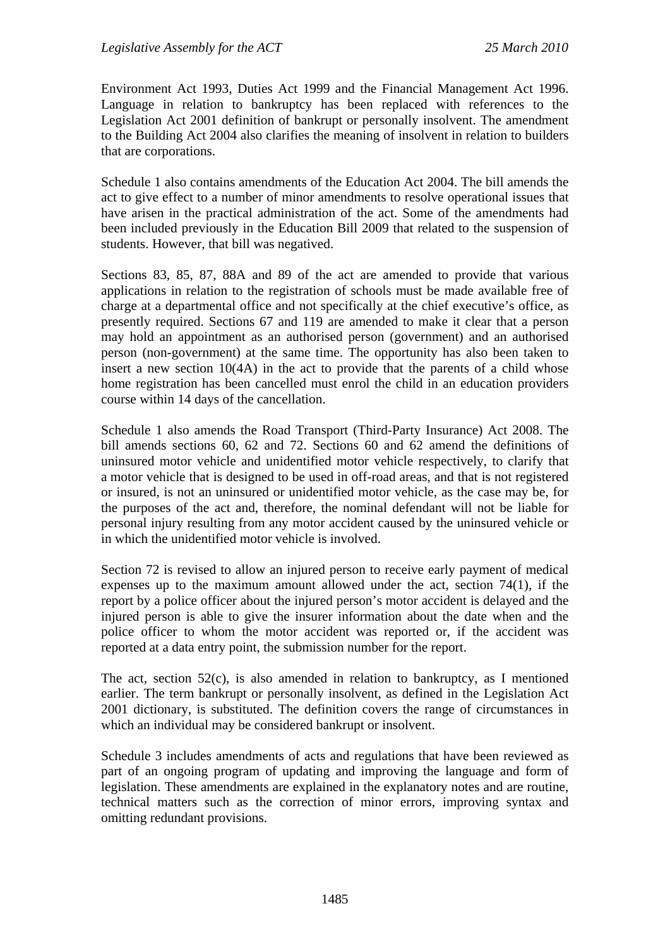Environment Act 1993, Duties Act 1999 and the Financial Management Act 1996. Language in relation to bankruptcy has been replaced with references to the Legislation Act 2001 definition of bankrupt or personally insolvent. The amendment to the Building Act 2004 also clarifies the meaning of insolvent in relation to builders that are corporations.

Schedule 1 also contains amendments of the Education Act 2004. The bill amends the act to give effect to a number of minor amendments to resolve operational issues that have arisen in the practical administration of the act. Some of the amendments had been included previously in the Education Bill 2009 that related to the suspension of students. However, that bill was negatived.

Sections 83, 85, 87, 88A and 89 of the act are amended to provide that various applications in relation to the registration of schools must be made available free of charge at a departmental office and not specifically at the chief executive's office, as presently required. Sections 67 and 119 are amended to make it clear that a person may hold an appointment as an authorised person (government) and an authorised person (non-government) at the same time. The opportunity has also been taken to insert a new section 10(4A) in the act to provide that the parents of a child whose home registration has been cancelled must enrol the child in an education providers course within 14 days of the cancellation.

Schedule 1 also amends the Road Transport (Third-Party Insurance) Act 2008. The bill amends sections 60, 62 and 72. Sections 60 and 62 amend the definitions of uninsured motor vehicle and unidentified motor vehicle respectively, to clarify that a motor vehicle that is designed to be used in off-road areas, and that is not registered or insured, is not an uninsured or unidentified motor vehicle, as the case may be, for the purposes of the act and, therefore, the nominal defendant will not be liable for personal injury resulting from any motor accident caused by the uninsured vehicle or in which the unidentified motor vehicle is involved.

Section 72 is revised to allow an injured person to receive early payment of medical expenses up to the maximum amount allowed under the act, section 74(1), if the report by a police officer about the injured person's motor accident is delayed and the injured person is able to give the insurer information about the date when and the police officer to whom the motor accident was reported or, if the accident was reported at a data entry point, the submission number for the report.

The act, section  $52(c)$ , is also amended in relation to bankruptcy, as I mentioned earlier. The term bankrupt or personally insolvent, as defined in the Legislation Act 2001 dictionary, is substituted. The definition covers the range of circumstances in which an individual may be considered bankrupt or insolvent.

Schedule 3 includes amendments of acts and regulations that have been reviewed as part of an ongoing program of updating and improving the language and form of legislation. These amendments are explained in the explanatory notes and are routine, technical matters such as the correction of minor errors, improving syntax and omitting redundant provisions.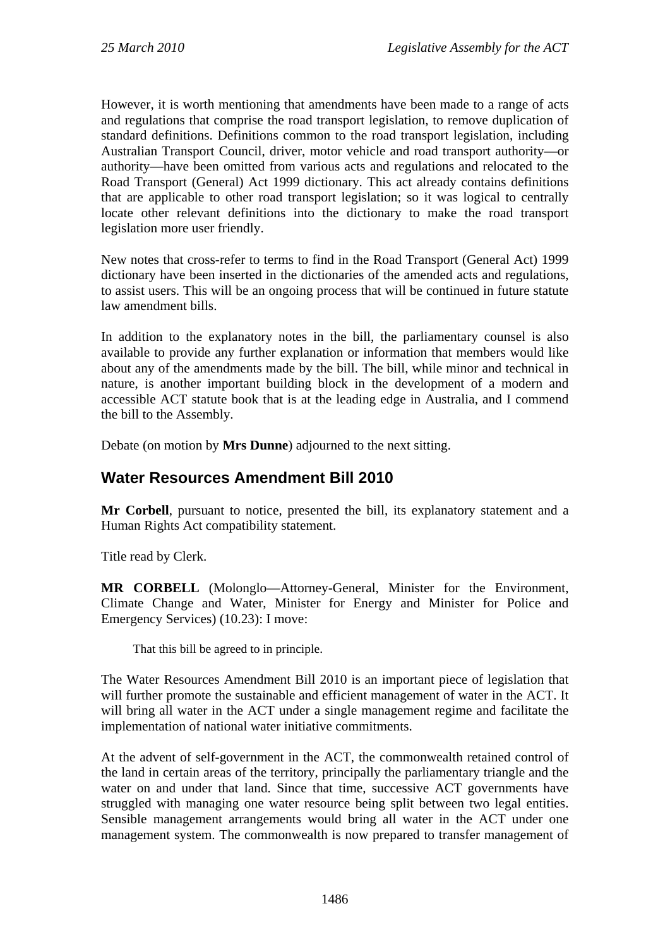However, it is worth mentioning that amendments have been made to a range of acts and regulations that comprise the road transport legislation, to remove duplication of standard definitions. Definitions common to the road transport legislation, including Australian Transport Council, driver, motor vehicle and road transport authority—or authority—have been omitted from various acts and regulations and relocated to the Road Transport (General) Act 1999 dictionary. This act already contains definitions that are applicable to other road transport legislation; so it was logical to centrally locate other relevant definitions into the dictionary to make the road transport legislation more user friendly.

New notes that cross-refer to terms to find in the Road Transport (General Act) 1999 dictionary have been inserted in the dictionaries of the amended acts and regulations, to assist users. This will be an ongoing process that will be continued in future statute law amendment bills.

In addition to the explanatory notes in the bill, the parliamentary counsel is also available to provide any further explanation or information that members would like about any of the amendments made by the bill. The bill, while minor and technical in nature, is another important building block in the development of a modern and accessible ACT statute book that is at the leading edge in Australia, and I commend the bill to the Assembly.

Debate (on motion by **Mrs Dunne**) adjourned to the next sitting.

## <span id="page-10-0"></span>**Water Resources Amendment Bill 2010**

**Mr Corbell**, pursuant to notice, presented the bill, its explanatory statement and a Human Rights Act compatibility statement.

Title read by Clerk.

**MR CORBELL** (Molonglo—Attorney-General, Minister for the Environment, Climate Change and Water, Minister for Energy and Minister for Police and Emergency Services) (10.23): I move:

That this bill be agreed to in principle.

The Water Resources Amendment Bill 2010 is an important piece of legislation that will further promote the sustainable and efficient management of water in the ACT. It will bring all water in the ACT under a single management regime and facilitate the implementation of national water initiative commitments.

At the advent of self-government in the ACT, the commonwealth retained control of the land in certain areas of the territory, principally the parliamentary triangle and the water on and under that land. Since that time, successive ACT governments have struggled with managing one water resource being split between two legal entities. Sensible management arrangements would bring all water in the ACT under one management system. The commonwealth is now prepared to transfer management of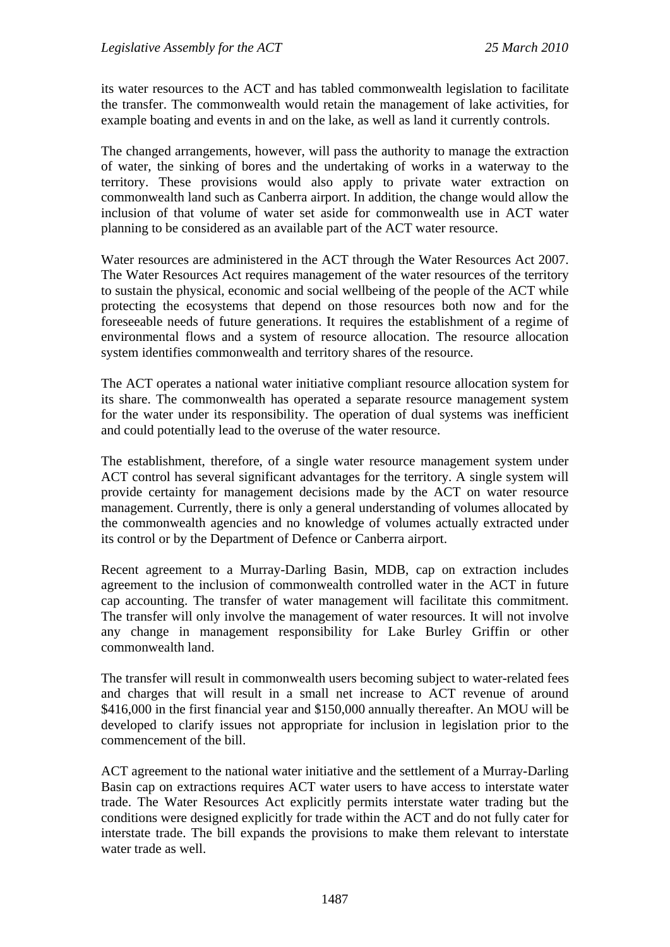its water resources to the ACT and has tabled commonwealth legislation to facilitate the transfer. The commonwealth would retain the management of lake activities, for example boating and events in and on the lake, as well as land it currently controls.

The changed arrangements, however, will pass the authority to manage the extraction of water, the sinking of bores and the undertaking of works in a waterway to the territory. These provisions would also apply to private water extraction on commonwealth land such as Canberra airport. In addition, the change would allow the inclusion of that volume of water set aside for commonwealth use in ACT water planning to be considered as an available part of the ACT water resource.

Water resources are administered in the ACT through the Water Resources Act 2007. The Water Resources Act requires management of the water resources of the territory to sustain the physical, economic and social wellbeing of the people of the ACT while protecting the ecosystems that depend on those resources both now and for the foreseeable needs of future generations. It requires the establishment of a regime of environmental flows and a system of resource allocation. The resource allocation system identifies commonwealth and territory shares of the resource.

The ACT operates a national water initiative compliant resource allocation system for its share. The commonwealth has operated a separate resource management system for the water under its responsibility. The operation of dual systems was inefficient and could potentially lead to the overuse of the water resource.

The establishment, therefore, of a single water resource management system under ACT control has several significant advantages for the territory. A single system will provide certainty for management decisions made by the ACT on water resource management. Currently, there is only a general understanding of volumes allocated by the commonwealth agencies and no knowledge of volumes actually extracted under its control or by the Department of Defence or Canberra airport.

Recent agreement to a Murray-Darling Basin, MDB, cap on extraction includes agreement to the inclusion of commonwealth controlled water in the ACT in future cap accounting. The transfer of water management will facilitate this commitment. The transfer will only involve the management of water resources. It will not involve any change in management responsibility for Lake Burley Griffin or other commonwealth land.

The transfer will result in commonwealth users becoming subject to water-related fees and charges that will result in a small net increase to ACT revenue of around \$416,000 in the first financial year and \$150,000 annually thereafter. An MOU will be developed to clarify issues not appropriate for inclusion in legislation prior to the commencement of the bill.

ACT agreement to the national water initiative and the settlement of a Murray-Darling Basin cap on extractions requires ACT water users to have access to interstate water trade. The Water Resources Act explicitly permits interstate water trading but the conditions were designed explicitly for trade within the ACT and do not fully cater for interstate trade. The bill expands the provisions to make them relevant to interstate water trade as well.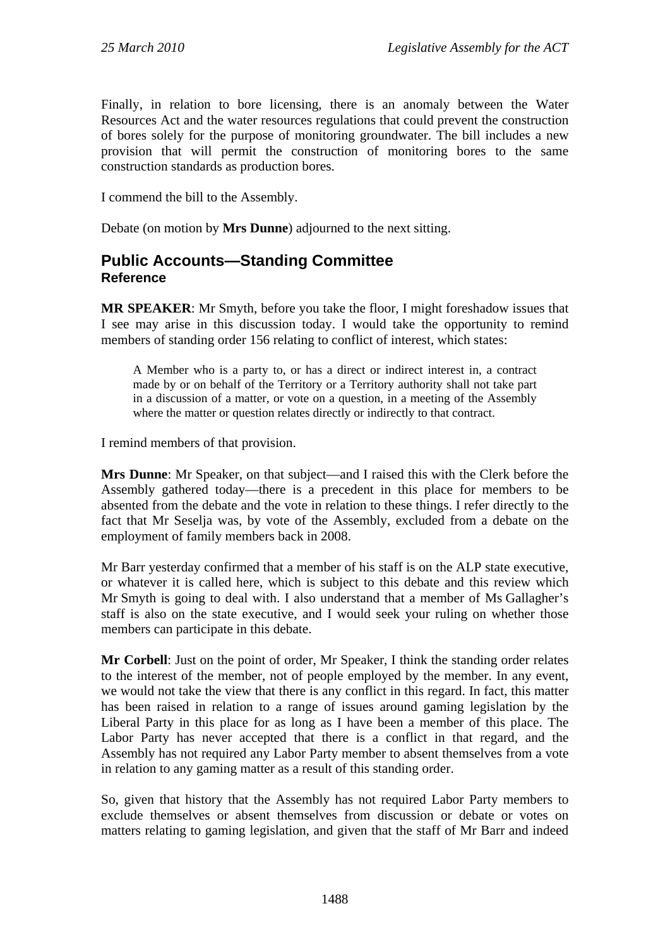Finally, in relation to bore licensing, there is an anomaly between the Water Resources Act and the water resources regulations that could prevent the construction of bores solely for the purpose of monitoring groundwater. The bill includes a new provision that will permit the construction of monitoring bores to the same construction standards as production bores.

I commend the bill to the Assembly.

Debate (on motion by **Mrs Dunne**) adjourned to the next sitting.

## <span id="page-12-0"></span>**Public Accounts—Standing Committee Reference**

**MR SPEAKER**: Mr Smyth, before you take the floor, I might foreshadow issues that I see may arise in this discussion today. I would take the opportunity to remind members of standing order 156 relating to conflict of interest, which states:

A Member who is a party to, or has a direct or indirect interest in, a contract made by or on behalf of the Territory or a Territory authority shall not take part in a discussion of a matter, or vote on a question, in a meeting of the Assembly where the matter or question relates directly or indirectly to that contract.

I remind members of that provision.

**Mrs Dunne**: Mr Speaker, on that subject—and I raised this with the Clerk before the Assembly gathered today—there is a precedent in this place for members to be absented from the debate and the vote in relation to these things. I refer directly to the fact that Mr Seselja was, by vote of the Assembly, excluded from a debate on the employment of family members back in 2008.

Mr Barr yesterday confirmed that a member of his staff is on the ALP state executive, or whatever it is called here, which is subject to this debate and this review which Mr Smyth is going to deal with. I also understand that a member of Ms Gallagher's staff is also on the state executive, and I would seek your ruling on whether those members can participate in this debate.

**Mr Corbell**: Just on the point of order, Mr Speaker, I think the standing order relates to the interest of the member, not of people employed by the member. In any event, we would not take the view that there is any conflict in this regard. In fact, this matter has been raised in relation to a range of issues around gaming legislation by the Liberal Party in this place for as long as I have been a member of this place. The Labor Party has never accepted that there is a conflict in that regard, and the Assembly has not required any Labor Party member to absent themselves from a vote in relation to any gaming matter as a result of this standing order.

So, given that history that the Assembly has not required Labor Party members to exclude themselves or absent themselves from discussion or debate or votes on matters relating to gaming legislation, and given that the staff of Mr Barr and indeed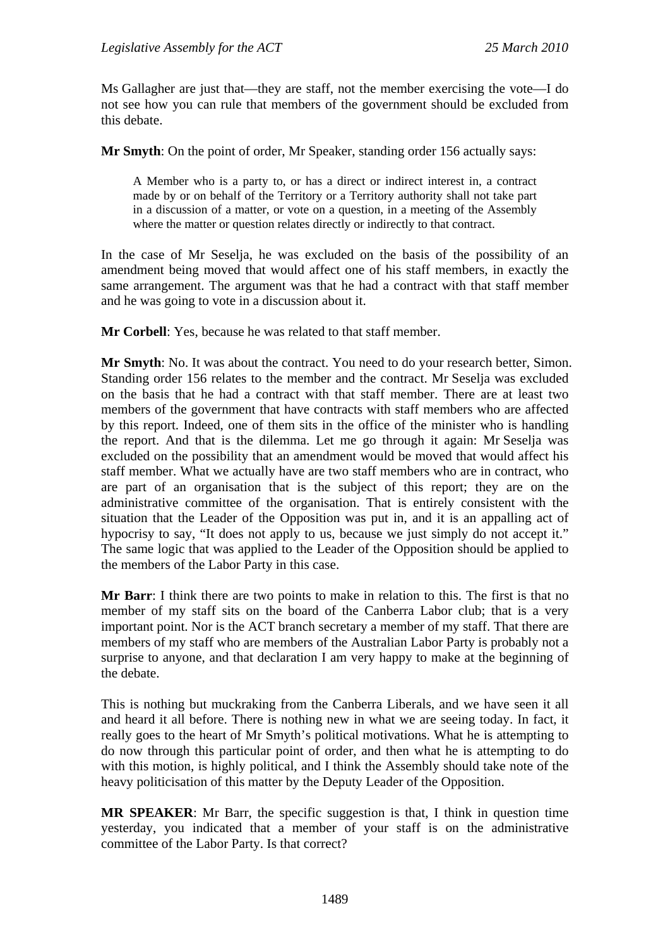Ms Gallagher are just that—they are staff, not the member exercising the vote—I do not see how you can rule that members of the government should be excluded from this debate.

**Mr Smyth**: On the point of order, Mr Speaker, standing order 156 actually says:

A Member who is a party to, or has a direct or indirect interest in, a contract made by or on behalf of the Territory or a Territory authority shall not take part in a discussion of a matter, or vote on a question, in a meeting of the Assembly where the matter or question relates directly or indirectly to that contract.

In the case of Mr Seselja, he was excluded on the basis of the possibility of an amendment being moved that would affect one of his staff members, in exactly the same arrangement. The argument was that he had a contract with that staff member and he was going to vote in a discussion about it.

**Mr Corbell**: Yes, because he was related to that staff member.

**Mr Smyth**: No. It was about the contract. You need to do your research better, Simon. Standing order 156 relates to the member and the contract. Mr Seselja was excluded on the basis that he had a contract with that staff member. There are at least two members of the government that have contracts with staff members who are affected by this report. Indeed, one of them sits in the office of the minister who is handling the report. And that is the dilemma. Let me go through it again: Mr Seselja was excluded on the possibility that an amendment would be moved that would affect his staff member. What we actually have are two staff members who are in contract, who are part of an organisation that is the subject of this report; they are on the administrative committee of the organisation. That is entirely consistent with the situation that the Leader of the Opposition was put in, and it is an appalling act of hypocrisy to say, "It does not apply to us, because we just simply do not accept it." The same logic that was applied to the Leader of the Opposition should be applied to the members of the Labor Party in this case.

**Mr Barr**: I think there are two points to make in relation to this. The first is that no member of my staff sits on the board of the Canberra Labor club; that is a very important point. Nor is the ACT branch secretary a member of my staff. That there are members of my staff who are members of the Australian Labor Party is probably not a surprise to anyone, and that declaration I am very happy to make at the beginning of the debate.

This is nothing but muckraking from the Canberra Liberals, and we have seen it all and heard it all before. There is nothing new in what we are seeing today. In fact, it really goes to the heart of Mr Smyth's political motivations. What he is attempting to do now through this particular point of order, and then what he is attempting to do with this motion, is highly political, and I think the Assembly should take note of the heavy politicisation of this matter by the Deputy Leader of the Opposition.

**MR SPEAKER**: Mr Barr, the specific suggestion is that, I think in question time yesterday, you indicated that a member of your staff is on the administrative committee of the Labor Party. Is that correct?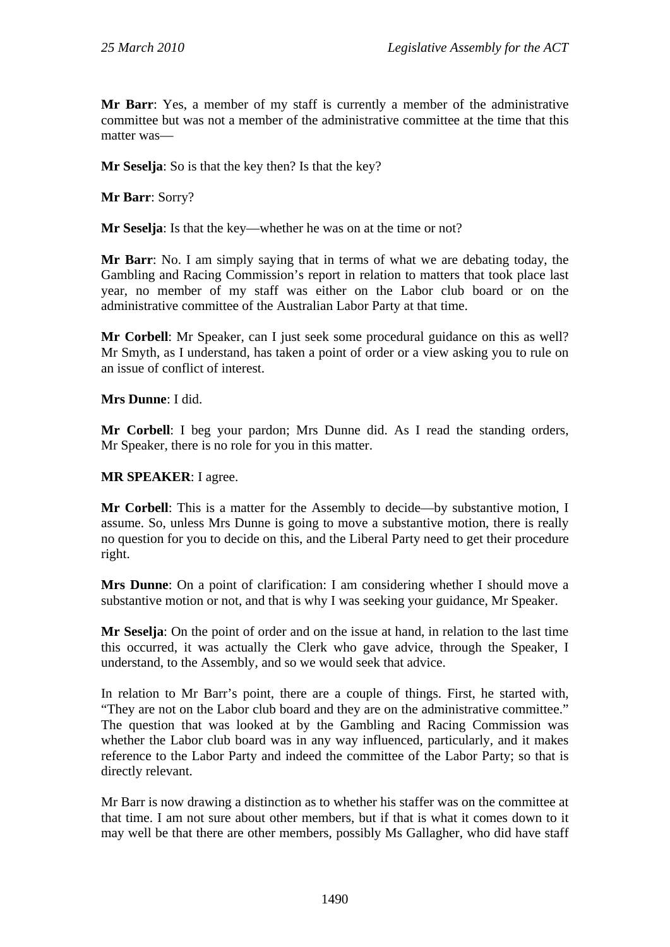**Mr Barr**: Yes, a member of my staff is currently a member of the administrative committee but was not a member of the administrative committee at the time that this matter was—

**Mr Seselja**: So is that the key then? Is that the key?

**Mr Barr**: Sorry?

**Mr Seselja**: Is that the key—whether he was on at the time or not?

**Mr Barr**: No. I am simply saying that in terms of what we are debating today, the Gambling and Racing Commission's report in relation to matters that took place last year, no member of my staff was either on the Labor club board or on the administrative committee of the Australian Labor Party at that time.

**Mr Corbell**: Mr Speaker, can I just seek some procedural guidance on this as well? Mr Smyth, as I understand, has taken a point of order or a view asking you to rule on an issue of conflict of interest.

**Mrs Dunne**: I did.

**Mr Corbell**: I beg your pardon; Mrs Dunne did. As I read the standing orders, Mr Speaker, there is no role for you in this matter.

#### **MR SPEAKER**: I agree.

**Mr Corbell**: This is a matter for the Assembly to decide—by substantive motion, I assume. So, unless Mrs Dunne is going to move a substantive motion, there is really no question for you to decide on this, and the Liberal Party need to get their procedure right.

**Mrs Dunne**: On a point of clarification: I am considering whether I should move a substantive motion or not, and that is why I was seeking your guidance, Mr Speaker.

**Mr Seselja**: On the point of order and on the issue at hand, in relation to the last time this occurred, it was actually the Clerk who gave advice, through the Speaker, I understand, to the Assembly, and so we would seek that advice.

In relation to Mr Barr's point, there are a couple of things. First, he started with, "They are not on the Labor club board and they are on the administrative committee." The question that was looked at by the Gambling and Racing Commission was whether the Labor club board was in any way influenced, particularly, and it makes reference to the Labor Party and indeed the committee of the Labor Party; so that is directly relevant.

Mr Barr is now drawing a distinction as to whether his staffer was on the committee at that time. I am not sure about other members, but if that is what it comes down to it may well be that there are other members, possibly Ms Gallagher, who did have staff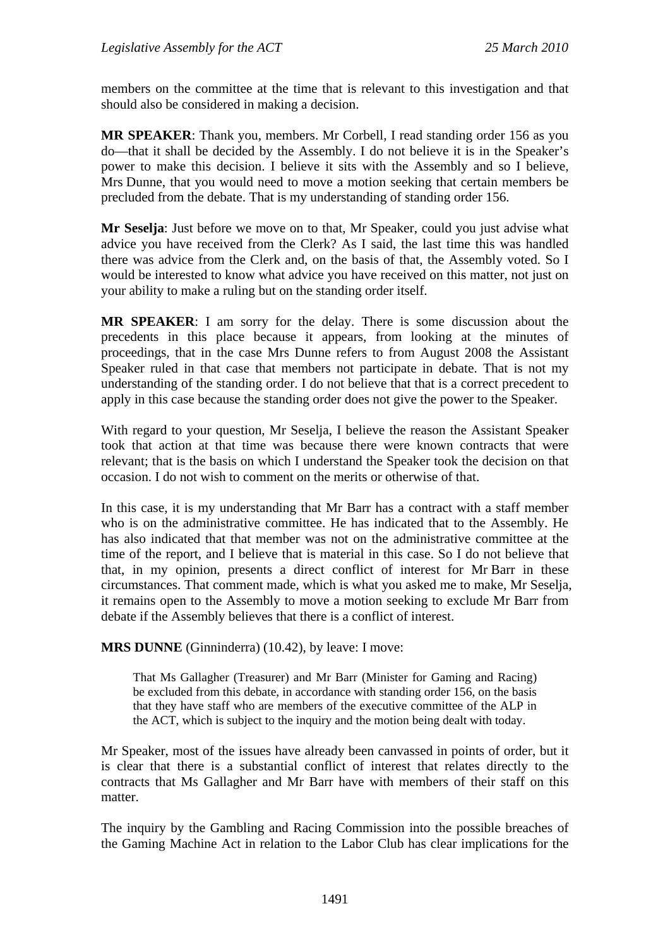members on the committee at the time that is relevant to this investigation and that should also be considered in making a decision.

**MR SPEAKER**: Thank you, members. Mr Corbell, I read standing order 156 as you do—that it shall be decided by the Assembly. I do not believe it is in the Speaker's power to make this decision. I believe it sits with the Assembly and so I believe, Mrs Dunne, that you would need to move a motion seeking that certain members be precluded from the debate. That is my understanding of standing order 156.

**Mr Seselja**: Just before we move on to that, Mr Speaker, could you just advise what advice you have received from the Clerk? As I said, the last time this was handled there was advice from the Clerk and, on the basis of that, the Assembly voted. So I would be interested to know what advice you have received on this matter, not just on your ability to make a ruling but on the standing order itself.

**MR SPEAKER**: I am sorry for the delay. There is some discussion about the precedents in this place because it appears, from looking at the minutes of proceedings, that in the case Mrs Dunne refers to from August 2008 the Assistant Speaker ruled in that case that members not participate in debate. That is not my understanding of the standing order. I do not believe that that is a correct precedent to apply in this case because the standing order does not give the power to the Speaker.

With regard to your question, Mr Seselja, I believe the reason the Assistant Speaker took that action at that time was because there were known contracts that were relevant; that is the basis on which I understand the Speaker took the decision on that occasion. I do not wish to comment on the merits or otherwise of that.

In this case, it is my understanding that Mr Barr has a contract with a staff member who is on the administrative committee. He has indicated that to the Assembly. He has also indicated that that member was not on the administrative committee at the time of the report, and I believe that is material in this case. So I do not believe that that, in my opinion, presents a direct conflict of interest for Mr Barr in these circumstances. That comment made, which is what you asked me to make, Mr Seselja, it remains open to the Assembly to move a motion seeking to exclude Mr Barr from debate if the Assembly believes that there is a conflict of interest.

**MRS DUNNE** (Ginninderra) (10.42), by leave: I move:

That Ms Gallagher (Treasurer) and Mr Barr (Minister for Gaming and Racing) be excluded from this debate, in accordance with standing order 156, on the basis that they have staff who are members of the executive committee of the ALP in the ACT, which is subject to the inquiry and the motion being dealt with today.

Mr Speaker, most of the issues have already been canvassed in points of order, but it is clear that there is a substantial conflict of interest that relates directly to the contracts that Ms Gallagher and Mr Barr have with members of their staff on this matter.

The inquiry by the Gambling and Racing Commission into the possible breaches of the Gaming Machine Act in relation to the Labor Club has clear implications for the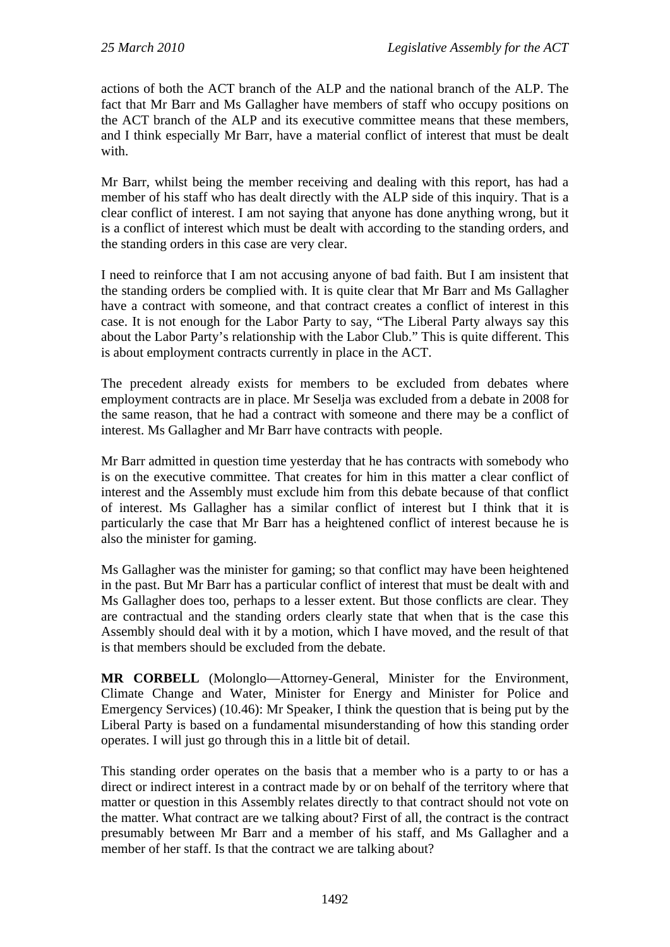actions of both the ACT branch of the ALP and the national branch of the ALP. The fact that Mr Barr and Ms Gallagher have members of staff who occupy positions on the ACT branch of the ALP and its executive committee means that these members, and I think especially Mr Barr, have a material conflict of interest that must be dealt with.

Mr Barr, whilst being the member receiving and dealing with this report, has had a member of his staff who has dealt directly with the ALP side of this inquiry. That is a clear conflict of interest. I am not saying that anyone has done anything wrong, but it is a conflict of interest which must be dealt with according to the standing orders, and the standing orders in this case are very clear.

I need to reinforce that I am not accusing anyone of bad faith. But I am insistent that the standing orders be complied with. It is quite clear that Mr Barr and Ms Gallagher have a contract with someone, and that contract creates a conflict of interest in this case. It is not enough for the Labor Party to say, "The Liberal Party always say this about the Labor Party's relationship with the Labor Club." This is quite different. This is about employment contracts currently in place in the ACT.

The precedent already exists for members to be excluded from debates where employment contracts are in place. Mr Seselja was excluded from a debate in 2008 for the same reason, that he had a contract with someone and there may be a conflict of interest. Ms Gallagher and Mr Barr have contracts with people.

Mr Barr admitted in question time yesterday that he has contracts with somebody who is on the executive committee. That creates for him in this matter a clear conflict of interest and the Assembly must exclude him from this debate because of that conflict of interest. Ms Gallagher has a similar conflict of interest but I think that it is particularly the case that Mr Barr has a heightened conflict of interest because he is also the minister for gaming.

Ms Gallagher was the minister for gaming; so that conflict may have been heightened in the past. But Mr Barr has a particular conflict of interest that must be dealt with and Ms Gallagher does too, perhaps to a lesser extent. But those conflicts are clear. They are contractual and the standing orders clearly state that when that is the case this Assembly should deal with it by a motion, which I have moved, and the result of that is that members should be excluded from the debate.

**MR CORBELL** (Molonglo—Attorney-General, Minister for the Environment, Climate Change and Water, Minister for Energy and Minister for Police and Emergency Services) (10.46): Mr Speaker, I think the question that is being put by the Liberal Party is based on a fundamental misunderstanding of how this standing order operates. I will just go through this in a little bit of detail.

This standing order operates on the basis that a member who is a party to or has a direct or indirect interest in a contract made by or on behalf of the territory where that matter or question in this Assembly relates directly to that contract should not vote on the matter. What contract are we talking about? First of all, the contract is the contract presumably between Mr Barr and a member of his staff, and Ms Gallagher and a member of her staff. Is that the contract we are talking about?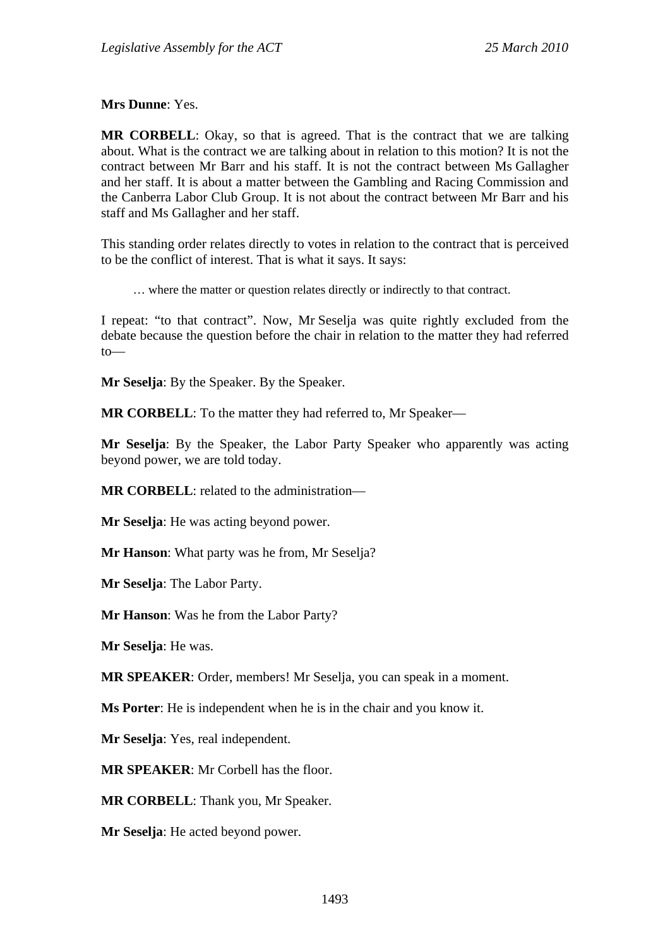**Mrs Dunne**: Yes.

**MR CORBELL**: Okay, so that is agreed. That is the contract that we are talking about. What is the contract we are talking about in relation to this motion? It is not the contract between Mr Barr and his staff. It is not the contract between Ms Gallagher and her staff. It is about a matter between the Gambling and Racing Commission and the Canberra Labor Club Group. It is not about the contract between Mr Barr and his staff and Ms Gallagher and her staff.

This standing order relates directly to votes in relation to the contract that is perceived to be the conflict of interest. That is what it says. It says:

… where the matter or question relates directly or indirectly to that contract.

I repeat: "to that contract". Now, Mr Seselja was quite rightly excluded from the debate because the question before the chair in relation to the matter they had referred to—

**Mr Seselja**: By the Speaker. By the Speaker.

**MR CORBELL**: To the matter they had referred to, Mr Speaker—

**Mr Seselja**: By the Speaker, the Labor Party Speaker who apparently was acting beyond power, we are told today.

**MR CORBELL**: related to the administration—

**Mr Seselja**: He was acting beyond power.

**Mr Hanson**: What party was he from, Mr Seselja?

**Mr Seselja**: The Labor Party.

**Mr Hanson**: Was he from the Labor Party?

**Mr Seselja**: He was.

**MR SPEAKER**: Order, members! Mr Seselja, you can speak in a moment.

**Ms Porter**: He is independent when he is in the chair and you know it.

**Mr Seselja**: Yes, real independent.

**MR SPEAKER**: Mr Corbell has the floor.

**MR CORBELL**: Thank you, Mr Speaker.

**Mr Seselja**: He acted beyond power.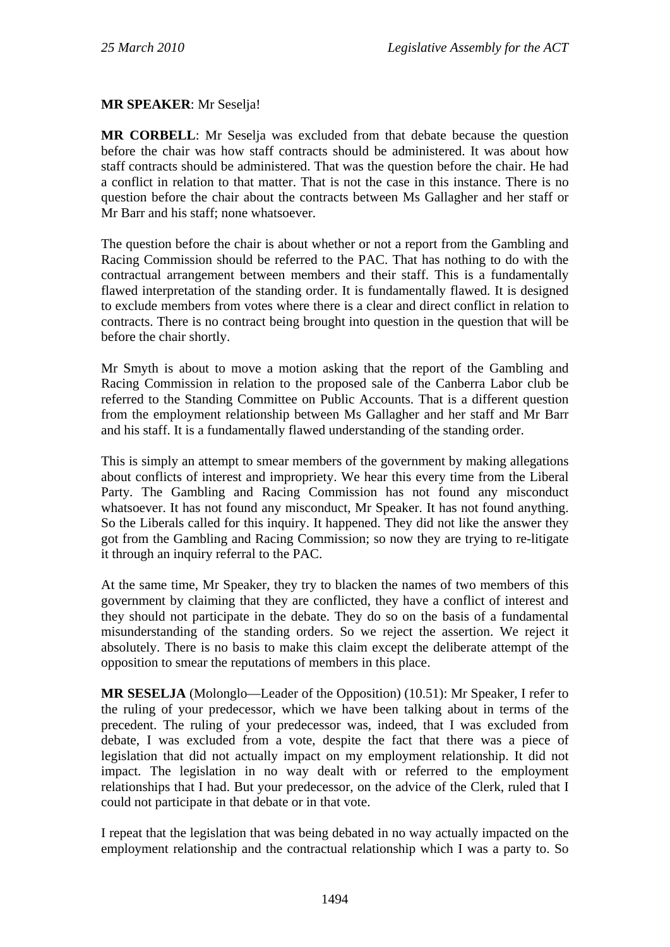### **MR SPEAKER**: Mr Seselja!

**MR CORBELL**: Mr Seselja was excluded from that debate because the question before the chair was how staff contracts should be administered. It was about how staff contracts should be administered. That was the question before the chair. He had a conflict in relation to that matter. That is not the case in this instance. There is no question before the chair about the contracts between Ms Gallagher and her staff or Mr Barr and his staff; none whatsoever.

The question before the chair is about whether or not a report from the Gambling and Racing Commission should be referred to the PAC. That has nothing to do with the contractual arrangement between members and their staff. This is a fundamentally flawed interpretation of the standing order. It is fundamentally flawed. It is designed to exclude members from votes where there is a clear and direct conflict in relation to contracts. There is no contract being brought into question in the question that will be before the chair shortly.

Mr Smyth is about to move a motion asking that the report of the Gambling and Racing Commission in relation to the proposed sale of the Canberra Labor club be referred to the Standing Committee on Public Accounts. That is a different question from the employment relationship between Ms Gallagher and her staff and Mr Barr and his staff. It is a fundamentally flawed understanding of the standing order.

This is simply an attempt to smear members of the government by making allegations about conflicts of interest and impropriety. We hear this every time from the Liberal Party. The Gambling and Racing Commission has not found any misconduct whatsoever. It has not found any misconduct, Mr Speaker. It has not found anything. So the Liberals called for this inquiry. It happened. They did not like the answer they got from the Gambling and Racing Commission; so now they are trying to re-litigate it through an inquiry referral to the PAC.

At the same time, Mr Speaker, they try to blacken the names of two members of this government by claiming that they are conflicted, they have a conflict of interest and they should not participate in the debate. They do so on the basis of a fundamental misunderstanding of the standing orders. So we reject the assertion. We reject it absolutely. There is no basis to make this claim except the deliberate attempt of the opposition to smear the reputations of members in this place.

**MR SESELJA** (Molonglo—Leader of the Opposition) (10.51): Mr Speaker, I refer to the ruling of your predecessor, which we have been talking about in terms of the precedent. The ruling of your predecessor was, indeed, that I was excluded from debate, I was excluded from a vote, despite the fact that there was a piece of legislation that did not actually impact on my employment relationship. It did not impact. The legislation in no way dealt with or referred to the employment relationships that I had. But your predecessor, on the advice of the Clerk, ruled that I could not participate in that debate or in that vote.

I repeat that the legislation that was being debated in no way actually impacted on the employment relationship and the contractual relationship which I was a party to. So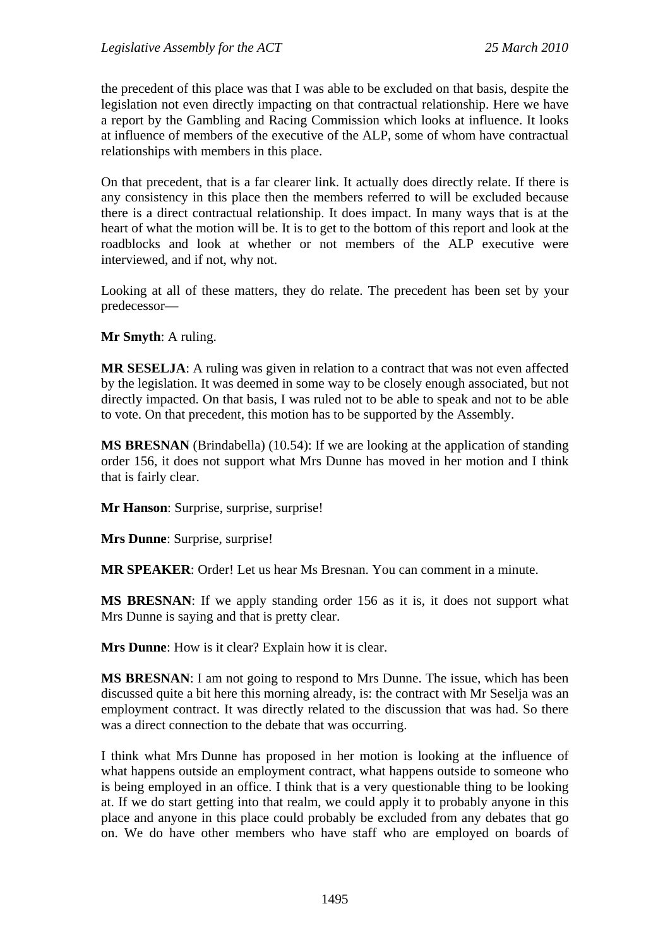the precedent of this place was that I was able to be excluded on that basis, despite the legislation not even directly impacting on that contractual relationship. Here we have a report by the Gambling and Racing Commission which looks at influence. It looks at influence of members of the executive of the ALP, some of whom have contractual relationships with members in this place.

On that precedent, that is a far clearer link. It actually does directly relate. If there is any consistency in this place then the members referred to will be excluded because there is a direct contractual relationship. It does impact. In many ways that is at the heart of what the motion will be. It is to get to the bottom of this report and look at the roadblocks and look at whether or not members of the ALP executive were interviewed, and if not, why not.

Looking at all of these matters, they do relate. The precedent has been set by your predecessor—

**Mr Smyth**: A ruling.

**MR SESELJA**: A ruling was given in relation to a contract that was not even affected by the legislation. It was deemed in some way to be closely enough associated, but not directly impacted. On that basis, I was ruled not to be able to speak and not to be able to vote. On that precedent, this motion has to be supported by the Assembly.

**MS BRESNAN** (Brindabella) (10.54): If we are looking at the application of standing order 156, it does not support what Mrs Dunne has moved in her motion and I think that is fairly clear.

**Mr Hanson**: Surprise, surprise, surprise!

**Mrs Dunne**: Surprise, surprise!

**MR SPEAKER**: Order! Let us hear Ms Bresnan. You can comment in a minute.

**MS BRESNAN**: If we apply standing order 156 as it is, it does not support what Mrs Dunne is saying and that is pretty clear.

**Mrs Dunne**: How is it clear? Explain how it is clear.

**MS BRESNAN**: I am not going to respond to Mrs Dunne. The issue, which has been discussed quite a bit here this morning already, is: the contract with Mr Seselja was an employment contract. It was directly related to the discussion that was had. So there was a direct connection to the debate that was occurring.

I think what Mrs Dunne has proposed in her motion is looking at the influence of what happens outside an employment contract, what happens outside to someone who is being employed in an office. I think that is a very questionable thing to be looking at. If we do start getting into that realm, we could apply it to probably anyone in this place and anyone in this place could probably be excluded from any debates that go on. We do have other members who have staff who are employed on boards of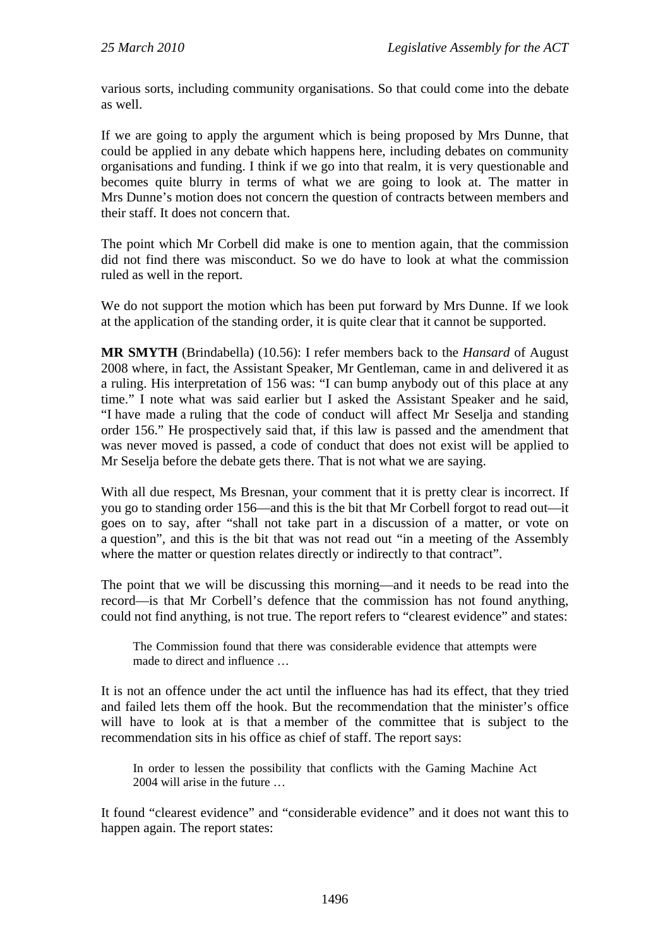various sorts, including community organisations. So that could come into the debate as well.

If we are going to apply the argument which is being proposed by Mrs Dunne, that could be applied in any debate which happens here, including debates on community organisations and funding. I think if we go into that realm, it is very questionable and becomes quite blurry in terms of what we are going to look at. The matter in Mrs Dunne's motion does not concern the question of contracts between members and their staff. It does not concern that.

The point which Mr Corbell did make is one to mention again, that the commission did not find there was misconduct. So we do have to look at what the commission ruled as well in the report.

We do not support the motion which has been put forward by Mrs Dunne. If we look at the application of the standing order, it is quite clear that it cannot be supported.

**MR SMYTH** (Brindabella) (10.56): I refer members back to the *Hansard* of August 2008 where, in fact, the Assistant Speaker, Mr Gentleman, came in and delivered it as a ruling. His interpretation of 156 was: "I can bump anybody out of this place at any time." I note what was said earlier but I asked the Assistant Speaker and he said, "I have made a ruling that the code of conduct will affect Mr Seselja and standing order 156." He prospectively said that, if this law is passed and the amendment that was never moved is passed, a code of conduct that does not exist will be applied to Mr Seselja before the debate gets there. That is not what we are saying.

With all due respect, Ms Bresnan, your comment that it is pretty clear is incorrect. If you go to standing order 156—and this is the bit that Mr Corbell forgot to read out—it goes on to say, after "shall not take part in a discussion of a matter, or vote on a question", and this is the bit that was not read out "in a meeting of the Assembly where the matter or question relates directly or indirectly to that contract".

The point that we will be discussing this morning—and it needs to be read into the record—is that Mr Corbell's defence that the commission has not found anything, could not find anything, is not true. The report refers to "clearest evidence" and states:

The Commission found that there was considerable evidence that attempts were made to direct and influence

It is not an offence under the act until the influence has had its effect, that they tried and failed lets them off the hook. But the recommendation that the minister's office will have to look at is that a member of the committee that is subject to the recommendation sits in his office as chief of staff. The report says:

In order to lessen the possibility that conflicts with the Gaming Machine Act 2004 will arise in the future …

It found "clearest evidence" and "considerable evidence" and it does not want this to happen again. The report states: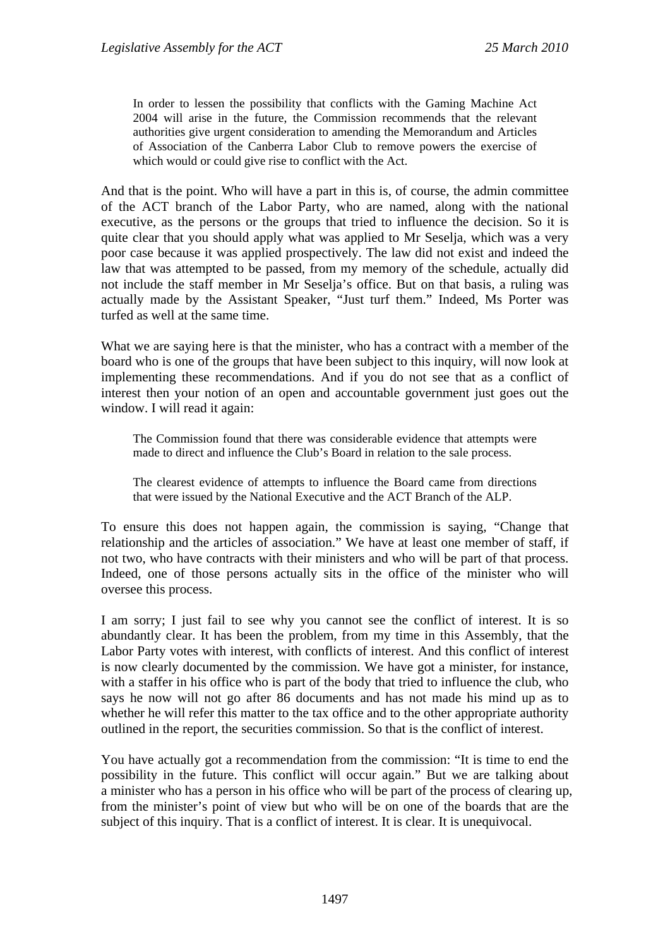In order to lessen the possibility that conflicts with the Gaming Machine Act 2004 will arise in the future, the Commission recommends that the relevant authorities give urgent consideration to amending the Memorandum and Articles of Association of the Canberra Labor Club to remove powers the exercise of which would or could give rise to conflict with the Act.

And that is the point. Who will have a part in this is, of course, the admin committee of the ACT branch of the Labor Party, who are named, along with the national executive, as the persons or the groups that tried to influence the decision. So it is quite clear that you should apply what was applied to Mr Seselja, which was a very poor case because it was applied prospectively. The law did not exist and indeed the law that was attempted to be passed, from my memory of the schedule, actually did not include the staff member in Mr Seselja's office. But on that basis, a ruling was actually made by the Assistant Speaker, "Just turf them." Indeed, Ms Porter was turfed as well at the same time.

What we are saying here is that the minister, who has a contract with a member of the board who is one of the groups that have been subject to this inquiry, will now look at implementing these recommendations. And if you do not see that as a conflict of interest then your notion of an open and accountable government just goes out the window. I will read it again:

The Commission found that there was considerable evidence that attempts were made to direct and influence the Club's Board in relation to the sale process.

The clearest evidence of attempts to influence the Board came from directions that were issued by the National Executive and the ACT Branch of the ALP.

To ensure this does not happen again, the commission is saying, "Change that relationship and the articles of association." We have at least one member of staff, if not two, who have contracts with their ministers and who will be part of that process. Indeed, one of those persons actually sits in the office of the minister who will oversee this process.

I am sorry; I just fail to see why you cannot see the conflict of interest. It is so abundantly clear. It has been the problem, from my time in this Assembly, that the Labor Party votes with interest, with conflicts of interest. And this conflict of interest is now clearly documented by the commission. We have got a minister, for instance, with a staffer in his office who is part of the body that tried to influence the club, who says he now will not go after 86 documents and has not made his mind up as to whether he will refer this matter to the tax office and to the other appropriate authority outlined in the report, the securities commission. So that is the conflict of interest.

You have actually got a recommendation from the commission: "It is time to end the possibility in the future. This conflict will occur again." But we are talking about a minister who has a person in his office who will be part of the process of clearing up, from the minister's point of view but who will be on one of the boards that are the subject of this inquiry. That is a conflict of interest. It is clear. It is unequivocal.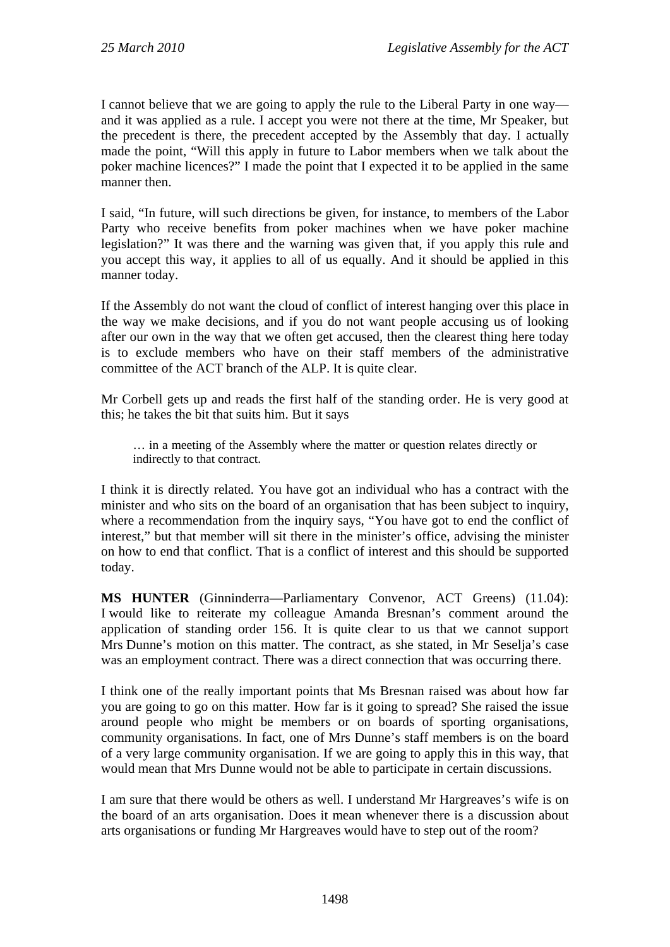I cannot believe that we are going to apply the rule to the Liberal Party in one way and it was applied as a rule. I accept you were not there at the time, Mr Speaker, but the precedent is there, the precedent accepted by the Assembly that day. I actually made the point, "Will this apply in future to Labor members when we talk about the poker machine licences?" I made the point that I expected it to be applied in the same manner then.

I said, "In future, will such directions be given, for instance, to members of the Labor Party who receive benefits from poker machines when we have poker machine legislation?" It was there and the warning was given that, if you apply this rule and you accept this way, it applies to all of us equally. And it should be applied in this manner today.

If the Assembly do not want the cloud of conflict of interest hanging over this place in the way we make decisions, and if you do not want people accusing us of looking after our own in the way that we often get accused, then the clearest thing here today is to exclude members who have on their staff members of the administrative committee of the ACT branch of the ALP. It is quite clear.

Mr Corbell gets up and reads the first half of the standing order. He is very good at this; he takes the bit that suits him. But it says

… in a meeting of the Assembly where the matter or question relates directly or indirectly to that contract.

I think it is directly related. You have got an individual who has a contract with the minister and who sits on the board of an organisation that has been subject to inquiry, where a recommendation from the inquiry says, "You have got to end the conflict of interest," but that member will sit there in the minister's office, advising the minister on how to end that conflict. That is a conflict of interest and this should be supported today.

**MS HUNTER** (Ginninderra—Parliamentary Convenor, ACT Greens) (11.04): I would like to reiterate my colleague Amanda Bresnan's comment around the application of standing order 156. It is quite clear to us that we cannot support Mrs Dunne's motion on this matter. The contract, as she stated, in Mr Seselja's case was an employment contract. There was a direct connection that was occurring there.

I think one of the really important points that Ms Bresnan raised was about how far you are going to go on this matter. How far is it going to spread? She raised the issue around people who might be members or on boards of sporting organisations, community organisations. In fact, one of Mrs Dunne's staff members is on the board of a very large community organisation. If we are going to apply this in this way, that would mean that Mrs Dunne would not be able to participate in certain discussions.

I am sure that there would be others as well. I understand Mr Hargreaves's wife is on the board of an arts organisation. Does it mean whenever there is a discussion about arts organisations or funding Mr Hargreaves would have to step out of the room?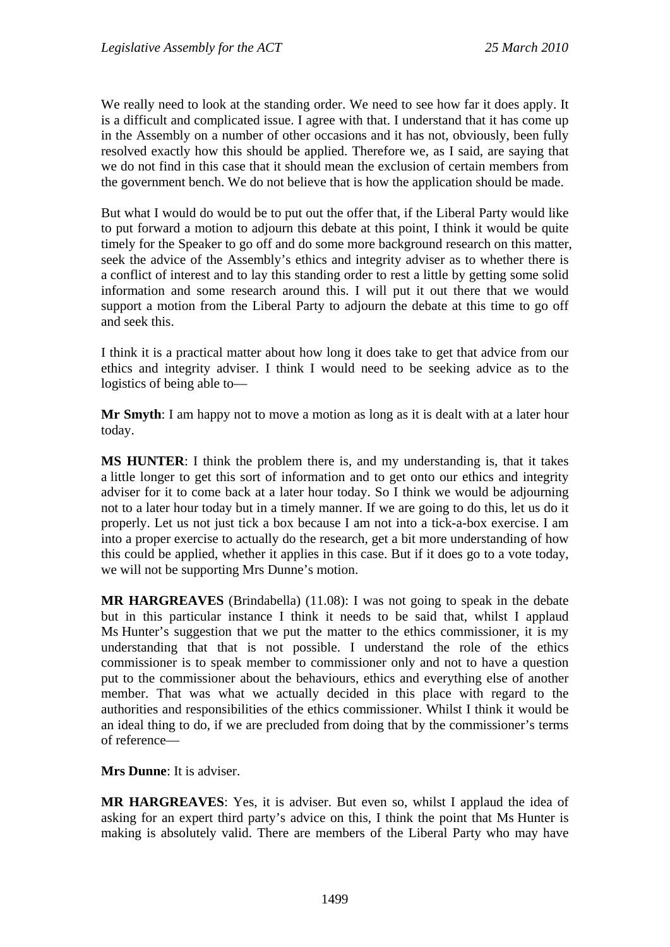We really need to look at the standing order. We need to see how far it does apply. It is a difficult and complicated issue. I agree with that. I understand that it has come up in the Assembly on a number of other occasions and it has not, obviously, been fully resolved exactly how this should be applied. Therefore we, as I said, are saying that we do not find in this case that it should mean the exclusion of certain members from the government bench. We do not believe that is how the application should be made.

But what I would do would be to put out the offer that, if the Liberal Party would like to put forward a motion to adjourn this debate at this point, I think it would be quite timely for the Speaker to go off and do some more background research on this matter, seek the advice of the Assembly's ethics and integrity adviser as to whether there is a conflict of interest and to lay this standing order to rest a little by getting some solid information and some research around this. I will put it out there that we would support a motion from the Liberal Party to adjourn the debate at this time to go off and seek this.

I think it is a practical matter about how long it does take to get that advice from our ethics and integrity adviser. I think I would need to be seeking advice as to the logistics of being able to—

**Mr Smyth**: I am happy not to move a motion as long as it is dealt with at a later hour today.

**MS HUNTER**: I think the problem there is, and my understanding is, that it takes a little longer to get this sort of information and to get onto our ethics and integrity adviser for it to come back at a later hour today. So I think we would be adjourning not to a later hour today but in a timely manner. If we are going to do this, let us do it properly. Let us not just tick a box because I am not into a tick-a-box exercise. I am into a proper exercise to actually do the research, get a bit more understanding of how this could be applied, whether it applies in this case. But if it does go to a vote today, we will not be supporting Mrs Dunne's motion.

**MR HARGREAVES** (Brindabella) (11.08): I was not going to speak in the debate but in this particular instance I think it needs to be said that, whilst I applaud Ms Hunter's suggestion that we put the matter to the ethics commissioner, it is my understanding that that is not possible. I understand the role of the ethics commissioner is to speak member to commissioner only and not to have a question put to the commissioner about the behaviours, ethics and everything else of another member. That was what we actually decided in this place with regard to the authorities and responsibilities of the ethics commissioner. Whilst I think it would be an ideal thing to do, if we are precluded from doing that by the commissioner's terms of reference—

**Mrs Dunne**: It is adviser.

**MR HARGREAVES**: Yes, it is adviser. But even so, whilst I applaud the idea of asking for an expert third party's advice on this, I think the point that Ms Hunter is making is absolutely valid. There are members of the Liberal Party who may have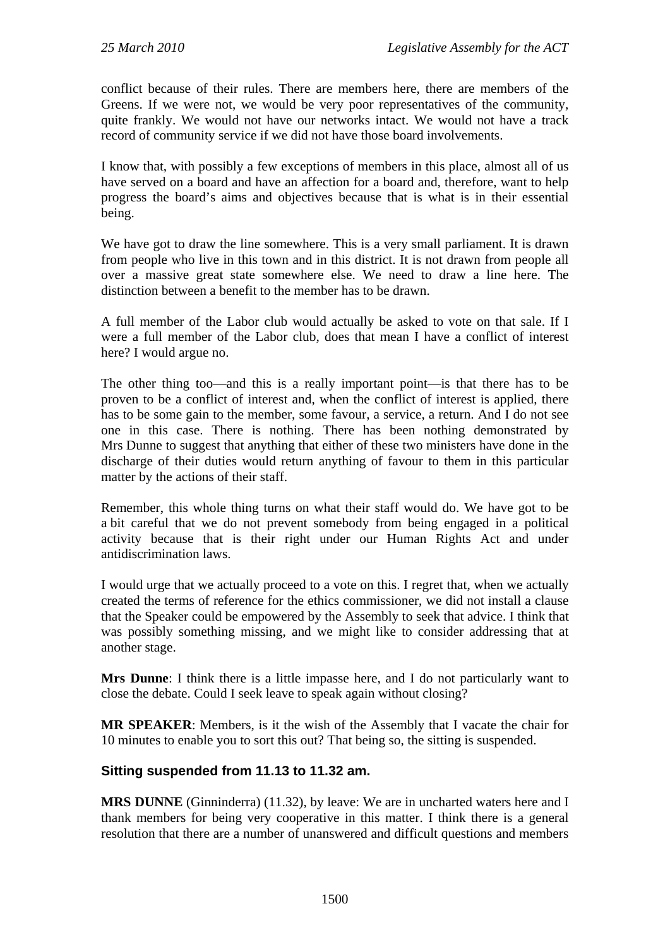conflict because of their rules. There are members here, there are members of the Greens. If we were not, we would be very poor representatives of the community, quite frankly. We would not have our networks intact. We would not have a track record of community service if we did not have those board involvements.

I know that, with possibly a few exceptions of members in this place, almost all of us have served on a board and have an affection for a board and, therefore, want to help progress the board's aims and objectives because that is what is in their essential being.

We have got to draw the line somewhere. This is a very small parliament. It is drawn from people who live in this town and in this district. It is not drawn from people all over a massive great state somewhere else. We need to draw a line here. The distinction between a benefit to the member has to be drawn.

A full member of the Labor club would actually be asked to vote on that sale. If I were a full member of the Labor club, does that mean I have a conflict of interest here? I would argue no.

The other thing too—and this is a really important point—is that there has to be proven to be a conflict of interest and, when the conflict of interest is applied, there has to be some gain to the member, some favour, a service, a return. And I do not see one in this case. There is nothing. There has been nothing demonstrated by Mrs Dunne to suggest that anything that either of these two ministers have done in the discharge of their duties would return anything of favour to them in this particular matter by the actions of their staff.

Remember, this whole thing turns on what their staff would do. We have got to be a bit careful that we do not prevent somebody from being engaged in a political activity because that is their right under our Human Rights Act and under antidiscrimination laws.

I would urge that we actually proceed to a vote on this. I regret that, when we actually created the terms of reference for the ethics commissioner, we did not install a clause that the Speaker could be empowered by the Assembly to seek that advice. I think that was possibly something missing, and we might like to consider addressing that at another stage.

**Mrs Dunne**: I think there is a little impasse here, and I do not particularly want to close the debate. Could I seek leave to speak again without closing?

**MR SPEAKER**: Members, is it the wish of the Assembly that I vacate the chair for 10 minutes to enable you to sort this out? That being so, the sitting is suspended.

## **Sitting suspended from 11.13 to 11.32 am.**

**MRS DUNNE** (Ginninderra) (11.32), by leave: We are in uncharted waters here and I thank members for being very cooperative in this matter. I think there is a general resolution that there are a number of unanswered and difficult questions and members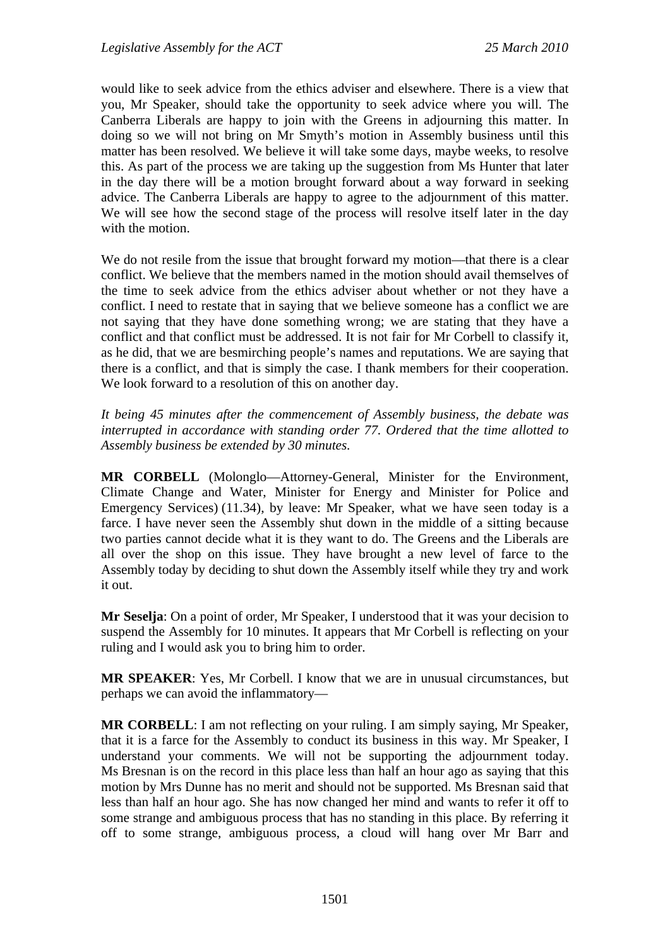would like to seek advice from the ethics adviser and elsewhere. There is a view that you, Mr Speaker, should take the opportunity to seek advice where you will. The Canberra Liberals are happy to join with the Greens in adjourning this matter. In doing so we will not bring on Mr Smyth's motion in Assembly business until this matter has been resolved. We believe it will take some days, maybe weeks, to resolve this. As part of the process we are taking up the suggestion from Ms Hunter that later in the day there will be a motion brought forward about a way forward in seeking advice. The Canberra Liberals are happy to agree to the adjournment of this matter. We will see how the second stage of the process will resolve itself later in the day with the motion.

We do not resile from the issue that brought forward my motion—that there is a clear conflict. We believe that the members named in the motion should avail themselves of the time to seek advice from the ethics adviser about whether or not they have a conflict. I need to restate that in saying that we believe someone has a conflict we are not saying that they have done something wrong; we are stating that they have a conflict and that conflict must be addressed. It is not fair for Mr Corbell to classify it, as he did, that we are besmirching people's names and reputations. We are saying that there is a conflict, and that is simply the case. I thank members for their cooperation. We look forward to a resolution of this on another day.

*It being 45 minutes after the commencement of Assembly business, the debate was interrupted in accordance with standing order 77. Ordered that the time allotted to Assembly business be extended by 30 minutes.* 

**MR CORBELL** (Molonglo—Attorney-General, Minister for the Environment, Climate Change and Water, Minister for Energy and Minister for Police and Emergency Services) (11.34), by leave: Mr Speaker, what we have seen today is a farce. I have never seen the Assembly shut down in the middle of a sitting because two parties cannot decide what it is they want to do. The Greens and the Liberals are all over the shop on this issue. They have brought a new level of farce to the Assembly today by deciding to shut down the Assembly itself while they try and work it out.

**Mr Seselja**: On a point of order, Mr Speaker, I understood that it was your decision to suspend the Assembly for 10 minutes. It appears that Mr Corbell is reflecting on your ruling and I would ask you to bring him to order.

**MR SPEAKER**: Yes, Mr Corbell. I know that we are in unusual circumstances, but perhaps we can avoid the inflammatory—

**MR CORBELL**: I am not reflecting on your ruling. I am simply saying, Mr Speaker, that it is a farce for the Assembly to conduct its business in this way. Mr Speaker, I understand your comments. We will not be supporting the adjournment today. Ms Bresnan is on the record in this place less than half an hour ago as saying that this motion by Mrs Dunne has no merit and should not be supported. Ms Bresnan said that less than half an hour ago. She has now changed her mind and wants to refer it off to some strange and ambiguous process that has no standing in this place. By referring it off to some strange, ambiguous process, a cloud will hang over Mr Barr and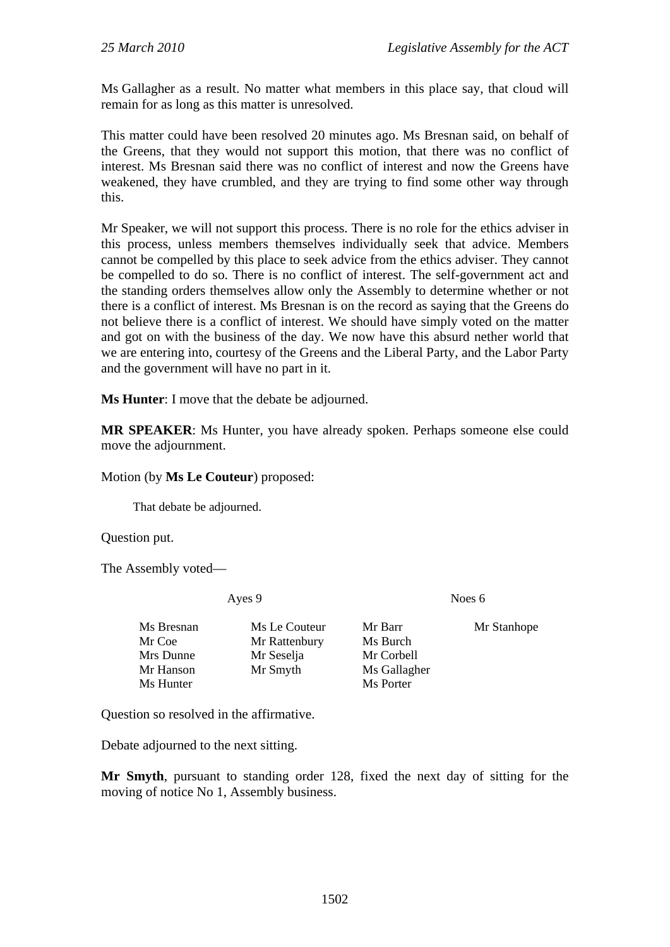Ms Gallagher as a result. No matter what members in this place say, that cloud will remain for as long as this matter is unresolved.

This matter could have been resolved 20 minutes ago. Ms Bresnan said, on behalf of the Greens, that they would not support this motion, that there was no conflict of interest. Ms Bresnan said there was no conflict of interest and now the Greens have weakened, they have crumbled, and they are trying to find some other way through this.

Mr Speaker, we will not support this process. There is no role for the ethics adviser in this process, unless members themselves individually seek that advice. Members cannot be compelled by this place to seek advice from the ethics adviser. They cannot be compelled to do so. There is no conflict of interest. The self-government act and the standing orders themselves allow only the Assembly to determine whether or not there is a conflict of interest. Ms Bresnan is on the record as saying that the Greens do not believe there is a conflict of interest. We should have simply voted on the matter and got on with the business of the day. We now have this absurd nether world that we are entering into, courtesy of the Greens and the Liberal Party, and the Labor Party and the government will have no part in it.

**Ms Hunter**: I move that the debate be adjourned.

**MR SPEAKER**: Ms Hunter, you have already spoken. Perhaps someone else could move the adjournment.

#### Motion (by **Ms Le Couteur**) proposed:

That debate be adjourned.

Question put.

The Assembly voted—

Ayes 9 Noes 6

| Ms Bresnan | Ms Le Couteur | Mr Barr      | Mr Stanhope |
|------------|---------------|--------------|-------------|
| Mr Coe     | Mr Rattenbury | Ms Burch     |             |
| Mrs Dunne  | Mr Seselja    | Mr Corbell   |             |
| Mr Hanson  | Mr Smyth      | Ms Gallagher |             |
| Ms Hunter  |               | Ms Porter    |             |

Question so resolved in the affirmative.

Debate adjourned to the next sitting.

**Mr Smyth**, pursuant to standing order 128, fixed the next day of sitting for the moving of notice No 1, Assembly business.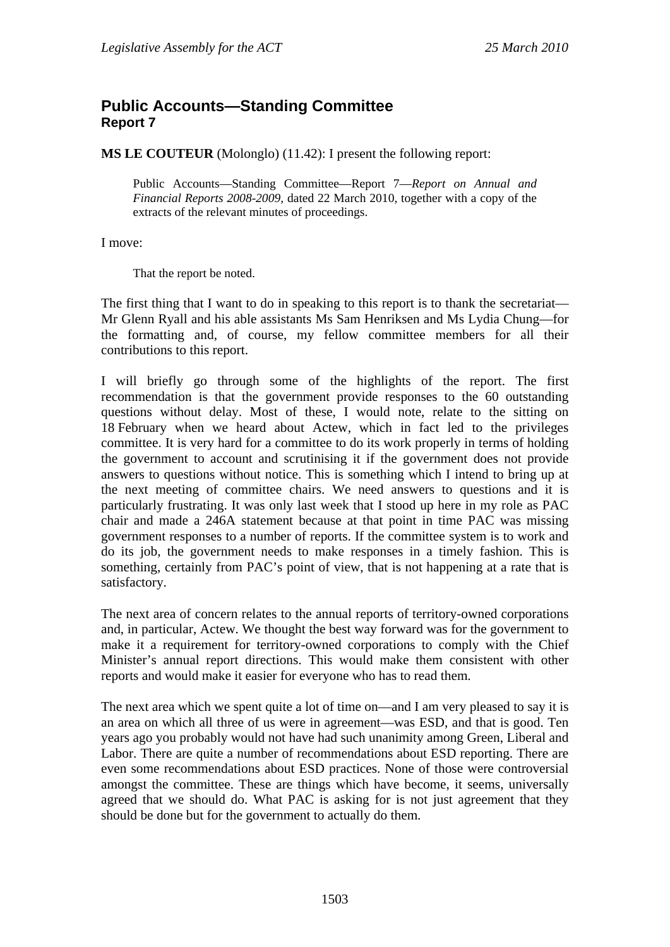## <span id="page-27-0"></span>**Public Accounts—Standing Committee Report 7**

**MS LE COUTEUR** (Molonglo) (11.42): I present the following report:

Public Accounts—Standing Committee—Report 7—*Report on Annual and Financial Reports 2008-2009,* dated 22 March 2010, together with a copy of the extracts of the relevant minutes of proceedings.

I move:

That the report be noted.

The first thing that I want to do in speaking to this report is to thank the secretariat— Mr Glenn Ryall and his able assistants Ms Sam Henriksen and Ms Lydia Chung—for the formatting and, of course, my fellow committee members for all their contributions to this report.

I will briefly go through some of the highlights of the report. The first recommendation is that the government provide responses to the 60 outstanding questions without delay. Most of these, I would note, relate to the sitting on 18 February when we heard about Actew, which in fact led to the privileges committee. It is very hard for a committee to do its work properly in terms of holding the government to account and scrutinising it if the government does not provide answers to questions without notice. This is something which I intend to bring up at the next meeting of committee chairs. We need answers to questions and it is particularly frustrating. It was only last week that I stood up here in my role as PAC chair and made a 246A statement because at that point in time PAC was missing government responses to a number of reports. If the committee system is to work and do its job, the government needs to make responses in a timely fashion. This is something, certainly from PAC's point of view, that is not happening at a rate that is satisfactory.

The next area of concern relates to the annual reports of territory-owned corporations and, in particular, Actew. We thought the best way forward was for the government to make it a requirement for territory-owned corporations to comply with the Chief Minister's annual report directions. This would make them consistent with other reports and would make it easier for everyone who has to read them.

The next area which we spent quite a lot of time on—and I am very pleased to say it is an area on which all three of us were in agreement—was ESD, and that is good. Ten years ago you probably would not have had such unanimity among Green, Liberal and Labor. There are quite a number of recommendations about ESD reporting. There are even some recommendations about ESD practices. None of those were controversial amongst the committee. These are things which have become, it seems, universally agreed that we should do. What PAC is asking for is not just agreement that they should be done but for the government to actually do them.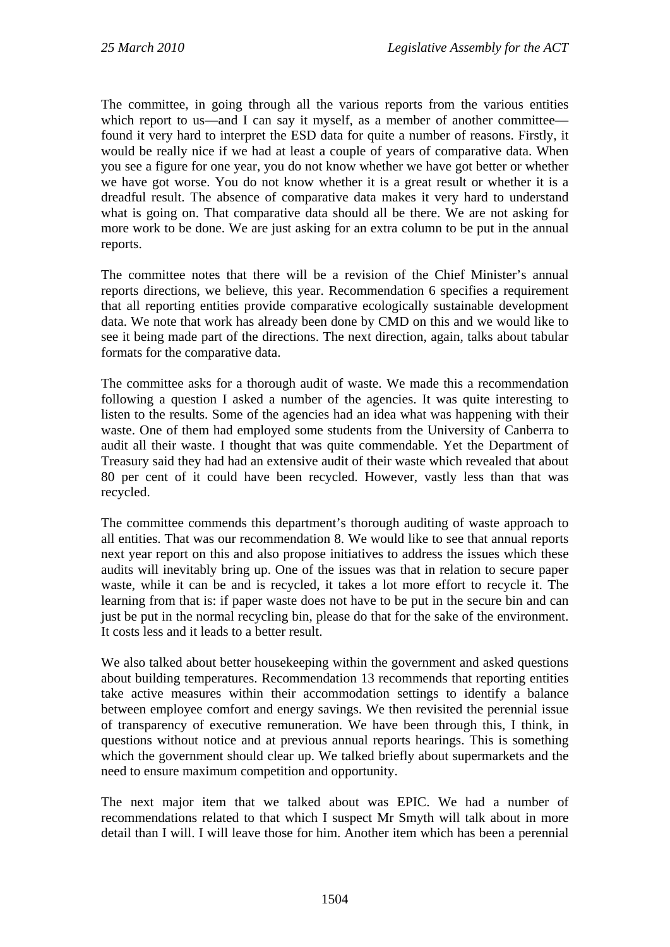The committee, in going through all the various reports from the various entities which report to us—and I can say it myself, as a member of another committee found it very hard to interpret the ESD data for quite a number of reasons. Firstly, it would be really nice if we had at least a couple of years of comparative data. When you see a figure for one year, you do not know whether we have got better or whether we have got worse. You do not know whether it is a great result or whether it is a dreadful result. The absence of comparative data makes it very hard to understand what is going on. That comparative data should all be there. We are not asking for more work to be done. We are just asking for an extra column to be put in the annual reports.

The committee notes that there will be a revision of the Chief Minister's annual reports directions, we believe, this year. Recommendation 6 specifies a requirement that all reporting entities provide comparative ecologically sustainable development data. We note that work has already been done by CMD on this and we would like to see it being made part of the directions. The next direction, again, talks about tabular formats for the comparative data.

The committee asks for a thorough audit of waste. We made this a recommendation following a question I asked a number of the agencies. It was quite interesting to listen to the results. Some of the agencies had an idea what was happening with their waste. One of them had employed some students from the University of Canberra to audit all their waste. I thought that was quite commendable. Yet the Department of Treasury said they had had an extensive audit of their waste which revealed that about 80 per cent of it could have been recycled. However, vastly less than that was recycled.

The committee commends this department's thorough auditing of waste approach to all entities. That was our recommendation 8. We would like to see that annual reports next year report on this and also propose initiatives to address the issues which these audits will inevitably bring up. One of the issues was that in relation to secure paper waste, while it can be and is recycled, it takes a lot more effort to recycle it. The learning from that is: if paper waste does not have to be put in the secure bin and can just be put in the normal recycling bin, please do that for the sake of the environment. It costs less and it leads to a better result.

We also talked about better housekeeping within the government and asked questions about building temperatures. Recommendation 13 recommends that reporting entities take active measures within their accommodation settings to identify a balance between employee comfort and energy savings. We then revisited the perennial issue of transparency of executive remuneration. We have been through this, I think, in questions without notice and at previous annual reports hearings. This is something which the government should clear up. We talked briefly about supermarkets and the need to ensure maximum competition and opportunity.

The next major item that we talked about was EPIC. We had a number of recommendations related to that which I suspect Mr Smyth will talk about in more detail than I will. I will leave those for him. Another item which has been a perennial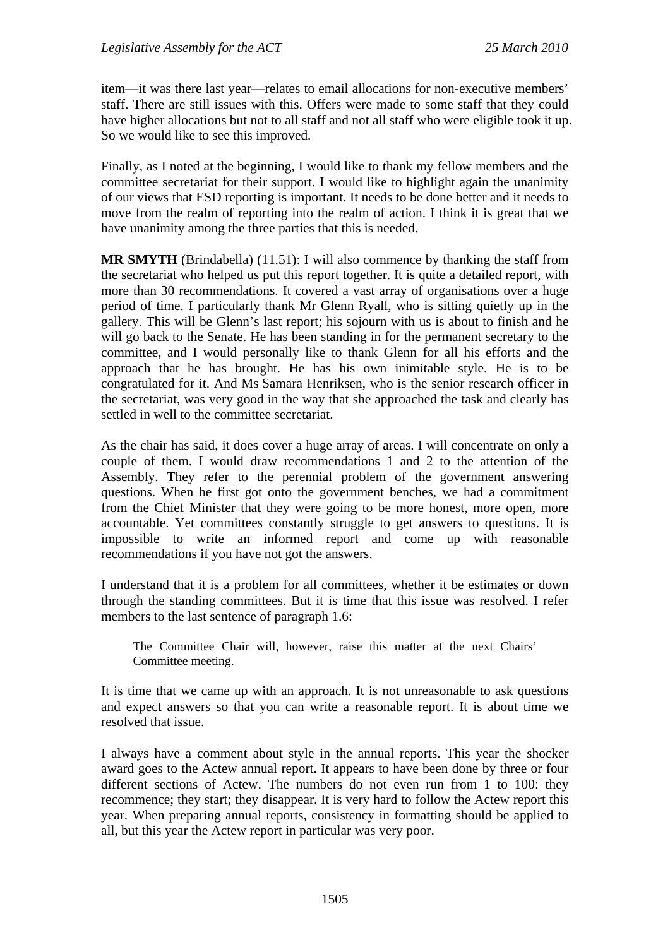item—it was there last year—relates to email allocations for non-executive members' staff. There are still issues with this. Offers were made to some staff that they could have higher allocations but not to all staff and not all staff who were eligible took it up. So we would like to see this improved.

Finally, as I noted at the beginning, I would like to thank my fellow members and the committee secretariat for their support. I would like to highlight again the unanimity of our views that ESD reporting is important. It needs to be done better and it needs to move from the realm of reporting into the realm of action. I think it is great that we have unanimity among the three parties that this is needed.

**MR SMYTH** (Brindabella) (11.51): I will also commence by thanking the staff from the secretariat who helped us put this report together. It is quite a detailed report, with more than 30 recommendations. It covered a vast array of organisations over a huge period of time. I particularly thank Mr Glenn Ryall, who is sitting quietly up in the gallery. This will be Glenn's last report; his sojourn with us is about to finish and he will go back to the Senate. He has been standing in for the permanent secretary to the committee, and I would personally like to thank Glenn for all his efforts and the approach that he has brought. He has his own inimitable style. He is to be congratulated for it. And Ms Samara Henriksen, who is the senior research officer in the secretariat, was very good in the way that she approached the task and clearly has settled in well to the committee secretariat.

As the chair has said, it does cover a huge array of areas. I will concentrate on only a couple of them. I would draw recommendations 1 and 2 to the attention of the Assembly. They refer to the perennial problem of the government answering questions. When he first got onto the government benches, we had a commitment from the Chief Minister that they were going to be more honest, more open, more accountable. Yet committees constantly struggle to get answers to questions. It is impossible to write an informed report and come up with reasonable recommendations if you have not got the answers.

I understand that it is a problem for all committees, whether it be estimates or down through the standing committees. But it is time that this issue was resolved. I refer members to the last sentence of paragraph 1.6:

The Committee Chair will, however, raise this matter at the next Chairs' Committee meeting.

It is time that we came up with an approach. It is not unreasonable to ask questions and expect answers so that you can write a reasonable report. It is about time we resolved that issue.

I always have a comment about style in the annual reports. This year the shocker award goes to the Actew annual report. It appears to have been done by three or four different sections of Actew. The numbers do not even run from 1 to 100: they recommence; they start; they disappear. It is very hard to follow the Actew report this year. When preparing annual reports, consistency in formatting should be applied to all, but this year the Actew report in particular was very poor.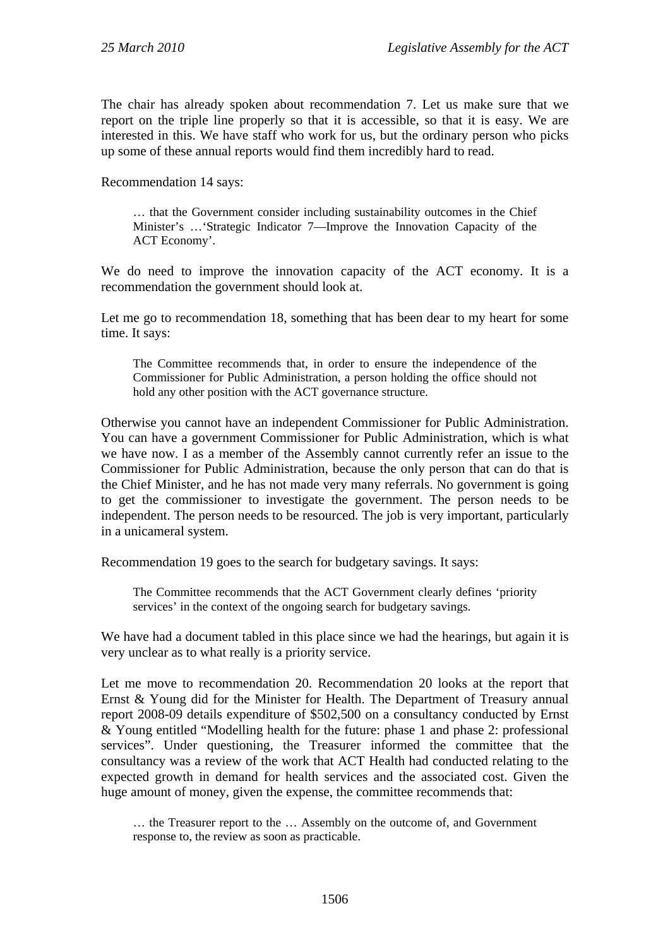The chair has already spoken about recommendation 7. Let us make sure that we report on the triple line properly so that it is accessible, so that it is easy. We are interested in this. We have staff who work for us, but the ordinary person who picks up some of these annual reports would find them incredibly hard to read.

Recommendation 14 says:

… that the Government consider including sustainability outcomes in the Chief Minister's …'Strategic Indicator 7—Improve the Innovation Capacity of the ACT Economy'.

We do need to improve the innovation capacity of the ACT economy. It is a recommendation the government should look at.

Let me go to recommendation 18, something that has been dear to my heart for some time. It says:

The Committee recommends that, in order to ensure the independence of the Commissioner for Public Administration, a person holding the office should not hold any other position with the ACT governance structure.

Otherwise you cannot have an independent Commissioner for Public Administration. You can have a government Commissioner for Public Administration, which is what we have now. I as a member of the Assembly cannot currently refer an issue to the Commissioner for Public Administration, because the only person that can do that is the Chief Minister, and he has not made very many referrals. No government is going to get the commissioner to investigate the government. The person needs to be independent. The person needs to be resourced. The job is very important, particularly in a unicameral system.

Recommendation 19 goes to the search for budgetary savings. It says:

The Committee recommends that the ACT Government clearly defines 'priority services' in the context of the ongoing search for budgetary savings.

We have had a document tabled in this place since we had the hearings, but again it is very unclear as to what really is a priority service.

Let me move to recommendation 20. Recommendation 20 looks at the report that Ernst & Young did for the Minister for Health. The Department of Treasury annual report 2008-09 details expenditure of \$502,500 on a consultancy conducted by Ernst & Young entitled "Modelling health for the future: phase 1 and phase 2: professional services". Under questioning, the Treasurer informed the committee that the consultancy was a review of the work that ACT Health had conducted relating to the expected growth in demand for health services and the associated cost. Given the huge amount of money, given the expense, the committee recommends that:

<sup>…</sup> the Treasurer report to the … Assembly on the outcome of, and Government response to, the review as soon as practicable.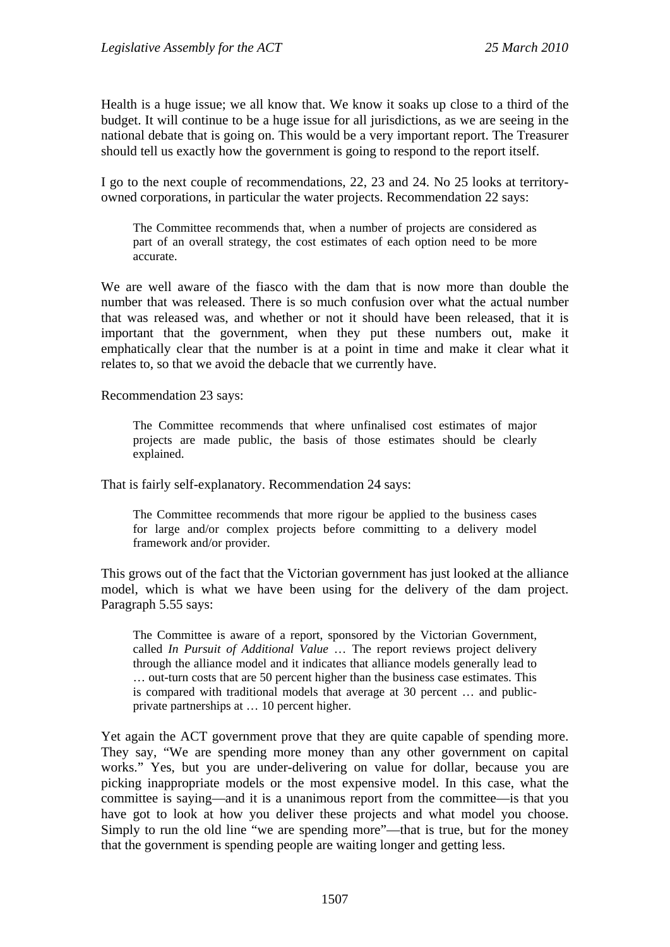Health is a huge issue; we all know that. We know it soaks up close to a third of the budget. It will continue to be a huge issue for all jurisdictions, as we are seeing in the national debate that is going on. This would be a very important report. The Treasurer should tell us exactly how the government is going to respond to the report itself.

I go to the next couple of recommendations, 22, 23 and 24. No 25 looks at territoryowned corporations, in particular the water projects. Recommendation 22 says:

The Committee recommends that, when a number of projects are considered as part of an overall strategy, the cost estimates of each option need to be more accurate.

We are well aware of the fiasco with the dam that is now more than double the number that was released. There is so much confusion over what the actual number that was released was, and whether or not it should have been released, that it is important that the government, when they put these numbers out, make it emphatically clear that the number is at a point in time and make it clear what it relates to, so that we avoid the debacle that we currently have.

Recommendation 23 says:

The Committee recommends that where unfinalised cost estimates of major projects are made public, the basis of those estimates should be clearly explained.

That is fairly self-explanatory. Recommendation 24 says:

The Committee recommends that more rigour be applied to the business cases for large and/or complex projects before committing to a delivery model framework and/or provider.

This grows out of the fact that the Victorian government has just looked at the alliance model, which is what we have been using for the delivery of the dam project. Paragraph 5.55 says:

The Committee is aware of a report, sponsored by the Victorian Government, called *In Pursuit of Additional Value* … The report reviews project delivery through the alliance model and it indicates that alliance models generally lead to … out-turn costs that are 50 percent higher than the business case estimates. This is compared with traditional models that average at 30 percent … and publicprivate partnerships at … 10 percent higher.

Yet again the ACT government prove that they are quite capable of spending more. They say, "We are spending more money than any other government on capital works." Yes, but you are under-delivering on value for dollar, because you are picking inappropriate models or the most expensive model. In this case, what the committee is saying—and it is a unanimous report from the committee—is that you have got to look at how you deliver these projects and what model you choose. Simply to run the old line "we are spending more"—that is true, but for the money that the government is spending people are waiting longer and getting less.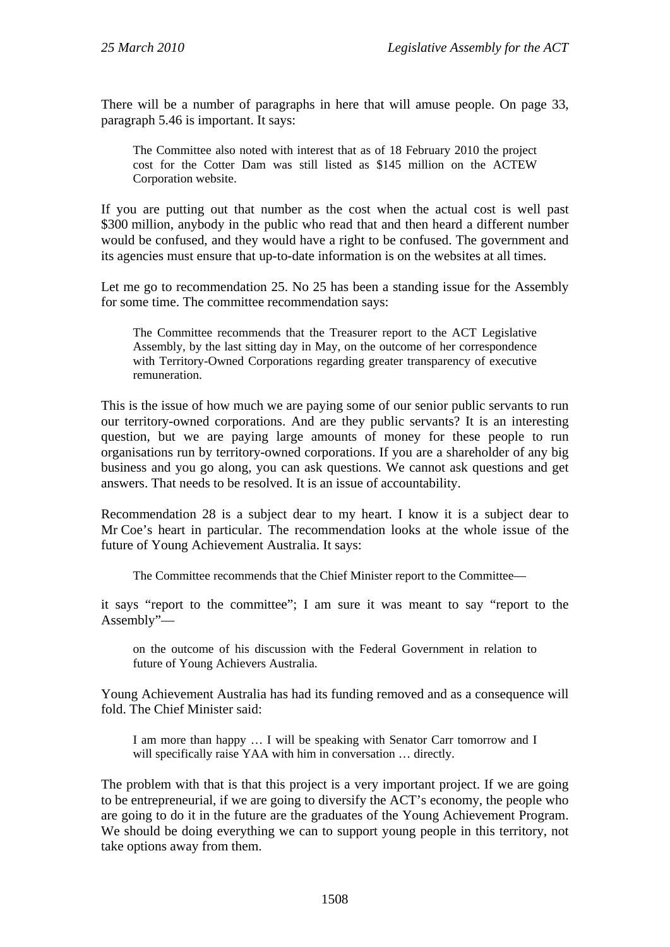There will be a number of paragraphs in here that will amuse people. On page 33, paragraph 5.46 is important. It says:

The Committee also noted with interest that as of 18 February 2010 the project cost for the Cotter Dam was still listed as \$145 million on the ACTEW Corporation website.

If you are putting out that number as the cost when the actual cost is well past \$300 million, anybody in the public who read that and then heard a different number would be confused, and they would have a right to be confused. The government and its agencies must ensure that up-to-date information is on the websites at all times.

Let me go to recommendation 25. No 25 has been a standing issue for the Assembly for some time. The committee recommendation says:

The Committee recommends that the Treasurer report to the ACT Legislative Assembly, by the last sitting day in May, on the outcome of her correspondence with Territory-Owned Corporations regarding greater transparency of executive remuneration.

This is the issue of how much we are paying some of our senior public servants to run our territory-owned corporations. And are they public servants? It is an interesting question, but we are paying large amounts of money for these people to run organisations run by territory-owned corporations. If you are a shareholder of any big business and you go along, you can ask questions. We cannot ask questions and get answers. That needs to be resolved. It is an issue of accountability.

Recommendation 28 is a subject dear to my heart. I know it is a subject dear to Mr Coe's heart in particular. The recommendation looks at the whole issue of the future of Young Achievement Australia. It says:

The Committee recommends that the Chief Minister report to the Committee—

it says "report to the committee"; I am sure it was meant to say "report to the Assembly"—

on the outcome of his discussion with the Federal Government in relation to future of Young Achievers Australia.

Young Achievement Australia has had its funding removed and as a consequence will fold. The Chief Minister said:

I am more than happy … I will be speaking with Senator Carr tomorrow and I will specifically raise YAA with him in conversation … directly.

The problem with that is that this project is a very important project. If we are going to be entrepreneurial, if we are going to diversify the ACT's economy, the people who are going to do it in the future are the graduates of the Young Achievement Program. We should be doing everything we can to support young people in this territory, not take options away from them.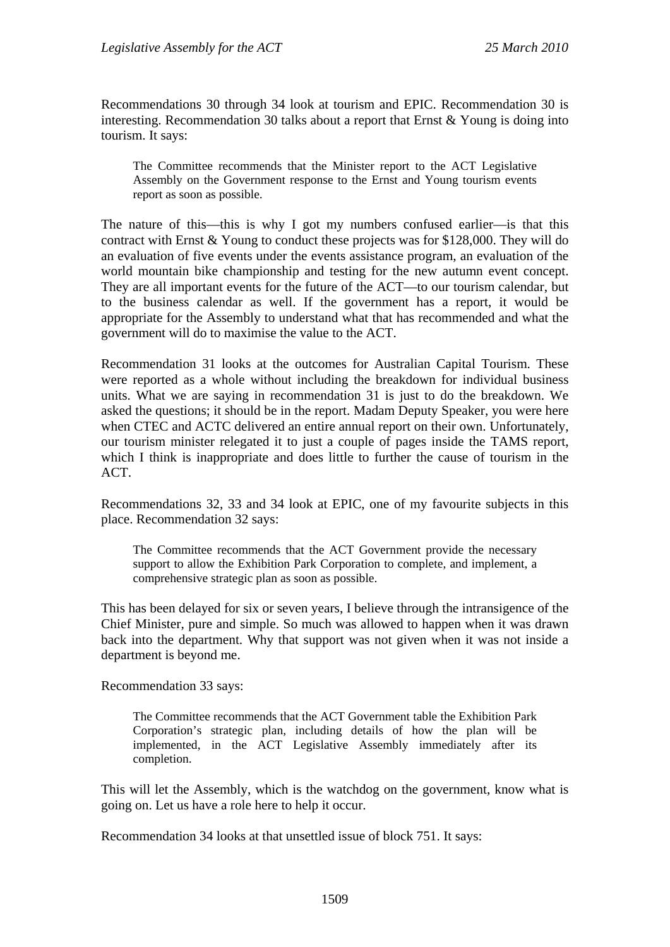Recommendations 30 through 34 look at tourism and EPIC. Recommendation 30 is interesting. Recommendation 30 talks about a report that Ernst & Young is doing into tourism. It says:

The Committee recommends that the Minister report to the ACT Legislative Assembly on the Government response to the Ernst and Young tourism events report as soon as possible.

The nature of this—this is why I got my numbers confused earlier—is that this contract with Ernst & Young to conduct these projects was for \$128,000. They will do an evaluation of five events under the events assistance program, an evaluation of the world mountain bike championship and testing for the new autumn event concept. They are all important events for the future of the ACT—to our tourism calendar, but to the business calendar as well. If the government has a report, it would be appropriate for the Assembly to understand what that has recommended and what the government will do to maximise the value to the ACT.

Recommendation 31 looks at the outcomes for Australian Capital Tourism. These were reported as a whole without including the breakdown for individual business units. What we are saying in recommendation 31 is just to do the breakdown. We asked the questions; it should be in the report. Madam Deputy Speaker, you were here when CTEC and ACTC delivered an entire annual report on their own. Unfortunately, our tourism minister relegated it to just a couple of pages inside the TAMS report, which I think is inappropriate and does little to further the cause of tourism in the ACT.

Recommendations 32, 33 and 34 look at EPIC, one of my favourite subjects in this place. Recommendation 32 says:

The Committee recommends that the ACT Government provide the necessary support to allow the Exhibition Park Corporation to complete, and implement, a comprehensive strategic plan as soon as possible.

This has been delayed for six or seven years, I believe through the intransigence of the Chief Minister, pure and simple. So much was allowed to happen when it was drawn back into the department. Why that support was not given when it was not inside a department is beyond me.

Recommendation 33 says:

The Committee recommends that the ACT Government table the Exhibition Park Corporation's strategic plan, including details of how the plan will be implemented, in the ACT Legislative Assembly immediately after its completion.

This will let the Assembly, which is the watchdog on the government, know what is going on. Let us have a role here to help it occur.

Recommendation 34 looks at that unsettled issue of block 751. It says: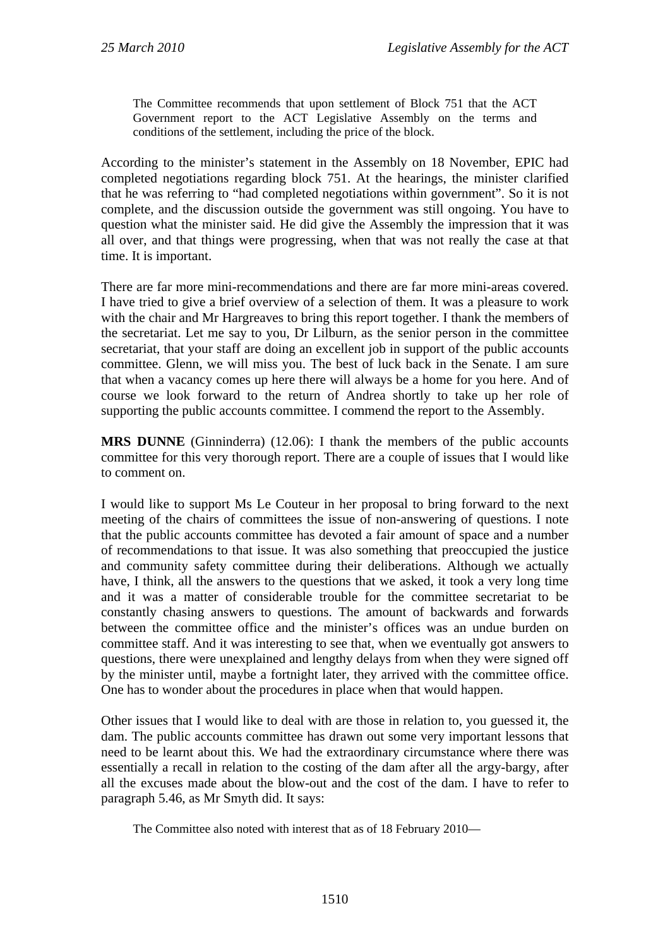The Committee recommends that upon settlement of Block 751 that the ACT Government report to the ACT Legislative Assembly on the terms and conditions of the settlement, including the price of the block.

According to the minister's statement in the Assembly on 18 November, EPIC had completed negotiations regarding block 751. At the hearings, the minister clarified that he was referring to "had completed negotiations within government". So it is not complete, and the discussion outside the government was still ongoing. You have to question what the minister said. He did give the Assembly the impression that it was all over, and that things were progressing, when that was not really the case at that time. It is important.

There are far more mini-recommendations and there are far more mini-areas covered. I have tried to give a brief overview of a selection of them. It was a pleasure to work with the chair and Mr Hargreaves to bring this report together. I thank the members of the secretariat. Let me say to you, Dr Lilburn, as the senior person in the committee secretariat, that your staff are doing an excellent job in support of the public accounts committee. Glenn, we will miss you. The best of luck back in the Senate. I am sure that when a vacancy comes up here there will always be a home for you here. And of course we look forward to the return of Andrea shortly to take up her role of supporting the public accounts committee. I commend the report to the Assembly.

**MRS DUNNE** (Ginninderra) (12.06): I thank the members of the public accounts committee for this very thorough report. There are a couple of issues that I would like to comment on.

I would like to support Ms Le Couteur in her proposal to bring forward to the next meeting of the chairs of committees the issue of non-answering of questions. I note that the public accounts committee has devoted a fair amount of space and a number of recommendations to that issue. It was also something that preoccupied the justice and community safety committee during their deliberations. Although we actually have, I think, all the answers to the questions that we asked, it took a very long time and it was a matter of considerable trouble for the committee secretariat to be constantly chasing answers to questions. The amount of backwards and forwards between the committee office and the minister's offices was an undue burden on committee staff. And it was interesting to see that, when we eventually got answers to questions, there were unexplained and lengthy delays from when they were signed off by the minister until, maybe a fortnight later, they arrived with the committee office. One has to wonder about the procedures in place when that would happen.

Other issues that I would like to deal with are those in relation to, you guessed it, the dam. The public accounts committee has drawn out some very important lessons that need to be learnt about this. We had the extraordinary circumstance where there was essentially a recall in relation to the costing of the dam after all the argy-bargy, after all the excuses made about the blow-out and the cost of the dam. I have to refer to paragraph 5.46, as Mr Smyth did. It says:

The Committee also noted with interest that as of 18 February 2010—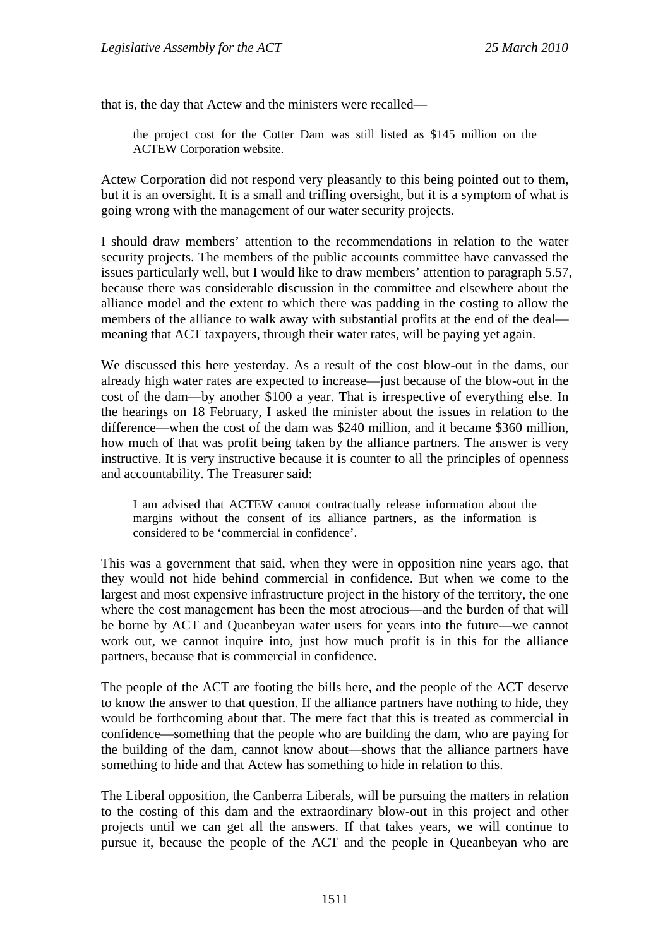that is, the day that Actew and the ministers were recalled—

the project cost for the Cotter Dam was still listed as \$145 million on the ACTEW Corporation website.

Actew Corporation did not respond very pleasantly to this being pointed out to them, but it is an oversight. It is a small and trifling oversight, but it is a symptom of what is going wrong with the management of our water security projects.

I should draw members' attention to the recommendations in relation to the water security projects. The members of the public accounts committee have canvassed the issues particularly well, but I would like to draw members' attention to paragraph 5.57, because there was considerable discussion in the committee and elsewhere about the alliance model and the extent to which there was padding in the costing to allow the members of the alliance to walk away with substantial profits at the end of the deal meaning that ACT taxpayers, through their water rates, will be paying yet again.

We discussed this here yesterday. As a result of the cost blow-out in the dams, our already high water rates are expected to increase—just because of the blow-out in the cost of the dam—by another \$100 a year. That is irrespective of everything else. In the hearings on 18 February, I asked the minister about the issues in relation to the difference—when the cost of the dam was \$240 million, and it became \$360 million, how much of that was profit being taken by the alliance partners. The answer is very instructive. It is very instructive because it is counter to all the principles of openness and accountability. The Treasurer said:

I am advised that ACTEW cannot contractually release information about the margins without the consent of its alliance partners, as the information is considered to be 'commercial in confidence'.

This was a government that said, when they were in opposition nine years ago, that they would not hide behind commercial in confidence. But when we come to the largest and most expensive infrastructure project in the history of the territory, the one where the cost management has been the most atrocious—and the burden of that will be borne by ACT and Queanbeyan water users for years into the future—we cannot work out, we cannot inquire into, just how much profit is in this for the alliance partners, because that is commercial in confidence.

The people of the ACT are footing the bills here, and the people of the ACT deserve to know the answer to that question. If the alliance partners have nothing to hide, they would be forthcoming about that. The mere fact that this is treated as commercial in confidence—something that the people who are building the dam, who are paying for the building of the dam, cannot know about—shows that the alliance partners have something to hide and that Actew has something to hide in relation to this.

The Liberal opposition, the Canberra Liberals, will be pursuing the matters in relation to the costing of this dam and the extraordinary blow-out in this project and other projects until we can get all the answers. If that takes years, we will continue to pursue it, because the people of the ACT and the people in Queanbeyan who are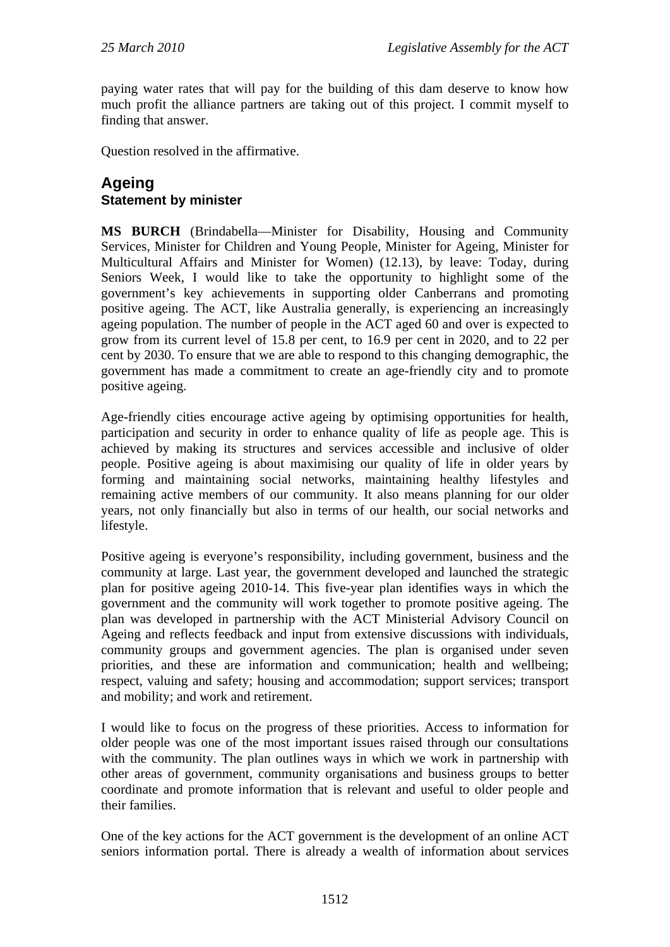paying water rates that will pay for the building of this dam deserve to know how much profit the alliance partners are taking out of this project. I commit myself to finding that answer.

Question resolved in the affirmative.

# **Ageing Statement by minister**

**MS BURCH** (Brindabella—Minister for Disability, Housing and Community Services, Minister for Children and Young People, Minister for Ageing, Minister for Multicultural Affairs and Minister for Women) (12.13), by leave: Today, during Seniors Week, I would like to take the opportunity to highlight some of the government's key achievements in supporting older Canberrans and promoting positive ageing. The ACT, like Australia generally, is experiencing an increasingly ageing population. The number of people in the ACT aged 60 and over is expected to grow from its current level of 15.8 per cent, to 16.9 per cent in 2020, and to 22 per cent by 2030. To ensure that we are able to respond to this changing demographic, the government has made a commitment to create an age-friendly city and to promote positive ageing.

Age-friendly cities encourage active ageing by optimising opportunities for health, participation and security in order to enhance quality of life as people age. This is achieved by making its structures and services accessible and inclusive of older people. Positive ageing is about maximising our quality of life in older years by forming and maintaining social networks, maintaining healthy lifestyles and remaining active members of our community. It also means planning for our older years, not only financially but also in terms of our health, our social networks and lifestyle.

Positive ageing is everyone's responsibility, including government, business and the community at large. Last year, the government developed and launched the strategic plan for positive ageing 2010-14. This five-year plan identifies ways in which the government and the community will work together to promote positive ageing. The plan was developed in partnership with the ACT Ministerial Advisory Council on Ageing and reflects feedback and input from extensive discussions with individuals, community groups and government agencies. The plan is organised under seven priorities, and these are information and communication; health and wellbeing; respect, valuing and safety; housing and accommodation; support services; transport and mobility; and work and retirement.

I would like to focus on the progress of these priorities. Access to information for older people was one of the most important issues raised through our consultations with the community. The plan outlines ways in which we work in partnership with other areas of government, community organisations and business groups to better coordinate and promote information that is relevant and useful to older people and their families.

One of the key actions for the ACT government is the development of an online ACT seniors information portal. There is already a wealth of information about services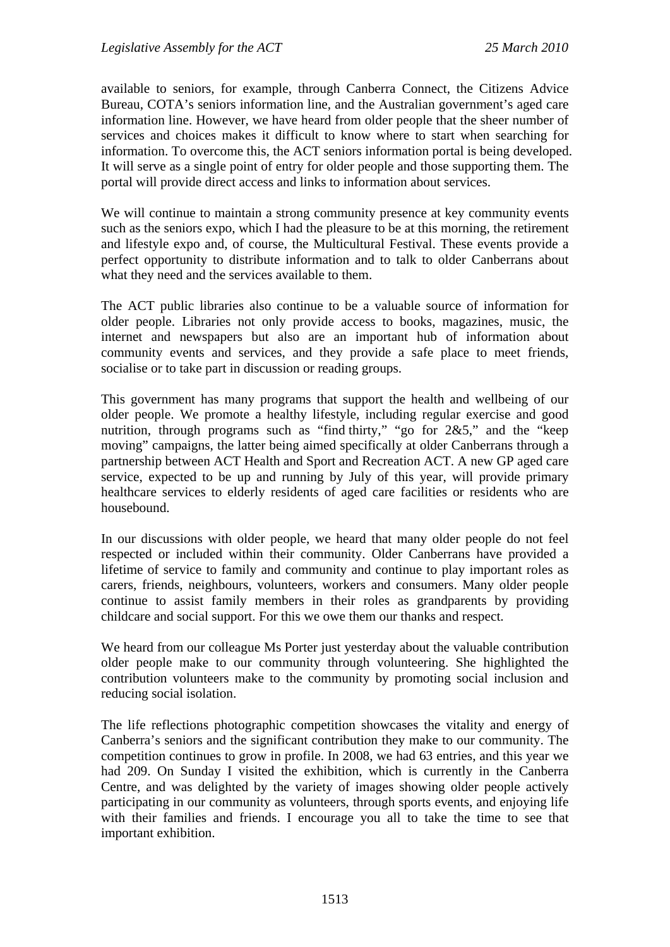available to seniors, for example, through Canberra Connect, the Citizens Advice Bureau, COTA's seniors information line, and the Australian government's aged care information line. However, we have heard from older people that the sheer number of services and choices makes it difficult to know where to start when searching for information. To overcome this, the ACT seniors information portal is being developed. It will serve as a single point of entry for older people and those supporting them. The portal will provide direct access and links to information about services.

We will continue to maintain a strong community presence at key community events such as the seniors expo, which I had the pleasure to be at this morning, the retirement and lifestyle expo and, of course, the Multicultural Festival. These events provide a perfect opportunity to distribute information and to talk to older Canberrans about what they need and the services available to them.

The ACT public libraries also continue to be a valuable source of information for older people. Libraries not only provide access to books, magazines, music, the internet and newspapers but also are an important hub of information about community events and services, and they provide a safe place to meet friends, socialise or to take part in discussion or reading groups.

This government has many programs that support the health and wellbeing of our older people. We promote a healthy lifestyle, including regular exercise and good nutrition, through programs such as "find thirty," "go for  $2\&5$ ," and the "keep moving" campaigns, the latter being aimed specifically at older Canberrans through a partnership between ACT Health and Sport and Recreation ACT. A new GP aged care service, expected to be up and running by July of this year, will provide primary healthcare services to elderly residents of aged care facilities or residents who are housebound.

In our discussions with older people, we heard that many older people do not feel respected or included within their community. Older Canberrans have provided a lifetime of service to family and community and continue to play important roles as carers, friends, neighbours, volunteers, workers and consumers. Many older people continue to assist family members in their roles as grandparents by providing childcare and social support. For this we owe them our thanks and respect.

We heard from our colleague Ms Porter just yesterday about the valuable contribution older people make to our community through volunteering. She highlighted the contribution volunteers make to the community by promoting social inclusion and reducing social isolation.

The life reflections photographic competition showcases the vitality and energy of Canberra's seniors and the significant contribution they make to our community. The competition continues to grow in profile. In 2008, we had 63 entries, and this year we had 209. On Sunday I visited the exhibition, which is currently in the Canberra Centre, and was delighted by the variety of images showing older people actively participating in our community as volunteers, through sports events, and enjoying life with their families and friends. I encourage you all to take the time to see that important exhibition.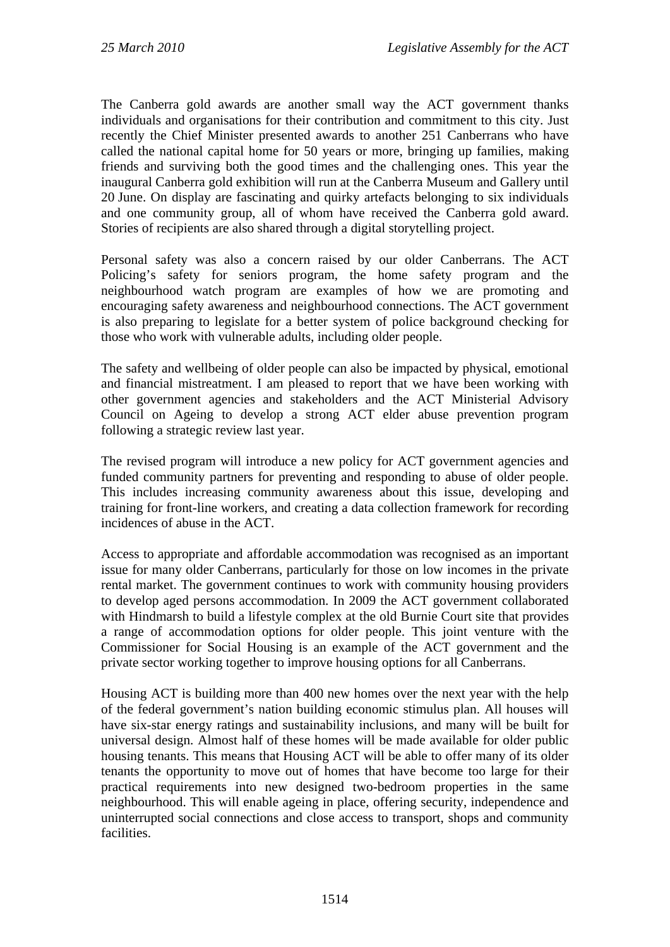The Canberra gold awards are another small way the ACT government thanks individuals and organisations for their contribution and commitment to this city. Just recently the Chief Minister presented awards to another 251 Canberrans who have called the national capital home for 50 years or more, bringing up families, making friends and surviving both the good times and the challenging ones. This year the inaugural Canberra gold exhibition will run at the Canberra Museum and Gallery until 20 June. On display are fascinating and quirky artefacts belonging to six individuals and one community group, all of whom have received the Canberra gold award. Stories of recipients are also shared through a digital storytelling project.

Personal safety was also a concern raised by our older Canberrans. The ACT Policing's safety for seniors program, the home safety program and the neighbourhood watch program are examples of how we are promoting and encouraging safety awareness and neighbourhood connections. The ACT government is also preparing to legislate for a better system of police background checking for those who work with vulnerable adults, including older people.

The safety and wellbeing of older people can also be impacted by physical, emotional and financial mistreatment. I am pleased to report that we have been working with other government agencies and stakeholders and the ACT Ministerial Advisory Council on Ageing to develop a strong ACT elder abuse prevention program following a strategic review last year.

The revised program will introduce a new policy for ACT government agencies and funded community partners for preventing and responding to abuse of older people. This includes increasing community awareness about this issue, developing and training for front-line workers, and creating a data collection framework for recording incidences of abuse in the ACT.

Access to appropriate and affordable accommodation was recognised as an important issue for many older Canberrans, particularly for those on low incomes in the private rental market. The government continues to work with community housing providers to develop aged persons accommodation. In 2009 the ACT government collaborated with Hindmarsh to build a lifestyle complex at the old Burnie Court site that provides a range of accommodation options for older people. This joint venture with the Commissioner for Social Housing is an example of the ACT government and the private sector working together to improve housing options for all Canberrans.

Housing ACT is building more than 400 new homes over the next year with the help of the federal government's nation building economic stimulus plan. All houses will have six-star energy ratings and sustainability inclusions, and many will be built for universal design. Almost half of these homes will be made available for older public housing tenants. This means that Housing ACT will be able to offer many of its older tenants the opportunity to move out of homes that have become too large for their practical requirements into new designed two-bedroom properties in the same neighbourhood. This will enable ageing in place, offering security, independence and uninterrupted social connections and close access to transport, shops and community facilities.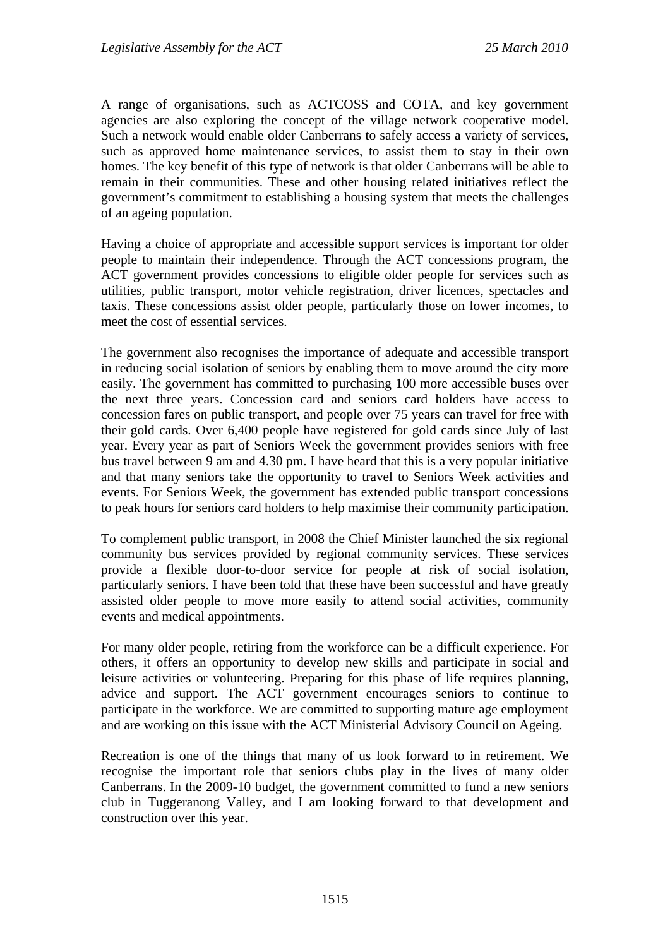A range of organisations, such as ACTCOSS and COTA, and key government agencies are also exploring the concept of the village network cooperative model. Such a network would enable older Canberrans to safely access a variety of services, such as approved home maintenance services, to assist them to stay in their own homes. The key benefit of this type of network is that older Canberrans will be able to remain in their communities. These and other housing related initiatives reflect the government's commitment to establishing a housing system that meets the challenges of an ageing population.

Having a choice of appropriate and accessible support services is important for older people to maintain their independence. Through the ACT concessions program, the ACT government provides concessions to eligible older people for services such as utilities, public transport, motor vehicle registration, driver licences, spectacles and taxis. These concessions assist older people, particularly those on lower incomes, to meet the cost of essential services.

The government also recognises the importance of adequate and accessible transport in reducing social isolation of seniors by enabling them to move around the city more easily. The government has committed to purchasing 100 more accessible buses over the next three years. Concession card and seniors card holders have access to concession fares on public transport, and people over 75 years can travel for free with their gold cards. Over 6,400 people have registered for gold cards since July of last year. Every year as part of Seniors Week the government provides seniors with free bus travel between 9 am and 4.30 pm. I have heard that this is a very popular initiative and that many seniors take the opportunity to travel to Seniors Week activities and events. For Seniors Week, the government has extended public transport concessions to peak hours for seniors card holders to help maximise their community participation.

To complement public transport, in 2008 the Chief Minister launched the six regional community bus services provided by regional community services. These services provide a flexible door-to-door service for people at risk of social isolation, particularly seniors. I have been told that these have been successful and have greatly assisted older people to move more easily to attend social activities, community events and medical appointments.

For many older people, retiring from the workforce can be a difficult experience. For others, it offers an opportunity to develop new skills and participate in social and leisure activities or volunteering. Preparing for this phase of life requires planning, advice and support. The ACT government encourages seniors to continue to participate in the workforce. We are committed to supporting mature age employment and are working on this issue with the ACT Ministerial Advisory Council on Ageing.

Recreation is one of the things that many of us look forward to in retirement. We recognise the important role that seniors clubs play in the lives of many older Canberrans. In the 2009-10 budget, the government committed to fund a new seniors club in Tuggeranong Valley, and I am looking forward to that development and construction over this year.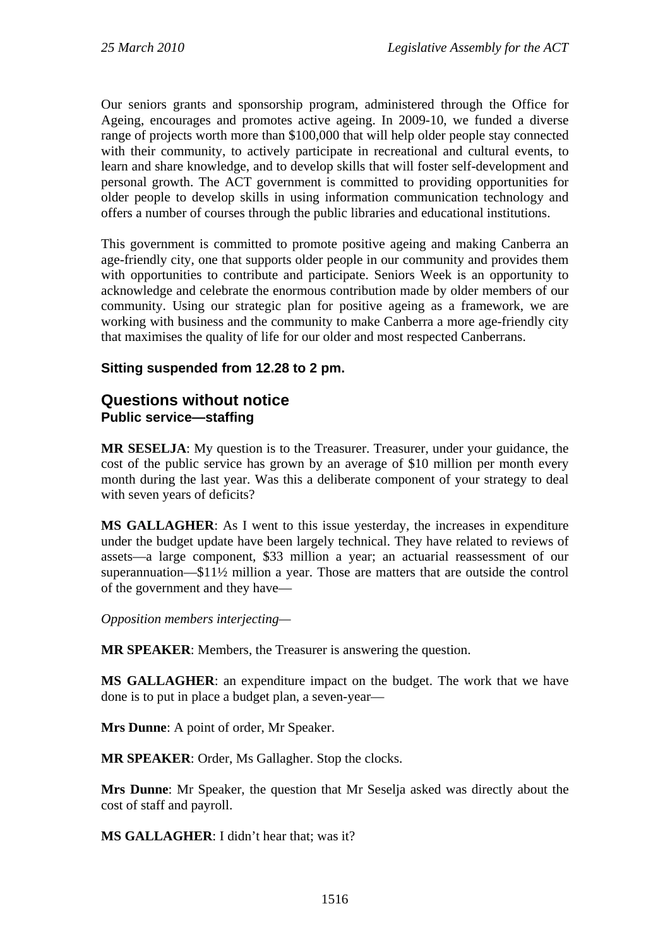Our seniors grants and sponsorship program, administered through the Office for Ageing, encourages and promotes active ageing. In 2009-10, we funded a diverse range of projects worth more than \$100,000 that will help older people stay connected with their community, to actively participate in recreational and cultural events, to learn and share knowledge, and to develop skills that will foster self-development and personal growth. The ACT government is committed to providing opportunities for older people to develop skills in using information communication technology and offers a number of courses through the public libraries and educational institutions.

This government is committed to promote positive ageing and making Canberra an age-friendly city, one that supports older people in our community and provides them with opportunities to contribute and participate. Seniors Week is an opportunity to acknowledge and celebrate the enormous contribution made by older members of our community. Using our strategic plan for positive ageing as a framework, we are working with business and the community to make Canberra a more age-friendly city that maximises the quality of life for our older and most respected Canberrans.

# **Sitting suspended from 12.28 to 2 pm.**

# **Questions without notice Public service—staffing**

**MR SESELJA**: My question is to the Treasurer. Treasurer, under your guidance, the cost of the public service has grown by an average of \$10 million per month every month during the last year. Was this a deliberate component of your strategy to deal with seven years of deficits?

**MS GALLAGHER**: As I went to this issue yesterday, the increases in expenditure under the budget update have been largely technical. They have related to reviews of assets—a large component, \$33 million a year; an actuarial reassessment of our superannuation—\$11½ million a year. Those are matters that are outside the control of the government and they have—

*Opposition members interjecting—* 

**MR SPEAKER**: Members, the Treasurer is answering the question.

**MS GALLAGHER**: an expenditure impact on the budget. The work that we have done is to put in place a budget plan, a seven-year—

**Mrs Dunne**: A point of order, Mr Speaker.

**MR SPEAKER**: Order, Ms Gallagher. Stop the clocks.

**Mrs Dunne**: Mr Speaker, the question that Mr Seselja asked was directly about the cost of staff and payroll.

**MS GALLAGHER**: I didn't hear that; was it?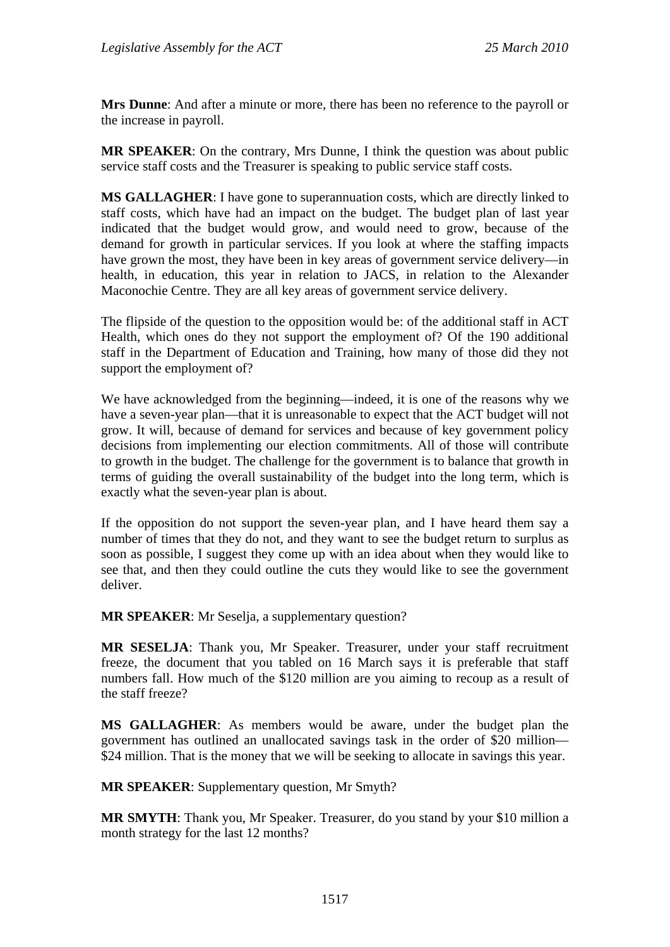**Mrs Dunne**: And after a minute or more, there has been no reference to the payroll or the increase in payroll.

**MR SPEAKER**: On the contrary, Mrs Dunne, I think the question was about public service staff costs and the Treasurer is speaking to public service staff costs.

**MS GALLAGHER**: I have gone to superannuation costs, which are directly linked to staff costs, which have had an impact on the budget. The budget plan of last year indicated that the budget would grow, and would need to grow, because of the demand for growth in particular services. If you look at where the staffing impacts have grown the most, they have been in key areas of government service delivery—in health, in education, this year in relation to JACS, in relation to the Alexander Maconochie Centre. They are all key areas of government service delivery.

The flipside of the question to the opposition would be: of the additional staff in ACT Health, which ones do they not support the employment of? Of the 190 additional staff in the Department of Education and Training, how many of those did they not support the employment of?

We have acknowledged from the beginning—indeed, it is one of the reasons why we have a seven-year plan—that it is unreasonable to expect that the ACT budget will not grow. It will, because of demand for services and because of key government policy decisions from implementing our election commitments. All of those will contribute to growth in the budget. The challenge for the government is to balance that growth in terms of guiding the overall sustainability of the budget into the long term, which is exactly what the seven-year plan is about.

If the opposition do not support the seven-year plan, and I have heard them say a number of times that they do not, and they want to see the budget return to surplus as soon as possible, I suggest they come up with an idea about when they would like to see that, and then they could outline the cuts they would like to see the government deliver.

**MR SPEAKER**: Mr Seselja, a supplementary question?

**MR SESELJA**: Thank you, Mr Speaker. Treasurer, under your staff recruitment freeze, the document that you tabled on 16 March says it is preferable that staff numbers fall. How much of the \$120 million are you aiming to recoup as a result of the staff freeze?

**MS GALLAGHER**: As members would be aware, under the budget plan the government has outlined an unallocated savings task in the order of \$20 million— \$24 million. That is the money that we will be seeking to allocate in savings this year.

**MR SPEAKER**: Supplementary question, Mr Smyth?

**MR SMYTH**: Thank you, Mr Speaker. Treasurer, do you stand by your \$10 million a month strategy for the last 12 months?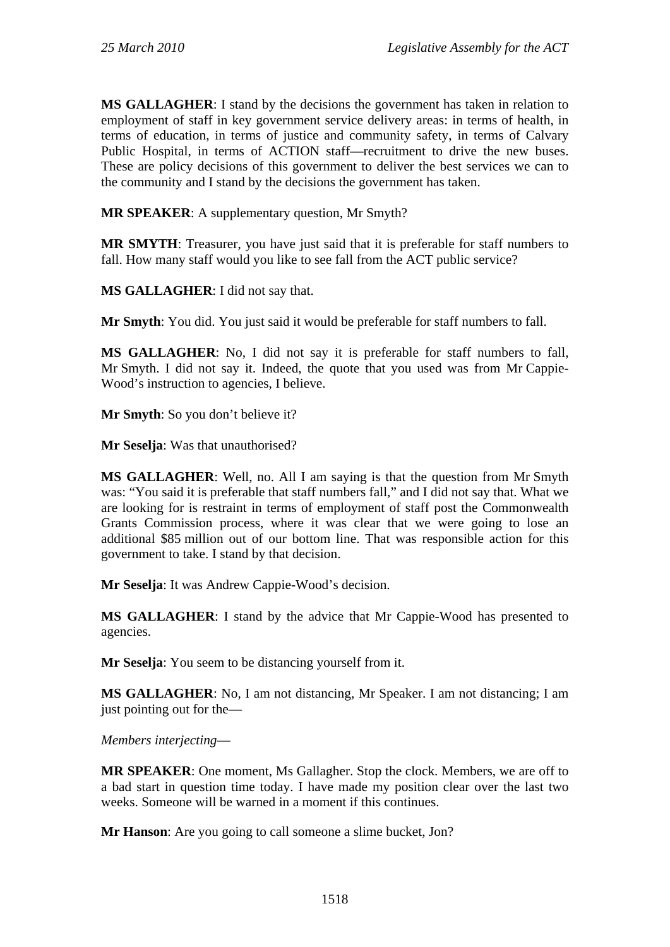**MS GALLAGHER**: I stand by the decisions the government has taken in relation to employment of staff in key government service delivery areas: in terms of health, in terms of education, in terms of justice and community safety, in terms of Calvary Public Hospital, in terms of ACTION staff—recruitment to drive the new buses. These are policy decisions of this government to deliver the best services we can to the community and I stand by the decisions the government has taken.

**MR SPEAKER**: A supplementary question, Mr Smyth?

**MR SMYTH**: Treasurer, you have just said that it is preferable for staff numbers to fall. How many staff would you like to see fall from the ACT public service?

**MS GALLAGHER**: I did not say that.

**Mr Smyth**: You did. You just said it would be preferable for staff numbers to fall.

**MS GALLAGHER**: No, I did not say it is preferable for staff numbers to fall, Mr Smyth. I did not say it. Indeed, the quote that you used was from Mr Cappie-Wood's instruction to agencies, I believe.

**Mr Smyth**: So you don't believe it?

**Mr Seselja**: Was that unauthorised?

**MS GALLAGHER**: Well, no. All I am saying is that the question from Mr Smyth was: "You said it is preferable that staff numbers fall," and I did not say that. What we are looking for is restraint in terms of employment of staff post the Commonwealth Grants Commission process, where it was clear that we were going to lose an additional \$85 million out of our bottom line. That was responsible action for this government to take. I stand by that decision.

**Mr Seselja**: It was Andrew Cappie-Wood's decision.

**MS GALLAGHER**: I stand by the advice that Mr Cappie-Wood has presented to agencies.

**Mr Seselja**: You seem to be distancing yourself from it.

**MS GALLAGHER**: No, I am not distancing, Mr Speaker. I am not distancing; I am just pointing out for the—

*Members interjecting*—

**MR SPEAKER**: One moment, Ms Gallagher. Stop the clock. Members, we are off to a bad start in question time today. I have made my position clear over the last two weeks. Someone will be warned in a moment if this continues.

**Mr Hanson**: Are you going to call someone a slime bucket, Jon?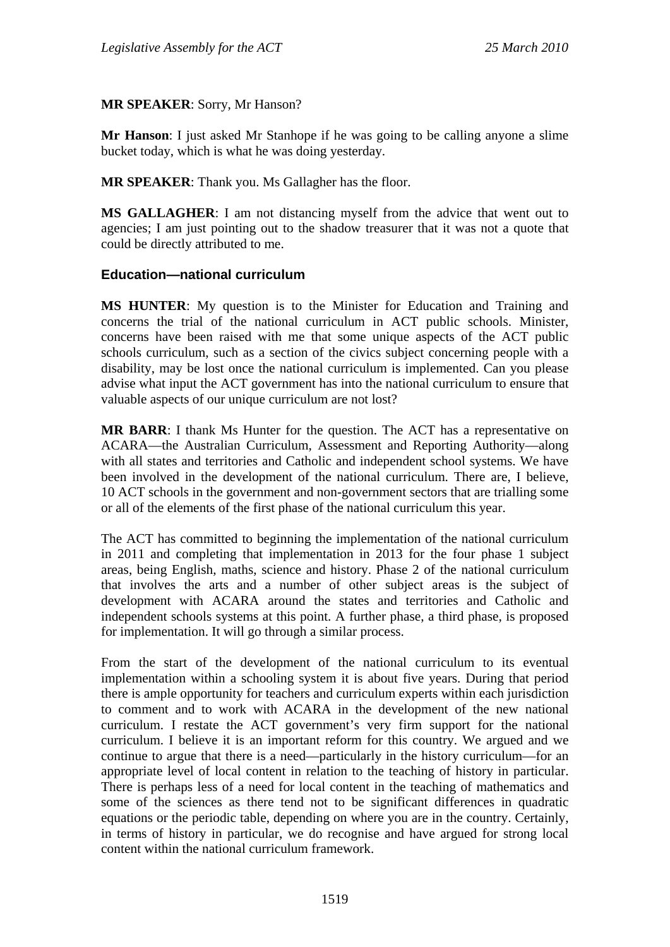### **MR SPEAKER**: Sorry, Mr Hanson?

**Mr Hanson**: I just asked Mr Stanhope if he was going to be calling anyone a slime bucket today, which is what he was doing yesterday.

**MR SPEAKER**: Thank you. Ms Gallagher has the floor.

**MS GALLAGHER**: I am not distancing myself from the advice that went out to agencies; I am just pointing out to the shadow treasurer that it was not a quote that could be directly attributed to me.

### **Education—national curriculum**

**MS HUNTER**: My question is to the Minister for Education and Training and concerns the trial of the national curriculum in ACT public schools. Minister, concerns have been raised with me that some unique aspects of the ACT public schools curriculum, such as a section of the civics subject concerning people with a disability, may be lost once the national curriculum is implemented. Can you please advise what input the ACT government has into the national curriculum to ensure that valuable aspects of our unique curriculum are not lost?

**MR BARR**: I thank Ms Hunter for the question. The ACT has a representative on ACARA—the Australian Curriculum, Assessment and Reporting Authority—along with all states and territories and Catholic and independent school systems. We have been involved in the development of the national curriculum. There are, I believe, 10 ACT schools in the government and non-government sectors that are trialling some or all of the elements of the first phase of the national curriculum this year.

The ACT has committed to beginning the implementation of the national curriculum in 2011 and completing that implementation in 2013 for the four phase 1 subject areas, being English, maths, science and history. Phase 2 of the national curriculum that involves the arts and a number of other subject areas is the subject of development with ACARA around the states and territories and Catholic and independent schools systems at this point. A further phase, a third phase, is proposed for implementation. It will go through a similar process.

From the start of the development of the national curriculum to its eventual implementation within a schooling system it is about five years. During that period there is ample opportunity for teachers and curriculum experts within each jurisdiction to comment and to work with ACARA in the development of the new national curriculum. I restate the ACT government's very firm support for the national curriculum. I believe it is an important reform for this country. We argued and we continue to argue that there is a need—particularly in the history curriculum—for an appropriate level of local content in relation to the teaching of history in particular. There is perhaps less of a need for local content in the teaching of mathematics and some of the sciences as there tend not to be significant differences in quadratic equations or the periodic table, depending on where you are in the country. Certainly, in terms of history in particular, we do recognise and have argued for strong local content within the national curriculum framework.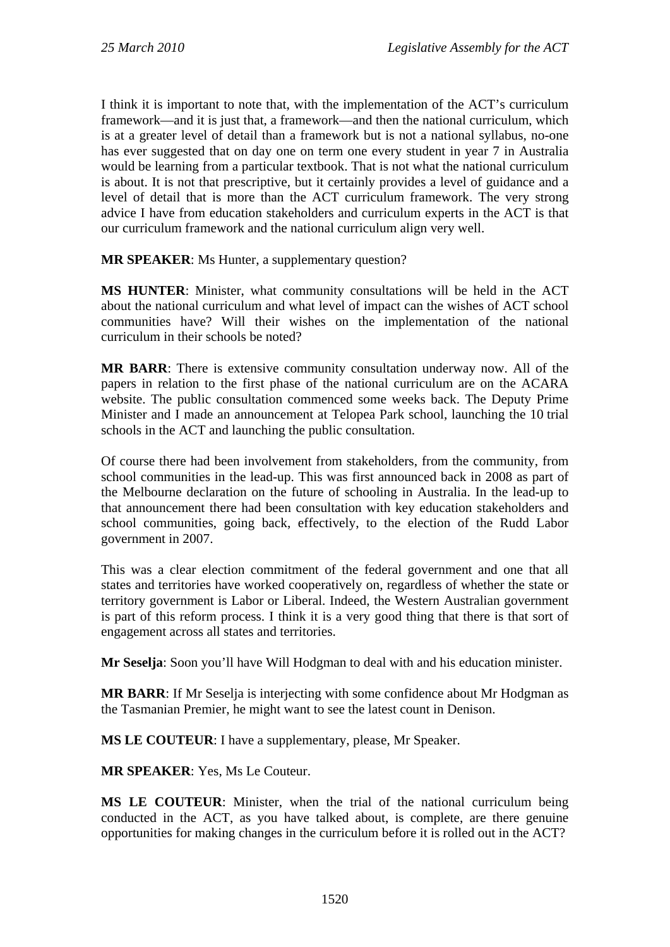I think it is important to note that, with the implementation of the ACT's curriculum framework—and it is just that, a framework—and then the national curriculum, which is at a greater level of detail than a framework but is not a national syllabus, no-one has ever suggested that on day one on term one every student in year 7 in Australia would be learning from a particular textbook. That is not what the national curriculum is about. It is not that prescriptive, but it certainly provides a level of guidance and a level of detail that is more than the ACT curriculum framework. The very strong advice I have from education stakeholders and curriculum experts in the ACT is that our curriculum framework and the national curriculum align very well.

**MR SPEAKER**: Ms Hunter, a supplementary question?

**MS HUNTER**: Minister, what community consultations will be held in the ACT about the national curriculum and what level of impact can the wishes of ACT school communities have? Will their wishes on the implementation of the national curriculum in their schools be noted?

**MR BARR**: There is extensive community consultation underway now. All of the papers in relation to the first phase of the national curriculum are on the ACARA website. The public consultation commenced some weeks back. The Deputy Prime Minister and I made an announcement at Telopea Park school, launching the 10 trial schools in the ACT and launching the public consultation.

Of course there had been involvement from stakeholders, from the community, from school communities in the lead-up. This was first announced back in 2008 as part of the Melbourne declaration on the future of schooling in Australia. In the lead-up to that announcement there had been consultation with key education stakeholders and school communities, going back, effectively, to the election of the Rudd Labor government in 2007.

This was a clear election commitment of the federal government and one that all states and territories have worked cooperatively on, regardless of whether the state or territory government is Labor or Liberal. Indeed, the Western Australian government is part of this reform process. I think it is a very good thing that there is that sort of engagement across all states and territories.

**Mr Seselja**: Soon you'll have Will Hodgman to deal with and his education minister.

**MR BARR**: If Mr Seselja is interjecting with some confidence about Mr Hodgman as the Tasmanian Premier, he might want to see the latest count in Denison.

**MS LE COUTEUR**: I have a supplementary, please, Mr Speaker.

**MR SPEAKER**: Yes, Ms Le Couteur.

**MS LE COUTEUR**: Minister, when the trial of the national curriculum being conducted in the ACT, as you have talked about, is complete, are there genuine opportunities for making changes in the curriculum before it is rolled out in the ACT?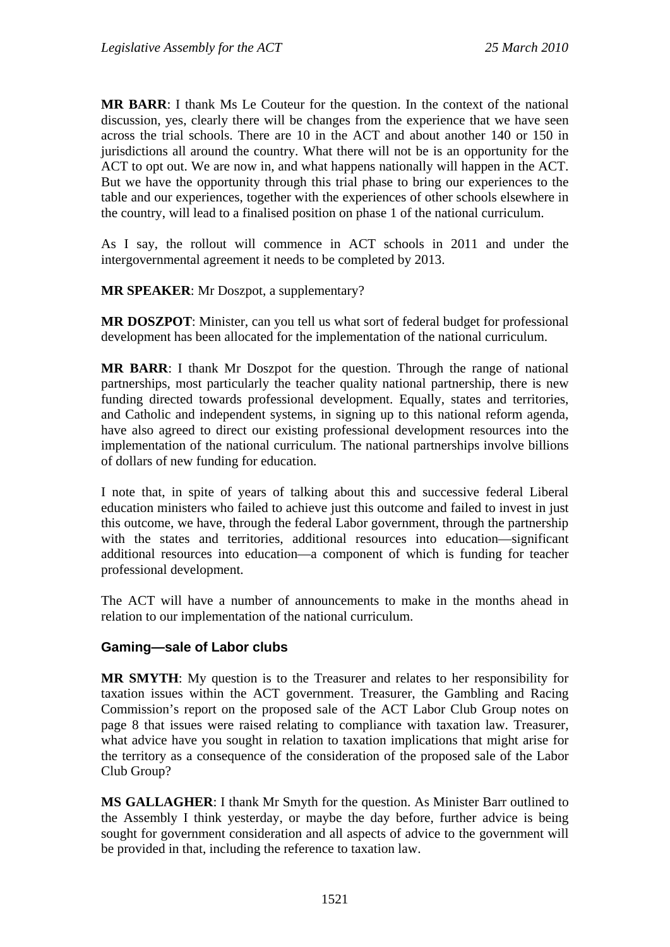**MR BARR**: I thank Ms Le Couteur for the question. In the context of the national discussion, yes, clearly there will be changes from the experience that we have seen across the trial schools. There are 10 in the ACT and about another 140 or 150 in jurisdictions all around the country. What there will not be is an opportunity for the ACT to opt out. We are now in, and what happens nationally will happen in the ACT. But we have the opportunity through this trial phase to bring our experiences to the table and our experiences, together with the experiences of other schools elsewhere in the country, will lead to a finalised position on phase 1 of the national curriculum.

As I say, the rollout will commence in ACT schools in 2011 and under the intergovernmental agreement it needs to be completed by 2013.

**MR SPEAKER**: Mr Doszpot, a supplementary?

**MR DOSZPOT**: Minister, can you tell us what sort of federal budget for professional development has been allocated for the implementation of the national curriculum.

**MR BARR**: I thank Mr Doszpot for the question. Through the range of national partnerships, most particularly the teacher quality national partnership, there is new funding directed towards professional development. Equally, states and territories, and Catholic and independent systems, in signing up to this national reform agenda, have also agreed to direct our existing professional development resources into the implementation of the national curriculum. The national partnerships involve billions of dollars of new funding for education.

I note that, in spite of years of talking about this and successive federal Liberal education ministers who failed to achieve just this outcome and failed to invest in just this outcome, we have, through the federal Labor government, through the partnership with the states and territories, additional resources into education—significant additional resources into education—a component of which is funding for teacher professional development.

The ACT will have a number of announcements to make in the months ahead in relation to our implementation of the national curriculum.

## **Gaming—sale of Labor clubs**

**MR SMYTH**: My question is to the Treasurer and relates to her responsibility for taxation issues within the ACT government. Treasurer, the Gambling and Racing Commission's report on the proposed sale of the ACT Labor Club Group notes on page 8 that issues were raised relating to compliance with taxation law. Treasurer, what advice have you sought in relation to taxation implications that might arise for the territory as a consequence of the consideration of the proposed sale of the Labor Club Group?

**MS GALLAGHER**: I thank Mr Smyth for the question. As Minister Barr outlined to the Assembly I think yesterday, or maybe the day before, further advice is being sought for government consideration and all aspects of advice to the government will be provided in that, including the reference to taxation law.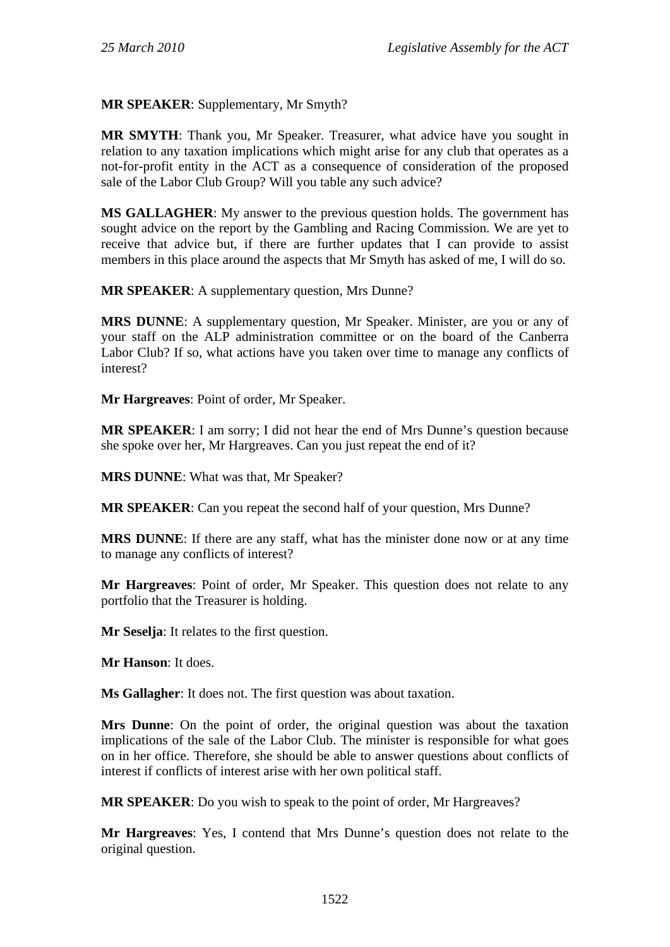**MR SPEAKER**: Supplementary, Mr Smyth?

**MR SMYTH**: Thank you, Mr Speaker. Treasurer, what advice have you sought in relation to any taxation implications which might arise for any club that operates as a not-for-profit entity in the ACT as a consequence of consideration of the proposed sale of the Labor Club Group? Will you table any such advice?

**MS GALLAGHER**: My answer to the previous question holds. The government has sought advice on the report by the Gambling and Racing Commission. We are yet to receive that advice but, if there are further updates that I can provide to assist members in this place around the aspects that Mr Smyth has asked of me, I will do so.

**MR SPEAKER:** A supplementary question, Mrs Dunne?

**MRS DUNNE**: A supplementary question, Mr Speaker. Minister, are you or any of your staff on the ALP administration committee or on the board of the Canberra Labor Club? If so, what actions have you taken over time to manage any conflicts of interest?

**Mr Hargreaves**: Point of order, Mr Speaker.

**MR SPEAKER**: I am sorry; I did not hear the end of Mrs Dunne's question because she spoke over her, Mr Hargreaves. Can you just repeat the end of it?

**MRS DUNNE**: What was that, Mr Speaker?

**MR SPEAKER**: Can you repeat the second half of your question, Mrs Dunne?

**MRS DUNNE**: If there are any staff, what has the minister done now or at any time to manage any conflicts of interest?

**Mr Hargreaves**: Point of order, Mr Speaker. This question does not relate to any portfolio that the Treasurer is holding.

**Mr Seselja**: It relates to the first question.

**Mr Hanson**: It does.

**Ms Gallagher**: It does not. The first question was about taxation.

**Mrs Dunne**: On the point of order, the original question was about the taxation implications of the sale of the Labor Club. The minister is responsible for what goes on in her office. Therefore, she should be able to answer questions about conflicts of interest if conflicts of interest arise with her own political staff.

**MR SPEAKER**: Do you wish to speak to the point of order, Mr Hargreaves?

**Mr Hargreaves**: Yes, I contend that Mrs Dunne's question does not relate to the original question.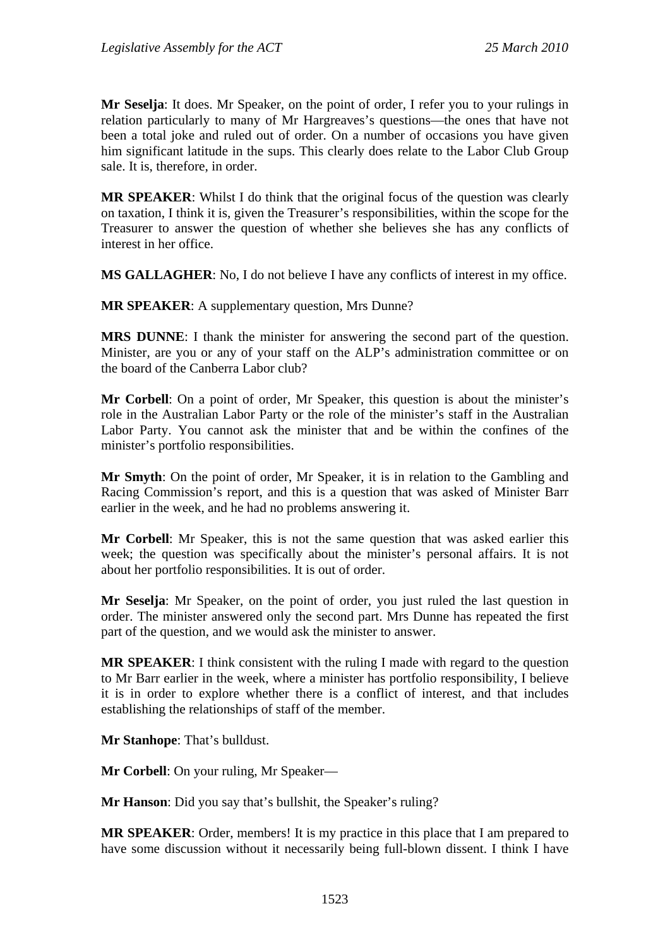**Mr Seselja**: It does. Mr Speaker, on the point of order, I refer you to your rulings in relation particularly to many of Mr Hargreaves's questions—the ones that have not been a total joke and ruled out of order. On a number of occasions you have given him significant latitude in the sups. This clearly does relate to the Labor Club Group sale. It is, therefore, in order.

**MR SPEAKER**: Whilst I do think that the original focus of the question was clearly on taxation, I think it is, given the Treasurer's responsibilities, within the scope for the Treasurer to answer the question of whether she believes she has any conflicts of interest in her office.

**MS GALLAGHER**: No, I do not believe I have any conflicts of interest in my office.

**MR SPEAKER**: A supplementary question, Mrs Dunne?

**MRS DUNNE**: I thank the minister for answering the second part of the question. Minister, are you or any of your staff on the ALP's administration committee or on the board of the Canberra Labor club?

**Mr Corbell**: On a point of order, Mr Speaker, this question is about the minister's role in the Australian Labor Party or the role of the minister's staff in the Australian Labor Party. You cannot ask the minister that and be within the confines of the minister's portfolio responsibilities.

**Mr Smyth**: On the point of order, Mr Speaker, it is in relation to the Gambling and Racing Commission's report, and this is a question that was asked of Minister Barr earlier in the week, and he had no problems answering it.

**Mr Corbell**: Mr Speaker, this is not the same question that was asked earlier this week; the question was specifically about the minister's personal affairs. It is not about her portfolio responsibilities. It is out of order.

**Mr Seselja**: Mr Speaker, on the point of order, you just ruled the last question in order. The minister answered only the second part. Mrs Dunne has repeated the first part of the question, and we would ask the minister to answer.

**MR SPEAKER**: I think consistent with the ruling I made with regard to the question to Mr Barr earlier in the week, where a minister has portfolio responsibility, I believe it is in order to explore whether there is a conflict of interest, and that includes establishing the relationships of staff of the member.

**Mr Stanhope**: That's bulldust.

**Mr Corbell**: On your ruling, Mr Speaker—

**Mr Hanson**: Did you say that's bullshit, the Speaker's ruling?

**MR SPEAKER**: Order, members! It is my practice in this place that I am prepared to have some discussion without it necessarily being full-blown dissent. I think I have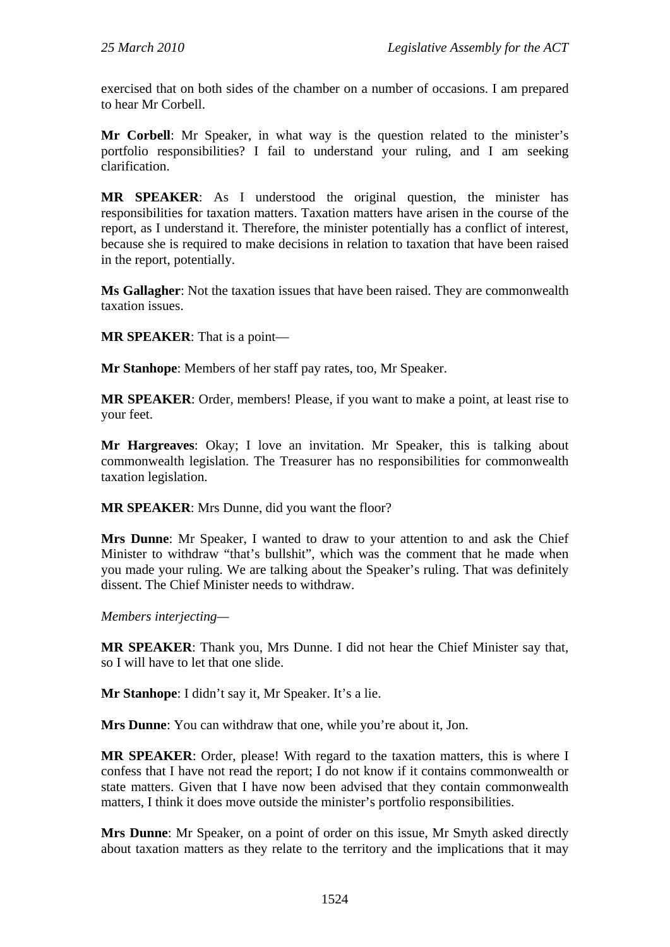exercised that on both sides of the chamber on a number of occasions. I am prepared to hear Mr Corbell.

**Mr Corbell**: Mr Speaker, in what way is the question related to the minister's portfolio responsibilities? I fail to understand your ruling, and I am seeking clarification.

**MR SPEAKER**: As I understood the original question, the minister has responsibilities for taxation matters. Taxation matters have arisen in the course of the report, as I understand it. Therefore, the minister potentially has a conflict of interest, because she is required to make decisions in relation to taxation that have been raised in the report, potentially.

**Ms Gallagher**: Not the taxation issues that have been raised. They are commonwealth taxation issues.

**MR SPEAKER**: That is a point—

**Mr Stanhope**: Members of her staff pay rates, too, Mr Speaker.

**MR SPEAKER**: Order, members! Please, if you want to make a point, at least rise to your feet.

**Mr Hargreaves**: Okay; I love an invitation. Mr Speaker, this is talking about commonwealth legislation. The Treasurer has no responsibilities for commonwealth taxation legislation.

**MR SPEAKER**: Mrs Dunne, did you want the floor?

**Mrs Dunne**: Mr Speaker, I wanted to draw to your attention to and ask the Chief Minister to withdraw "that's bullshit", which was the comment that he made when you made your ruling. We are talking about the Speaker's ruling. That was definitely dissent. The Chief Minister needs to withdraw.

*Members interjecting—*

**MR SPEAKER**: Thank you, Mrs Dunne. I did not hear the Chief Minister say that, so I will have to let that one slide.

**Mr Stanhope**: I didn't say it, Mr Speaker. It's a lie.

**Mrs Dunne**: You can withdraw that one, while you're about it, Jon.

**MR SPEAKER**: Order, please! With regard to the taxation matters, this is where I confess that I have not read the report; I do not know if it contains commonwealth or state matters. Given that I have now been advised that they contain commonwealth matters, I think it does move outside the minister's portfolio responsibilities.

**Mrs Dunne**: Mr Speaker, on a point of order on this issue, Mr Smyth asked directly about taxation matters as they relate to the territory and the implications that it may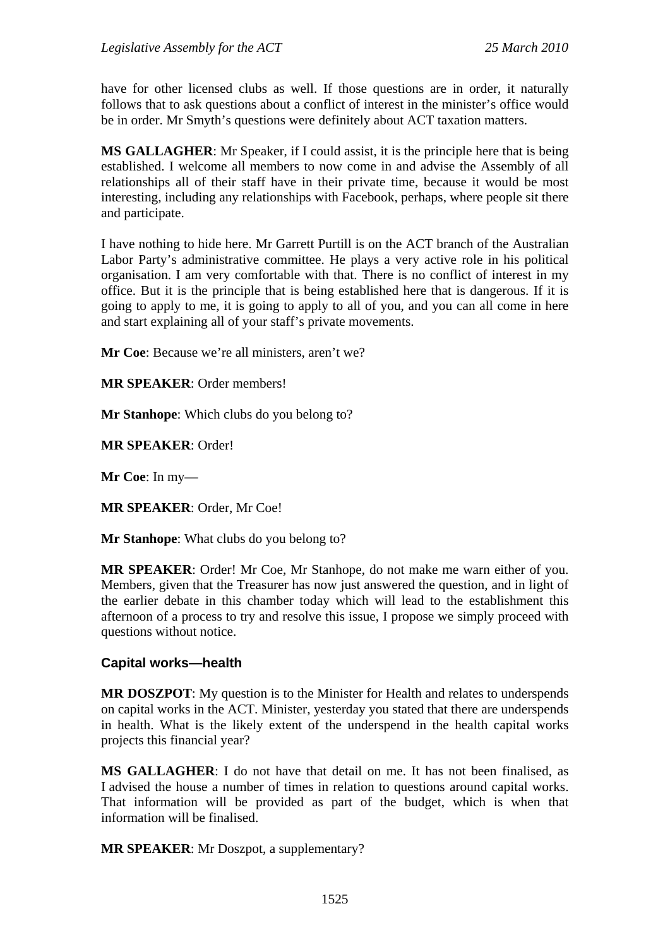have for other licensed clubs as well. If those questions are in order, it naturally follows that to ask questions about a conflict of interest in the minister's office would be in order. Mr Smyth's questions were definitely about ACT taxation matters.

**MS GALLAGHER**: Mr Speaker, if I could assist, it is the principle here that is being established. I welcome all members to now come in and advise the Assembly of all relationships all of their staff have in their private time, because it would be most interesting, including any relationships with Facebook, perhaps, where people sit there and participate.

I have nothing to hide here. Mr Garrett Purtill is on the ACT branch of the Australian Labor Party's administrative committee. He plays a very active role in his political organisation. I am very comfortable with that. There is no conflict of interest in my office. But it is the principle that is being established here that is dangerous. If it is going to apply to me, it is going to apply to all of you, and you can all come in here and start explaining all of your staff's private movements.

**Mr Coe**: Because we're all ministers, aren't we?

**MR SPEAKER**: Order members!

**Mr Stanhope**: Which clubs do you belong to?

**MR SPEAKER**: Order!

**Mr Coe**: In my—

**MR SPEAKER**: Order, Mr Coe!

**Mr Stanhope**: What clubs do you belong to?

**MR SPEAKER**: Order! Mr Coe, Mr Stanhope, do not make me warn either of you. Members, given that the Treasurer has now just answered the question, and in light of the earlier debate in this chamber today which will lead to the establishment this afternoon of a process to try and resolve this issue, I propose we simply proceed with questions without notice.

#### **Capital works—health**

**MR DOSZPOT**: My question is to the Minister for Health and relates to underspends on capital works in the ACT. Minister, yesterday you stated that there are underspends in health. What is the likely extent of the underspend in the health capital works projects this financial year?

**MS GALLAGHER**: I do not have that detail on me. It has not been finalised, as I advised the house a number of times in relation to questions around capital works. That information will be provided as part of the budget, which is when that information will be finalised.

**MR SPEAKER**: Mr Doszpot, a supplementary?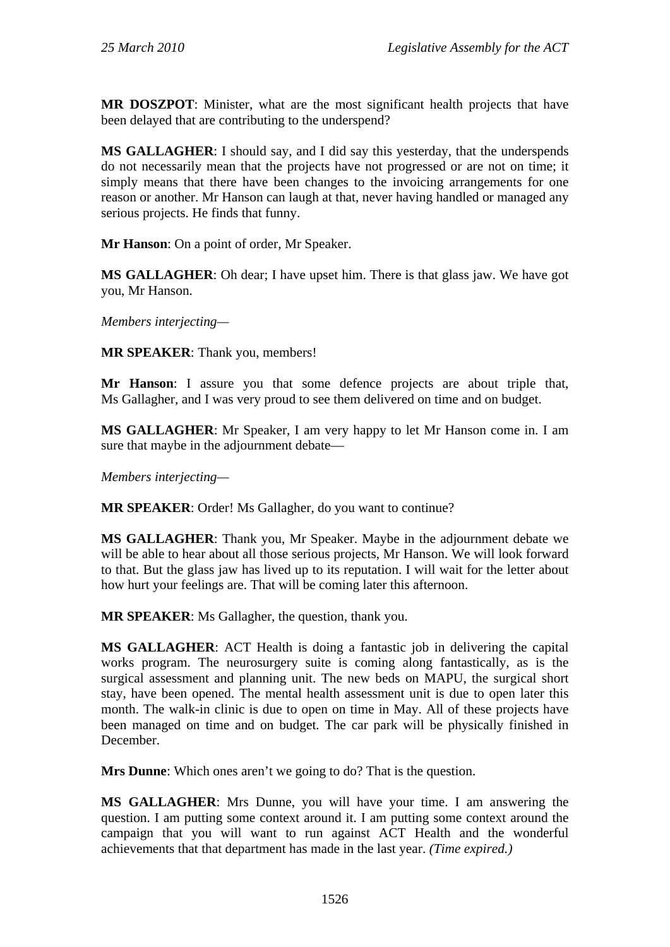**MR DOSZPOT**: Minister, what are the most significant health projects that have been delayed that are contributing to the underspend?

**MS GALLAGHER**: I should say, and I did say this yesterday, that the underspends do not necessarily mean that the projects have not progressed or are not on time; it simply means that there have been changes to the invoicing arrangements for one reason or another. Mr Hanson can laugh at that, never having handled or managed any serious projects. He finds that funny.

**Mr Hanson**: On a point of order, Mr Speaker.

**MS GALLAGHER**: Oh dear; I have upset him. There is that glass jaw. We have got you, Mr Hanson.

*Members interjecting—* 

**MR SPEAKER**: Thank you, members!

**Mr Hanson**: I assure you that some defence projects are about triple that, Ms Gallagher, and I was very proud to see them delivered on time and on budget.

**MS GALLAGHER**: Mr Speaker, I am very happy to let Mr Hanson come in. I am sure that maybe in the adjournment debate—

*Members interjecting—* 

**MR SPEAKER:** Order! Ms Gallagher, do you want to continue?

**MS GALLAGHER**: Thank you, Mr Speaker. Maybe in the adjournment debate we will be able to hear about all those serious projects, Mr Hanson. We will look forward to that. But the glass jaw has lived up to its reputation. I will wait for the letter about how hurt your feelings are. That will be coming later this afternoon.

**MR SPEAKER**: Ms Gallagher, the question, thank you.

**MS GALLAGHER**: ACT Health is doing a fantastic job in delivering the capital works program. The neurosurgery suite is coming along fantastically, as is the surgical assessment and planning unit. The new beds on MAPU, the surgical short stay, have been opened. The mental health assessment unit is due to open later this month. The walk-in clinic is due to open on time in May. All of these projects have been managed on time and on budget. The car park will be physically finished in December.

**Mrs Dunne**: Which ones aren't we going to do? That is the question.

**MS GALLAGHER**: Mrs Dunne, you will have your time. I am answering the question. I am putting some context around it. I am putting some context around the campaign that you will want to run against ACT Health and the wonderful achievements that that department has made in the last year. *(Time expired.)*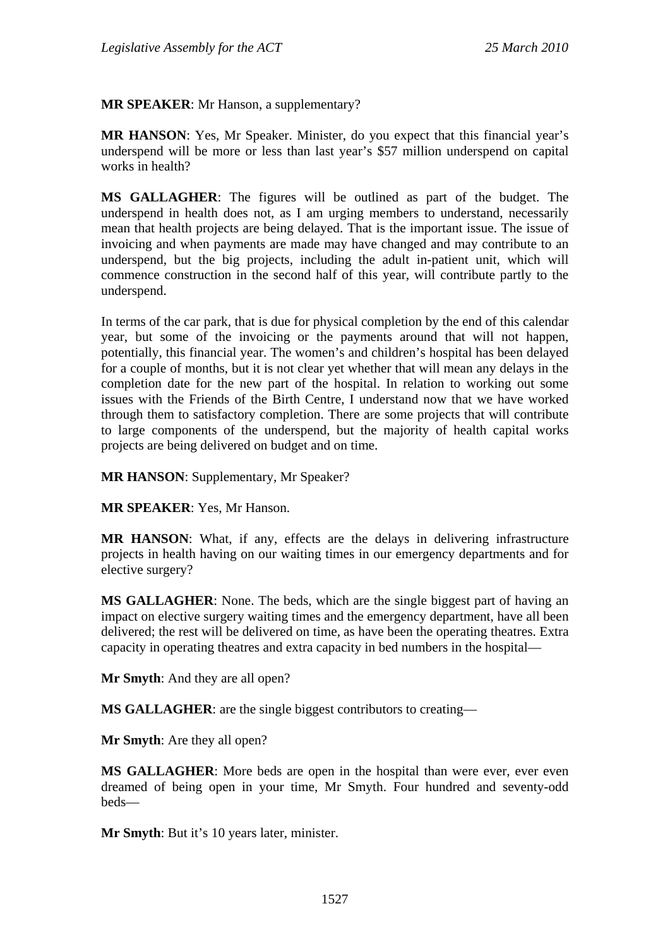**MR SPEAKER**: Mr Hanson, a supplementary?

**MR HANSON**: Yes, Mr Speaker. Minister, do you expect that this financial year's underspend will be more or less than last year's \$57 million underspend on capital works in health?

**MS GALLAGHER**: The figures will be outlined as part of the budget. The underspend in health does not, as I am urging members to understand, necessarily mean that health projects are being delayed. That is the important issue. The issue of invoicing and when payments are made may have changed and may contribute to an underspend, but the big projects, including the adult in-patient unit, which will commence construction in the second half of this year, will contribute partly to the underspend.

In terms of the car park, that is due for physical completion by the end of this calendar year, but some of the invoicing or the payments around that will not happen, potentially, this financial year. The women's and children's hospital has been delayed for a couple of months, but it is not clear yet whether that will mean any delays in the completion date for the new part of the hospital. In relation to working out some issues with the Friends of the Birth Centre, I understand now that we have worked through them to satisfactory completion. There are some projects that will contribute to large components of the underspend, but the majority of health capital works projects are being delivered on budget and on time.

**MR HANSON**: Supplementary, Mr Speaker?

**MR SPEAKER**: Yes, Mr Hanson.

**MR HANSON**: What, if any, effects are the delays in delivering infrastructure projects in health having on our waiting times in our emergency departments and for elective surgery?

**MS GALLAGHER**: None. The beds, which are the single biggest part of having an impact on elective surgery waiting times and the emergency department, have all been delivered; the rest will be delivered on time, as have been the operating theatres. Extra capacity in operating theatres and extra capacity in bed numbers in the hospital—

**Mr Smyth**: And they are all open?

**MS GALLAGHER**: are the single biggest contributors to creating—

**Mr Smyth**: Are they all open?

**MS GALLAGHER**: More beds are open in the hospital than were ever, ever even dreamed of being open in your time, Mr Smyth. Four hundred and seventy-odd beds—

**Mr Smyth**: But it's 10 years later, minister.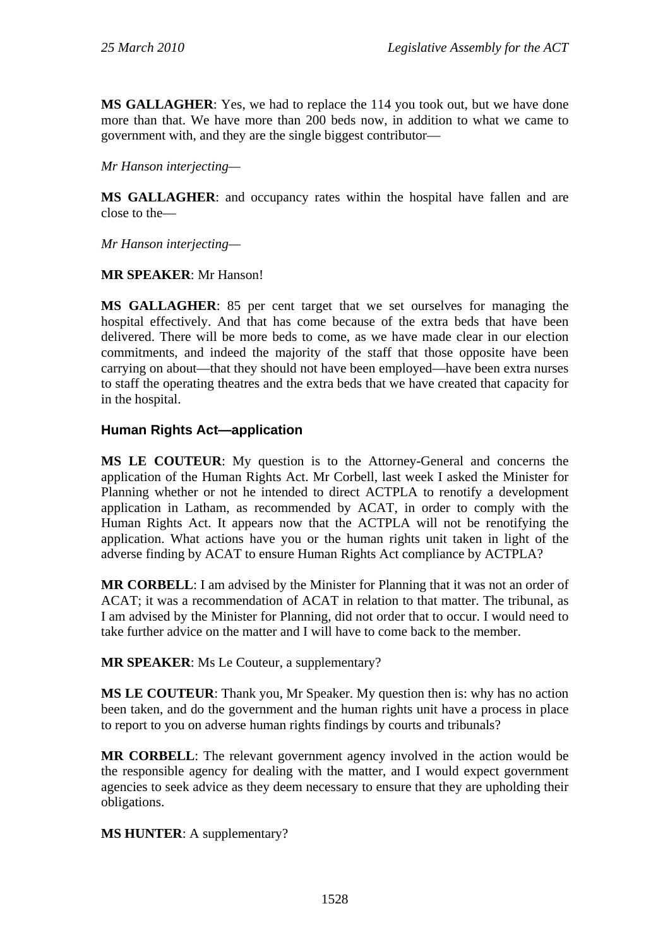**MS GALLAGHER**: Yes, we had to replace the 114 you took out, but we have done more than that. We have more than 200 beds now, in addition to what we came to government with, and they are the single biggest contributor—

*Mr Hanson interjecting—*

**MS GALLAGHER**: and occupancy rates within the hospital have fallen and are close to the—

*Mr Hanson interjecting—* 

**MR SPEAKER**: Mr Hanson!

**MS GALLAGHER**: 85 per cent target that we set ourselves for managing the hospital effectively. And that has come because of the extra beds that have been delivered. There will be more beds to come, as we have made clear in our election commitments, and indeed the majority of the staff that those opposite have been carrying on about—that they should not have been employed—have been extra nurses to staff the operating theatres and the extra beds that we have created that capacity for in the hospital.

# **Human Rights Act—application**

**MS LE COUTEUR**: My question is to the Attorney-General and concerns the application of the Human Rights Act. Mr Corbell, last week I asked the Minister for Planning whether or not he intended to direct ACTPLA to renotify a development application in Latham, as recommended by ACAT, in order to comply with the Human Rights Act. It appears now that the ACTPLA will not be renotifying the application. What actions have you or the human rights unit taken in light of the adverse finding by ACAT to ensure Human Rights Act compliance by ACTPLA?

**MR CORBELL**: I am advised by the Minister for Planning that it was not an order of ACAT; it was a recommendation of ACAT in relation to that matter. The tribunal, as I am advised by the Minister for Planning, did not order that to occur. I would need to take further advice on the matter and I will have to come back to the member.

**MR SPEAKER**: Ms Le Couteur, a supplementary?

**MS LE COUTEUR**: Thank you, Mr Speaker. My question then is: why has no action been taken, and do the government and the human rights unit have a process in place to report to you on adverse human rights findings by courts and tribunals?

**MR CORBELL**: The relevant government agency involved in the action would be the responsible agency for dealing with the matter, and I would expect government agencies to seek advice as they deem necessary to ensure that they are upholding their obligations.

**MS HUNTER**: A supplementary?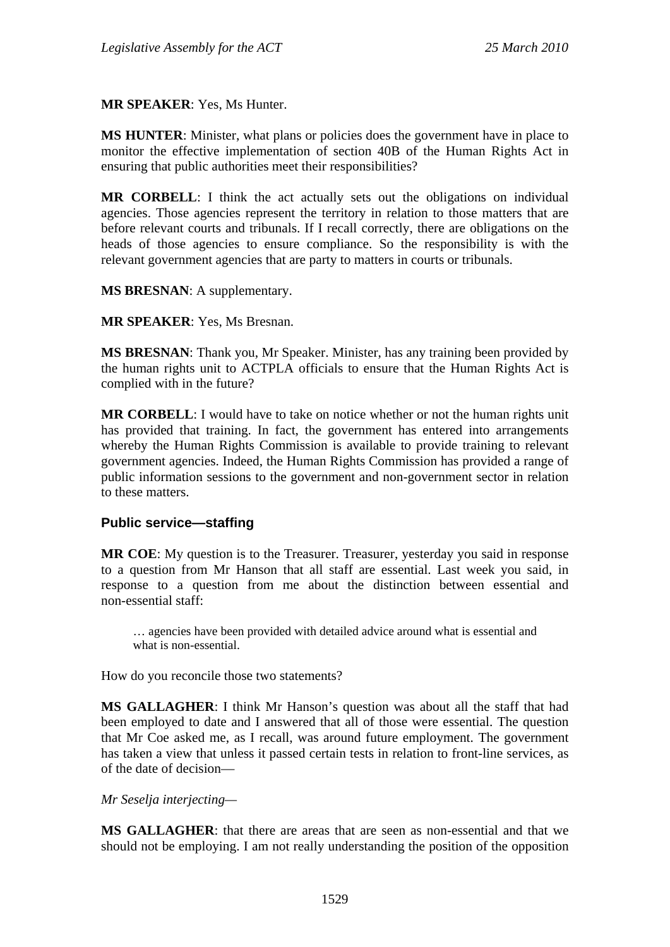**MR SPEAKER**: Yes, Ms Hunter.

**MS HUNTER**: Minister, what plans or policies does the government have in place to monitor the effective implementation of section 40B of the Human Rights Act in ensuring that public authorities meet their responsibilities?

**MR CORBELL**: I think the act actually sets out the obligations on individual agencies. Those agencies represent the territory in relation to those matters that are before relevant courts and tribunals. If I recall correctly, there are obligations on the heads of those agencies to ensure compliance. So the responsibility is with the relevant government agencies that are party to matters in courts or tribunals.

**MS BRESNAN**: A supplementary.

**MR SPEAKER**: Yes, Ms Bresnan.

**MS BRESNAN**: Thank you, Mr Speaker. Minister, has any training been provided by the human rights unit to ACTPLA officials to ensure that the Human Rights Act is complied with in the future?

**MR CORBELL**: I would have to take on notice whether or not the human rights unit has provided that training. In fact, the government has entered into arrangements whereby the Human Rights Commission is available to provide training to relevant government agencies. Indeed, the Human Rights Commission has provided a range of public information sessions to the government and non-government sector in relation to these matters.

## **Public service—staffing**

**MR COE**: My question is to the Treasurer. Treasurer, yesterday you said in response to a question from Mr Hanson that all staff are essential. Last week you said, in response to a question from me about the distinction between essential and non-essential staff:

… agencies have been provided with detailed advice around what is essential and what is non-essential.

How do you reconcile those two statements?

**MS GALLAGHER**: I think Mr Hanson's question was about all the staff that had been employed to date and I answered that all of those were essential. The question that Mr Coe asked me, as I recall, was around future employment. The government has taken a view that unless it passed certain tests in relation to front-line services, as of the date of decision—

*Mr Seselja interjecting—* 

**MS GALLAGHER**: that there are areas that are seen as non-essential and that we should not be employing. I am not really understanding the position of the opposition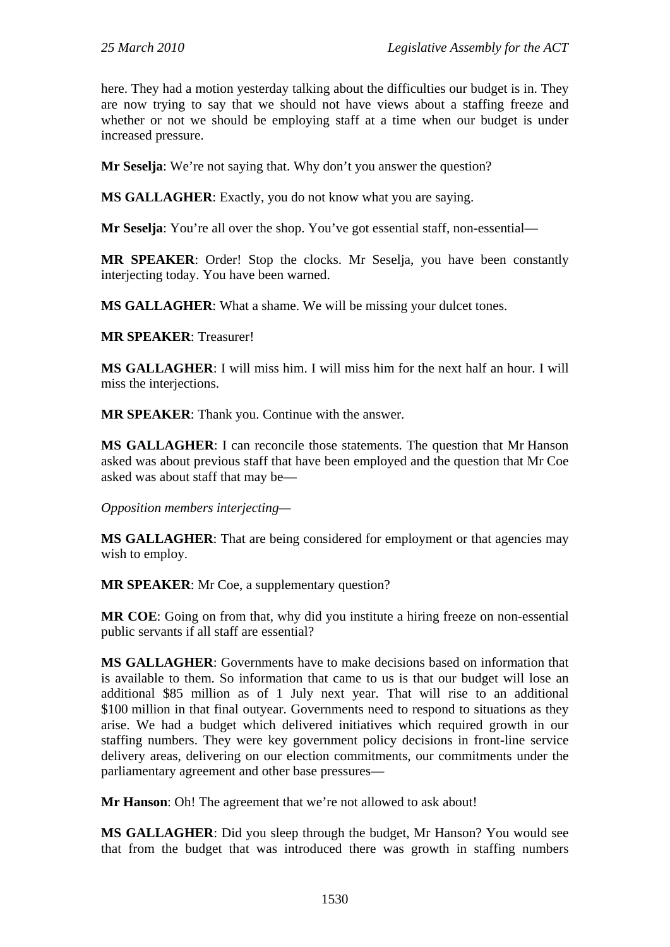here. They had a motion yesterday talking about the difficulties our budget is in. They are now trying to say that we should not have views about a staffing freeze and whether or not we should be employing staff at a time when our budget is under increased pressure.

**Mr Seselja**: We're not saying that. Why don't you answer the question?

**MS GALLAGHER**: Exactly, you do not know what you are saying.

**Mr Seselja:** You're all over the shop. You've got essential staff, non-essential—

**MR SPEAKER**: Order! Stop the clocks. Mr Seselja, you have been constantly interjecting today. You have been warned.

**MS GALLAGHER**: What a shame. We will be missing your dulcet tones.

**MR SPEAKER**: Treasurer!

**MS GALLAGHER**: I will miss him. I will miss him for the next half an hour. I will miss the interjections.

**MR SPEAKER**: Thank you. Continue with the answer.

**MS GALLAGHER**: I can reconcile those statements. The question that Mr Hanson asked was about previous staff that have been employed and the question that Mr Coe asked was about staff that may be—

*Opposition members interjecting—* 

**MS GALLAGHER:** That are being considered for employment or that agencies may wish to employ.

**MR SPEAKER**: Mr Coe, a supplementary question?

**MR COE**: Going on from that, why did you institute a hiring freeze on non-essential public servants if all staff are essential?

**MS GALLAGHER**: Governments have to make decisions based on information that is available to them. So information that came to us is that our budget will lose an additional \$85 million as of 1 July next year. That will rise to an additional \$100 million in that final outvear. Governments need to respond to situations as they arise. We had a budget which delivered initiatives which required growth in our staffing numbers. They were key government policy decisions in front-line service delivery areas, delivering on our election commitments, our commitments under the parliamentary agreement and other base pressures—

**Mr Hanson**: Oh! The agreement that we're not allowed to ask about!

**MS GALLAGHER**: Did you sleep through the budget, Mr Hanson? You would see that from the budget that was introduced there was growth in staffing numbers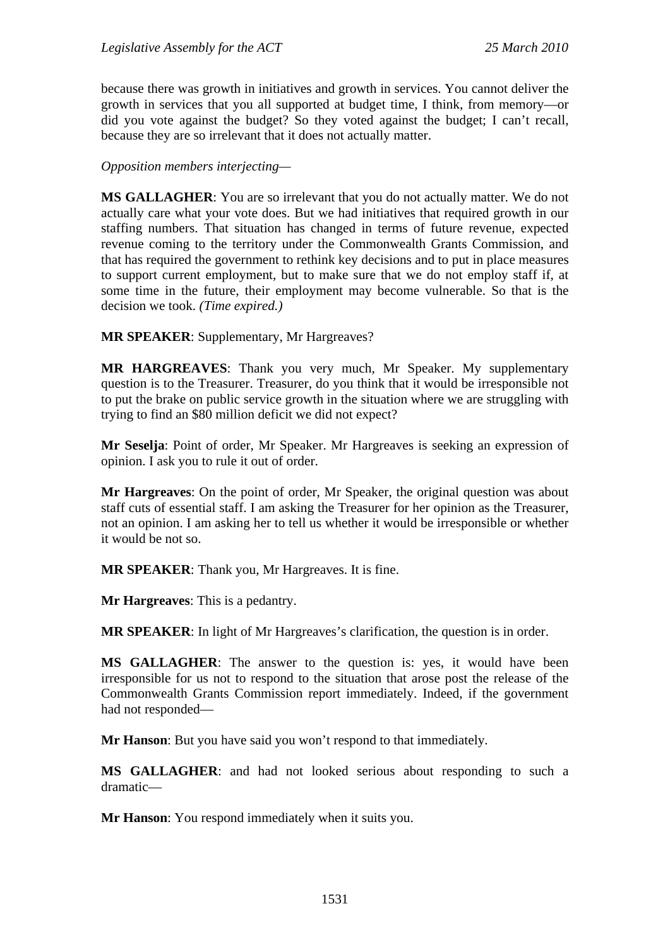because there was growth in initiatives and growth in services. You cannot deliver the growth in services that you all supported at budget time, I think, from memory—or did you vote against the budget? So they voted against the budget; I can't recall, because they are so irrelevant that it does not actually matter.

*Opposition members interjecting—* 

**MS GALLAGHER**: You are so irrelevant that you do not actually matter. We do not actually care what your vote does. But we had initiatives that required growth in our staffing numbers. That situation has changed in terms of future revenue, expected revenue coming to the territory under the Commonwealth Grants Commission, and that has required the government to rethink key decisions and to put in place measures to support current employment, but to make sure that we do not employ staff if, at some time in the future, their employment may become vulnerable. So that is the decision we took. *(Time expired.)*

**MR SPEAKER**: Supplementary, Mr Hargreaves?

**MR HARGREAVES**: Thank you very much, Mr Speaker. My supplementary question is to the Treasurer. Treasurer, do you think that it would be irresponsible not to put the brake on public service growth in the situation where we are struggling with trying to find an \$80 million deficit we did not expect?

**Mr Seselja**: Point of order, Mr Speaker. Mr Hargreaves is seeking an expression of opinion. I ask you to rule it out of order.

**Mr Hargreaves**: On the point of order, Mr Speaker, the original question was about staff cuts of essential staff. I am asking the Treasurer for her opinion as the Treasurer, not an opinion. I am asking her to tell us whether it would be irresponsible or whether it would be not so.

**MR SPEAKER**: Thank you, Mr Hargreaves. It is fine.

**Mr Hargreaves**: This is a pedantry.

**MR SPEAKER**: In light of Mr Hargreaves's clarification, the question is in order.

**MS GALLAGHER**: The answer to the question is: yes, it would have been irresponsible for us not to respond to the situation that arose post the release of the Commonwealth Grants Commission report immediately. Indeed, if the government had not responded—

**Mr Hanson**: But you have said you won't respond to that immediately.

**MS GALLAGHER**: and had not looked serious about responding to such a dramatic—

**Mr Hanson**: You respond immediately when it suits you.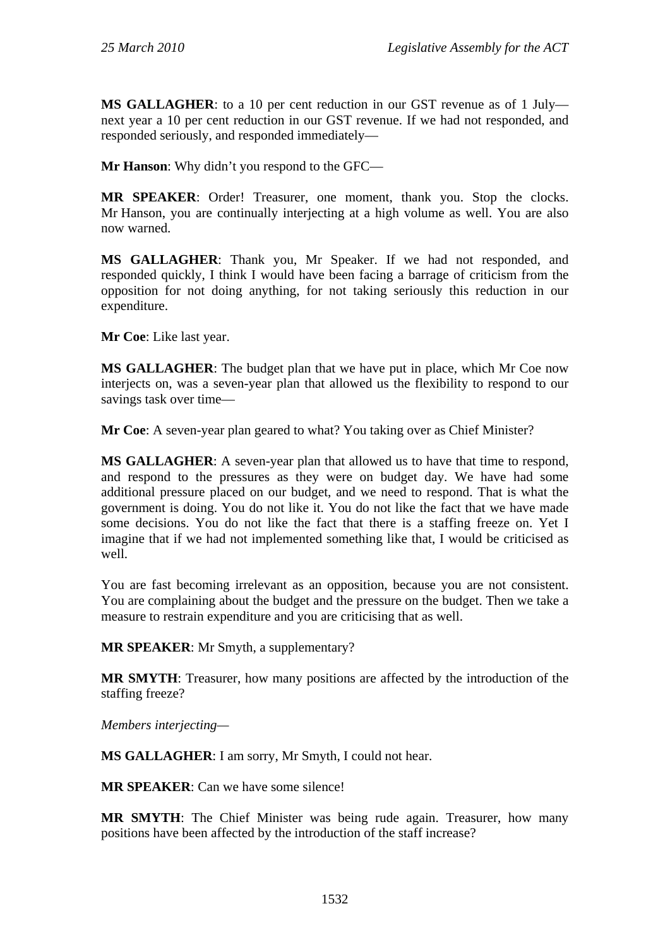**MS GALLAGHER**: to a 10 per cent reduction in our GST revenue as of 1 July next year a 10 per cent reduction in our GST revenue. If we had not responded, and responded seriously, and responded immediately—

**Mr Hanson**: Why didn't you respond to the GFC—

**MR SPEAKER**: Order! Treasurer, one moment, thank you. Stop the clocks. Mr Hanson, you are continually interjecting at a high volume as well. You are also now warned.

**MS GALLAGHER**: Thank you, Mr Speaker. If we had not responded, and responded quickly, I think I would have been facing a barrage of criticism from the opposition for not doing anything, for not taking seriously this reduction in our expenditure.

**Mr Coe**: Like last year.

**MS GALLAGHER**: The budget plan that we have put in place, which Mr Coe now interjects on, was a seven-year plan that allowed us the flexibility to respond to our savings task over time—

**Mr Coe**: A seven-year plan geared to what? You taking over as Chief Minister?

**MS GALLAGHER**: A seven-year plan that allowed us to have that time to respond, and respond to the pressures as they were on budget day. We have had some additional pressure placed on our budget, and we need to respond. That is what the government is doing. You do not like it. You do not like the fact that we have made some decisions. You do not like the fact that there is a staffing freeze on. Yet I imagine that if we had not implemented something like that, I would be criticised as well.

You are fast becoming irrelevant as an opposition, because you are not consistent. You are complaining about the budget and the pressure on the budget. Then we take a measure to restrain expenditure and you are criticising that as well.

**MR SPEAKER**: Mr Smyth, a supplementary?

**MR SMYTH**: Treasurer, how many positions are affected by the introduction of the staffing freeze?

*Members interjecting—* 

**MS GALLAGHER**: I am sorry, Mr Smyth, I could not hear.

**MR SPEAKER**: Can we have some silence!

**MR SMYTH**: The Chief Minister was being rude again. Treasurer, how many positions have been affected by the introduction of the staff increase?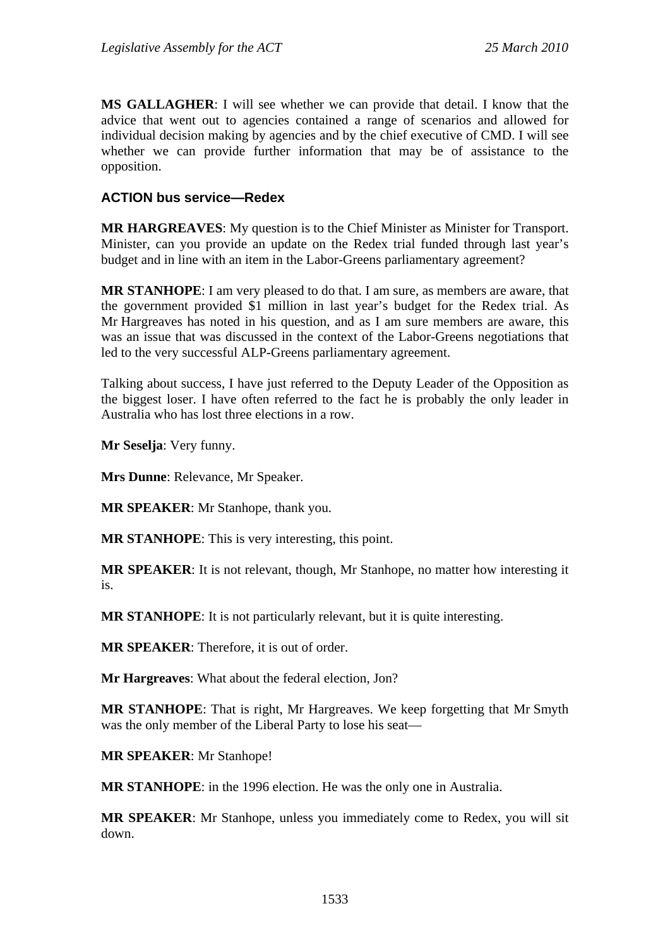**MS GALLAGHER**: I will see whether we can provide that detail. I know that the advice that went out to agencies contained a range of scenarios and allowed for individual decision making by agencies and by the chief executive of CMD. I will see whether we can provide further information that may be of assistance to the opposition.

## **ACTION bus service—Redex**

**MR HARGREAVES**: My question is to the Chief Minister as Minister for Transport. Minister, can you provide an update on the Redex trial funded through last year's budget and in line with an item in the Labor-Greens parliamentary agreement?

**MR STANHOPE**: I am very pleased to do that. I am sure, as members are aware, that the government provided \$1 million in last year's budget for the Redex trial. As Mr Hargreaves has noted in his question, and as I am sure members are aware, this was an issue that was discussed in the context of the Labor-Greens negotiations that led to the very successful ALP-Greens parliamentary agreement.

Talking about success, I have just referred to the Deputy Leader of the Opposition as the biggest loser. I have often referred to the fact he is probably the only leader in Australia who has lost three elections in a row.

**Mr Seselja**: Very funny.

**Mrs Dunne**: Relevance, Mr Speaker.

**MR SPEAKER**: Mr Stanhope, thank you.

**MR STANHOPE**: This is very interesting, this point.

**MR SPEAKER**: It is not relevant, though, Mr Stanhope, no matter how interesting it is.

**MR STANHOPE**: It is not particularly relevant, but it is quite interesting.

**MR SPEAKER**: Therefore, it is out of order.

**Mr Hargreaves**: What about the federal election, Jon?

**MR STANHOPE**: That is right, Mr Hargreaves. We keep forgetting that Mr Smyth was the only member of the Liberal Party to lose his seat—

**MR SPEAKER**: Mr Stanhope!

**MR STANHOPE**: in the 1996 election. He was the only one in Australia.

**MR SPEAKER**: Mr Stanhope, unless you immediately come to Redex, you will sit down.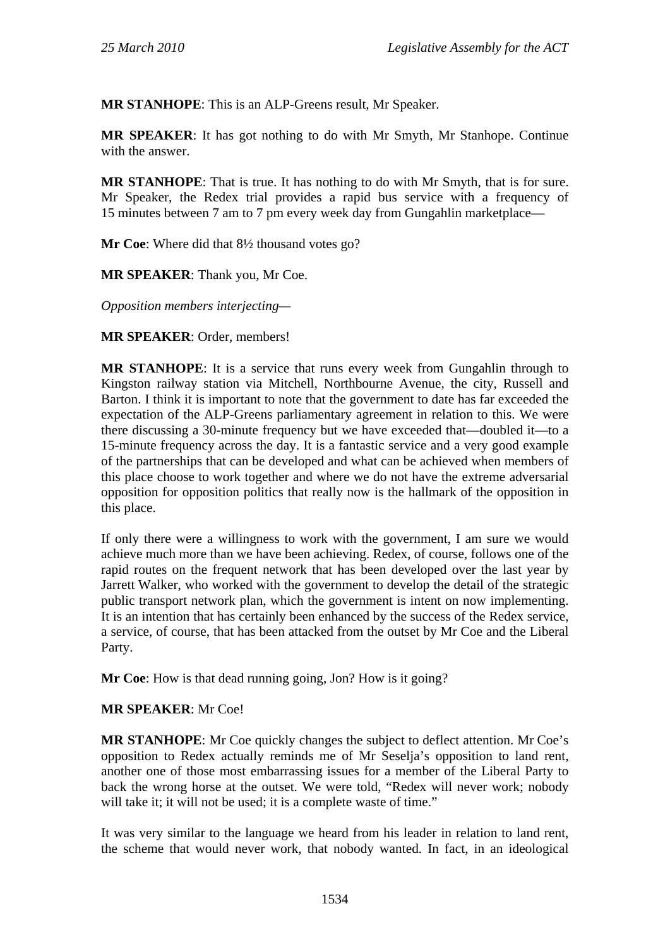**MR STANHOPE**: This is an ALP-Greens result, Mr Speaker.

**MR SPEAKER**: It has got nothing to do with Mr Smyth, Mr Stanhope. Continue with the answer.

**MR STANHOPE**: That is true. It has nothing to do with Mr Smyth, that is for sure. Mr Speaker, the Redex trial provides a rapid bus service with a frequency of 15 minutes between 7 am to 7 pm every week day from Gungahlin marketplace—

**Mr Coe**: Where did that 8½ thousand votes go?

**MR SPEAKER**: Thank you, Mr Coe.

*Opposition members interjecting—* 

**MR SPEAKER**: Order, members!

**MR STANHOPE**: It is a service that runs every week from Gungahlin through to Kingston railway station via Mitchell, Northbourne Avenue, the city, Russell and Barton. I think it is important to note that the government to date has far exceeded the expectation of the ALP-Greens parliamentary agreement in relation to this. We were there discussing a 30-minute frequency but we have exceeded that—doubled it—to a 15-minute frequency across the day. It is a fantastic service and a very good example of the partnerships that can be developed and what can be achieved when members of this place choose to work together and where we do not have the extreme adversarial opposition for opposition politics that really now is the hallmark of the opposition in this place.

If only there were a willingness to work with the government, I am sure we would achieve much more than we have been achieving. Redex, of course, follows one of the rapid routes on the frequent network that has been developed over the last year by Jarrett Walker, who worked with the government to develop the detail of the strategic public transport network plan, which the government is intent on now implementing. It is an intention that has certainly been enhanced by the success of the Redex service, a service, of course, that has been attacked from the outset by Mr Coe and the Liberal Party.

**Mr Coe**: How is that dead running going, Jon? How is it going?

#### **MR SPEAKER**: Mr Coe!

**MR STANHOPE**: Mr Coe quickly changes the subject to deflect attention. Mr Coe's opposition to Redex actually reminds me of Mr Seselja's opposition to land rent, another one of those most embarrassing issues for a member of the Liberal Party to back the wrong horse at the outset. We were told, "Redex will never work; nobody will take it; it will not be used; it is a complete waste of time."

It was very similar to the language we heard from his leader in relation to land rent, the scheme that would never work, that nobody wanted. In fact, in an ideological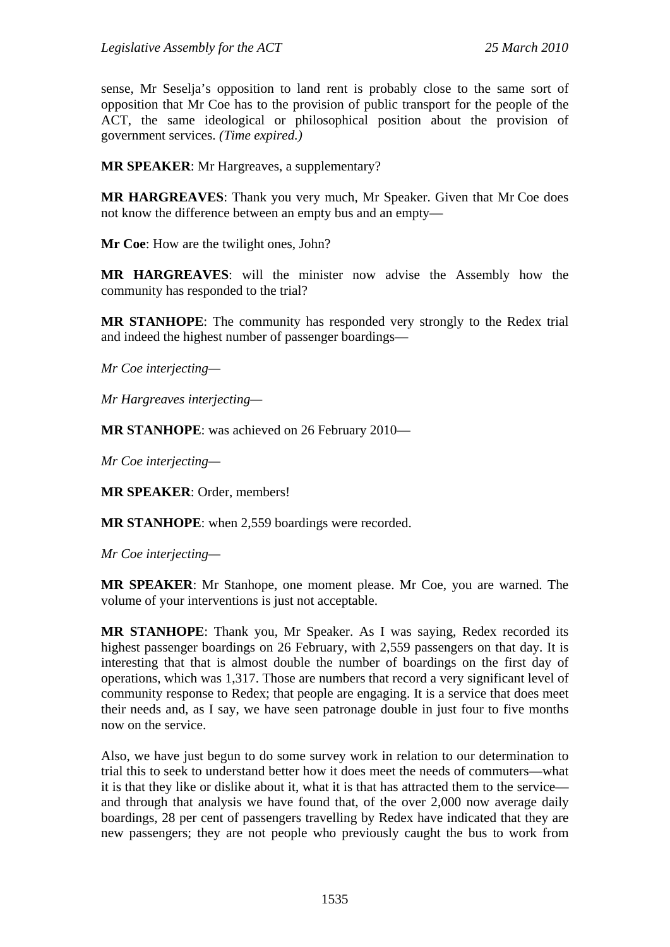sense, Mr Seselja's opposition to land rent is probably close to the same sort of opposition that Mr Coe has to the provision of public transport for the people of the ACT, the same ideological or philosophical position about the provision of government services. *(Time expired.)*

**MR SPEAKER**: Mr Hargreaves, a supplementary?

**MR HARGREAVES**: Thank you very much, Mr Speaker. Given that Mr Coe does not know the difference between an empty bus and an empty—

**Mr Coe**: How are the twilight ones, John?

**MR HARGREAVES**: will the minister now advise the Assembly how the community has responded to the trial?

**MR STANHOPE**: The community has responded very strongly to the Redex trial and indeed the highest number of passenger boardings—

*Mr Coe interjecting—* 

*Mr Hargreaves interjecting—* 

**MR STANHOPE**: was achieved on 26 February 2010—

*Mr Coe interjecting—* 

**MR SPEAKER**: Order, members!

**MR STANHOPE**: when 2,559 boardings were recorded.

*Mr Coe interjecting—* 

**MR SPEAKER**: Mr Stanhope, one moment please. Mr Coe, you are warned. The volume of your interventions is just not acceptable.

**MR STANHOPE**: Thank you, Mr Speaker. As I was saying, Redex recorded its highest passenger boardings on 26 February, with 2,559 passengers on that day. It is interesting that that is almost double the number of boardings on the first day of operations, which was 1,317. Those are numbers that record a very significant level of community response to Redex; that people are engaging. It is a service that does meet their needs and, as I say, we have seen patronage double in just four to five months now on the service.

Also, we have just begun to do some survey work in relation to our determination to trial this to seek to understand better how it does meet the needs of commuters—what it is that they like or dislike about it, what it is that has attracted them to the service and through that analysis we have found that, of the over 2,000 now average daily boardings, 28 per cent of passengers travelling by Redex have indicated that they are new passengers; they are not people who previously caught the bus to work from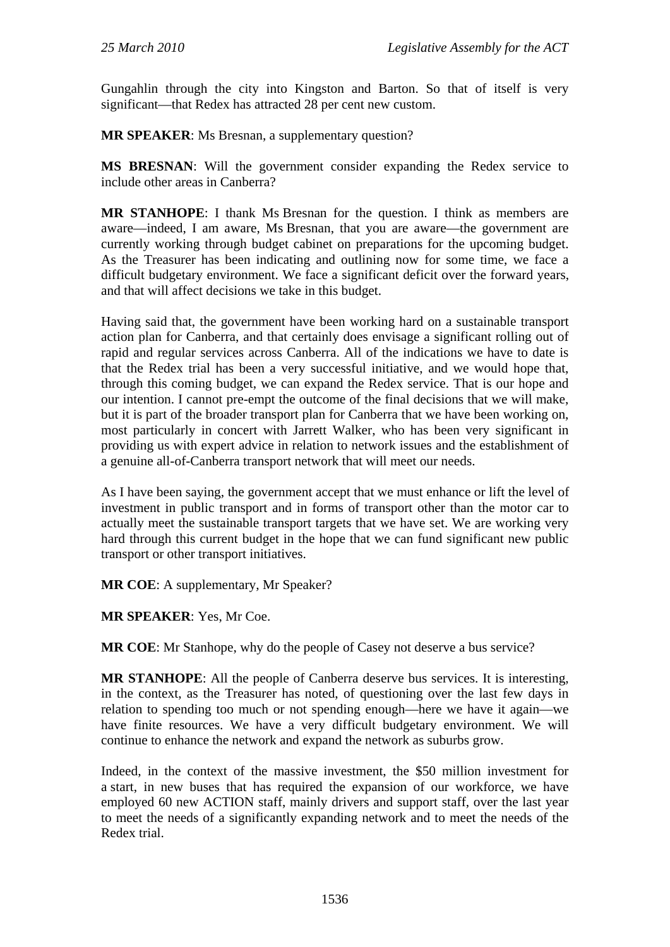Gungahlin through the city into Kingston and Barton. So that of itself is very significant—that Redex has attracted 28 per cent new custom.

**MR SPEAKER**: Ms Bresnan, a supplementary question?

**MS BRESNAN**: Will the government consider expanding the Redex service to include other areas in Canberra?

**MR STANHOPE**: I thank Ms Bresnan for the question. I think as members are aware—indeed, I am aware, Ms Bresnan, that you are aware—the government are currently working through budget cabinet on preparations for the upcoming budget. As the Treasurer has been indicating and outlining now for some time, we face a difficult budgetary environment. We face a significant deficit over the forward years, and that will affect decisions we take in this budget.

Having said that, the government have been working hard on a sustainable transport action plan for Canberra, and that certainly does envisage a significant rolling out of rapid and regular services across Canberra. All of the indications we have to date is that the Redex trial has been a very successful initiative, and we would hope that, through this coming budget, we can expand the Redex service. That is our hope and our intention. I cannot pre-empt the outcome of the final decisions that we will make, but it is part of the broader transport plan for Canberra that we have been working on, most particularly in concert with Jarrett Walker, who has been very significant in providing us with expert advice in relation to network issues and the establishment of a genuine all-of-Canberra transport network that will meet our needs.

As I have been saying, the government accept that we must enhance or lift the level of investment in public transport and in forms of transport other than the motor car to actually meet the sustainable transport targets that we have set. We are working very hard through this current budget in the hope that we can fund significant new public transport or other transport initiatives.

**MR COE**: A supplementary, Mr Speaker?

**MR SPEAKER**: Yes, Mr Coe.

**MR COE**: Mr Stanhope, why do the people of Casey not deserve a bus service?

**MR STANHOPE**: All the people of Canberra deserve bus services. It is interesting, in the context, as the Treasurer has noted, of questioning over the last few days in relation to spending too much or not spending enough—here we have it again—we have finite resources. We have a very difficult budgetary environment. We will continue to enhance the network and expand the network as suburbs grow.

Indeed, in the context of the massive investment, the \$50 million investment for a start, in new buses that has required the expansion of our workforce, we have employed 60 new ACTION staff, mainly drivers and support staff, over the last year to meet the needs of a significantly expanding network and to meet the needs of the Redex trial.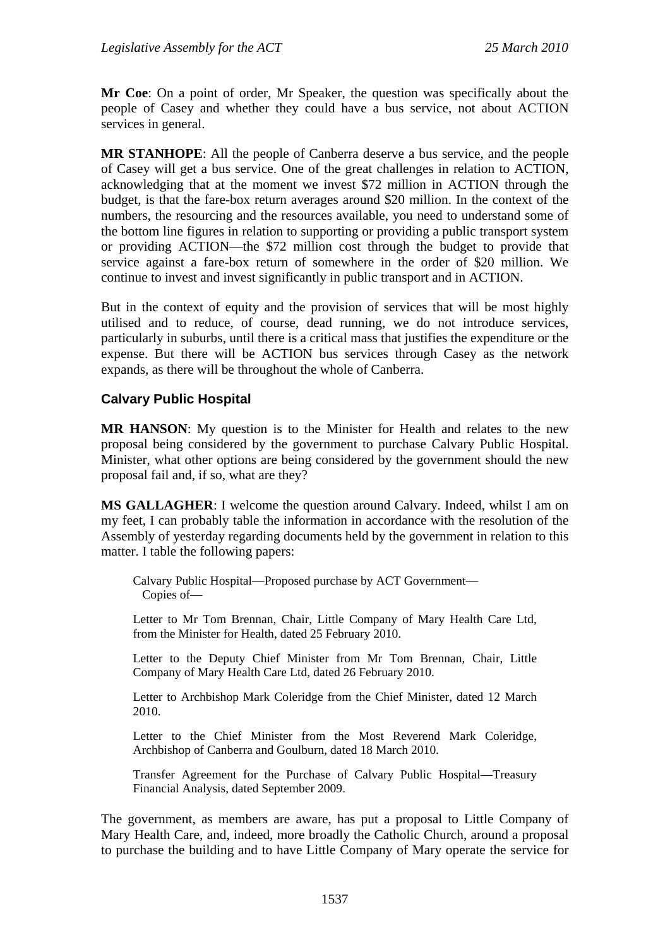**Mr Coe**: On a point of order, Mr Speaker, the question was specifically about the people of Casey and whether they could have a bus service, not about ACTION services in general.

**MR STANHOPE**: All the people of Canberra deserve a bus service, and the people of Casey will get a bus service. One of the great challenges in relation to ACTION, acknowledging that at the moment we invest \$72 million in ACTION through the budget, is that the fare-box return averages around \$20 million. In the context of the numbers, the resourcing and the resources available, you need to understand some of the bottom line figures in relation to supporting or providing a public transport system or providing ACTION—the \$72 million cost through the budget to provide that service against a fare-box return of somewhere in the order of \$20 million. We continue to invest and invest significantly in public transport and in ACTION.

But in the context of equity and the provision of services that will be most highly utilised and to reduce, of course, dead running, we do not introduce services, particularly in suburbs, until there is a critical mass that justifies the expenditure or the expense. But there will be ACTION bus services through Casey as the network expands, as there will be throughout the whole of Canberra.

# **Calvary Public Hospital**

**MR HANSON**: My question is to the Minister for Health and relates to the new proposal being considered by the government to purchase Calvary Public Hospital. Minister, what other options are being considered by the government should the new proposal fail and, if so, what are they?

**MS GALLAGHER**: I welcome the question around Calvary. Indeed, whilst I am on my feet, I can probably table the information in accordance with the resolution of the Assembly of yesterday regarding documents held by the government in relation to this matter. I table the following papers:

Calvary Public Hospital—Proposed purchase by ACT Government— Copies of—

Letter to Mr Tom Brennan, Chair, Little Company of Mary Health Care Ltd, from the Minister for Health, dated 25 February 2010.

Letter to the Deputy Chief Minister from Mr Tom Brennan, Chair, Little Company of Mary Health Care Ltd, dated 26 February 2010.

Letter to Archbishop Mark Coleridge from the Chief Minister, dated 12 March 2010.

Letter to the Chief Minister from the Most Reverend Mark Coleridge, Archbishop of Canberra and Goulburn, dated 18 March 2010.

Transfer Agreement for the Purchase of Calvary Public Hospital—Treasury Financial Analysis, dated September 2009.

The government, as members are aware, has put a proposal to Little Company of Mary Health Care, and, indeed, more broadly the Catholic Church, around a proposal to purchase the building and to have Little Company of Mary operate the service for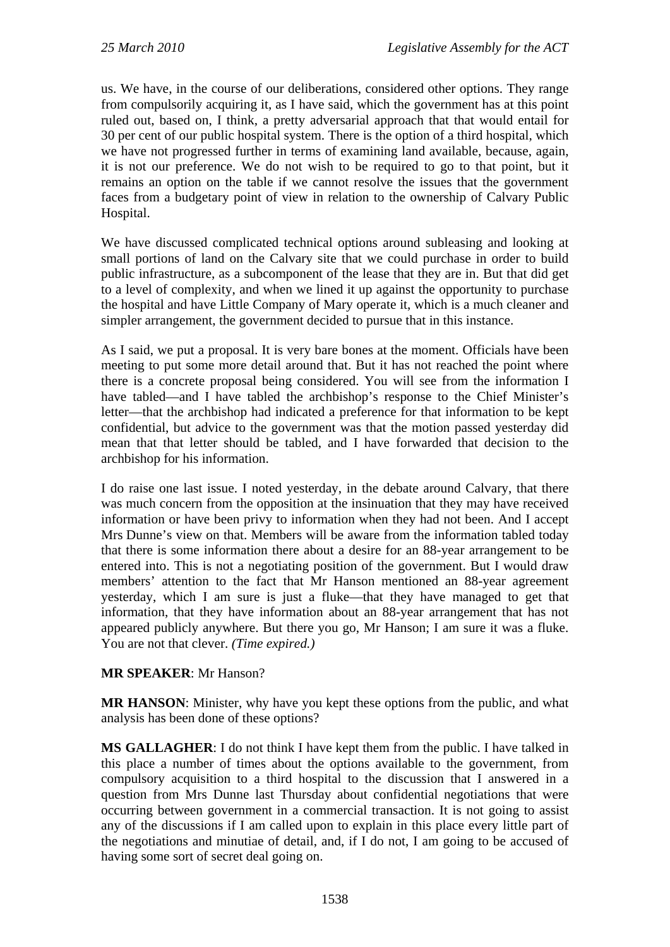us. We have, in the course of our deliberations, considered other options. They range from compulsorily acquiring it, as I have said, which the government has at this point ruled out, based on, I think, a pretty adversarial approach that that would entail for 30 per cent of our public hospital system. There is the option of a third hospital, which we have not progressed further in terms of examining land available, because, again, it is not our preference. We do not wish to be required to go to that point, but it remains an option on the table if we cannot resolve the issues that the government faces from a budgetary point of view in relation to the ownership of Calvary Public Hospital.

We have discussed complicated technical options around subleasing and looking at small portions of land on the Calvary site that we could purchase in order to build public infrastructure, as a subcomponent of the lease that they are in. But that did get to a level of complexity, and when we lined it up against the opportunity to purchase the hospital and have Little Company of Mary operate it, which is a much cleaner and simpler arrangement, the government decided to pursue that in this instance.

As I said, we put a proposal. It is very bare bones at the moment. Officials have been meeting to put some more detail around that. But it has not reached the point where there is a concrete proposal being considered. You will see from the information I have tabled—and I have tabled the archbishop's response to the Chief Minister's letter—that the archbishop had indicated a preference for that information to be kept confidential, but advice to the government was that the motion passed yesterday did mean that that letter should be tabled, and I have forwarded that decision to the archbishop for his information.

I do raise one last issue. I noted yesterday, in the debate around Calvary, that there was much concern from the opposition at the insinuation that they may have received information or have been privy to information when they had not been. And I accept Mrs Dunne's view on that. Members will be aware from the information tabled today that there is some information there about a desire for an 88-year arrangement to be entered into. This is not a negotiating position of the government. But I would draw members' attention to the fact that Mr Hanson mentioned an 88-year agreement yesterday, which I am sure is just a fluke—that they have managed to get that information, that they have information about an 88-year arrangement that has not appeared publicly anywhere. But there you go, Mr Hanson; I am sure it was a fluke. You are not that clever. *(Time expired.)*

## **MR SPEAKER**: Mr Hanson?

**MR HANSON**: Minister, why have you kept these options from the public, and what analysis has been done of these options?

**MS GALLAGHER**: I do not think I have kept them from the public. I have talked in this place a number of times about the options available to the government, from compulsory acquisition to a third hospital to the discussion that I answered in a question from Mrs Dunne last Thursday about confidential negotiations that were occurring between government in a commercial transaction. It is not going to assist any of the discussions if I am called upon to explain in this place every little part of the negotiations and minutiae of detail, and, if I do not, I am going to be accused of having some sort of secret deal going on.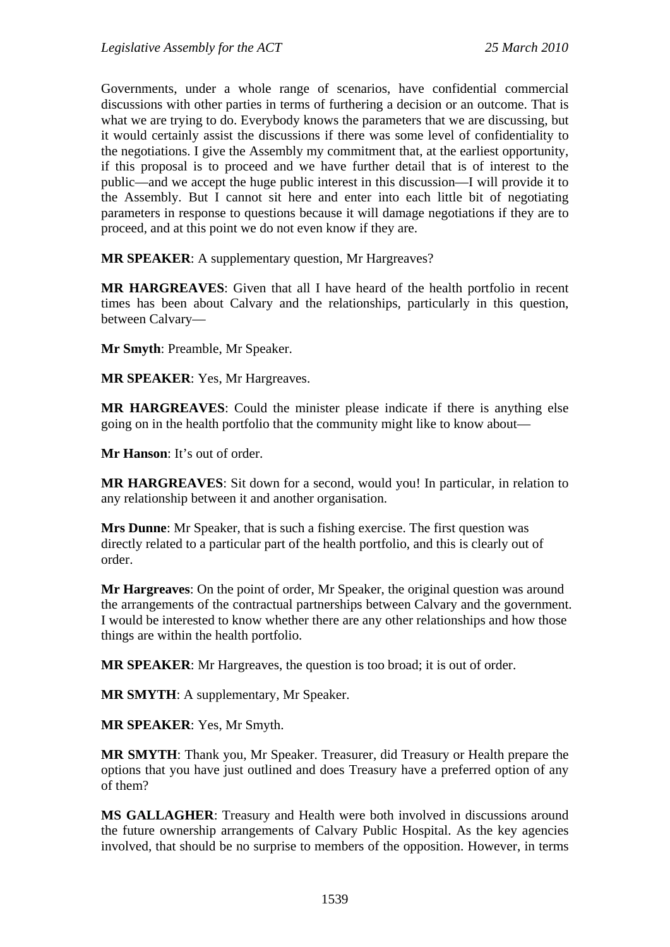Governments, under a whole range of scenarios, have confidential commercial discussions with other parties in terms of furthering a decision or an outcome. That is what we are trying to do. Everybody knows the parameters that we are discussing, but it would certainly assist the discussions if there was some level of confidentiality to the negotiations. I give the Assembly my commitment that, at the earliest opportunity, if this proposal is to proceed and we have further detail that is of interest to the public—and we accept the huge public interest in this discussion—I will provide it to the Assembly. But I cannot sit here and enter into each little bit of negotiating parameters in response to questions because it will damage negotiations if they are to proceed, and at this point we do not even know if they are.

**MR SPEAKER**: A supplementary question, Mr Hargreaves?

**MR HARGREAVES**: Given that all I have heard of the health portfolio in recent times has been about Calvary and the relationships, particularly in this question, between Calvary—

**Mr Smyth**: Preamble, Mr Speaker.

**MR SPEAKER**: Yes, Mr Hargreaves.

**MR HARGREAVES**: Could the minister please indicate if there is anything else going on in the health portfolio that the community might like to know about—

**Mr Hanson**: It's out of order.

**MR HARGREAVES**: Sit down for a second, would you! In particular, in relation to any relationship between it and another organisation.

**Mrs Dunne**: Mr Speaker, that is such a fishing exercise. The first question was directly related to a particular part of the health portfolio, and this is clearly out of order.

**Mr Hargreaves**: On the point of order, Mr Speaker, the original question was around the arrangements of the contractual partnerships between Calvary and the government. I would be interested to know whether there are any other relationships and how those things are within the health portfolio.

**MR SPEAKER**: Mr Hargreaves, the question is too broad; it is out of order.

**MR SMYTH**: A supplementary, Mr Speaker.

**MR SPEAKER**: Yes, Mr Smyth.

**MR SMYTH**: Thank you, Mr Speaker. Treasurer, did Treasury or Health prepare the options that you have just outlined and does Treasury have a preferred option of any of them?

**MS GALLAGHER**: Treasury and Health were both involved in discussions around the future ownership arrangements of Calvary Public Hospital. As the key agencies involved, that should be no surprise to members of the opposition. However, in terms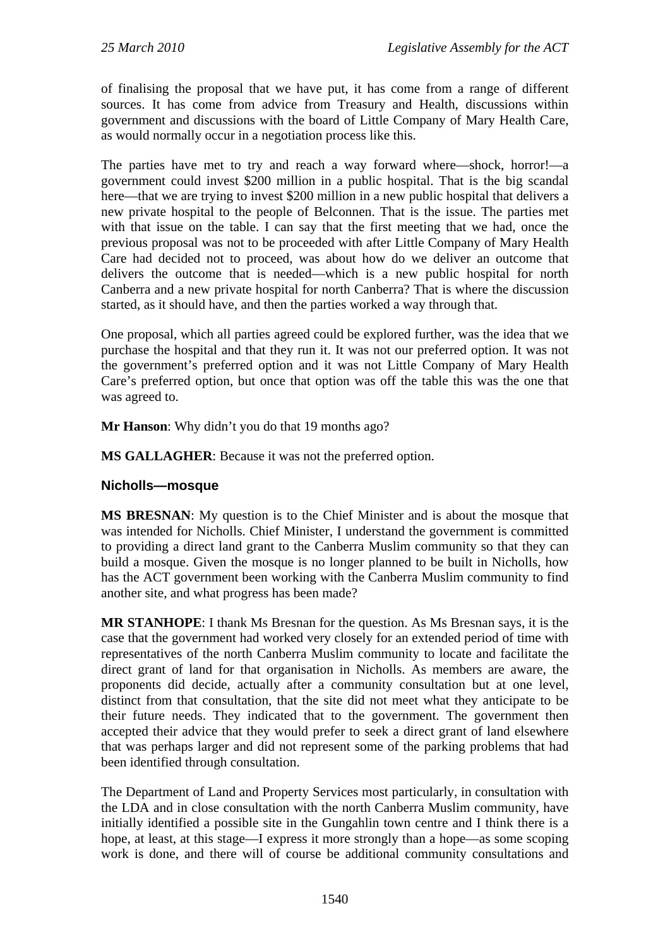of finalising the proposal that we have put, it has come from a range of different sources. It has come from advice from Treasury and Health, discussions within government and discussions with the board of Little Company of Mary Health Care, as would normally occur in a negotiation process like this.

The parties have met to try and reach a way forward where—shock, horror!—a government could invest \$200 million in a public hospital. That is the big scandal here—that we are trying to invest \$200 million in a new public hospital that delivers a new private hospital to the people of Belconnen. That is the issue. The parties met with that issue on the table. I can say that the first meeting that we had, once the previous proposal was not to be proceeded with after Little Company of Mary Health Care had decided not to proceed, was about how do we deliver an outcome that delivers the outcome that is needed—which is a new public hospital for north Canberra and a new private hospital for north Canberra? That is where the discussion started, as it should have, and then the parties worked a way through that.

One proposal, which all parties agreed could be explored further, was the idea that we purchase the hospital and that they run it. It was not our preferred option. It was not the government's preferred option and it was not Little Company of Mary Health Care's preferred option, but once that option was off the table this was the one that was agreed to.

**Mr Hanson**: Why didn't you do that 19 months ago?

**MS GALLAGHER**: Because it was not the preferred option.

# **Nicholls—mosque**

**MS BRESNAN**: My question is to the Chief Minister and is about the mosque that was intended for Nicholls. Chief Minister, I understand the government is committed to providing a direct land grant to the Canberra Muslim community so that they can build a mosque. Given the mosque is no longer planned to be built in Nicholls, how has the ACT government been working with the Canberra Muslim community to find another site, and what progress has been made?

**MR STANHOPE**: I thank Ms Bresnan for the question. As Ms Bresnan says, it is the case that the government had worked very closely for an extended period of time with representatives of the north Canberra Muslim community to locate and facilitate the direct grant of land for that organisation in Nicholls. As members are aware, the proponents did decide, actually after a community consultation but at one level, distinct from that consultation, that the site did not meet what they anticipate to be their future needs. They indicated that to the government. The government then accepted their advice that they would prefer to seek a direct grant of land elsewhere that was perhaps larger and did not represent some of the parking problems that had been identified through consultation.

The Department of Land and Property Services most particularly, in consultation with the LDA and in close consultation with the north Canberra Muslim community, have initially identified a possible site in the Gungahlin town centre and I think there is a hope, at least, at this stage—I express it more strongly than a hope—as some scoping work is done, and there will of course be additional community consultations and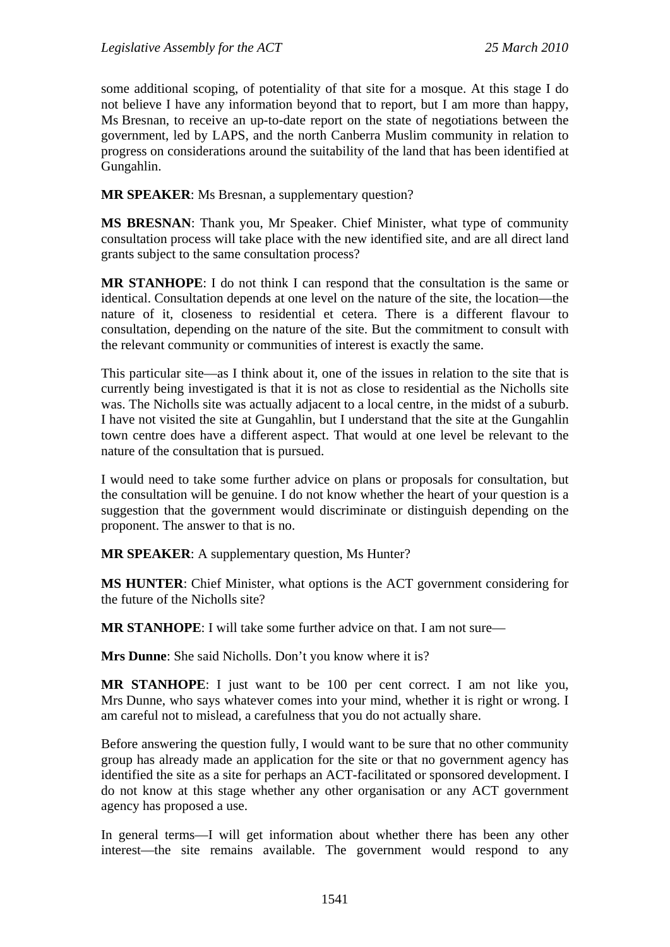some additional scoping, of potentiality of that site for a mosque. At this stage I do not believe I have any information beyond that to report, but I am more than happy, Ms Bresnan, to receive an up-to-date report on the state of negotiations between the government, led by LAPS, and the north Canberra Muslim community in relation to progress on considerations around the suitability of the land that has been identified at Gungahlin.

**MR SPEAKER:** Ms Bresnan, a supplementary question?

**MS BRESNAN**: Thank you, Mr Speaker. Chief Minister, what type of community consultation process will take place with the new identified site, and are all direct land grants subject to the same consultation process?

**MR STANHOPE**: I do not think I can respond that the consultation is the same or identical. Consultation depends at one level on the nature of the site, the location—the nature of it, closeness to residential et cetera. There is a different flavour to consultation, depending on the nature of the site. But the commitment to consult with the relevant community or communities of interest is exactly the same.

This particular site—as I think about it, one of the issues in relation to the site that is currently being investigated is that it is not as close to residential as the Nicholls site was. The Nicholls site was actually adjacent to a local centre, in the midst of a suburb. I have not visited the site at Gungahlin, but I understand that the site at the Gungahlin town centre does have a different aspect. That would at one level be relevant to the nature of the consultation that is pursued.

I would need to take some further advice on plans or proposals for consultation, but the consultation will be genuine. I do not know whether the heart of your question is a suggestion that the government would discriminate or distinguish depending on the proponent. The answer to that is no.

**MR SPEAKER**: A supplementary question, Ms Hunter?

**MS HUNTER**: Chief Minister, what options is the ACT government considering for the future of the Nicholls site?

**MR STANHOPE**: I will take some further advice on that. I am not sure—

**Mrs Dunne**: She said Nicholls. Don't you know where it is?

**MR STANHOPE**: I just want to be 100 per cent correct. I am not like you, Mrs Dunne, who says whatever comes into your mind, whether it is right or wrong. I am careful not to mislead, a carefulness that you do not actually share.

Before answering the question fully, I would want to be sure that no other community group has already made an application for the site or that no government agency has identified the site as a site for perhaps an ACT-facilitated or sponsored development. I do not know at this stage whether any other organisation or any ACT government agency has proposed a use.

In general terms—I will get information about whether there has been any other interest—the site remains available. The government would respond to any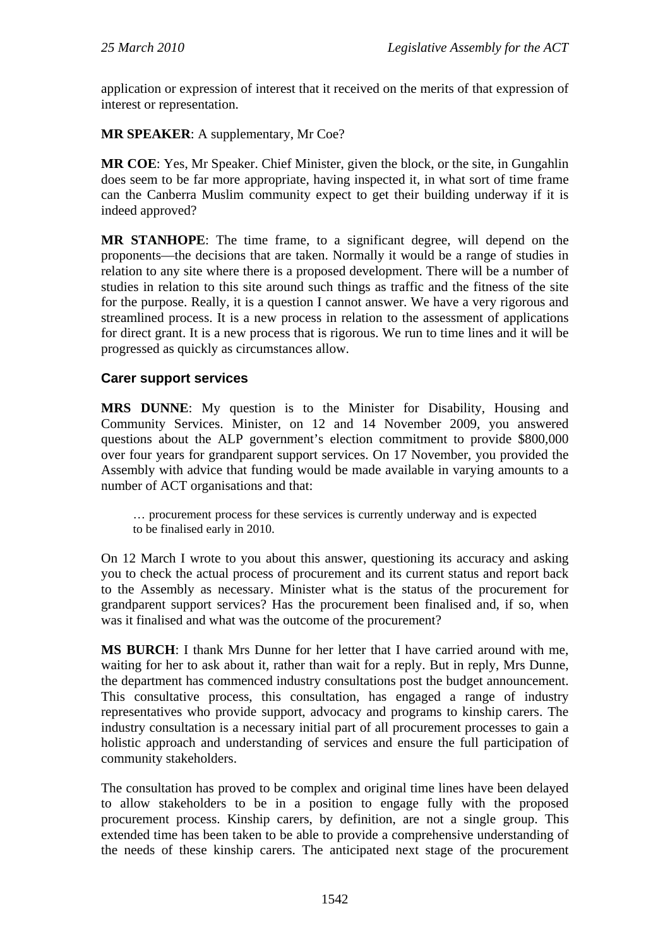application or expression of interest that it received on the merits of that expression of interest or representation.

**MR SPEAKER**: A supplementary, Mr Coe?

**MR COE**: Yes, Mr Speaker. Chief Minister, given the block, or the site, in Gungahlin does seem to be far more appropriate, having inspected it, in what sort of time frame can the Canberra Muslim community expect to get their building underway if it is indeed approved?

**MR STANHOPE**: The time frame, to a significant degree, will depend on the proponents—the decisions that are taken. Normally it would be a range of studies in relation to any site where there is a proposed development. There will be a number of studies in relation to this site around such things as traffic and the fitness of the site for the purpose. Really, it is a question I cannot answer. We have a very rigorous and streamlined process. It is a new process in relation to the assessment of applications for direct grant. It is a new process that is rigorous. We run to time lines and it will be progressed as quickly as circumstances allow.

## **Carer support services**

**MRS DUNNE**: My question is to the Minister for Disability, Housing and Community Services. Minister, on 12 and 14 November 2009, you answered questions about the ALP government's election commitment to provide \$800,000 over four years for grandparent support services. On 17 November, you provided the Assembly with advice that funding would be made available in varying amounts to a number of ACT organisations and that:

… procurement process for these services is currently underway and is expected to be finalised early in 2010.

On 12 March I wrote to you about this answer, questioning its accuracy and asking you to check the actual process of procurement and its current status and report back to the Assembly as necessary. Minister what is the status of the procurement for grandparent support services? Has the procurement been finalised and, if so, when was it finalised and what was the outcome of the procurement?

**MS BURCH**: I thank Mrs Dunne for her letter that I have carried around with me, waiting for her to ask about it, rather than wait for a reply. But in reply, Mrs Dunne, the department has commenced industry consultations post the budget announcement. This consultative process, this consultation, has engaged a range of industry representatives who provide support, advocacy and programs to kinship carers. The industry consultation is a necessary initial part of all procurement processes to gain a holistic approach and understanding of services and ensure the full participation of community stakeholders.

The consultation has proved to be complex and original time lines have been delayed to allow stakeholders to be in a position to engage fully with the proposed procurement process. Kinship carers, by definition, are not a single group. This extended time has been taken to be able to provide a comprehensive understanding of the needs of these kinship carers. The anticipated next stage of the procurement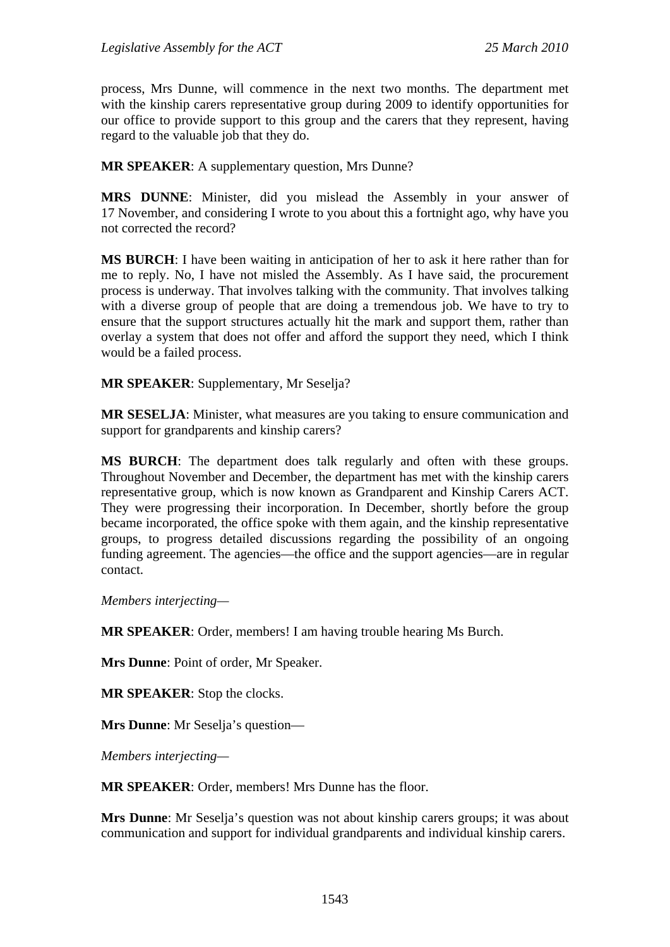process, Mrs Dunne, will commence in the next two months. The department met with the kinship carers representative group during 2009 to identify opportunities for our office to provide support to this group and the carers that they represent, having regard to the valuable job that they do.

**MR SPEAKER**: A supplementary question, Mrs Dunne?

**MRS DUNNE**: Minister, did you mislead the Assembly in your answer of 17 November, and considering I wrote to you about this a fortnight ago, why have you not corrected the record?

**MS BURCH**: I have been waiting in anticipation of her to ask it here rather than for me to reply. No, I have not misled the Assembly. As I have said, the procurement process is underway. That involves talking with the community. That involves talking with a diverse group of people that are doing a tremendous job. We have to try to ensure that the support structures actually hit the mark and support them, rather than overlay a system that does not offer and afford the support they need, which I think would be a failed process.

**MR SPEAKER**: Supplementary, Mr Seselja?

**MR SESELJA**: Minister, what measures are you taking to ensure communication and support for grandparents and kinship carers?

**MS BURCH**: The department does talk regularly and often with these groups. Throughout November and December, the department has met with the kinship carers representative group, which is now known as Grandparent and Kinship Carers ACT. They were progressing their incorporation. In December, shortly before the group became incorporated, the office spoke with them again, and the kinship representative groups, to progress detailed discussions regarding the possibility of an ongoing funding agreement. The agencies—the office and the support agencies—are in regular contact.

*Members interjecting—* 

**MR SPEAKER**: Order, members! I am having trouble hearing Ms Burch.

**Mrs Dunne**: Point of order, Mr Speaker.

**MR SPEAKER**: Stop the clocks.

**Mrs Dunne**: Mr Seselja's question—

*Members interjecting—* 

**MR SPEAKER**: Order, members! Mrs Dunne has the floor.

**Mrs Dunne**: Mr Seselja's question was not about kinship carers groups; it was about communication and support for individual grandparents and individual kinship carers.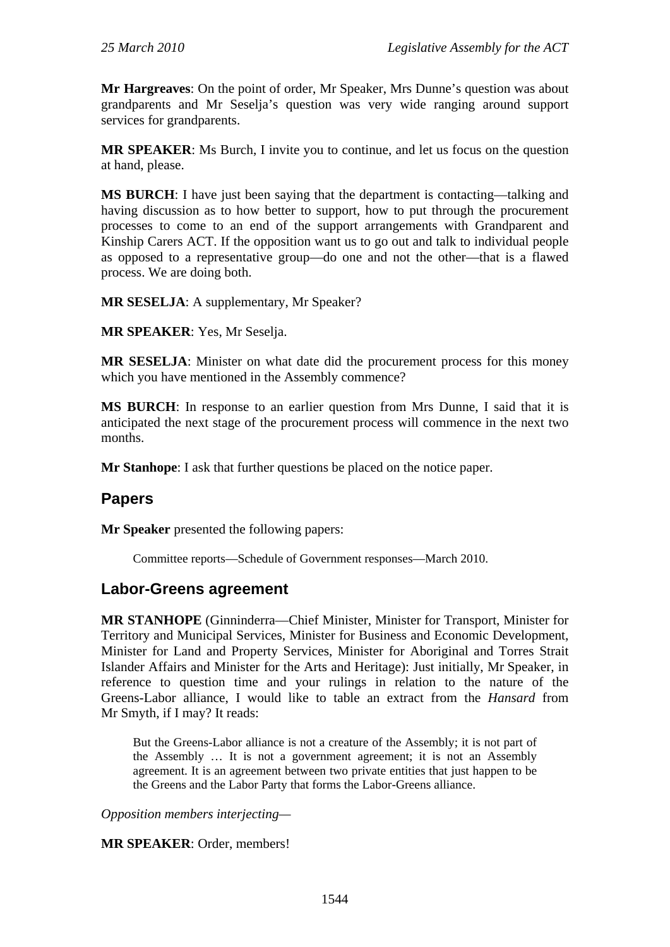**Mr Hargreaves**: On the point of order, Mr Speaker, Mrs Dunne's question was about grandparents and Mr Seselja's question was very wide ranging around support services for grandparents.

**MR SPEAKER**: Ms Burch, I invite you to continue, and let us focus on the question at hand, please.

**MS BURCH**: I have just been saying that the department is contacting—talking and having discussion as to how better to support, how to put through the procurement processes to come to an end of the support arrangements with Grandparent and Kinship Carers ACT. If the opposition want us to go out and talk to individual people as opposed to a representative group—do one and not the other—that is a flawed process. We are doing both.

**MR SESELJA**: A supplementary, Mr Speaker?

**MR SPEAKER**: Yes, Mr Seselja.

**MR SESELJA**: Minister on what date did the procurement process for this money which you have mentioned in the Assembly commence?

**MS BURCH**: In response to an earlier question from Mrs Dunne, I said that it is anticipated the next stage of the procurement process will commence in the next two months.

**Mr Stanhope**: I ask that further questions be placed on the notice paper.

# **Papers**

**Mr Speaker** presented the following papers:

Committee reports—Schedule of Government responses—March 2010.

## **Labor-Greens agreement**

**MR STANHOPE** (Ginninderra—Chief Minister, Minister for Transport, Minister for Territory and Municipal Services, Minister for Business and Economic Development, Minister for Land and Property Services, Minister for Aboriginal and Torres Strait Islander Affairs and Minister for the Arts and Heritage): Just initially, Mr Speaker, in reference to question time and your rulings in relation to the nature of the Greens-Labor alliance, I would like to table an extract from the *Hansard* from Mr Smyth, if I may? It reads:

But the Greens-Labor alliance is not a creature of the Assembly; it is not part of the Assembly … It is not a government agreement; it is not an Assembly agreement. It is an agreement between two private entities that just happen to be the Greens and the Labor Party that forms the Labor-Greens alliance.

*Opposition members interjecting—* 

**MR SPEAKER**: Order, members!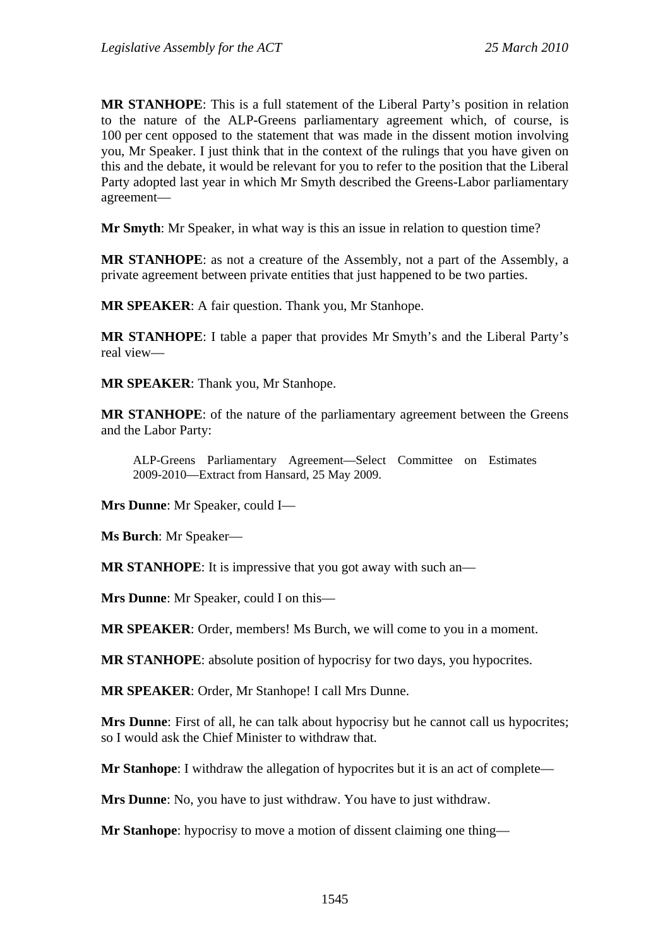**MR STANHOPE**: This is a full statement of the Liberal Party's position in relation to the nature of the ALP-Greens parliamentary agreement which, of course, is 100 per cent opposed to the statement that was made in the dissent motion involving you, Mr Speaker. I just think that in the context of the rulings that you have given on this and the debate, it would be relevant for you to refer to the position that the Liberal Party adopted last year in which Mr Smyth described the Greens-Labor parliamentary agreement—

**Mr Smyth**: Mr Speaker, in what way is this an issue in relation to question time?

**MR STANHOPE**: as not a creature of the Assembly, not a part of the Assembly, a private agreement between private entities that just happened to be two parties.

**MR SPEAKER**: A fair question. Thank you, Mr Stanhope.

**MR STANHOPE**: I table a paper that provides Mr Smyth's and the Liberal Party's real view—

**MR SPEAKER**: Thank you, Mr Stanhope.

**MR STANHOPE**: of the nature of the parliamentary agreement between the Greens and the Labor Party:

ALP-Greens Parliamentary Agreement—Select Committee on Estimates 2009-2010—Extract from Hansard, 25 May 2009.

**Mrs Dunne**: Mr Speaker, could I—

**Ms Burch**: Mr Speaker—

**MR STANHOPE:** It is impressive that you got away with such an—

**Mrs Dunne**: Mr Speaker, could I on this—

**MR SPEAKER**: Order, members! Ms Burch, we will come to you in a moment.

**MR STANHOPE**: absolute position of hypocrisy for two days, you hypocrites.

**MR SPEAKER**: Order, Mr Stanhope! I call Mrs Dunne.

**Mrs Dunne**: First of all, he can talk about hypocrisy but he cannot call us hypocrites; so I would ask the Chief Minister to withdraw that.

**Mr Stanhope:** I withdraw the allegation of hypocrites but it is an act of complete—

**Mrs Dunne**: No, you have to just withdraw. You have to just withdraw.

**Mr Stanhope**: hypocrisy to move a motion of dissent claiming one thing—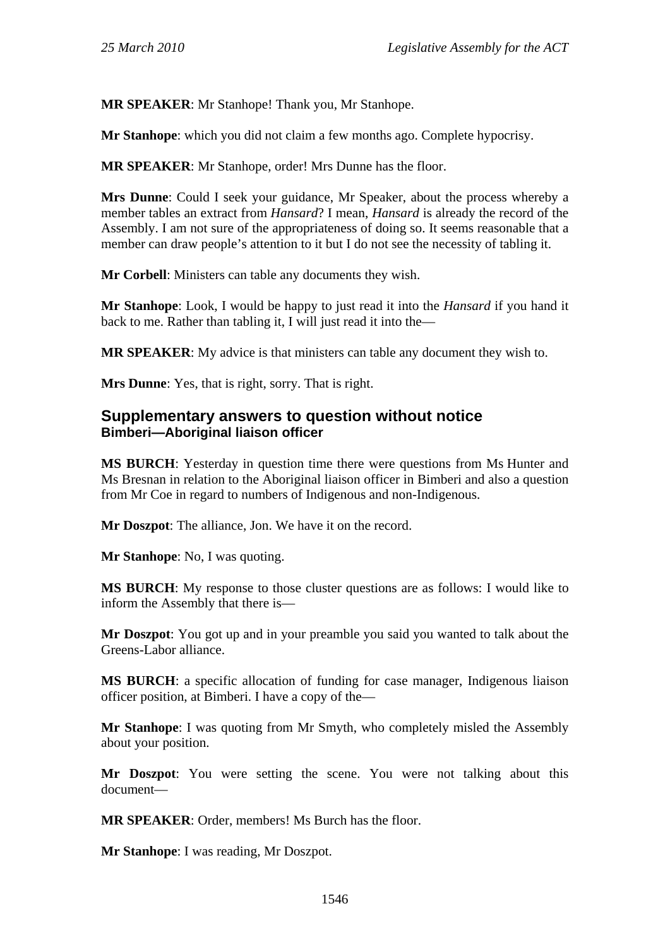**MR SPEAKER**: Mr Stanhope! Thank you, Mr Stanhope.

**Mr Stanhope**: which you did not claim a few months ago. Complete hypocrisy.

**MR SPEAKER**: Mr Stanhope, order! Mrs Dunne has the floor.

**Mrs Dunne**: Could I seek your guidance, Mr Speaker, about the process whereby a member tables an extract from *Hansard*? I mean, *Hansard* is already the record of the Assembly. I am not sure of the appropriateness of doing so. It seems reasonable that a member can draw people's attention to it but I do not see the necessity of tabling it.

**Mr Corbell**: Ministers can table any documents they wish.

**Mr Stanhope**: Look, I would be happy to just read it into the *Hansard* if you hand it back to me. Rather than tabling it, I will just read it into the—

**MR SPEAKER**: My advice is that ministers can table any document they wish to.

**Mrs Dunne**: Yes, that is right, sorry. That is right.

# **Supplementary answers to question without notice Bimberi—Aboriginal liaison officer**

**MS BURCH**: Yesterday in question time there were questions from Ms Hunter and Ms Bresnan in relation to the Aboriginal liaison officer in Bimberi and also a question from Mr Coe in regard to numbers of Indigenous and non-Indigenous.

**Mr Doszpot**: The alliance, Jon. We have it on the record.

**Mr Stanhope**: No, I was quoting.

**MS BURCH**: My response to those cluster questions are as follows: I would like to inform the Assembly that there is—

**Mr Doszpot**: You got up and in your preamble you said you wanted to talk about the Greens-Labor alliance.

**MS BURCH**: a specific allocation of funding for case manager, Indigenous liaison officer position, at Bimberi. I have a copy of the—

**Mr Stanhope**: I was quoting from Mr Smyth, who completely misled the Assembly about your position.

**Mr Doszpot**: You were setting the scene. You were not talking about this document—

**MR SPEAKER**: Order, members! Ms Burch has the floor.

**Mr Stanhope**: I was reading, Mr Doszpot.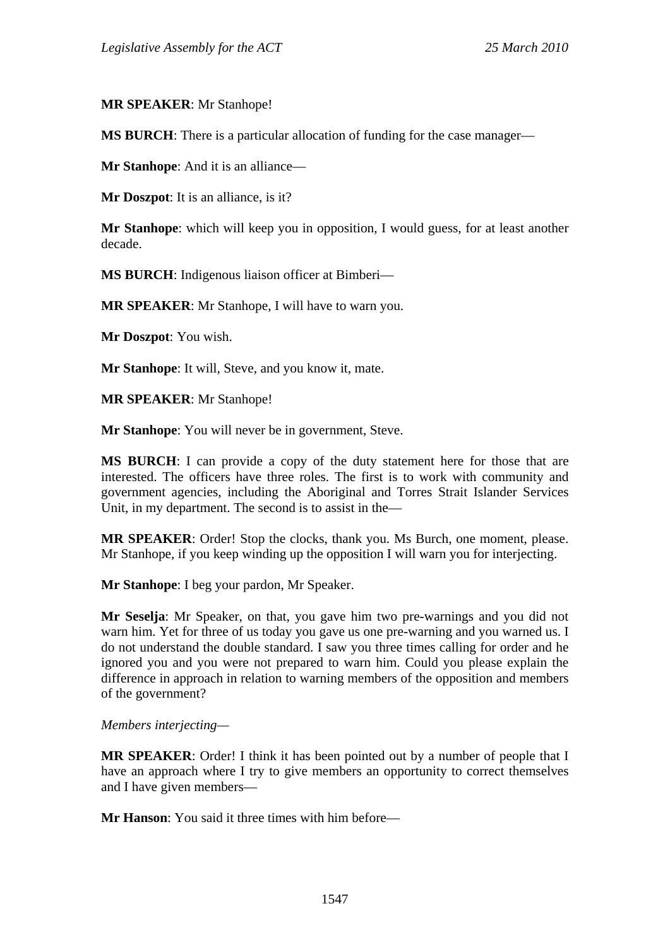### **MR SPEAKER**: Mr Stanhope!

**MS BURCH**: There is a particular allocation of funding for the case manager—

**Mr Stanhope**: And it is an alliance—

**Mr Doszpot**: It is an alliance, is it?

**Mr Stanhope**: which will keep you in opposition, I would guess, for at least another decade.

**MS BURCH**: Indigenous liaison officer at Bimberi—

**MR SPEAKER**: Mr Stanhope, I will have to warn you.

**Mr Doszpot**: You wish.

**Mr Stanhope**: It will, Steve, and you know it, mate.

**MR SPEAKER**: Mr Stanhope!

**Mr Stanhope**: You will never be in government, Steve.

**MS BURCH**: I can provide a copy of the duty statement here for those that are interested. The officers have three roles. The first is to work with community and government agencies, including the Aboriginal and Torres Strait Islander Services Unit, in my department. The second is to assist in the—

**MR SPEAKER:** Order! Stop the clocks, thank you. Ms Burch, one moment, please. Mr Stanhope, if you keep winding up the opposition I will warn you for interjecting.

**Mr Stanhope**: I beg your pardon, Mr Speaker.

**Mr Seselja**: Mr Speaker, on that, you gave him two pre-warnings and you did not warn him. Yet for three of us today you gave us one pre-warning and you warned us. I do not understand the double standard. I saw you three times calling for order and he ignored you and you were not prepared to warn him. Could you please explain the difference in approach in relation to warning members of the opposition and members of the government?

#### *Members interjecting—*

**MR SPEAKER:** Order! I think it has been pointed out by a number of people that I have an approach where I try to give members an opportunity to correct themselves and I have given members—

**Mr Hanson**: You said it three times with him before—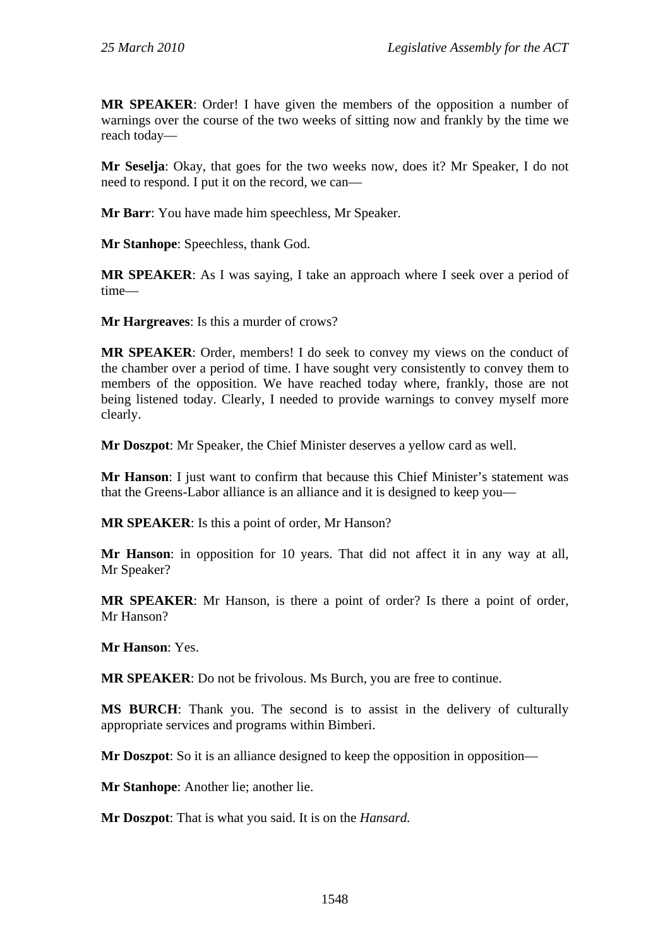**MR SPEAKER**: Order! I have given the members of the opposition a number of warnings over the course of the two weeks of sitting now and frankly by the time we reach today—

**Mr Seselja**: Okay, that goes for the two weeks now, does it? Mr Speaker, I do not need to respond. I put it on the record, we can—

**Mr Barr**: You have made him speechless, Mr Speaker.

**Mr Stanhope**: Speechless, thank God.

**MR SPEAKER**: As I was saying, I take an approach where I seek over a period of time—

**Mr Hargreaves**: Is this a murder of crows?

**MR SPEAKER**: Order, members! I do seek to convey my views on the conduct of the chamber over a period of time. I have sought very consistently to convey them to members of the opposition. We have reached today where, frankly, those are not being listened today. Clearly, I needed to provide warnings to convey myself more clearly.

**Mr Doszpot**: Mr Speaker, the Chief Minister deserves a yellow card as well.

**Mr Hanson**: I just want to confirm that because this Chief Minister's statement was that the Greens-Labor alliance is an alliance and it is designed to keep you—

**MR SPEAKER**: Is this a point of order, Mr Hanson?

**Mr Hanson**: in opposition for 10 years. That did not affect it in any way at all, Mr Speaker?

**MR SPEAKER**: Mr Hanson, is there a point of order? Is there a point of order, Mr Hanson?

**Mr Hanson**: Yes.

**MR SPEAKER**: Do not be frivolous. Ms Burch, you are free to continue.

**MS BURCH**: Thank you. The second is to assist in the delivery of culturally appropriate services and programs within Bimberi.

**Mr Doszpot**: So it is an alliance designed to keep the opposition in opposition—

**Mr Stanhope**: Another lie; another lie.

**Mr Doszpot**: That is what you said. It is on the *Hansard.*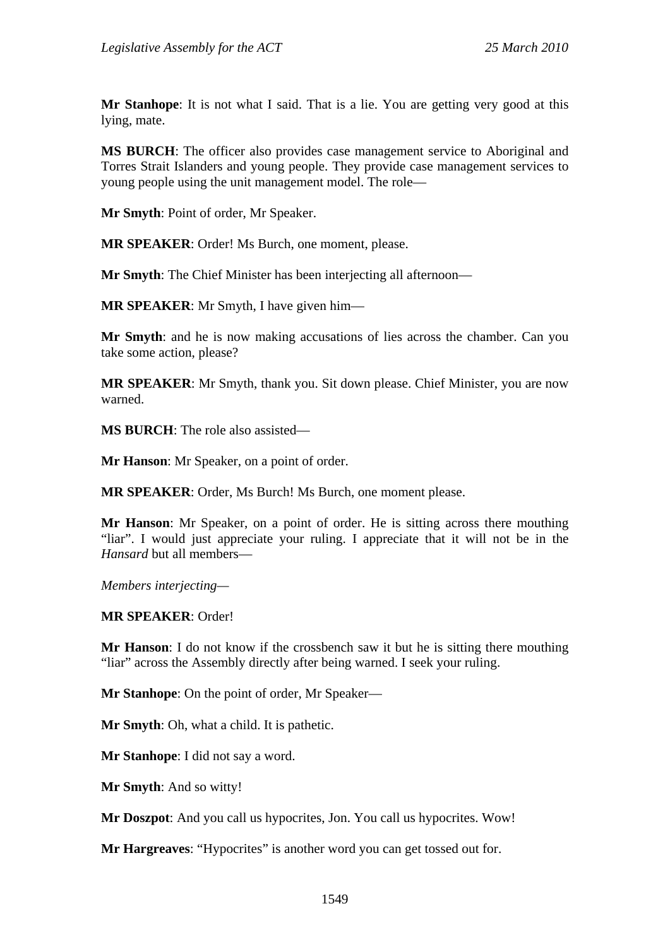**Mr Stanhope**: It is not what I said. That is a lie. You are getting very good at this lying, mate.

**MS BURCH**: The officer also provides case management service to Aboriginal and Torres Strait Islanders and young people. They provide case management services to young people using the unit management model. The role—

**Mr Smyth**: Point of order, Mr Speaker.

**MR SPEAKER**: Order! Ms Burch, one moment, please.

**Mr Smyth**: The Chief Minister has been interjecting all afternoon—

**MR SPEAKER**: Mr Smyth, I have given him—

**Mr Smyth**: and he is now making accusations of lies across the chamber. Can you take some action, please?

**MR SPEAKER**: Mr Smyth, thank you. Sit down please. Chief Minister, you are now warned.

**MS BURCH**: The role also assisted—

**Mr Hanson**: Mr Speaker, on a point of order.

**MR SPEAKER:** Order, Ms Burch! Ms Burch, one moment please.

**Mr Hanson**: Mr Speaker, on a point of order. He is sitting across there mouthing "liar". I would just appreciate your ruling. I appreciate that it will not be in the *Hansard* but all members—

*Members interjecting—* 

**MR SPEAKER**: Order!

**Mr Hanson**: I do not know if the crossbench saw it but he is sitting there mouthing "liar" across the Assembly directly after being warned. I seek your ruling.

**Mr Stanhope**: On the point of order, Mr Speaker—

**Mr Smyth**: Oh, what a child. It is pathetic.

**Mr Stanhope**: I did not say a word.

**Mr Smyth**: And so witty!

**Mr Doszpot**: And you call us hypocrites, Jon. You call us hypocrites. Wow!

**Mr Hargreaves**: "Hypocrites" is another word you can get tossed out for.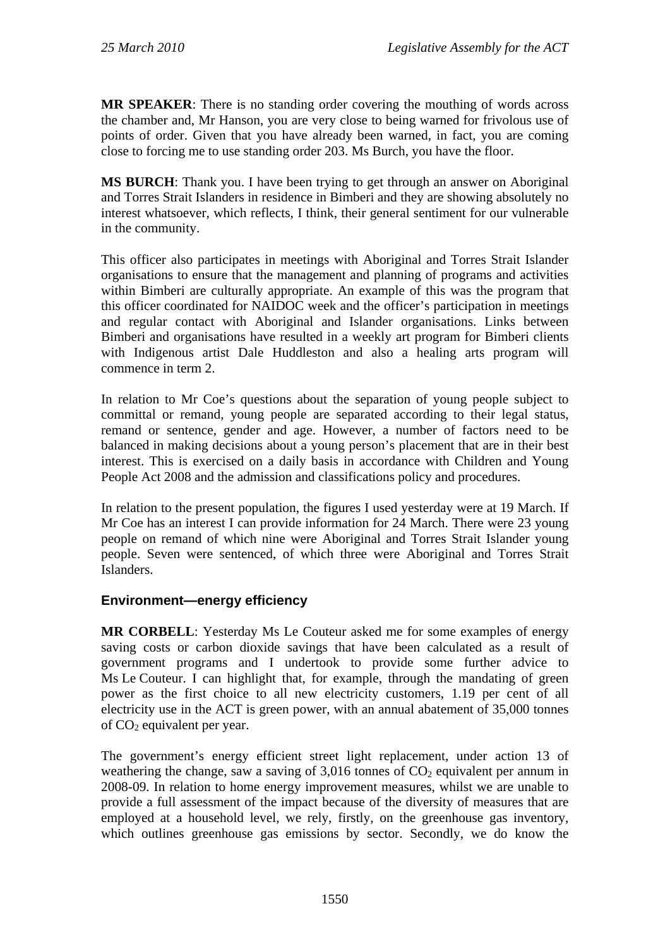**MR SPEAKER**: There is no standing order covering the mouthing of words across the chamber and, Mr Hanson, you are very close to being warned for frivolous use of points of order. Given that you have already been warned, in fact, you are coming close to forcing me to use standing order 203. Ms Burch, you have the floor.

**MS BURCH**: Thank you. I have been trying to get through an answer on Aboriginal and Torres Strait Islanders in residence in Bimberi and they are showing absolutely no interest whatsoever, which reflects, I think, their general sentiment for our vulnerable in the community.

This officer also participates in meetings with Aboriginal and Torres Strait Islander organisations to ensure that the management and planning of programs and activities within Bimberi are culturally appropriate. An example of this was the program that this officer coordinated for NAIDOC week and the officer's participation in meetings and regular contact with Aboriginal and Islander organisations. Links between Bimberi and organisations have resulted in a weekly art program for Bimberi clients with Indigenous artist Dale Huddleston and also a healing arts program will commence in term 2.

In relation to Mr Coe's questions about the separation of young people subject to committal or remand, young people are separated according to their legal status, remand or sentence, gender and age. However, a number of factors need to be balanced in making decisions about a young person's placement that are in their best interest. This is exercised on a daily basis in accordance with Children and Young People Act 2008 and the admission and classifications policy and procedures.

In relation to the present population, the figures I used yesterday were at 19 March. If Mr Coe has an interest I can provide information for 24 March. There were 23 young people on remand of which nine were Aboriginal and Torres Strait Islander young people. Seven were sentenced, of which three were Aboriginal and Torres Strait Islanders.

#### **Environment—energy efficiency**

**MR CORBELL**: Yesterday Ms Le Couteur asked me for some examples of energy saving costs or carbon dioxide savings that have been calculated as a result of government programs and I undertook to provide some further advice to Ms Le Couteur. I can highlight that, for example, through the mandating of green power as the first choice to all new electricity customers, 1.19 per cent of all electricity use in the ACT is green power, with an annual abatement of 35,000 tonnes of  $CO<sub>2</sub>$  equivalent per year.

The government's energy efficient street light replacement, under action 13 of weathering the change, saw a saving of  $3,016$  tonnes of  $CO<sub>2</sub>$  equivalent per annum in 2008-09. In relation to home energy improvement measures, whilst we are unable to provide a full assessment of the impact because of the diversity of measures that are employed at a household level, we rely, firstly, on the greenhouse gas inventory, which outlines greenhouse gas emissions by sector. Secondly, we do know the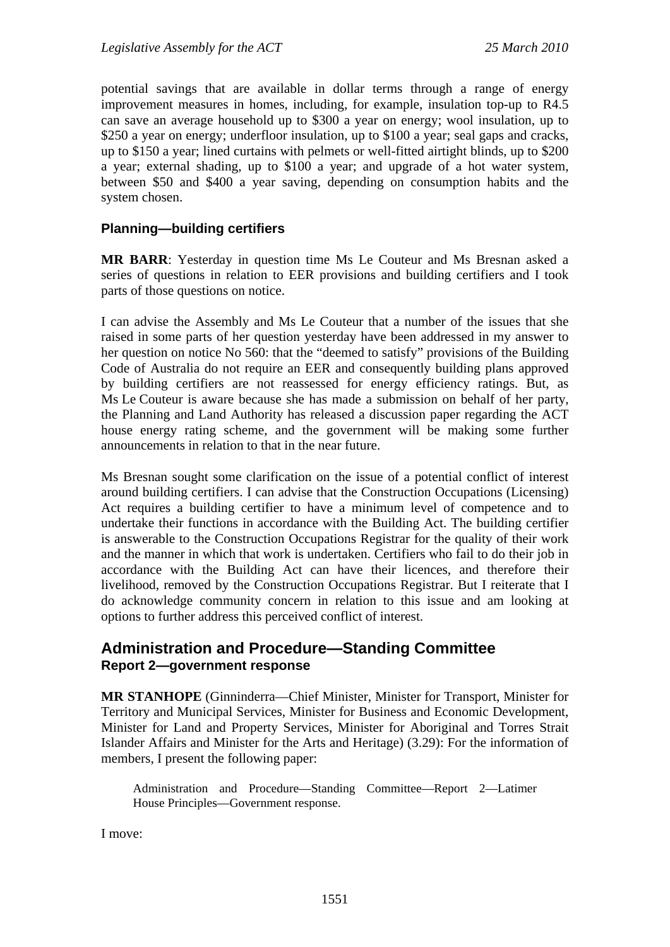potential savings that are available in dollar terms through a range of energy improvement measures in homes, including, for example, insulation top-up to R4.5 can save an average household up to \$300 a year on energy; wool insulation, up to \$250 a year on energy; underfloor insulation, up to \$100 a year; seal gaps and cracks, up to \$150 a year; lined curtains with pelmets or well-fitted airtight blinds, up to \$200 a year; external shading, up to \$100 a year; and upgrade of a hot water system, between \$50 and \$400 a year saving, depending on consumption habits and the system chosen.

#### **Planning—building certifiers**

**MR BARR**: Yesterday in question time Ms Le Couteur and Ms Bresnan asked a series of questions in relation to EER provisions and building certifiers and I took parts of those questions on notice.

I can advise the Assembly and Ms Le Couteur that a number of the issues that she raised in some parts of her question yesterday have been addressed in my answer to her question on notice No 560: that the "deemed to satisfy" provisions of the Building Code of Australia do not require an EER and consequently building plans approved by building certifiers are not reassessed for energy efficiency ratings. But, as Ms Le Couteur is aware because she has made a submission on behalf of her party, the Planning and Land Authority has released a discussion paper regarding the ACT house energy rating scheme, and the government will be making some further announcements in relation to that in the near future.

Ms Bresnan sought some clarification on the issue of a potential conflict of interest around building certifiers. I can advise that the Construction Occupations (Licensing) Act requires a building certifier to have a minimum level of competence and to undertake their functions in accordance with the Building Act. The building certifier is answerable to the Construction Occupations Registrar for the quality of their work and the manner in which that work is undertaken. Certifiers who fail to do their job in accordance with the Building Act can have their licences, and therefore their livelihood, removed by the Construction Occupations Registrar. But I reiterate that I do acknowledge community concern in relation to this issue and am looking at options to further address this perceived conflict of interest.

### **Administration and Procedure—Standing Committee Report 2—government response**

**MR STANHOPE** (Ginninderra—Chief Minister, Minister for Transport, Minister for Territory and Municipal Services, Minister for Business and Economic Development, Minister for Land and Property Services, Minister for Aboriginal and Torres Strait Islander Affairs and Minister for the Arts and Heritage) (3.29): For the information of members, I present the following paper:

Administration and Procedure—Standing Committee—Report 2—Latimer House Principles—Government response.

I move: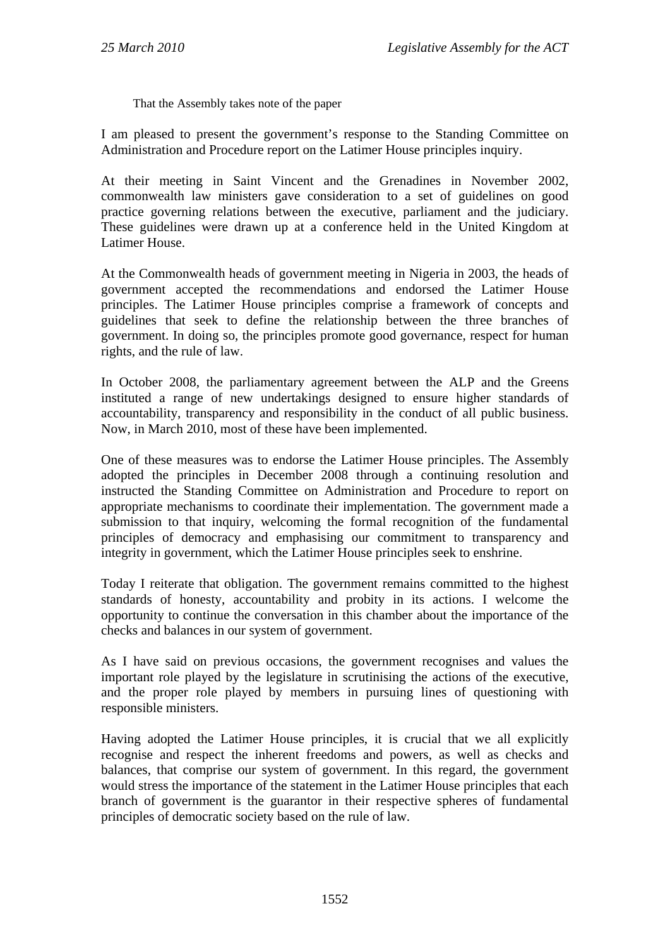That the Assembly takes note of the paper

I am pleased to present the government's response to the Standing Committee on Administration and Procedure report on the Latimer House principles inquiry.

At their meeting in Saint Vincent and the Grenadines in November 2002, commonwealth law ministers gave consideration to a set of guidelines on good practice governing relations between the executive, parliament and the judiciary. These guidelines were drawn up at a conference held in the United Kingdom at Latimer House.

At the Commonwealth heads of government meeting in Nigeria in 2003, the heads of government accepted the recommendations and endorsed the Latimer House principles. The Latimer House principles comprise a framework of concepts and guidelines that seek to define the relationship between the three branches of government. In doing so, the principles promote good governance, respect for human rights, and the rule of law.

In October 2008, the parliamentary agreement between the ALP and the Greens instituted a range of new undertakings designed to ensure higher standards of accountability, transparency and responsibility in the conduct of all public business. Now, in March 2010, most of these have been implemented.

One of these measures was to endorse the Latimer House principles. The Assembly adopted the principles in December 2008 through a continuing resolution and instructed the Standing Committee on Administration and Procedure to report on appropriate mechanisms to coordinate their implementation. The government made a submission to that inquiry, welcoming the formal recognition of the fundamental principles of democracy and emphasising our commitment to transparency and integrity in government, which the Latimer House principles seek to enshrine.

Today I reiterate that obligation. The government remains committed to the highest standards of honesty, accountability and probity in its actions. I welcome the opportunity to continue the conversation in this chamber about the importance of the checks and balances in our system of government.

As I have said on previous occasions, the government recognises and values the important role played by the legislature in scrutinising the actions of the executive, and the proper role played by members in pursuing lines of questioning with responsible ministers.

Having adopted the Latimer House principles, it is crucial that we all explicitly recognise and respect the inherent freedoms and powers, as well as checks and balances, that comprise our system of government. In this regard, the government would stress the importance of the statement in the Latimer House principles that each branch of government is the guarantor in their respective spheres of fundamental principles of democratic society based on the rule of law.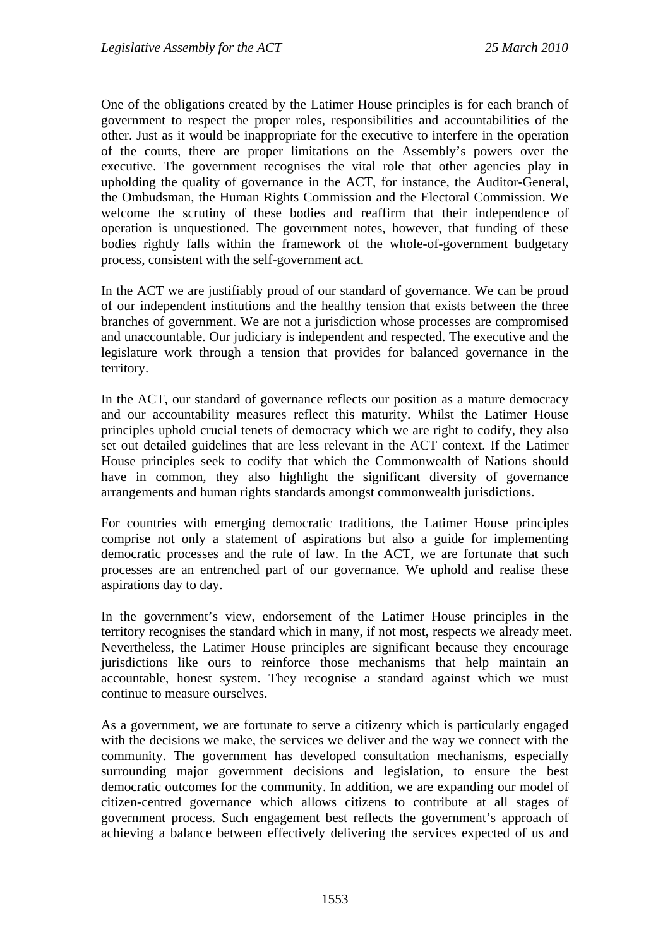One of the obligations created by the Latimer House principles is for each branch of government to respect the proper roles, responsibilities and accountabilities of the other. Just as it would be inappropriate for the executive to interfere in the operation of the courts, there are proper limitations on the Assembly's powers over the executive. The government recognises the vital role that other agencies play in upholding the quality of governance in the ACT, for instance, the Auditor-General, the Ombudsman, the Human Rights Commission and the Electoral Commission. We welcome the scrutiny of these bodies and reaffirm that their independence of operation is unquestioned. The government notes, however, that funding of these bodies rightly falls within the framework of the whole-of-government budgetary process, consistent with the self-government act.

In the ACT we are justifiably proud of our standard of governance. We can be proud of our independent institutions and the healthy tension that exists between the three branches of government. We are not a jurisdiction whose processes are compromised and unaccountable. Our judiciary is independent and respected. The executive and the legislature work through a tension that provides for balanced governance in the territory.

In the ACT, our standard of governance reflects our position as a mature democracy and our accountability measures reflect this maturity. Whilst the Latimer House principles uphold crucial tenets of democracy which we are right to codify, they also set out detailed guidelines that are less relevant in the ACT context. If the Latimer House principles seek to codify that which the Commonwealth of Nations should have in common, they also highlight the significant diversity of governance arrangements and human rights standards amongst commonwealth jurisdictions.

For countries with emerging democratic traditions, the Latimer House principles comprise not only a statement of aspirations but also a guide for implementing democratic processes and the rule of law. In the ACT, we are fortunate that such processes are an entrenched part of our governance. We uphold and realise these aspirations day to day.

In the government's view, endorsement of the Latimer House principles in the territory recognises the standard which in many, if not most, respects we already meet. Nevertheless, the Latimer House principles are significant because they encourage jurisdictions like ours to reinforce those mechanisms that help maintain an accountable, honest system. They recognise a standard against which we must continue to measure ourselves.

As a government, we are fortunate to serve a citizenry which is particularly engaged with the decisions we make, the services we deliver and the way we connect with the community. The government has developed consultation mechanisms, especially surrounding major government decisions and legislation, to ensure the best democratic outcomes for the community. In addition, we are expanding our model of citizen-centred governance which allows citizens to contribute at all stages of government process. Such engagement best reflects the government's approach of achieving a balance between effectively delivering the services expected of us and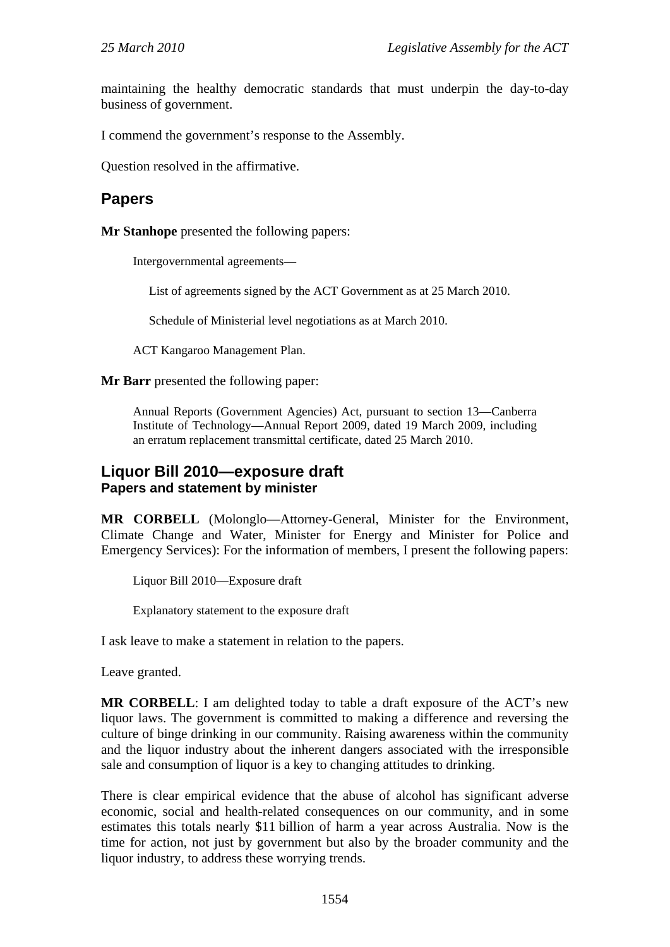maintaining the healthy democratic standards that must underpin the day-to-day business of government.

I commend the government's response to the Assembly.

Question resolved in the affirmative.

# **Papers**

**Mr Stanhope** presented the following papers:

Intergovernmental agreements—

List of agreements signed by the ACT Government as at 25 March 2010.

Schedule of Ministerial level negotiations as at March 2010.

ACT Kangaroo Management Plan.

**Mr Barr** presented the following paper:

Annual Reports (Government Agencies) Act, pursuant to section 13—Canberra Institute of Technology—Annual Report 2009, dated 19 March 2009, including an erratum replacement transmittal certificate, dated 25 March 2010.

## **Liquor Bill 2010—exposure draft Papers and statement by minister**

**MR CORBELL** (Molonglo—Attorney-General, Minister for the Environment, Climate Change and Water, Minister for Energy and Minister for Police and Emergency Services): For the information of members, I present the following papers:

Liquor Bill 2010—Exposure draft

Explanatory statement to the exposure draft

I ask leave to make a statement in relation to the papers.

Leave granted.

**MR CORBELL**: I am delighted today to table a draft exposure of the ACT's new liquor laws. The government is committed to making a difference and reversing the culture of binge drinking in our community. Raising awareness within the community and the liquor industry about the inherent dangers associated with the irresponsible sale and consumption of liquor is a key to changing attitudes to drinking.

There is clear empirical evidence that the abuse of alcohol has significant adverse economic, social and health-related consequences on our community, and in some estimates this totals nearly \$11 billion of harm a year across Australia. Now is the time for action, not just by government but also by the broader community and the liquor industry, to address these worrying trends.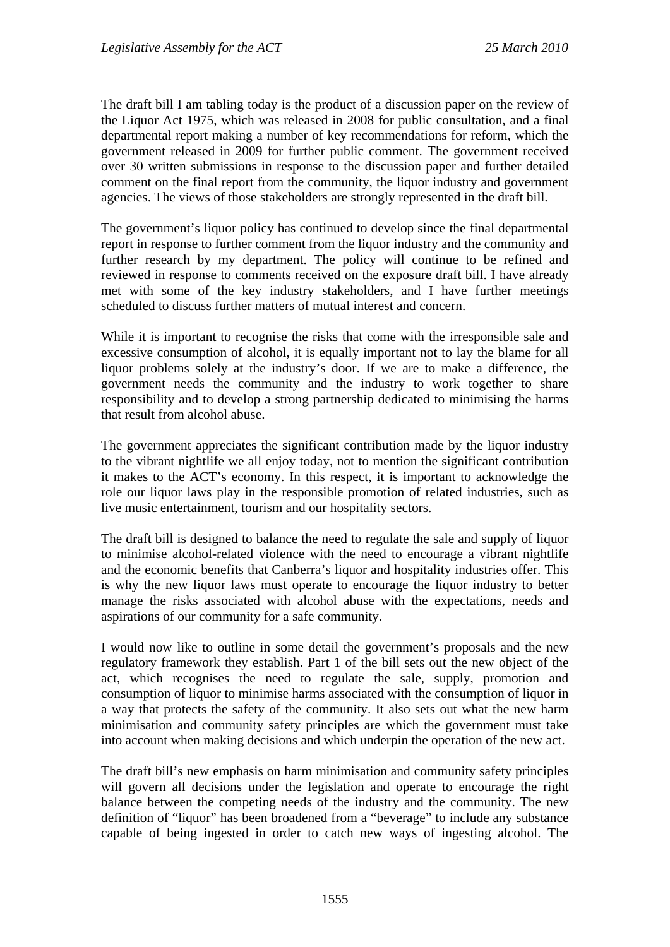The draft bill I am tabling today is the product of a discussion paper on the review of the Liquor Act 1975, which was released in 2008 for public consultation, and a final departmental report making a number of key recommendations for reform, which the government released in 2009 for further public comment. The government received over 30 written submissions in response to the discussion paper and further detailed comment on the final report from the community, the liquor industry and government agencies. The views of those stakeholders are strongly represented in the draft bill.

The government's liquor policy has continued to develop since the final departmental report in response to further comment from the liquor industry and the community and further research by my department. The policy will continue to be refined and reviewed in response to comments received on the exposure draft bill. I have already met with some of the key industry stakeholders, and I have further meetings scheduled to discuss further matters of mutual interest and concern.

While it is important to recognise the risks that come with the irresponsible sale and excessive consumption of alcohol, it is equally important not to lay the blame for all liquor problems solely at the industry's door. If we are to make a difference, the government needs the community and the industry to work together to share responsibility and to develop a strong partnership dedicated to minimising the harms that result from alcohol abuse.

The government appreciates the significant contribution made by the liquor industry to the vibrant nightlife we all enjoy today, not to mention the significant contribution it makes to the ACT's economy. In this respect, it is important to acknowledge the role our liquor laws play in the responsible promotion of related industries, such as live music entertainment, tourism and our hospitality sectors.

The draft bill is designed to balance the need to regulate the sale and supply of liquor to minimise alcohol-related violence with the need to encourage a vibrant nightlife and the economic benefits that Canberra's liquor and hospitality industries offer. This is why the new liquor laws must operate to encourage the liquor industry to better manage the risks associated with alcohol abuse with the expectations, needs and aspirations of our community for a safe community.

I would now like to outline in some detail the government's proposals and the new regulatory framework they establish. Part 1 of the bill sets out the new object of the act, which recognises the need to regulate the sale, supply, promotion and consumption of liquor to minimise harms associated with the consumption of liquor in a way that protects the safety of the community. It also sets out what the new harm minimisation and community safety principles are which the government must take into account when making decisions and which underpin the operation of the new act.

The draft bill's new emphasis on harm minimisation and community safety principles will govern all decisions under the legislation and operate to encourage the right balance between the competing needs of the industry and the community. The new definition of "liquor" has been broadened from a "beverage" to include any substance capable of being ingested in order to catch new ways of ingesting alcohol. The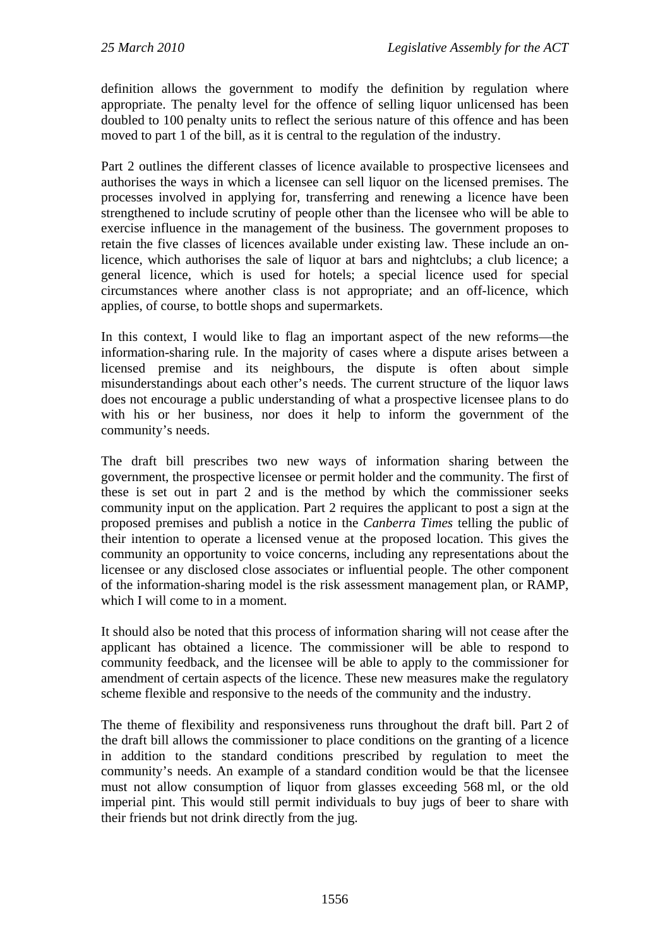definition allows the government to modify the definition by regulation where appropriate. The penalty level for the offence of selling liquor unlicensed has been doubled to 100 penalty units to reflect the serious nature of this offence and has been moved to part 1 of the bill, as it is central to the regulation of the industry.

Part 2 outlines the different classes of licence available to prospective licensees and authorises the ways in which a licensee can sell liquor on the licensed premises. The processes involved in applying for, transferring and renewing a licence have been strengthened to include scrutiny of people other than the licensee who will be able to exercise influence in the management of the business. The government proposes to retain the five classes of licences available under existing law. These include an onlicence, which authorises the sale of liquor at bars and nightclubs; a club licence; a general licence, which is used for hotels; a special licence used for special circumstances where another class is not appropriate; and an off-licence, which applies, of course, to bottle shops and supermarkets.

In this context, I would like to flag an important aspect of the new reforms—the information-sharing rule. In the majority of cases where a dispute arises between a licensed premise and its neighbours, the dispute is often about simple misunderstandings about each other's needs. The current structure of the liquor laws does not encourage a public understanding of what a prospective licensee plans to do with his or her business, nor does it help to inform the government of the community's needs.

The draft bill prescribes two new ways of information sharing between the government, the prospective licensee or permit holder and the community. The first of these is set out in part 2 and is the method by which the commissioner seeks community input on the application. Part 2 requires the applicant to post a sign at the proposed premises and publish a notice in the *Canberra Times* telling the public of their intention to operate a licensed venue at the proposed location. This gives the community an opportunity to voice concerns, including any representations about the licensee or any disclosed close associates or influential people. The other component of the information-sharing model is the risk assessment management plan, or RAMP, which I will come to in a moment.

It should also be noted that this process of information sharing will not cease after the applicant has obtained a licence. The commissioner will be able to respond to community feedback, and the licensee will be able to apply to the commissioner for amendment of certain aspects of the licence. These new measures make the regulatory scheme flexible and responsive to the needs of the community and the industry.

The theme of flexibility and responsiveness runs throughout the draft bill. Part 2 of the draft bill allows the commissioner to place conditions on the granting of a licence in addition to the standard conditions prescribed by regulation to meet the community's needs. An example of a standard condition would be that the licensee must not allow consumption of liquor from glasses exceeding 568 ml, or the old imperial pint. This would still permit individuals to buy jugs of beer to share with their friends but not drink directly from the jug.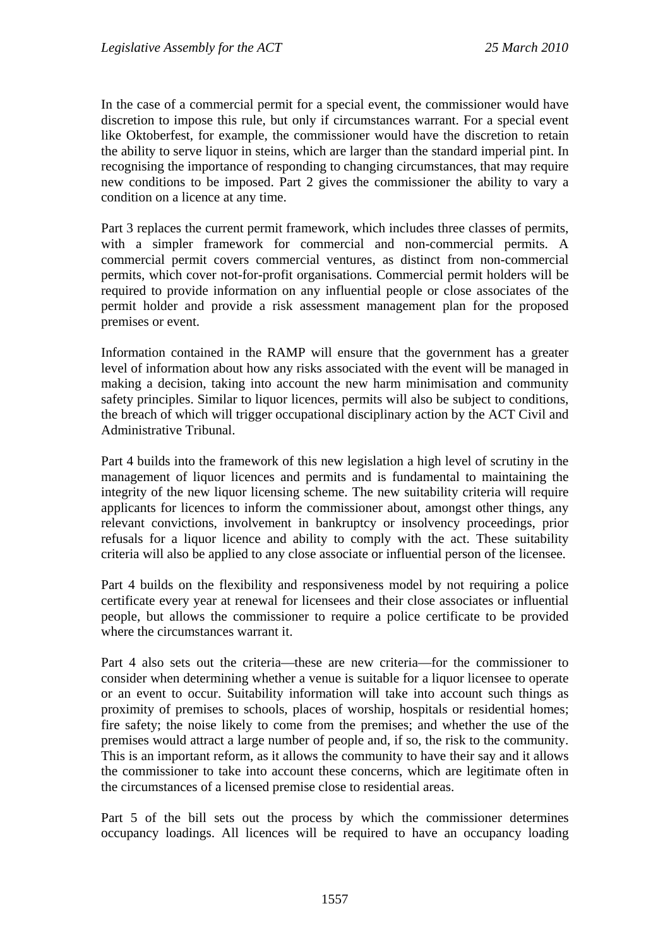In the case of a commercial permit for a special event, the commissioner would have discretion to impose this rule, but only if circumstances warrant. For a special event like Oktoberfest, for example, the commissioner would have the discretion to retain the ability to serve liquor in steins, which are larger than the standard imperial pint. In recognising the importance of responding to changing circumstances, that may require new conditions to be imposed. Part 2 gives the commissioner the ability to vary a condition on a licence at any time.

Part 3 replaces the current permit framework, which includes three classes of permits, with a simpler framework for commercial and non-commercial permits. A commercial permit covers commercial ventures, as distinct from non-commercial permits, which cover not-for-profit organisations. Commercial permit holders will be required to provide information on any influential people or close associates of the permit holder and provide a risk assessment management plan for the proposed premises or event.

Information contained in the RAMP will ensure that the government has a greater level of information about how any risks associated with the event will be managed in making a decision, taking into account the new harm minimisation and community safety principles. Similar to liquor licences, permits will also be subject to conditions, the breach of which will trigger occupational disciplinary action by the ACT Civil and Administrative Tribunal.

Part 4 builds into the framework of this new legislation a high level of scrutiny in the management of liquor licences and permits and is fundamental to maintaining the integrity of the new liquor licensing scheme. The new suitability criteria will require applicants for licences to inform the commissioner about, amongst other things, any relevant convictions, involvement in bankruptcy or insolvency proceedings, prior refusals for a liquor licence and ability to comply with the act. These suitability criteria will also be applied to any close associate or influential person of the licensee.

Part 4 builds on the flexibility and responsiveness model by not requiring a police certificate every year at renewal for licensees and their close associates or influential people, but allows the commissioner to require a police certificate to be provided where the circumstances warrant it.

Part 4 also sets out the criteria—these are new criteria—for the commissioner to consider when determining whether a venue is suitable for a liquor licensee to operate or an event to occur. Suitability information will take into account such things as proximity of premises to schools, places of worship, hospitals or residential homes; fire safety; the noise likely to come from the premises; and whether the use of the premises would attract a large number of people and, if so, the risk to the community. This is an important reform, as it allows the community to have their say and it allows the commissioner to take into account these concerns, which are legitimate often in the circumstances of a licensed premise close to residential areas.

Part 5 of the bill sets out the process by which the commissioner determines occupancy loadings. All licences will be required to have an occupancy loading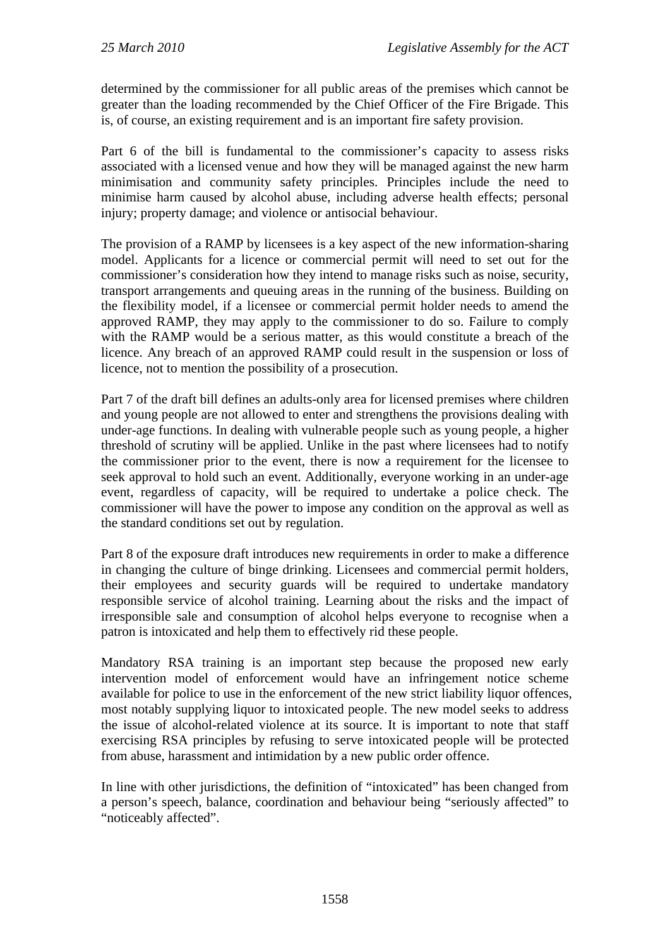determined by the commissioner for all public areas of the premises which cannot be greater than the loading recommended by the Chief Officer of the Fire Brigade. This is, of course, an existing requirement and is an important fire safety provision.

Part 6 of the bill is fundamental to the commissioner's capacity to assess risks associated with a licensed venue and how they will be managed against the new harm minimisation and community safety principles. Principles include the need to minimise harm caused by alcohol abuse, including adverse health effects; personal injury; property damage; and violence or antisocial behaviour.

The provision of a RAMP by licensees is a key aspect of the new information-sharing model. Applicants for a licence or commercial permit will need to set out for the commissioner's consideration how they intend to manage risks such as noise, security, transport arrangements and queuing areas in the running of the business. Building on the flexibility model, if a licensee or commercial permit holder needs to amend the approved RAMP, they may apply to the commissioner to do so. Failure to comply with the RAMP would be a serious matter, as this would constitute a breach of the licence. Any breach of an approved RAMP could result in the suspension or loss of licence, not to mention the possibility of a prosecution.

Part 7 of the draft bill defines an adults-only area for licensed premises where children and young people are not allowed to enter and strengthens the provisions dealing with under-age functions. In dealing with vulnerable people such as young people, a higher threshold of scrutiny will be applied. Unlike in the past where licensees had to notify the commissioner prior to the event, there is now a requirement for the licensee to seek approval to hold such an event. Additionally, everyone working in an under-age event, regardless of capacity, will be required to undertake a police check. The commissioner will have the power to impose any condition on the approval as well as the standard conditions set out by regulation.

Part 8 of the exposure draft introduces new requirements in order to make a difference in changing the culture of binge drinking. Licensees and commercial permit holders, their employees and security guards will be required to undertake mandatory responsible service of alcohol training. Learning about the risks and the impact of irresponsible sale and consumption of alcohol helps everyone to recognise when a patron is intoxicated and help them to effectively rid these people.

Mandatory RSA training is an important step because the proposed new early intervention model of enforcement would have an infringement notice scheme available for police to use in the enforcement of the new strict liability liquor offences, most notably supplying liquor to intoxicated people. The new model seeks to address the issue of alcohol-related violence at its source. It is important to note that staff exercising RSA principles by refusing to serve intoxicated people will be protected from abuse, harassment and intimidation by a new public order offence.

In line with other jurisdictions, the definition of "intoxicated" has been changed from a person's speech, balance, coordination and behaviour being "seriously affected" to "noticeably affected".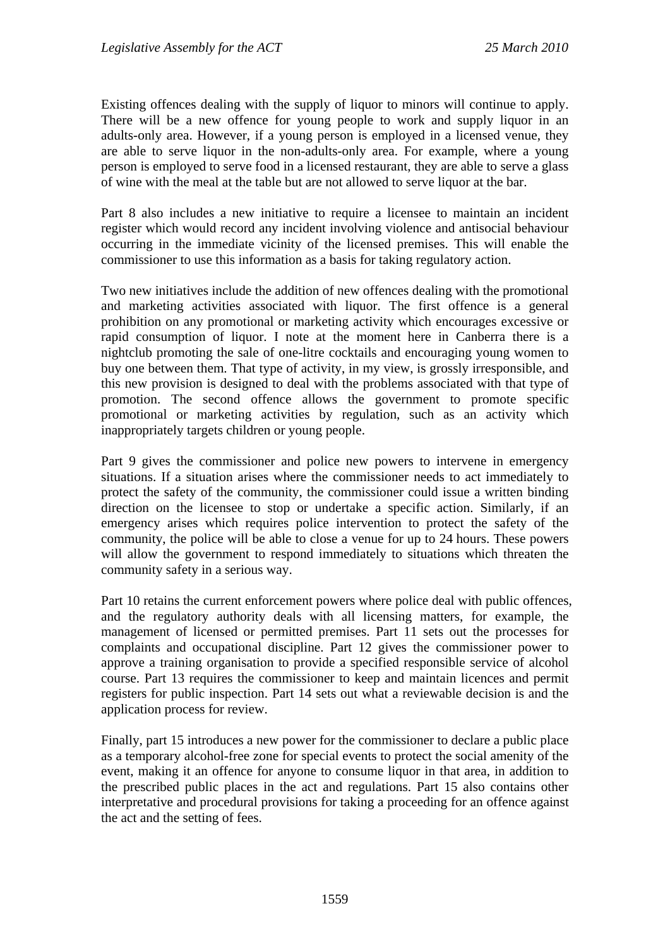Existing offences dealing with the supply of liquor to minors will continue to apply. There will be a new offence for young people to work and supply liquor in an adults-only area. However, if a young person is employed in a licensed venue, they are able to serve liquor in the non-adults-only area. For example, where a young person is employed to serve food in a licensed restaurant, they are able to serve a glass of wine with the meal at the table but are not allowed to serve liquor at the bar.

Part 8 also includes a new initiative to require a licensee to maintain an incident register which would record any incident involving violence and antisocial behaviour occurring in the immediate vicinity of the licensed premises. This will enable the commissioner to use this information as a basis for taking regulatory action.

Two new initiatives include the addition of new offences dealing with the promotional and marketing activities associated with liquor. The first offence is a general prohibition on any promotional or marketing activity which encourages excessive or rapid consumption of liquor. I note at the moment here in Canberra there is a nightclub promoting the sale of one-litre cocktails and encouraging young women to buy one between them. That type of activity, in my view, is grossly irresponsible, and this new provision is designed to deal with the problems associated with that type of promotion. The second offence allows the government to promote specific promotional or marketing activities by regulation, such as an activity which inappropriately targets children or young people.

Part 9 gives the commissioner and police new powers to intervene in emergency situations. If a situation arises where the commissioner needs to act immediately to protect the safety of the community, the commissioner could issue a written binding direction on the licensee to stop or undertake a specific action. Similarly, if an emergency arises which requires police intervention to protect the safety of the community, the police will be able to close a venue for up to 24 hours. These powers will allow the government to respond immediately to situations which threaten the community safety in a serious way.

Part 10 retains the current enforcement powers where police deal with public offences, and the regulatory authority deals with all licensing matters, for example, the management of licensed or permitted premises. Part 11 sets out the processes for complaints and occupational discipline. Part 12 gives the commissioner power to approve a training organisation to provide a specified responsible service of alcohol course. Part 13 requires the commissioner to keep and maintain licences and permit registers for public inspection. Part 14 sets out what a reviewable decision is and the application process for review.

Finally, part 15 introduces a new power for the commissioner to declare a public place as a temporary alcohol-free zone for special events to protect the social amenity of the event, making it an offence for anyone to consume liquor in that area, in addition to the prescribed public places in the act and regulations. Part 15 also contains other interpretative and procedural provisions for taking a proceeding for an offence against the act and the setting of fees.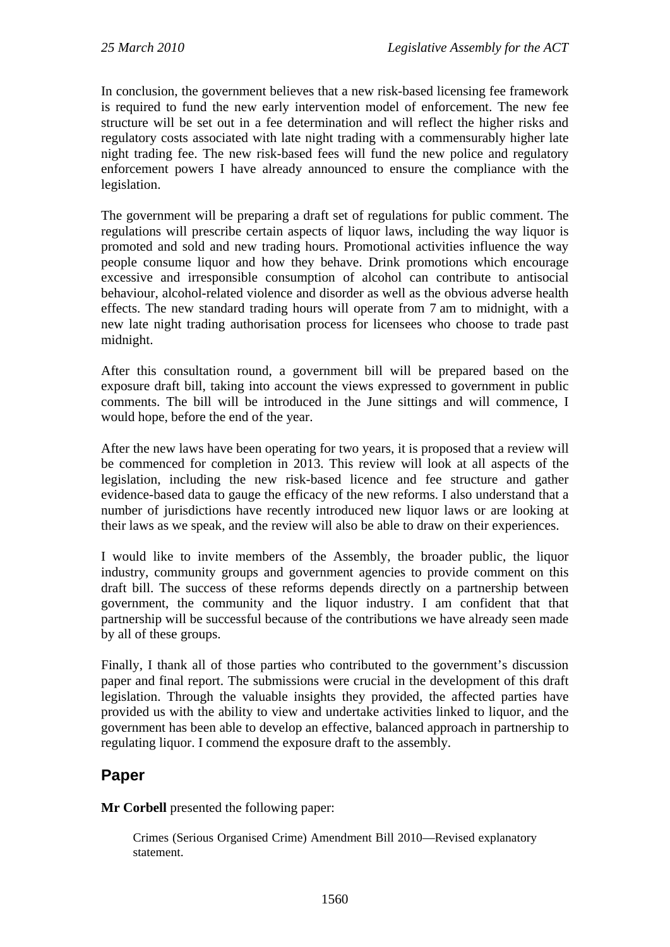In conclusion, the government believes that a new risk-based licensing fee framework is required to fund the new early intervention model of enforcement. The new fee structure will be set out in a fee determination and will reflect the higher risks and regulatory costs associated with late night trading with a commensurably higher late night trading fee. The new risk-based fees will fund the new police and regulatory enforcement powers I have already announced to ensure the compliance with the legislation.

The government will be preparing a draft set of regulations for public comment. The regulations will prescribe certain aspects of liquor laws, including the way liquor is promoted and sold and new trading hours. Promotional activities influence the way people consume liquor and how they behave. Drink promotions which encourage excessive and irresponsible consumption of alcohol can contribute to antisocial behaviour, alcohol-related violence and disorder as well as the obvious adverse health effects. The new standard trading hours will operate from 7 am to midnight, with a new late night trading authorisation process for licensees who choose to trade past midnight.

After this consultation round, a government bill will be prepared based on the exposure draft bill, taking into account the views expressed to government in public comments. The bill will be introduced in the June sittings and will commence, I would hope, before the end of the year.

After the new laws have been operating for two years, it is proposed that a review will be commenced for completion in 2013. This review will look at all aspects of the legislation, including the new risk-based licence and fee structure and gather evidence-based data to gauge the efficacy of the new reforms. I also understand that a number of jurisdictions have recently introduced new liquor laws or are looking at their laws as we speak, and the review will also be able to draw on their experiences.

I would like to invite members of the Assembly, the broader public, the liquor industry, community groups and government agencies to provide comment on this draft bill. The success of these reforms depends directly on a partnership between government, the community and the liquor industry. I am confident that that partnership will be successful because of the contributions we have already seen made by all of these groups.

Finally, I thank all of those parties who contributed to the government's discussion paper and final report. The submissions were crucial in the development of this draft legislation. Through the valuable insights they provided, the affected parties have provided us with the ability to view and undertake activities linked to liquor, and the government has been able to develop an effective, balanced approach in partnership to regulating liquor. I commend the exposure draft to the assembly.

# **Paper**

**Mr Corbell** presented the following paper:

Crimes (Serious Organised Crime) Amendment Bill 2010—Revised explanatory statement.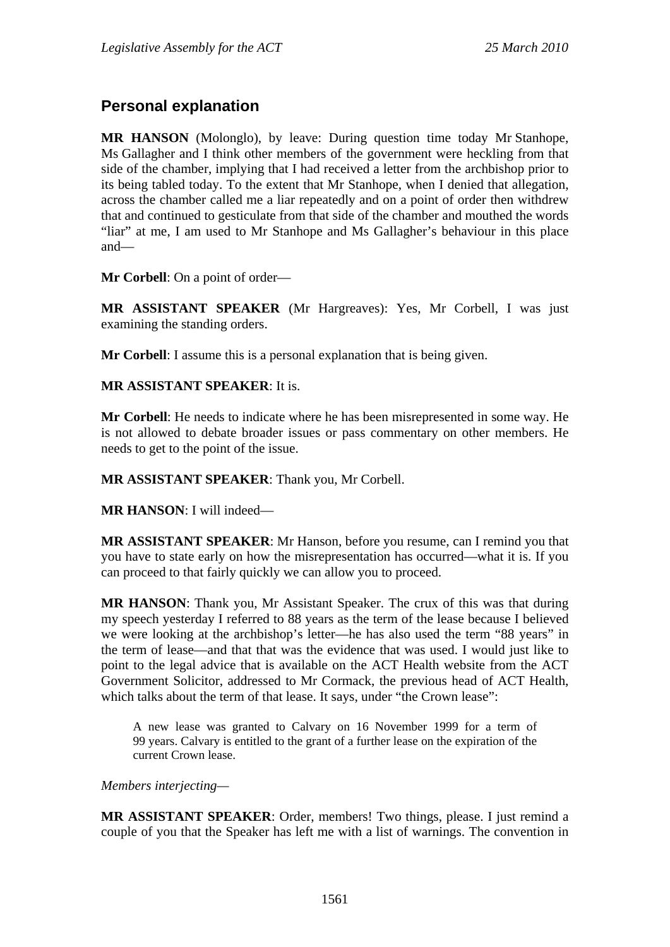# **Personal explanation**

**MR HANSON** (Molonglo), by leave: During question time today Mr Stanhope, Ms Gallagher and I think other members of the government were heckling from that side of the chamber, implying that I had received a letter from the archbishop prior to its being tabled today. To the extent that Mr Stanhope, when I denied that allegation, across the chamber called me a liar repeatedly and on a point of order then withdrew that and continued to gesticulate from that side of the chamber and mouthed the words "liar" at me, I am used to Mr Stanhope and Ms Gallagher's behaviour in this place and—

**Mr Corbell**: On a point of order—

**MR ASSISTANT SPEAKER** (Mr Hargreaves): Yes, Mr Corbell, I was just examining the standing orders.

**Mr Corbell**: I assume this is a personal explanation that is being given.

#### **MR ASSISTANT SPEAKER**: It is.

**Mr Corbell**: He needs to indicate where he has been misrepresented in some way. He is not allowed to debate broader issues or pass commentary on other members. He needs to get to the point of the issue.

**MR ASSISTANT SPEAKER**: Thank you, Mr Corbell.

**MR HANSON**: I will indeed—

**MR ASSISTANT SPEAKER**: Mr Hanson, before you resume, can I remind you that you have to state early on how the misrepresentation has occurred—what it is. If you can proceed to that fairly quickly we can allow you to proceed.

**MR HANSON**: Thank you, Mr Assistant Speaker. The crux of this was that during my speech yesterday I referred to 88 years as the term of the lease because I believed we were looking at the archbishop's letter—he has also used the term "88 years" in the term of lease—and that that was the evidence that was used. I would just like to point to the legal advice that is available on the ACT Health website from the ACT Government Solicitor, addressed to Mr Cormack, the previous head of ACT Health, which talks about the term of that lease. It says, under "the Crown lease":

A new lease was granted to Calvary on 16 November 1999 for a term of 99 years. Calvary is entitled to the grant of a further lease on the expiration of the current Crown lease.

#### *Members interjecting—*

**MR ASSISTANT SPEAKER**: Order, members! Two things, please. I just remind a couple of you that the Speaker has left me with a list of warnings. The convention in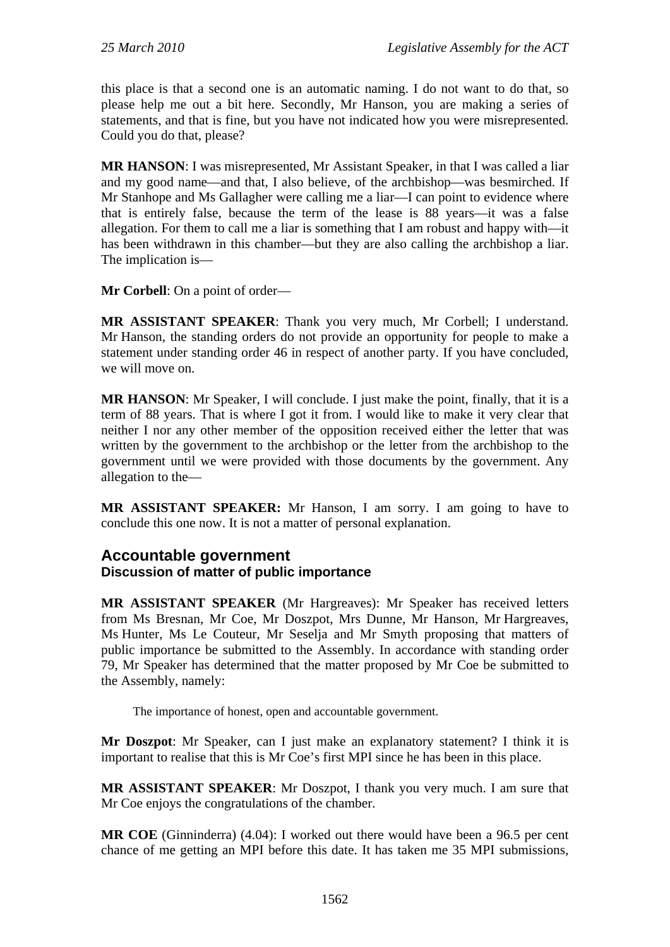this place is that a second one is an automatic naming. I do not want to do that, so please help me out a bit here. Secondly, Mr Hanson, you are making a series of statements, and that is fine, but you have not indicated how you were misrepresented. Could you do that, please?

**MR HANSON**: I was misrepresented, Mr Assistant Speaker, in that I was called a liar and my good name—and that, I also believe, of the archbishop—was besmirched. If Mr Stanhope and Ms Gallagher were calling me a liar—I can point to evidence where that is entirely false, because the term of the lease is 88 years—it was a false allegation. For them to call me a liar is something that I am robust and happy with—it has been withdrawn in this chamber—but they are also calling the archbishop a liar. The implication is—

**Mr Corbell**: On a point of order—

**MR ASSISTANT SPEAKER**: Thank you very much, Mr Corbell; I understand. Mr Hanson, the standing orders do not provide an opportunity for people to make a statement under standing order 46 in respect of another party. If you have concluded, we will move on.

**MR HANSON**: Mr Speaker, I will conclude. I just make the point, finally, that it is a term of 88 years. That is where I got it from. I would like to make it very clear that neither I nor any other member of the opposition received either the letter that was written by the government to the archbishop or the letter from the archbishop to the government until we were provided with those documents by the government. Any allegation to the—

**MR ASSISTANT SPEAKER:** Mr Hanson, I am sorry. I am going to have to conclude this one now. It is not a matter of personal explanation.

## **Accountable government Discussion of matter of public importance**

**MR ASSISTANT SPEAKER** (Mr Hargreaves): Mr Speaker has received letters from Ms Bresnan, Mr Coe, Mr Doszpot, Mrs Dunne, Mr Hanson, Mr Hargreaves, Ms Hunter, Ms Le Couteur, Mr Seselja and Mr Smyth proposing that matters of public importance be submitted to the Assembly. In accordance with standing order 79, Mr Speaker has determined that the matter proposed by Mr Coe be submitted to the Assembly, namely:

The importance of honest, open and accountable government.

**Mr Doszpot**: Mr Speaker, can I just make an explanatory statement? I think it is important to realise that this is Mr Coe's first MPI since he has been in this place.

**MR ASSISTANT SPEAKER**: Mr Doszpot, I thank you very much. I am sure that Mr Coe enjoys the congratulations of the chamber.

**MR COE** (Ginninderra) (4.04): I worked out there would have been a 96.5 per cent chance of me getting an MPI before this date. It has taken me 35 MPI submissions,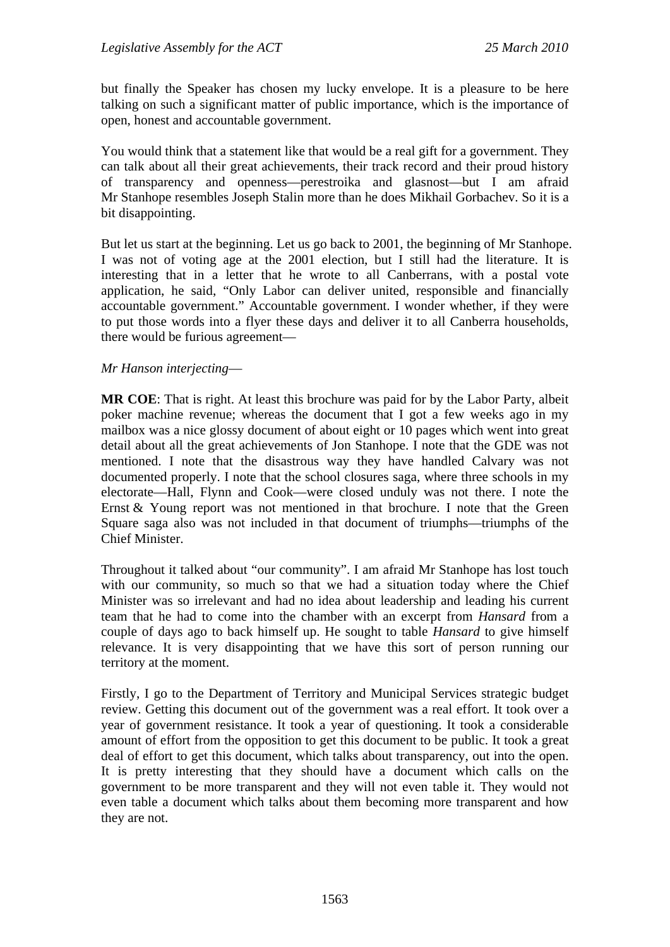but finally the Speaker has chosen my lucky envelope. It is a pleasure to be here talking on such a significant matter of public importance, which is the importance of open, honest and accountable government.

You would think that a statement like that would be a real gift for a government. They can talk about all their great achievements, their track record and their proud history of transparency and openness—perestroika and glasnost—but I am afraid Mr Stanhope resembles Joseph Stalin more than he does Mikhail Gorbachev. So it is a bit disappointing.

But let us start at the beginning. Let us go back to 2001, the beginning of Mr Stanhope. I was not of voting age at the 2001 election, but I still had the literature. It is interesting that in a letter that he wrote to all Canberrans, with a postal vote application, he said, "Only Labor can deliver united, responsible and financially accountable government." Accountable government. I wonder whether, if they were to put those words into a flyer these days and deliver it to all Canberra households, there would be furious agreement—

#### *Mr Hanson interjecting*—

**MR COE**: That is right. At least this brochure was paid for by the Labor Party, albeit poker machine revenue; whereas the document that I got a few weeks ago in my mailbox was a nice glossy document of about eight or 10 pages which went into great detail about all the great achievements of Jon Stanhope. I note that the GDE was not mentioned. I note that the disastrous way they have handled Calvary was not documented properly. I note that the school closures saga, where three schools in my electorate—Hall, Flynn and Cook—were closed unduly was not there. I note the Ernst & Young report was not mentioned in that brochure. I note that the Green Square saga also was not included in that document of triumphs—triumphs of the Chief Minister.

Throughout it talked about "our community". I am afraid Mr Stanhope has lost touch with our community, so much so that we had a situation today where the Chief Minister was so irrelevant and had no idea about leadership and leading his current team that he had to come into the chamber with an excerpt from *Hansard* from a couple of days ago to back himself up. He sought to table *Hansard* to give himself relevance. It is very disappointing that we have this sort of person running our territory at the moment.

Firstly, I go to the Department of Territory and Municipal Services strategic budget review. Getting this document out of the government was a real effort. It took over a year of government resistance. It took a year of questioning. It took a considerable amount of effort from the opposition to get this document to be public. It took a great deal of effort to get this document, which talks about transparency, out into the open. It is pretty interesting that they should have a document which calls on the government to be more transparent and they will not even table it. They would not even table a document which talks about them becoming more transparent and how they are not.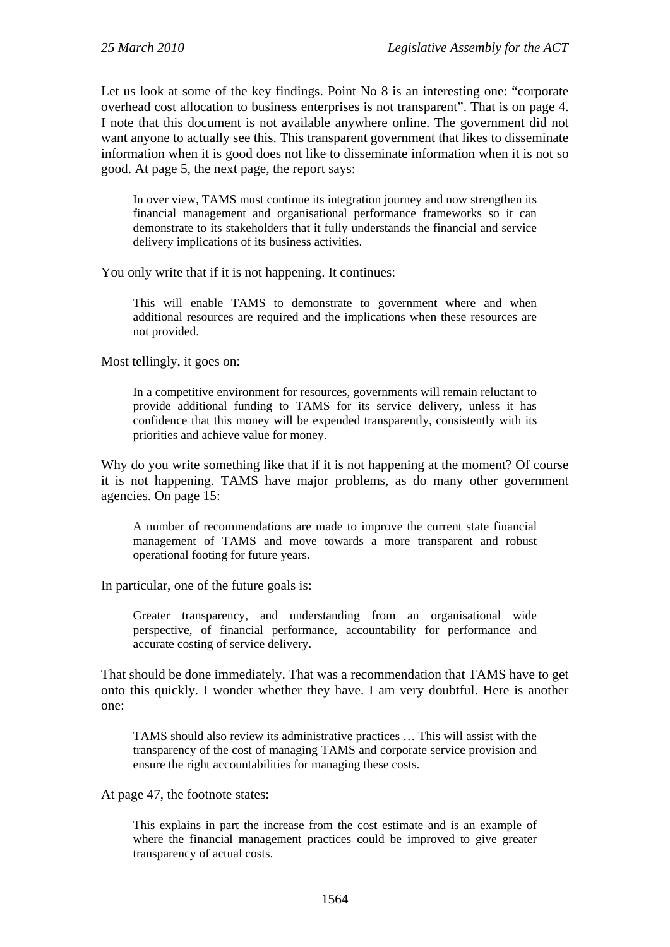Let us look at some of the key findings. Point No 8 is an interesting one: "corporate overhead cost allocation to business enterprises is not transparent". That is on page 4. I note that this document is not available anywhere online. The government did not want anyone to actually see this. This transparent government that likes to disseminate information when it is good does not like to disseminate information when it is not so good. At page 5, the next page, the report says:

In over view, TAMS must continue its integration journey and now strengthen its financial management and organisational performance frameworks so it can demonstrate to its stakeholders that it fully understands the financial and service delivery implications of its business activities.

You only write that if it is not happening. It continues:

This will enable TAMS to demonstrate to government where and when additional resources are required and the implications when these resources are not provided.

Most tellingly, it goes on:

In a competitive environment for resources, governments will remain reluctant to provide additional funding to TAMS for its service delivery, unless it has confidence that this money will be expended transparently, consistently with its priorities and achieve value for money.

Why do you write something like that if it is not happening at the moment? Of course it is not happening. TAMS have major problems, as do many other government agencies. On page 15:

A number of recommendations are made to improve the current state financial management of TAMS and move towards a more transparent and robust operational footing for future years.

In particular, one of the future goals is:

Greater transparency, and understanding from an organisational wide perspective, of financial performance, accountability for performance and accurate costing of service delivery.

That should be done immediately. That was a recommendation that TAMS have to get onto this quickly. I wonder whether they have. I am very doubtful. Here is another one:

TAMS should also review its administrative practices … This will assist with the transparency of the cost of managing TAMS and corporate service provision and ensure the right accountabilities for managing these costs.

At page 47, the footnote states:

This explains in part the increase from the cost estimate and is an example of where the financial management practices could be improved to give greater transparency of actual costs.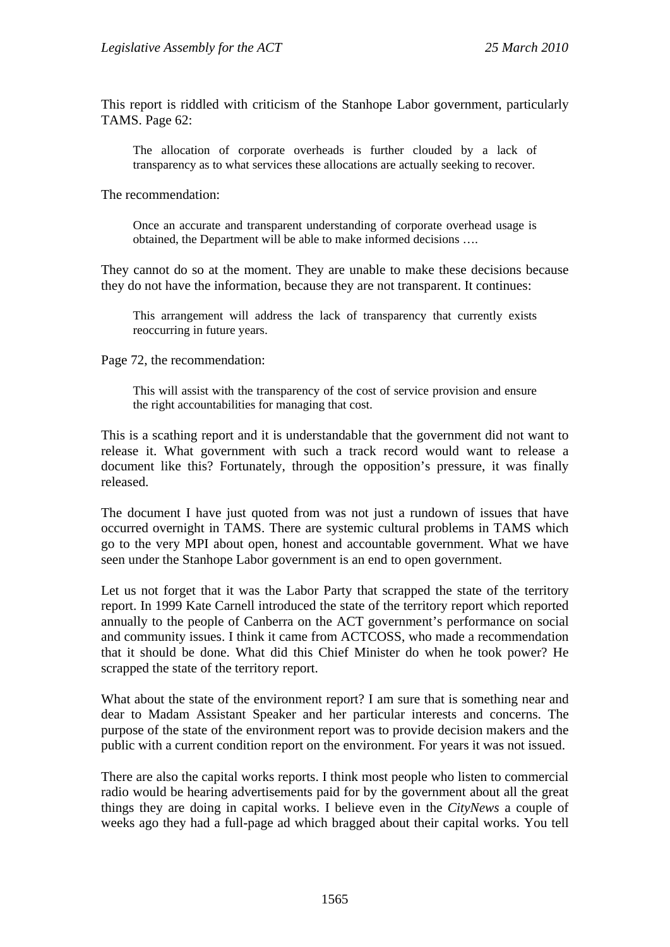This report is riddled with criticism of the Stanhope Labor government, particularly TAMS. Page 62:

The allocation of corporate overheads is further clouded by a lack of transparency as to what services these allocations are actually seeking to recover.

The recommendation:

Once an accurate and transparent understanding of corporate overhead usage is obtained, the Department will be able to make informed decisions ….

They cannot do so at the moment. They are unable to make these decisions because they do not have the information, because they are not transparent. It continues:

This arrangement will address the lack of transparency that currently exists reoccurring in future years.

Page 72, the recommendation:

This will assist with the transparency of the cost of service provision and ensure the right accountabilities for managing that cost.

This is a scathing report and it is understandable that the government did not want to release it. What government with such a track record would want to release a document like this? Fortunately, through the opposition's pressure, it was finally released.

The document I have just quoted from was not just a rundown of issues that have occurred overnight in TAMS. There are systemic cultural problems in TAMS which go to the very MPI about open, honest and accountable government. What we have seen under the Stanhope Labor government is an end to open government.

Let us not forget that it was the Labor Party that scrapped the state of the territory report. In 1999 Kate Carnell introduced the state of the territory report which reported annually to the people of Canberra on the ACT government's performance on social and community issues. I think it came from ACTCOSS, who made a recommendation that it should be done. What did this Chief Minister do when he took power? He scrapped the state of the territory report.

What about the state of the environment report? I am sure that is something near and dear to Madam Assistant Speaker and her particular interests and concerns. The purpose of the state of the environment report was to provide decision makers and the public with a current condition report on the environment. For years it was not issued.

There are also the capital works reports. I think most people who listen to commercial radio would be hearing advertisements paid for by the government about all the great things they are doing in capital works. I believe even in the *CityNews* a couple of weeks ago they had a full-page ad which bragged about their capital works. You tell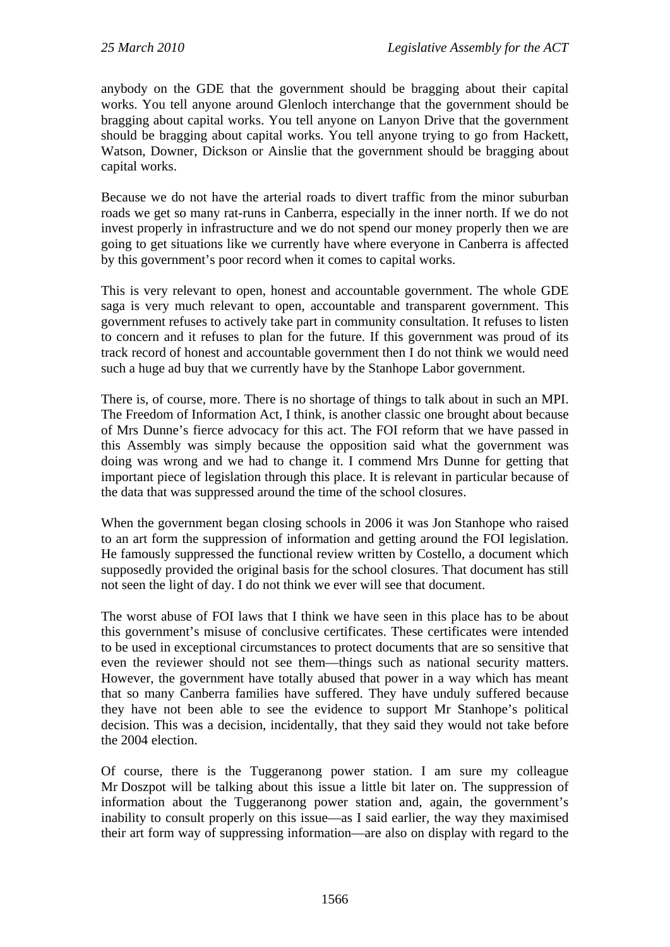anybody on the GDE that the government should be bragging about their capital works. You tell anyone around Glenloch interchange that the government should be bragging about capital works. You tell anyone on Lanyon Drive that the government should be bragging about capital works. You tell anyone trying to go from Hackett, Watson, Downer, Dickson or Ainslie that the government should be bragging about capital works.

Because we do not have the arterial roads to divert traffic from the minor suburban roads we get so many rat-runs in Canberra, especially in the inner north. If we do not invest properly in infrastructure and we do not spend our money properly then we are going to get situations like we currently have where everyone in Canberra is affected by this government's poor record when it comes to capital works.

This is very relevant to open, honest and accountable government. The whole GDE saga is very much relevant to open, accountable and transparent government. This government refuses to actively take part in community consultation. It refuses to listen to concern and it refuses to plan for the future. If this government was proud of its track record of honest and accountable government then I do not think we would need such a huge ad buy that we currently have by the Stanhope Labor government.

There is, of course, more. There is no shortage of things to talk about in such an MPI. The Freedom of Information Act, I think, is another classic one brought about because of Mrs Dunne's fierce advocacy for this act. The FOI reform that we have passed in this Assembly was simply because the opposition said what the government was doing was wrong and we had to change it. I commend Mrs Dunne for getting that important piece of legislation through this place. It is relevant in particular because of the data that was suppressed around the time of the school closures.

When the government began closing schools in 2006 it was Jon Stanhope who raised to an art form the suppression of information and getting around the FOI legislation. He famously suppressed the functional review written by Costello, a document which supposedly provided the original basis for the school closures. That document has still not seen the light of day. I do not think we ever will see that document.

The worst abuse of FOI laws that I think we have seen in this place has to be about this government's misuse of conclusive certificates. These certificates were intended to be used in exceptional circumstances to protect documents that are so sensitive that even the reviewer should not see them—things such as national security matters. However, the government have totally abused that power in a way which has meant that so many Canberra families have suffered. They have unduly suffered because they have not been able to see the evidence to support Mr Stanhope's political decision. This was a decision, incidentally, that they said they would not take before the 2004 election.

Of course, there is the Tuggeranong power station. I am sure my colleague Mr Doszpot will be talking about this issue a little bit later on. The suppression of information about the Tuggeranong power station and, again, the government's inability to consult properly on this issue—as I said earlier, the way they maximised their art form way of suppressing information—are also on display with regard to the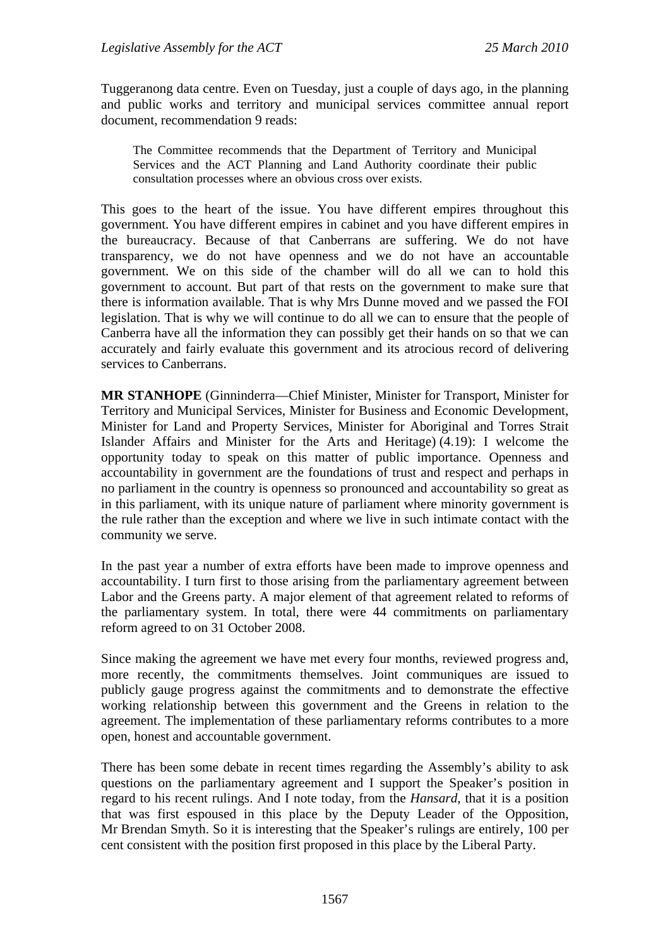Tuggeranong data centre. Even on Tuesday, just a couple of days ago, in the planning and public works and territory and municipal services committee annual report document, recommendation 9 reads:

The Committee recommends that the Department of Territory and Municipal Services and the ACT Planning and Land Authority coordinate their public consultation processes where an obvious cross over exists.

This goes to the heart of the issue. You have different empires throughout this government. You have different empires in cabinet and you have different empires in the bureaucracy. Because of that Canberrans are suffering. We do not have transparency, we do not have openness and we do not have an accountable government. We on this side of the chamber will do all we can to hold this government to account. But part of that rests on the government to make sure that there is information available. That is why Mrs Dunne moved and we passed the FOI legislation. That is why we will continue to do all we can to ensure that the people of Canberra have all the information they can possibly get their hands on so that we can accurately and fairly evaluate this government and its atrocious record of delivering services to Canberrans.

**MR STANHOPE** (Ginninderra—Chief Minister, Minister for Transport, Minister for Territory and Municipal Services, Minister for Business and Economic Development, Minister for Land and Property Services, Minister for Aboriginal and Torres Strait Islander Affairs and Minister for the Arts and Heritage) (4.19): I welcome the opportunity today to speak on this matter of public importance. Openness and accountability in government are the foundations of trust and respect and perhaps in no parliament in the country is openness so pronounced and accountability so great as in this parliament, with its unique nature of parliament where minority government is the rule rather than the exception and where we live in such intimate contact with the community we serve.

In the past year a number of extra efforts have been made to improve openness and accountability. I turn first to those arising from the parliamentary agreement between Labor and the Greens party. A major element of that agreement related to reforms of the parliamentary system. In total, there were 44 commitments on parliamentary reform agreed to on 31 October 2008.

Since making the agreement we have met every four months, reviewed progress and, more recently, the commitments themselves. Joint communiques are issued to publicly gauge progress against the commitments and to demonstrate the effective working relationship between this government and the Greens in relation to the agreement. The implementation of these parliamentary reforms contributes to a more open, honest and accountable government.

There has been some debate in recent times regarding the Assembly's ability to ask questions on the parliamentary agreement and I support the Speaker's position in regard to his recent rulings. And I note today, from the *Hansard*, that it is a position that was first espoused in this place by the Deputy Leader of the Opposition, Mr Brendan Smyth. So it is interesting that the Speaker's rulings are entirely, 100 per cent consistent with the position first proposed in this place by the Liberal Party.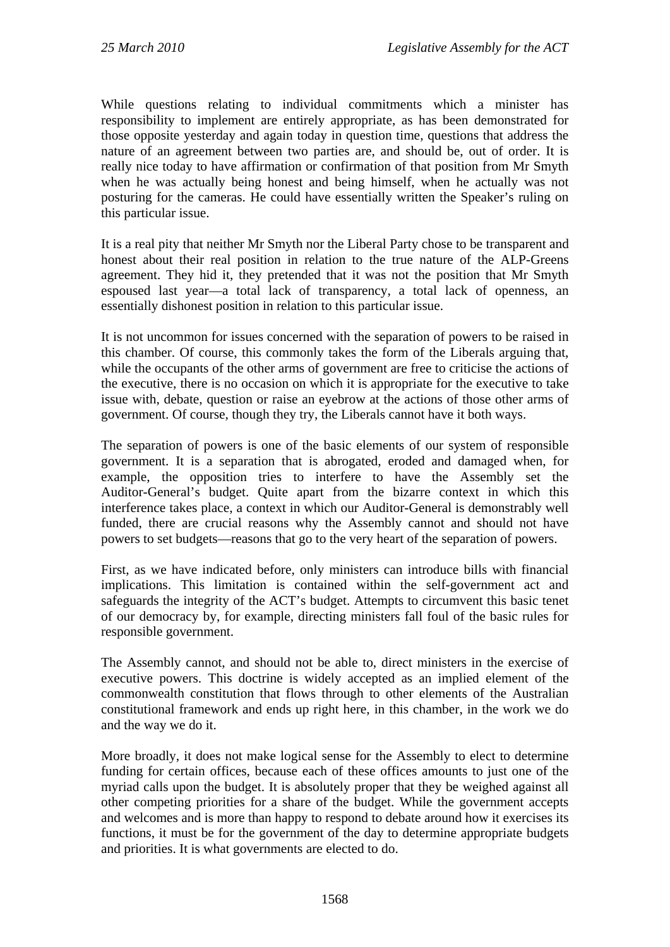While questions relating to individual commitments which a minister has responsibility to implement are entirely appropriate, as has been demonstrated for those opposite yesterday and again today in question time, questions that address the nature of an agreement between two parties are, and should be, out of order. It is really nice today to have affirmation or confirmation of that position from Mr Smyth when he was actually being honest and being himself, when he actually was not posturing for the cameras. He could have essentially written the Speaker's ruling on this particular issue.

It is a real pity that neither Mr Smyth nor the Liberal Party chose to be transparent and honest about their real position in relation to the true nature of the ALP-Greens agreement. They hid it, they pretended that it was not the position that Mr Smyth espoused last year—a total lack of transparency, a total lack of openness, an essentially dishonest position in relation to this particular issue.

It is not uncommon for issues concerned with the separation of powers to be raised in this chamber. Of course, this commonly takes the form of the Liberals arguing that, while the occupants of the other arms of government are free to criticise the actions of the executive, there is no occasion on which it is appropriate for the executive to take issue with, debate, question or raise an eyebrow at the actions of those other arms of government. Of course, though they try, the Liberals cannot have it both ways.

The separation of powers is one of the basic elements of our system of responsible government. It is a separation that is abrogated, eroded and damaged when, for example, the opposition tries to interfere to have the Assembly set the Auditor-General's budget. Quite apart from the bizarre context in which this interference takes place, a context in which our Auditor-General is demonstrably well funded, there are crucial reasons why the Assembly cannot and should not have powers to set budgets—reasons that go to the very heart of the separation of powers.

First, as we have indicated before, only ministers can introduce bills with financial implications. This limitation is contained within the self-government act and safeguards the integrity of the ACT's budget. Attempts to circumvent this basic tenet of our democracy by, for example, directing ministers fall foul of the basic rules for responsible government.

The Assembly cannot, and should not be able to, direct ministers in the exercise of executive powers. This doctrine is widely accepted as an implied element of the commonwealth constitution that flows through to other elements of the Australian constitutional framework and ends up right here, in this chamber, in the work we do and the way we do it.

More broadly, it does not make logical sense for the Assembly to elect to determine funding for certain offices, because each of these offices amounts to just one of the myriad calls upon the budget. It is absolutely proper that they be weighed against all other competing priorities for a share of the budget. While the government accepts and welcomes and is more than happy to respond to debate around how it exercises its functions, it must be for the government of the day to determine appropriate budgets and priorities. It is what governments are elected to do.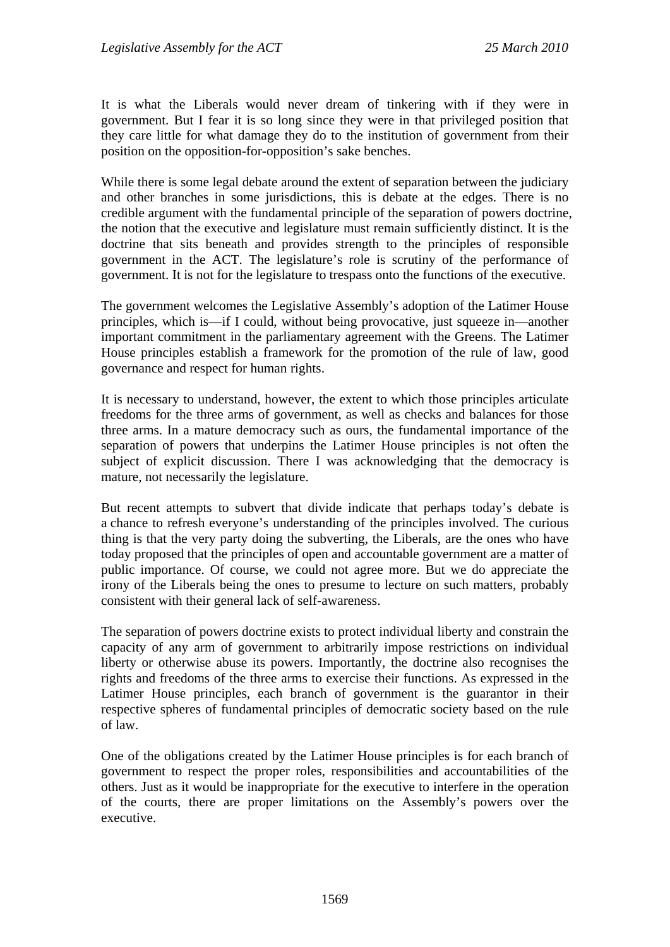It is what the Liberals would never dream of tinkering with if they were in government. But I fear it is so long since they were in that privileged position that they care little for what damage they do to the institution of government from their position on the opposition-for-opposition's sake benches.

While there is some legal debate around the extent of separation between the judiciary and other branches in some jurisdictions, this is debate at the edges. There is no credible argument with the fundamental principle of the separation of powers doctrine, the notion that the executive and legislature must remain sufficiently distinct. It is the doctrine that sits beneath and provides strength to the principles of responsible government in the ACT. The legislature's role is scrutiny of the performance of government. It is not for the legislature to trespass onto the functions of the executive.

The government welcomes the Legislative Assembly's adoption of the Latimer House principles, which is—if I could, without being provocative, just squeeze in—another important commitment in the parliamentary agreement with the Greens. The Latimer House principles establish a framework for the promotion of the rule of law, good governance and respect for human rights.

It is necessary to understand, however, the extent to which those principles articulate freedoms for the three arms of government, as well as checks and balances for those three arms. In a mature democracy such as ours, the fundamental importance of the separation of powers that underpins the Latimer House principles is not often the subject of explicit discussion. There I was acknowledging that the democracy is mature, not necessarily the legislature.

But recent attempts to subvert that divide indicate that perhaps today's debate is a chance to refresh everyone's understanding of the principles involved. The curious thing is that the very party doing the subverting, the Liberals, are the ones who have today proposed that the principles of open and accountable government are a matter of public importance. Of course, we could not agree more. But we do appreciate the irony of the Liberals being the ones to presume to lecture on such matters, probably consistent with their general lack of self-awareness.

The separation of powers doctrine exists to protect individual liberty and constrain the capacity of any arm of government to arbitrarily impose restrictions on individual liberty or otherwise abuse its powers. Importantly, the doctrine also recognises the rights and freedoms of the three arms to exercise their functions. As expressed in the Latimer House principles, each branch of government is the guarantor in their respective spheres of fundamental principles of democratic society based on the rule of law.

One of the obligations created by the Latimer House principles is for each branch of government to respect the proper roles, responsibilities and accountabilities of the others. Just as it would be inappropriate for the executive to interfere in the operation of the courts, there are proper limitations on the Assembly's powers over the executive.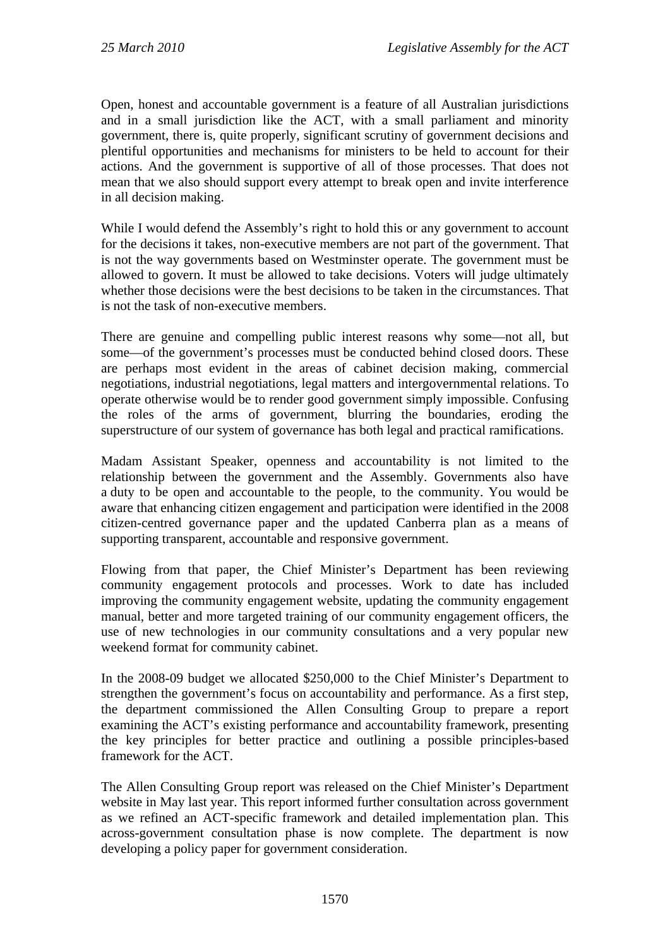Open, honest and accountable government is a feature of all Australian jurisdictions and in a small jurisdiction like the ACT, with a small parliament and minority government, there is, quite properly, significant scrutiny of government decisions and plentiful opportunities and mechanisms for ministers to be held to account for their actions. And the government is supportive of all of those processes. That does not mean that we also should support every attempt to break open and invite interference in all decision making.

While I would defend the Assembly's right to hold this or any government to account for the decisions it takes, non-executive members are not part of the government. That is not the way governments based on Westminster operate. The government must be allowed to govern. It must be allowed to take decisions. Voters will judge ultimately whether those decisions were the best decisions to be taken in the circumstances. That is not the task of non-executive members.

There are genuine and compelling public interest reasons why some—not all, but some—of the government's processes must be conducted behind closed doors. These are perhaps most evident in the areas of cabinet decision making, commercial negotiations, industrial negotiations, legal matters and intergovernmental relations. To operate otherwise would be to render good government simply impossible. Confusing the roles of the arms of government, blurring the boundaries, eroding the superstructure of our system of governance has both legal and practical ramifications.

Madam Assistant Speaker, openness and accountability is not limited to the relationship between the government and the Assembly. Governments also have a duty to be open and accountable to the people, to the community. You would be aware that enhancing citizen engagement and participation were identified in the 2008 citizen-centred governance paper and the updated Canberra plan as a means of supporting transparent, accountable and responsive government.

Flowing from that paper, the Chief Minister's Department has been reviewing community engagement protocols and processes. Work to date has included improving the community engagement website, updating the community engagement manual, better and more targeted training of our community engagement officers, the use of new technologies in our community consultations and a very popular new weekend format for community cabinet.

In the 2008-09 budget we allocated \$250,000 to the Chief Minister's Department to strengthen the government's focus on accountability and performance. As a first step, the department commissioned the Allen Consulting Group to prepare a report examining the ACT's existing performance and accountability framework, presenting the key principles for better practice and outlining a possible principles-based framework for the ACT.

The Allen Consulting Group report was released on the Chief Minister's Department website in May last year. This report informed further consultation across government as we refined an ACT-specific framework and detailed implementation plan. This across-government consultation phase is now complete. The department is now developing a policy paper for government consideration.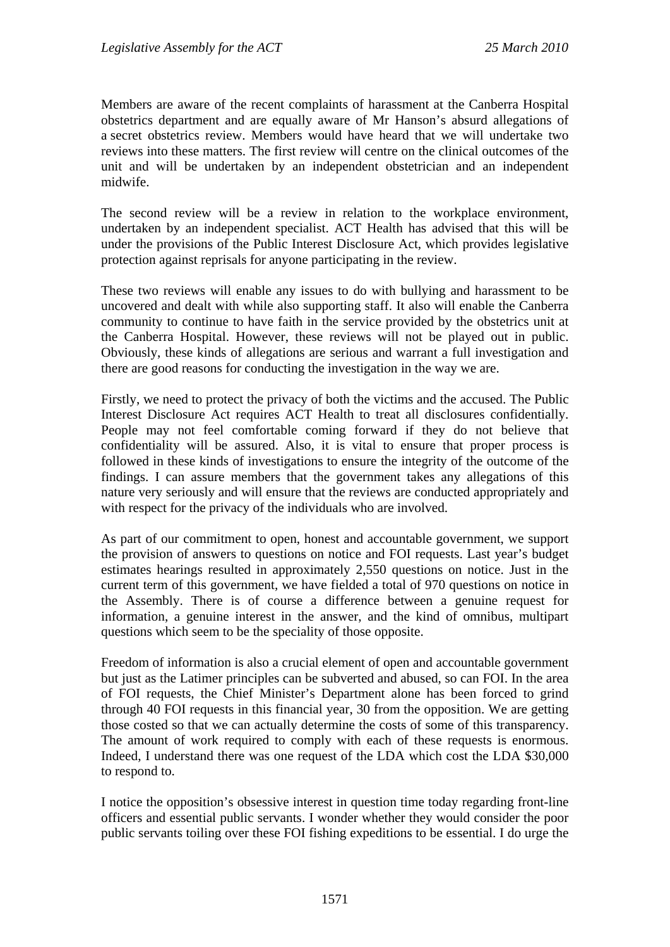Members are aware of the recent complaints of harassment at the Canberra Hospital obstetrics department and are equally aware of Mr Hanson's absurd allegations of a secret obstetrics review. Members would have heard that we will undertake two reviews into these matters. The first review will centre on the clinical outcomes of the unit and will be undertaken by an independent obstetrician and an independent midwife.

The second review will be a review in relation to the workplace environment, undertaken by an independent specialist. ACT Health has advised that this will be under the provisions of the Public Interest Disclosure Act, which provides legislative protection against reprisals for anyone participating in the review.

These two reviews will enable any issues to do with bullying and harassment to be uncovered and dealt with while also supporting staff. It also will enable the Canberra community to continue to have faith in the service provided by the obstetrics unit at the Canberra Hospital. However, these reviews will not be played out in public. Obviously, these kinds of allegations are serious and warrant a full investigation and there are good reasons for conducting the investigation in the way we are.

Firstly, we need to protect the privacy of both the victims and the accused. The Public Interest Disclosure Act requires ACT Health to treat all disclosures confidentially. People may not feel comfortable coming forward if they do not believe that confidentiality will be assured. Also, it is vital to ensure that proper process is followed in these kinds of investigations to ensure the integrity of the outcome of the findings. I can assure members that the government takes any allegations of this nature very seriously and will ensure that the reviews are conducted appropriately and with respect for the privacy of the individuals who are involved.

As part of our commitment to open, honest and accountable government, we support the provision of answers to questions on notice and FOI requests. Last year's budget estimates hearings resulted in approximately 2,550 questions on notice. Just in the current term of this government, we have fielded a total of 970 questions on notice in the Assembly. There is of course a difference between a genuine request for information, a genuine interest in the answer, and the kind of omnibus, multipart questions which seem to be the speciality of those opposite.

Freedom of information is also a crucial element of open and accountable government but just as the Latimer principles can be subverted and abused, so can FOI. In the area of FOI requests, the Chief Minister's Department alone has been forced to grind through 40 FOI requests in this financial year, 30 from the opposition. We are getting those costed so that we can actually determine the costs of some of this transparency. The amount of work required to comply with each of these requests is enormous. Indeed, I understand there was one request of the LDA which cost the LDA \$30,000 to respond to.

I notice the opposition's obsessive interest in question time today regarding front-line officers and essential public servants. I wonder whether they would consider the poor public servants toiling over these FOI fishing expeditions to be essential. I do urge the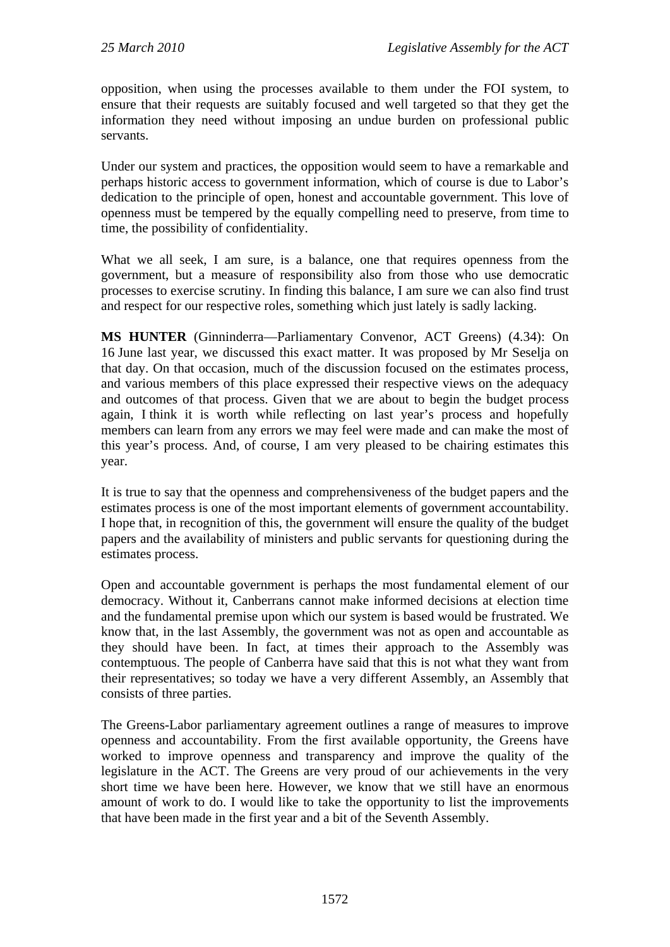opposition, when using the processes available to them under the FOI system, to ensure that their requests are suitably focused and well targeted so that they get the information they need without imposing an undue burden on professional public servants.

Under our system and practices, the opposition would seem to have a remarkable and perhaps historic access to government information, which of course is due to Labor's dedication to the principle of open, honest and accountable government. This love of openness must be tempered by the equally compelling need to preserve, from time to time, the possibility of confidentiality.

What we all seek, I am sure, is a balance, one that requires openness from the government, but a measure of responsibility also from those who use democratic processes to exercise scrutiny. In finding this balance, I am sure we can also find trust and respect for our respective roles, something which just lately is sadly lacking.

**MS HUNTER** (Ginninderra—Parliamentary Convenor, ACT Greens) (4.34): On 16 June last year, we discussed this exact matter. It was proposed by Mr Seselja on that day. On that occasion, much of the discussion focused on the estimates process, and various members of this place expressed their respective views on the adequacy and outcomes of that process. Given that we are about to begin the budget process again, I think it is worth while reflecting on last year's process and hopefully members can learn from any errors we may feel were made and can make the most of this year's process. And, of course, I am very pleased to be chairing estimates this year.

It is true to say that the openness and comprehensiveness of the budget papers and the estimates process is one of the most important elements of government accountability. I hope that, in recognition of this, the government will ensure the quality of the budget papers and the availability of ministers and public servants for questioning during the estimates process.

Open and accountable government is perhaps the most fundamental element of our democracy. Without it, Canberrans cannot make informed decisions at election time and the fundamental premise upon which our system is based would be frustrated. We know that, in the last Assembly, the government was not as open and accountable as they should have been. In fact, at times their approach to the Assembly was contemptuous. The people of Canberra have said that this is not what they want from their representatives; so today we have a very different Assembly, an Assembly that consists of three parties.

The Greens-Labor parliamentary agreement outlines a range of measures to improve openness and accountability. From the first available opportunity, the Greens have worked to improve openness and transparency and improve the quality of the legislature in the ACT. The Greens are very proud of our achievements in the very short time we have been here. However, we know that we still have an enormous amount of work to do. I would like to take the opportunity to list the improvements that have been made in the first year and a bit of the Seventh Assembly.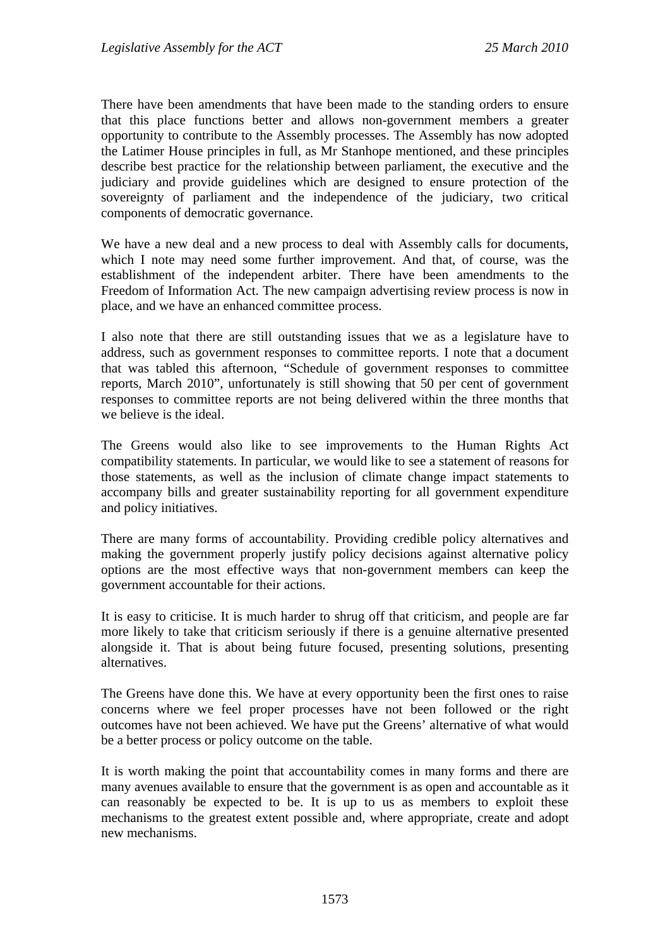There have been amendments that have been made to the standing orders to ensure that this place functions better and allows non-government members a greater opportunity to contribute to the Assembly processes. The Assembly has now adopted the Latimer House principles in full, as Mr Stanhope mentioned, and these principles describe best practice for the relationship between parliament, the executive and the judiciary and provide guidelines which are designed to ensure protection of the sovereignty of parliament and the independence of the judiciary, two critical components of democratic governance.

We have a new deal and a new process to deal with Assembly calls for documents, which I note may need some further improvement. And that, of course, was the establishment of the independent arbiter. There have been amendments to the Freedom of Information Act. The new campaign advertising review process is now in place, and we have an enhanced committee process.

I also note that there are still outstanding issues that we as a legislature have to address, such as government responses to committee reports. I note that a document that was tabled this afternoon, "Schedule of government responses to committee reports, March 2010", unfortunately is still showing that 50 per cent of government responses to committee reports are not being delivered within the three months that we believe is the ideal.

The Greens would also like to see improvements to the Human Rights Act compatibility statements. In particular, we would like to see a statement of reasons for those statements, as well as the inclusion of climate change impact statements to accompany bills and greater sustainability reporting for all government expenditure and policy initiatives.

There are many forms of accountability. Providing credible policy alternatives and making the government properly justify policy decisions against alternative policy options are the most effective ways that non-government members can keep the government accountable for their actions.

It is easy to criticise. It is much harder to shrug off that criticism, and people are far more likely to take that criticism seriously if there is a genuine alternative presented alongside it. That is about being future focused, presenting solutions, presenting alternatives.

The Greens have done this. We have at every opportunity been the first ones to raise concerns where we feel proper processes have not been followed or the right outcomes have not been achieved. We have put the Greens' alternative of what would be a better process or policy outcome on the table.

It is worth making the point that accountability comes in many forms and there are many avenues available to ensure that the government is as open and accountable as it can reasonably be expected to be. It is up to us as members to exploit these mechanisms to the greatest extent possible and, where appropriate, create and adopt new mechanisms.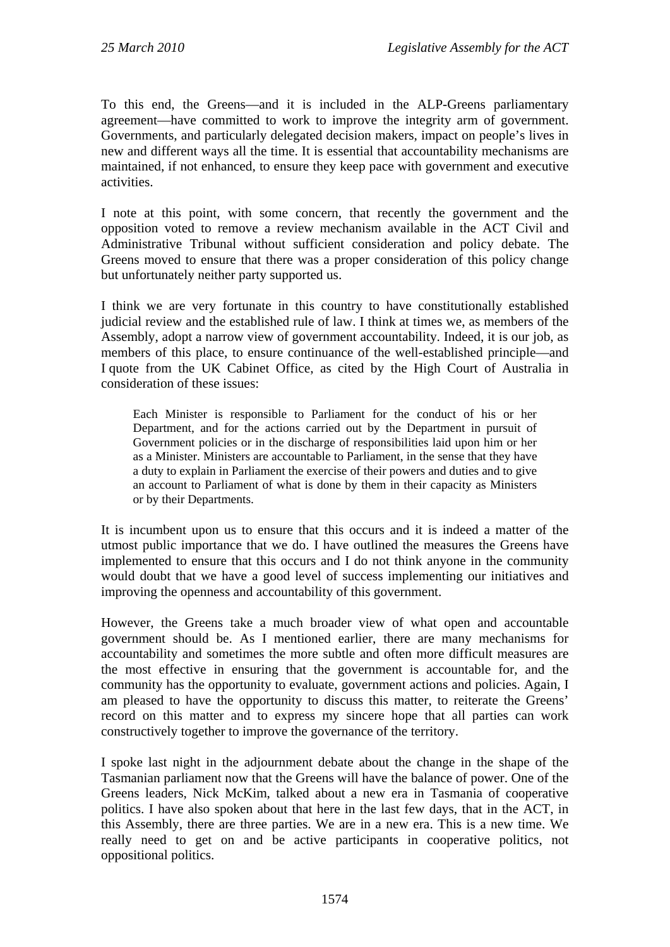To this end, the Greens—and it is included in the ALP-Greens parliamentary agreement—have committed to work to improve the integrity arm of government. Governments, and particularly delegated decision makers, impact on people's lives in new and different ways all the time. It is essential that accountability mechanisms are maintained, if not enhanced, to ensure they keep pace with government and executive activities.

I note at this point, with some concern, that recently the government and the opposition voted to remove a review mechanism available in the ACT Civil and Administrative Tribunal without sufficient consideration and policy debate. The Greens moved to ensure that there was a proper consideration of this policy change but unfortunately neither party supported us.

I think we are very fortunate in this country to have constitutionally established judicial review and the established rule of law. I think at times we, as members of the Assembly, adopt a narrow view of government accountability. Indeed, it is our job, as members of this place, to ensure continuance of the well-established principle—and I quote from the UK Cabinet Office, as cited by the High Court of Australia in consideration of these issues:

Each Minister is responsible to Parliament for the conduct of his or her Department, and for the actions carried out by the Department in pursuit of Government policies or in the discharge of responsibilities laid upon him or her as a Minister. Ministers are accountable to Parliament, in the sense that they have a duty to explain in Parliament the exercise of their powers and duties and to give an account to Parliament of what is done by them in their capacity as Ministers or by their Departments.

It is incumbent upon us to ensure that this occurs and it is indeed a matter of the utmost public importance that we do. I have outlined the measures the Greens have implemented to ensure that this occurs and I do not think anyone in the community would doubt that we have a good level of success implementing our initiatives and improving the openness and accountability of this government.

However, the Greens take a much broader view of what open and accountable government should be. As I mentioned earlier, there are many mechanisms for accountability and sometimes the more subtle and often more difficult measures are the most effective in ensuring that the government is accountable for, and the community has the opportunity to evaluate, government actions and policies. Again, I am pleased to have the opportunity to discuss this matter, to reiterate the Greens' record on this matter and to express my sincere hope that all parties can work constructively together to improve the governance of the territory.

I spoke last night in the adjournment debate about the change in the shape of the Tasmanian parliament now that the Greens will have the balance of power. One of the Greens leaders, Nick McKim, talked about a new era in Tasmania of cooperative politics. I have also spoken about that here in the last few days, that in the ACT, in this Assembly, there are three parties. We are in a new era. This is a new time. We really need to get on and be active participants in cooperative politics, not oppositional politics.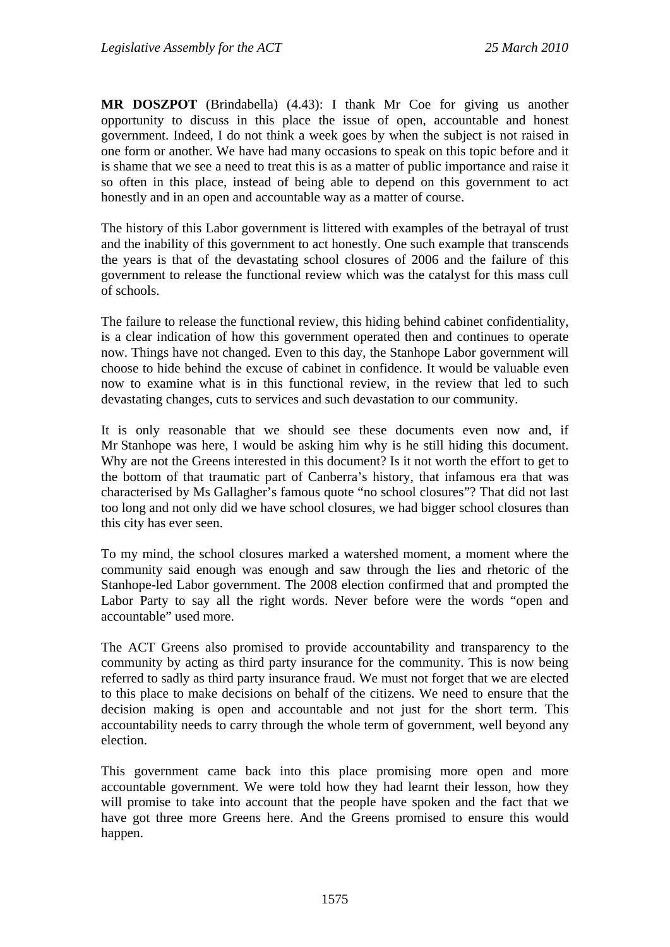**MR DOSZPOT** (Brindabella) (4.43): I thank Mr Coe for giving us another opportunity to discuss in this place the issue of open, accountable and honest government. Indeed, I do not think a week goes by when the subject is not raised in one form or another. We have had many occasions to speak on this topic before and it is shame that we see a need to treat this is as a matter of public importance and raise it so often in this place, instead of being able to depend on this government to act honestly and in an open and accountable way as a matter of course.

The history of this Labor government is littered with examples of the betrayal of trust and the inability of this government to act honestly. One such example that transcends the years is that of the devastating school closures of 2006 and the failure of this government to release the functional review which was the catalyst for this mass cull of schools.

The failure to release the functional review, this hiding behind cabinet confidentiality, is a clear indication of how this government operated then and continues to operate now. Things have not changed. Even to this day, the Stanhope Labor government will choose to hide behind the excuse of cabinet in confidence. It would be valuable even now to examine what is in this functional review, in the review that led to such devastating changes, cuts to services and such devastation to our community.

It is only reasonable that we should see these documents even now and, if Mr Stanhope was here, I would be asking him why is he still hiding this document. Why are not the Greens interested in this document? Is it not worth the effort to get to the bottom of that traumatic part of Canberra's history, that infamous era that was characterised by Ms Gallagher's famous quote "no school closures"? That did not last too long and not only did we have school closures, we had bigger school closures than this city has ever seen.

To my mind, the school closures marked a watershed moment, a moment where the community said enough was enough and saw through the lies and rhetoric of the Stanhope-led Labor government. The 2008 election confirmed that and prompted the Labor Party to say all the right words. Never before were the words "open and accountable" used more.

The ACT Greens also promised to provide accountability and transparency to the community by acting as third party insurance for the community. This is now being referred to sadly as third party insurance fraud. We must not forget that we are elected to this place to make decisions on behalf of the citizens. We need to ensure that the decision making is open and accountable and not just for the short term. This accountability needs to carry through the whole term of government, well beyond any election.

This government came back into this place promising more open and more accountable government. We were told how they had learnt their lesson, how they will promise to take into account that the people have spoken and the fact that we have got three more Greens here. And the Greens promised to ensure this would happen.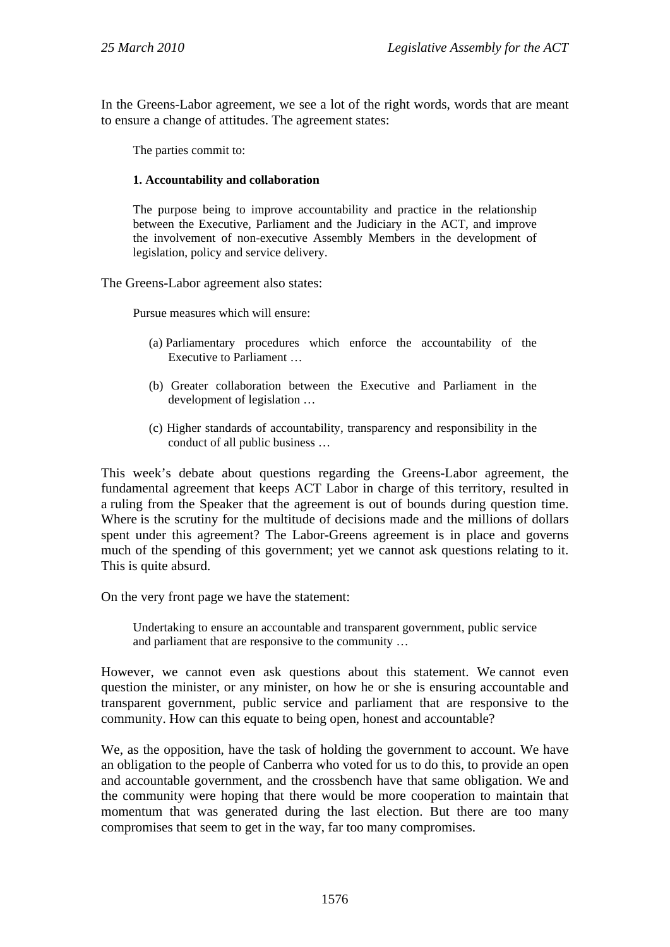In the Greens-Labor agreement, we see a lot of the right words, words that are meant to ensure a change of attitudes. The agreement states:

The parties commit to:

#### **1. Accountability and collaboration**

The purpose being to improve accountability and practice in the relationship between the Executive, Parliament and the Judiciary in the ACT, and improve the involvement of non-executive Assembly Members in the development of legislation, policy and service delivery.

The Greens-Labor agreement also states:

Pursue measures which will ensure:

- (a) Parliamentary procedures which enforce the accountability of the Executive to Parliament …
- (b) Greater collaboration between the Executive and Parliament in the development of legislation …
- (c) Higher standards of accountability, transparency and responsibility in the conduct of all public business …

This week's debate about questions regarding the Greens-Labor agreement, the fundamental agreement that keeps ACT Labor in charge of this territory, resulted in a ruling from the Speaker that the agreement is out of bounds during question time. Where is the scrutiny for the multitude of decisions made and the millions of dollars spent under this agreement? The Labor-Greens agreement is in place and governs much of the spending of this government; yet we cannot ask questions relating to it. This is quite absurd.

On the very front page we have the statement:

Undertaking to ensure an accountable and transparent government, public service and parliament that are responsive to the community …

However, we cannot even ask questions about this statement. We cannot even question the minister, or any minister, on how he or she is ensuring accountable and transparent government, public service and parliament that are responsive to the community. How can this equate to being open, honest and accountable?

We, as the opposition, have the task of holding the government to account. We have an obligation to the people of Canberra who voted for us to do this, to provide an open and accountable government, and the crossbench have that same obligation. We and the community were hoping that there would be more cooperation to maintain that momentum that was generated during the last election. But there are too many compromises that seem to get in the way, far too many compromises.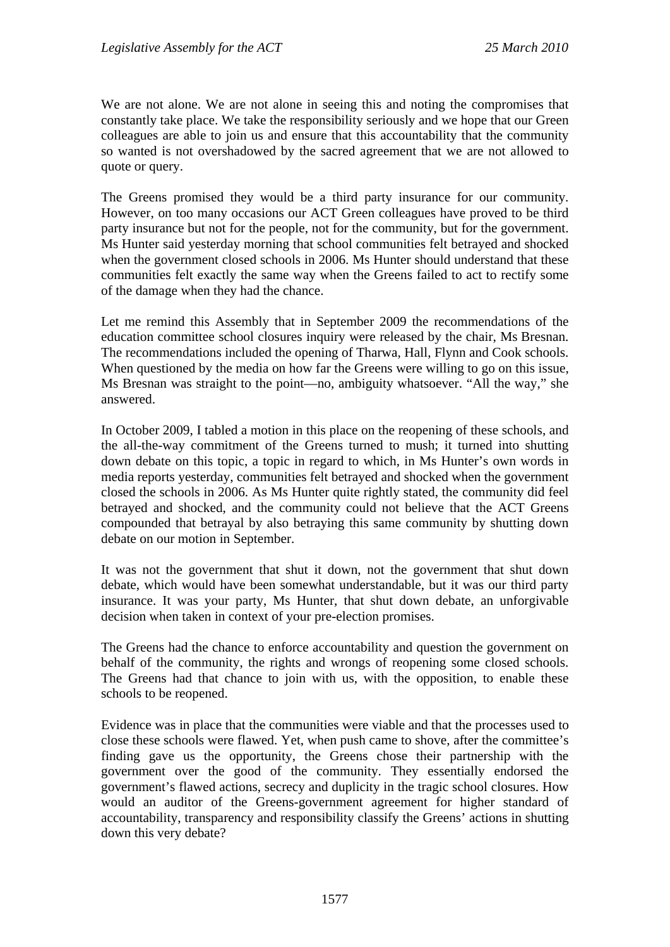We are not alone. We are not alone in seeing this and noting the compromises that constantly take place. We take the responsibility seriously and we hope that our Green colleagues are able to join us and ensure that this accountability that the community so wanted is not overshadowed by the sacred agreement that we are not allowed to quote or query.

The Greens promised they would be a third party insurance for our community. However, on too many occasions our ACT Green colleagues have proved to be third party insurance but not for the people, not for the community, but for the government. Ms Hunter said yesterday morning that school communities felt betrayed and shocked when the government closed schools in 2006. Ms Hunter should understand that these communities felt exactly the same way when the Greens failed to act to rectify some of the damage when they had the chance.

Let me remind this Assembly that in September 2009 the recommendations of the education committee school closures inquiry were released by the chair, Ms Bresnan. The recommendations included the opening of Tharwa, Hall, Flynn and Cook schools. When questioned by the media on how far the Greens were willing to go on this issue, Ms Bresnan was straight to the point—no, ambiguity whatsoever. "All the way," she answered.

In October 2009, I tabled a motion in this place on the reopening of these schools, and the all-the-way commitment of the Greens turned to mush; it turned into shutting down debate on this topic, a topic in regard to which, in Ms Hunter's own words in media reports yesterday, communities felt betrayed and shocked when the government closed the schools in 2006. As Ms Hunter quite rightly stated, the community did feel betrayed and shocked, and the community could not believe that the ACT Greens compounded that betrayal by also betraying this same community by shutting down debate on our motion in September.

It was not the government that shut it down, not the government that shut down debate, which would have been somewhat understandable, but it was our third party insurance. It was your party, Ms Hunter, that shut down debate, an unforgivable decision when taken in context of your pre-election promises.

The Greens had the chance to enforce accountability and question the government on behalf of the community, the rights and wrongs of reopening some closed schools. The Greens had that chance to join with us, with the opposition, to enable these schools to be reopened.

Evidence was in place that the communities were viable and that the processes used to close these schools were flawed. Yet, when push came to shove, after the committee's finding gave us the opportunity, the Greens chose their partnership with the government over the good of the community. They essentially endorsed the government's flawed actions, secrecy and duplicity in the tragic school closures. How would an auditor of the Greens-government agreement for higher standard of accountability, transparency and responsibility classify the Greens' actions in shutting down this very debate?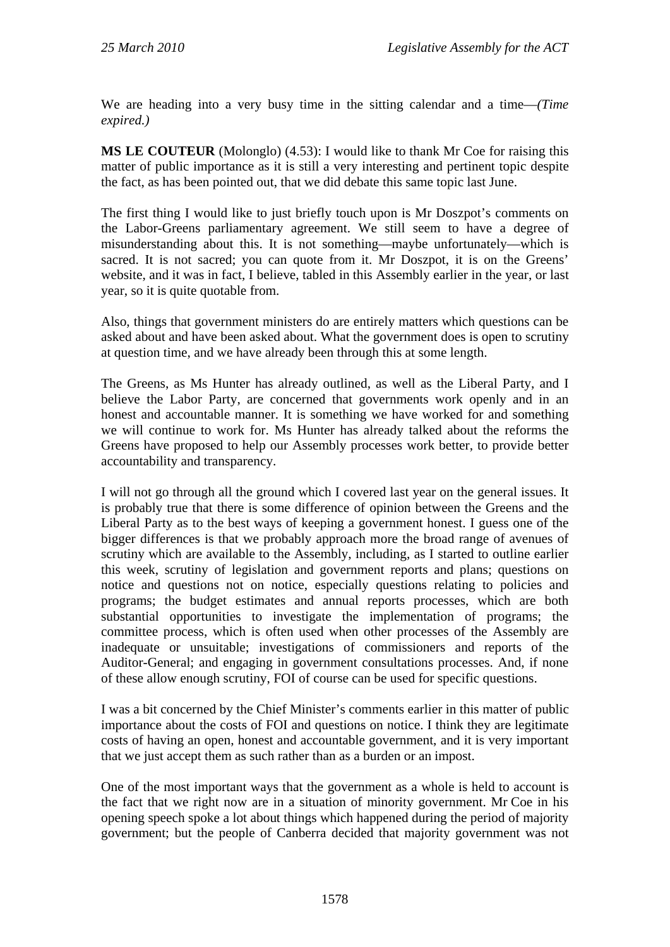We are heading into a very busy time in the sitting calendar and a time—*(Time expired.)* 

**MS LE COUTEUR** (Molonglo) (4.53): I would like to thank Mr Coe for raising this matter of public importance as it is still a very interesting and pertinent topic despite the fact, as has been pointed out, that we did debate this same topic last June.

The first thing I would like to just briefly touch upon is Mr Doszpot's comments on the Labor-Greens parliamentary agreement. We still seem to have a degree of misunderstanding about this. It is not something—maybe unfortunately—which is sacred. It is not sacred; you can quote from it. Mr Doszpot, it is on the Greens' website, and it was in fact, I believe, tabled in this Assembly earlier in the year, or last year, so it is quite quotable from.

Also, things that government ministers do are entirely matters which questions can be asked about and have been asked about. What the government does is open to scrutiny at question time, and we have already been through this at some length.

The Greens, as Ms Hunter has already outlined, as well as the Liberal Party, and I believe the Labor Party, are concerned that governments work openly and in an honest and accountable manner. It is something we have worked for and something we will continue to work for. Ms Hunter has already talked about the reforms the Greens have proposed to help our Assembly processes work better, to provide better accountability and transparency.

I will not go through all the ground which I covered last year on the general issues. It is probably true that there is some difference of opinion between the Greens and the Liberal Party as to the best ways of keeping a government honest. I guess one of the bigger differences is that we probably approach more the broad range of avenues of scrutiny which are available to the Assembly, including, as I started to outline earlier this week, scrutiny of legislation and government reports and plans; questions on notice and questions not on notice, especially questions relating to policies and programs; the budget estimates and annual reports processes, which are both substantial opportunities to investigate the implementation of programs; the committee process, which is often used when other processes of the Assembly are inadequate or unsuitable; investigations of commissioners and reports of the Auditor-General; and engaging in government consultations processes. And, if none of these allow enough scrutiny, FOI of course can be used for specific questions.

I was a bit concerned by the Chief Minister's comments earlier in this matter of public importance about the costs of FOI and questions on notice. I think they are legitimate costs of having an open, honest and accountable government, and it is very important that we just accept them as such rather than as a burden or an impost.

One of the most important ways that the government as a whole is held to account is the fact that we right now are in a situation of minority government. Mr Coe in his opening speech spoke a lot about things which happened during the period of majority government; but the people of Canberra decided that majority government was not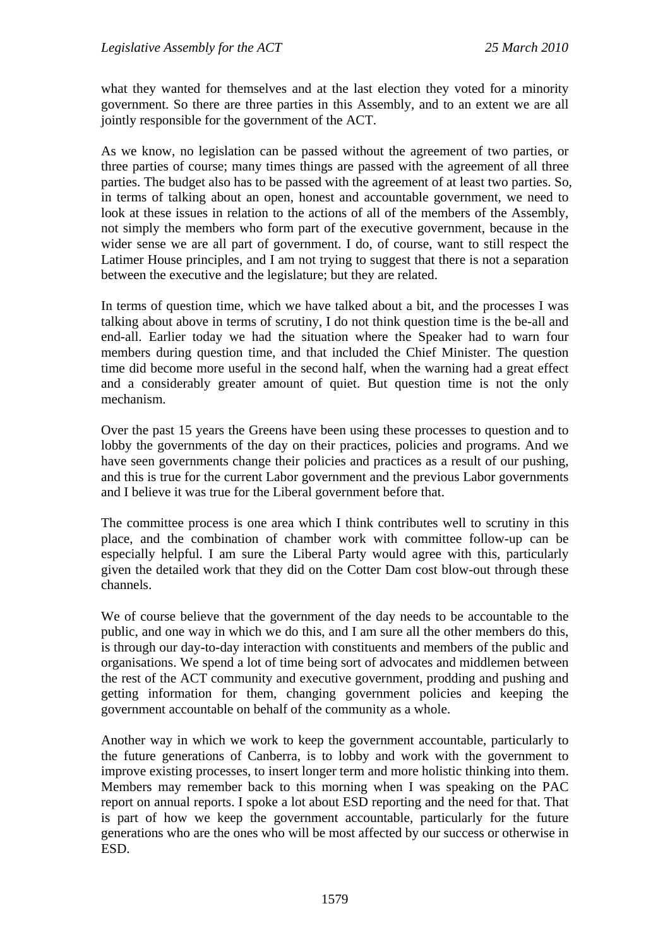what they wanted for themselves and at the last election they voted for a minority government. So there are three parties in this Assembly, and to an extent we are all jointly responsible for the government of the ACT.

As we know, no legislation can be passed without the agreement of two parties, or three parties of course; many times things are passed with the agreement of all three parties. The budget also has to be passed with the agreement of at least two parties. So, in terms of talking about an open, honest and accountable government, we need to look at these issues in relation to the actions of all of the members of the Assembly, not simply the members who form part of the executive government, because in the wider sense we are all part of government. I do, of course, want to still respect the Latimer House principles, and I am not trying to suggest that there is not a separation between the executive and the legislature; but they are related.

In terms of question time, which we have talked about a bit, and the processes I was talking about above in terms of scrutiny, I do not think question time is the be-all and end-all. Earlier today we had the situation where the Speaker had to warn four members during question time, and that included the Chief Minister. The question time did become more useful in the second half, when the warning had a great effect and a considerably greater amount of quiet. But question time is not the only mechanism.

Over the past 15 years the Greens have been using these processes to question and to lobby the governments of the day on their practices, policies and programs. And we have seen governments change their policies and practices as a result of our pushing, and this is true for the current Labor government and the previous Labor governments and I believe it was true for the Liberal government before that.

The committee process is one area which I think contributes well to scrutiny in this place, and the combination of chamber work with committee follow-up can be especially helpful. I am sure the Liberal Party would agree with this, particularly given the detailed work that they did on the Cotter Dam cost blow-out through these channels.

We of course believe that the government of the day needs to be accountable to the public, and one way in which we do this, and I am sure all the other members do this, is through our day-to-day interaction with constituents and members of the public and organisations. We spend a lot of time being sort of advocates and middlemen between the rest of the ACT community and executive government, prodding and pushing and getting information for them, changing government policies and keeping the government accountable on behalf of the community as a whole.

Another way in which we work to keep the government accountable, particularly to the future generations of Canberra, is to lobby and work with the government to improve existing processes, to insert longer term and more holistic thinking into them. Members may remember back to this morning when I was speaking on the PAC report on annual reports. I spoke a lot about ESD reporting and the need for that. That is part of how we keep the government accountable, particularly for the future generations who are the ones who will be most affected by our success or otherwise in ESD.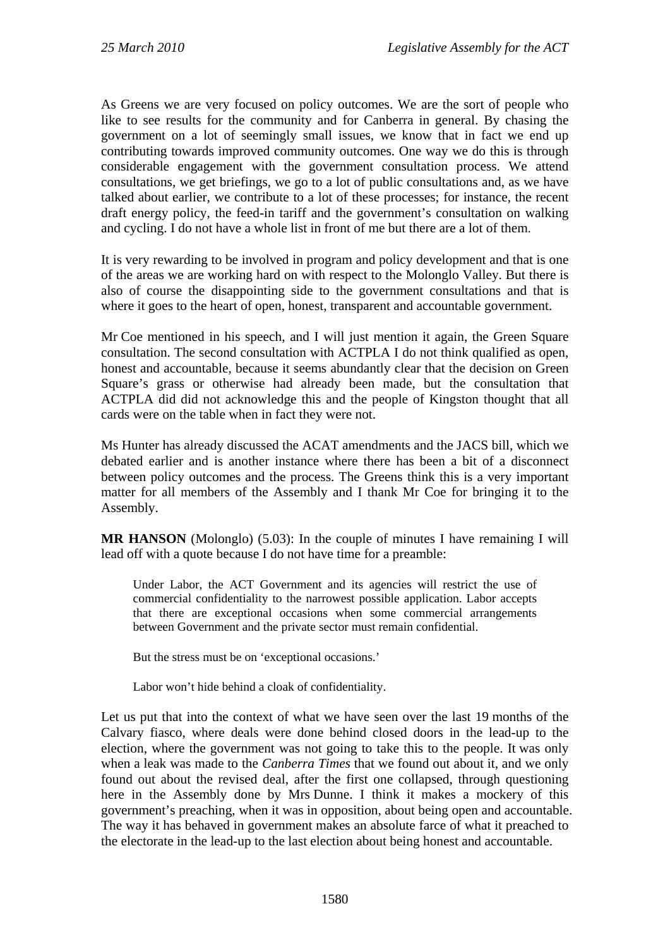As Greens we are very focused on policy outcomes. We are the sort of people who like to see results for the community and for Canberra in general. By chasing the government on a lot of seemingly small issues, we know that in fact we end up contributing towards improved community outcomes. One way we do this is through considerable engagement with the government consultation process. We attend consultations, we get briefings, we go to a lot of public consultations and, as we have talked about earlier, we contribute to a lot of these processes; for instance, the recent draft energy policy, the feed-in tariff and the government's consultation on walking and cycling. I do not have a whole list in front of me but there are a lot of them.

It is very rewarding to be involved in program and policy development and that is one of the areas we are working hard on with respect to the Molonglo Valley. But there is also of course the disappointing side to the government consultations and that is where it goes to the heart of open, honest, transparent and accountable government.

Mr Coe mentioned in his speech, and I will just mention it again, the Green Square consultation. The second consultation with ACTPLA I do not think qualified as open, honest and accountable, because it seems abundantly clear that the decision on Green Square's grass or otherwise had already been made, but the consultation that ACTPLA did did not acknowledge this and the people of Kingston thought that all cards were on the table when in fact they were not.

Ms Hunter has already discussed the ACAT amendments and the JACS bill, which we debated earlier and is another instance where there has been a bit of a disconnect between policy outcomes and the process. The Greens think this is a very important matter for all members of the Assembly and I thank Mr Coe for bringing it to the Assembly.

**MR HANSON** (Molonglo) (5.03): In the couple of minutes I have remaining I will lead off with a quote because I do not have time for a preamble:

Under Labor, the ACT Government and its agencies will restrict the use of commercial confidentiality to the narrowest possible application. Labor accepts that there are exceptional occasions when some commercial arrangements between Government and the private sector must remain confidential.

But the stress must be on 'exceptional occasions.'

Labor won't hide behind a cloak of confidentiality.

Let us put that into the context of what we have seen over the last 19 months of the Calvary fiasco, where deals were done behind closed doors in the lead-up to the election, where the government was not going to take this to the people. It was only when a leak was made to the *Canberra Times* that we found out about it, and we only found out about the revised deal, after the first one collapsed, through questioning here in the Assembly done by Mrs Dunne. I think it makes a mockery of this government's preaching, when it was in opposition, about being open and accountable. The way it has behaved in government makes an absolute farce of what it preached to the electorate in the lead-up to the last election about being honest and accountable.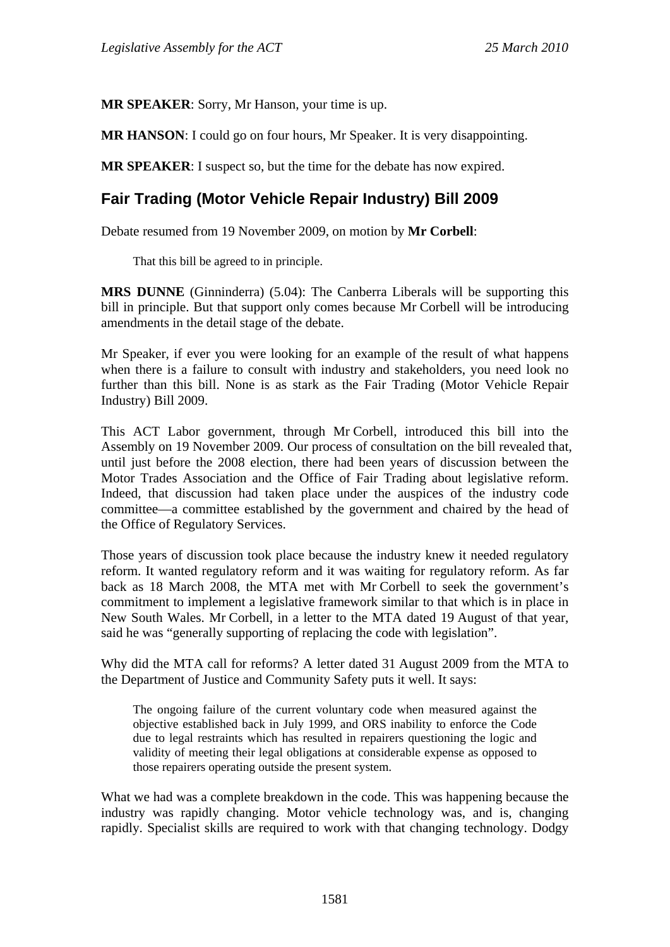**MR SPEAKER**: Sorry, Mr Hanson, your time is up.

**MR HANSON**: I could go on four hours, Mr Speaker. It is very disappointing.

**MR SPEAKER**: I suspect so, but the time for the debate has now expired.

# **Fair Trading (Motor Vehicle Repair Industry) Bill 2009**

Debate resumed from 19 November 2009, on motion by **Mr Corbell**:

That this bill be agreed to in principle.

**MRS DUNNE** (Ginninderra) (5.04): The Canberra Liberals will be supporting this bill in principle. But that support only comes because Mr Corbell will be introducing amendments in the detail stage of the debate.

Mr Speaker, if ever you were looking for an example of the result of what happens when there is a failure to consult with industry and stakeholders, you need look no further than this bill. None is as stark as the Fair Trading (Motor Vehicle Repair Industry) Bill 2009.

This ACT Labor government, through Mr Corbell, introduced this bill into the Assembly on 19 November 2009. Our process of consultation on the bill revealed that, until just before the 2008 election, there had been years of discussion between the Motor Trades Association and the Office of Fair Trading about legislative reform. Indeed, that discussion had taken place under the auspices of the industry code committee—a committee established by the government and chaired by the head of the Office of Regulatory Services.

Those years of discussion took place because the industry knew it needed regulatory reform. It wanted regulatory reform and it was waiting for regulatory reform. As far back as 18 March 2008, the MTA met with Mr Corbell to seek the government's commitment to implement a legislative framework similar to that which is in place in New South Wales. Mr Corbell, in a letter to the MTA dated 19 August of that year, said he was "generally supporting of replacing the code with legislation".

Why did the MTA call for reforms? A letter dated 31 August 2009 from the MTA to the Department of Justice and Community Safety puts it well. It says:

The ongoing failure of the current voluntary code when measured against the objective established back in July 1999, and ORS inability to enforce the Code due to legal restraints which has resulted in repairers questioning the logic and validity of meeting their legal obligations at considerable expense as opposed to those repairers operating outside the present system.

What we had was a complete breakdown in the code. This was happening because the industry was rapidly changing. Motor vehicle technology was, and is, changing rapidly. Specialist skills are required to work with that changing technology. Dodgy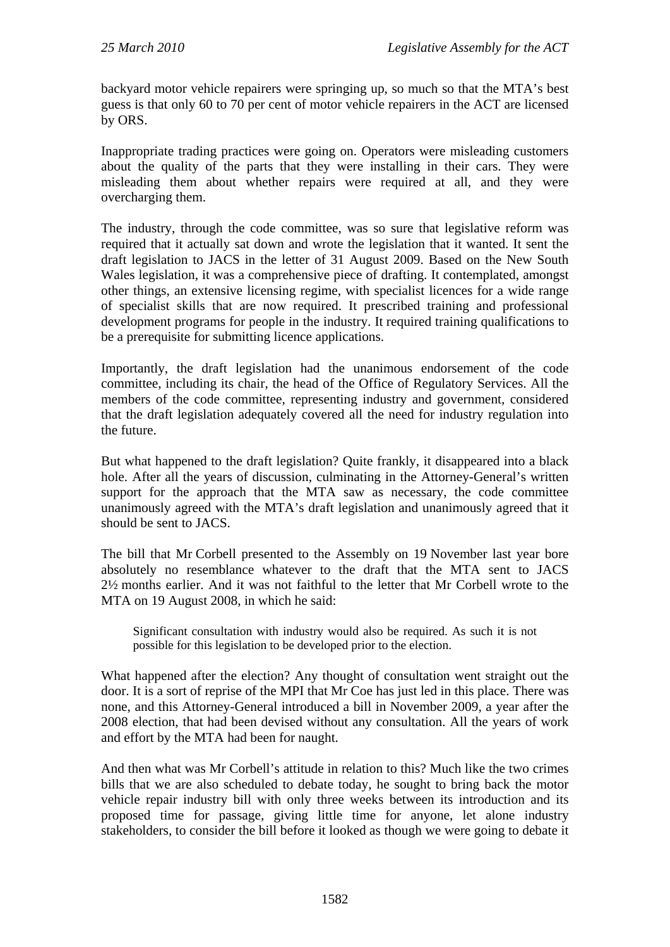backyard motor vehicle repairers were springing up, so much so that the MTA's best guess is that only 60 to 70 per cent of motor vehicle repairers in the ACT are licensed by ORS.

Inappropriate trading practices were going on. Operators were misleading customers about the quality of the parts that they were installing in their cars. They were misleading them about whether repairs were required at all, and they were overcharging them.

The industry, through the code committee, was so sure that legislative reform was required that it actually sat down and wrote the legislation that it wanted. It sent the draft legislation to JACS in the letter of 31 August 2009. Based on the New South Wales legislation, it was a comprehensive piece of drafting. It contemplated, amongst other things, an extensive licensing regime, with specialist licences for a wide range of specialist skills that are now required. It prescribed training and professional development programs for people in the industry. It required training qualifications to be a prerequisite for submitting licence applications.

Importantly, the draft legislation had the unanimous endorsement of the code committee, including its chair, the head of the Office of Regulatory Services. All the members of the code committee, representing industry and government, considered that the draft legislation adequately covered all the need for industry regulation into the future.

But what happened to the draft legislation? Quite frankly, it disappeared into a black hole. After all the years of discussion, culminating in the Attorney-General's written support for the approach that the MTA saw as necessary, the code committee unanimously agreed with the MTA's draft legislation and unanimously agreed that it should be sent to JACS.

The bill that Mr Corbell presented to the Assembly on 19 November last year bore absolutely no resemblance whatever to the draft that the MTA sent to JACS 2½ months earlier. And it was not faithful to the letter that Mr Corbell wrote to the MTA on 19 August 2008, in which he said:

Significant consultation with industry would also be required. As such it is not possible for this legislation to be developed prior to the election.

What happened after the election? Any thought of consultation went straight out the door. It is a sort of reprise of the MPI that Mr Coe has just led in this place. There was none, and this Attorney-General introduced a bill in November 2009, a year after the 2008 election, that had been devised without any consultation. All the years of work and effort by the MTA had been for naught.

And then what was Mr Corbell's attitude in relation to this? Much like the two crimes bills that we are also scheduled to debate today, he sought to bring back the motor vehicle repair industry bill with only three weeks between its introduction and its proposed time for passage, giving little time for anyone, let alone industry stakeholders, to consider the bill before it looked as though we were going to debate it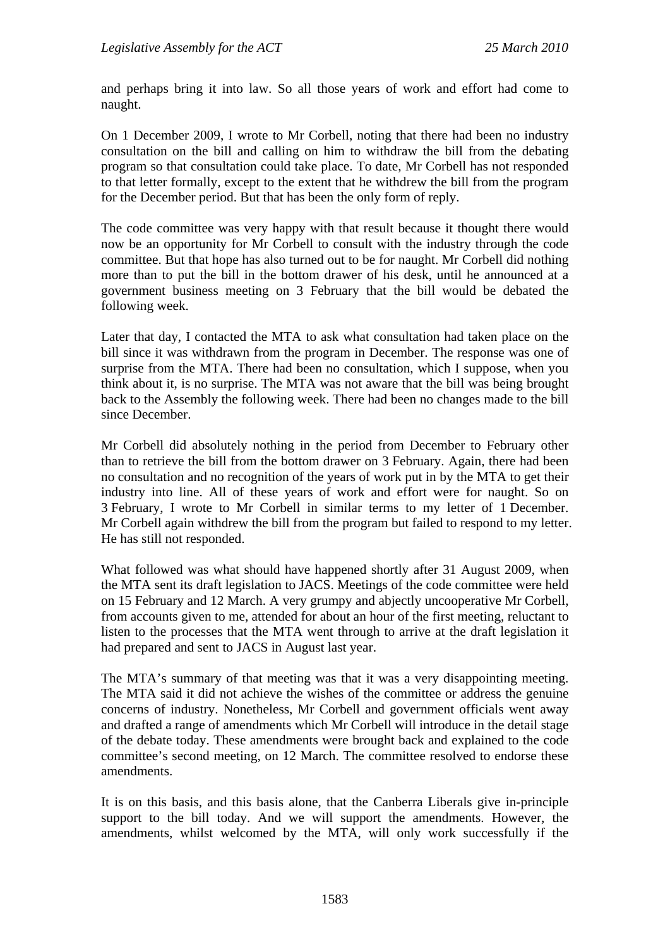and perhaps bring it into law. So all those years of work and effort had come to naught.

On 1 December 2009, I wrote to Mr Corbell, noting that there had been no industry consultation on the bill and calling on him to withdraw the bill from the debating program so that consultation could take place. To date, Mr Corbell has not responded to that letter formally, except to the extent that he withdrew the bill from the program for the December period. But that has been the only form of reply.

The code committee was very happy with that result because it thought there would now be an opportunity for Mr Corbell to consult with the industry through the code committee. But that hope has also turned out to be for naught. Mr Corbell did nothing more than to put the bill in the bottom drawer of his desk, until he announced at a government business meeting on 3 February that the bill would be debated the following week.

Later that day, I contacted the MTA to ask what consultation had taken place on the bill since it was withdrawn from the program in December. The response was one of surprise from the MTA. There had been no consultation, which I suppose, when you think about it, is no surprise. The MTA was not aware that the bill was being brought back to the Assembly the following week. There had been no changes made to the bill since December.

Mr Corbell did absolutely nothing in the period from December to February other than to retrieve the bill from the bottom drawer on 3 February. Again, there had been no consultation and no recognition of the years of work put in by the MTA to get their industry into line. All of these years of work and effort were for naught. So on 3 February, I wrote to Mr Corbell in similar terms to my letter of 1 December. Mr Corbell again withdrew the bill from the program but failed to respond to my letter. He has still not responded.

What followed was what should have happened shortly after 31 August 2009, when the MTA sent its draft legislation to JACS. Meetings of the code committee were held on 15 February and 12 March. A very grumpy and abjectly uncooperative Mr Corbell, from accounts given to me, attended for about an hour of the first meeting, reluctant to listen to the processes that the MTA went through to arrive at the draft legislation it had prepared and sent to JACS in August last year.

The MTA's summary of that meeting was that it was a very disappointing meeting. The MTA said it did not achieve the wishes of the committee or address the genuine concerns of industry. Nonetheless, Mr Corbell and government officials went away and drafted a range of amendments which Mr Corbell will introduce in the detail stage of the debate today. These amendments were brought back and explained to the code committee's second meeting, on 12 March. The committee resolved to endorse these amendments.

It is on this basis, and this basis alone, that the Canberra Liberals give in-principle support to the bill today. And we will support the amendments. However, the amendments, whilst welcomed by the MTA, will only work successfully if the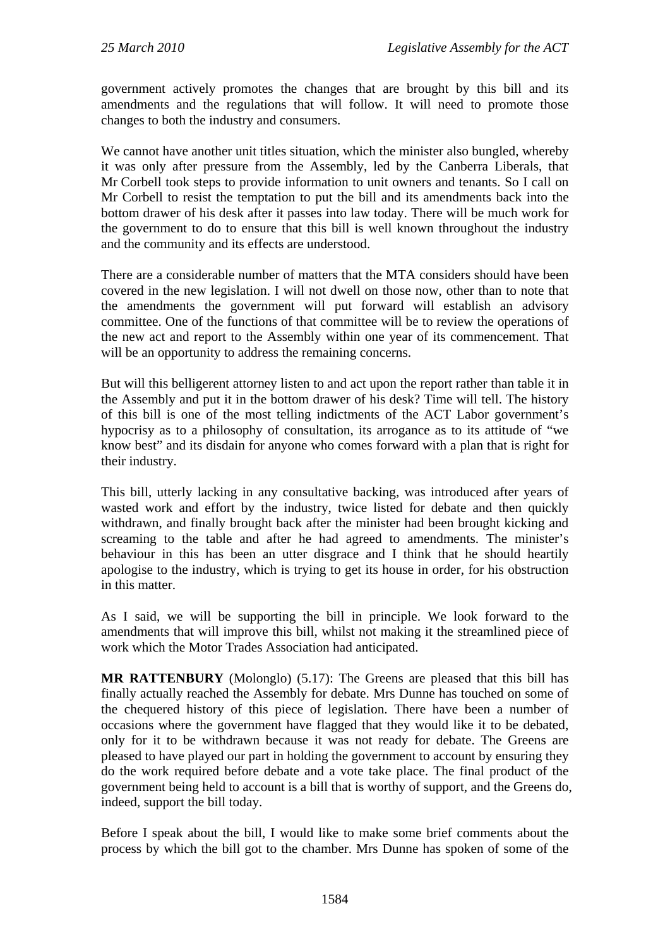government actively promotes the changes that are brought by this bill and its amendments and the regulations that will follow. It will need to promote those changes to both the industry and consumers.

We cannot have another unit titles situation, which the minister also bungled, whereby it was only after pressure from the Assembly, led by the Canberra Liberals, that Mr Corbell took steps to provide information to unit owners and tenants. So I call on Mr Corbell to resist the temptation to put the bill and its amendments back into the bottom drawer of his desk after it passes into law today. There will be much work for the government to do to ensure that this bill is well known throughout the industry and the community and its effects are understood.

There are a considerable number of matters that the MTA considers should have been covered in the new legislation. I will not dwell on those now, other than to note that the amendments the government will put forward will establish an advisory committee. One of the functions of that committee will be to review the operations of the new act and report to the Assembly within one year of its commencement. That will be an opportunity to address the remaining concerns.

But will this belligerent attorney listen to and act upon the report rather than table it in the Assembly and put it in the bottom drawer of his desk? Time will tell. The history of this bill is one of the most telling indictments of the ACT Labor government's hypocrisy as to a philosophy of consultation, its arrogance as to its attitude of "we know best" and its disdain for anyone who comes forward with a plan that is right for their industry.

This bill, utterly lacking in any consultative backing, was introduced after years of wasted work and effort by the industry, twice listed for debate and then quickly withdrawn, and finally brought back after the minister had been brought kicking and screaming to the table and after he had agreed to amendments. The minister's behaviour in this has been an utter disgrace and I think that he should heartily apologise to the industry, which is trying to get its house in order, for his obstruction in this matter.

As I said, we will be supporting the bill in principle. We look forward to the amendments that will improve this bill, whilst not making it the streamlined piece of work which the Motor Trades Association had anticipated.

**MR RATTENBURY** (Molonglo) (5.17): The Greens are pleased that this bill has finally actually reached the Assembly for debate. Mrs Dunne has touched on some of the chequered history of this piece of legislation. There have been a number of occasions where the government have flagged that they would like it to be debated, only for it to be withdrawn because it was not ready for debate. The Greens are pleased to have played our part in holding the government to account by ensuring they do the work required before debate and a vote take place. The final product of the government being held to account is a bill that is worthy of support, and the Greens do, indeed, support the bill today.

Before I speak about the bill, I would like to make some brief comments about the process by which the bill got to the chamber. Mrs Dunne has spoken of some of the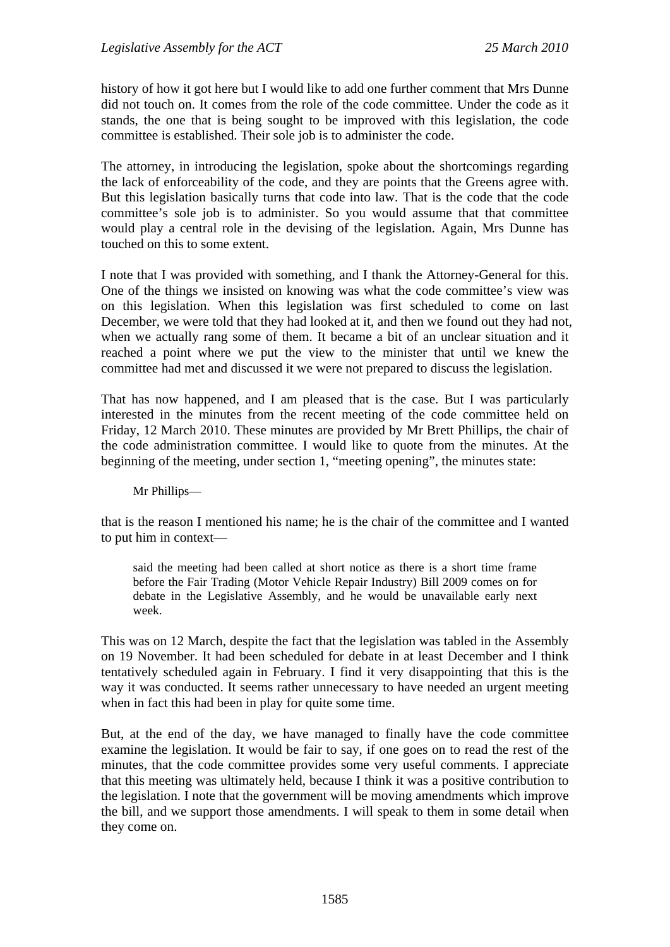history of how it got here but I would like to add one further comment that Mrs Dunne did not touch on. It comes from the role of the code committee. Under the code as it stands, the one that is being sought to be improved with this legislation, the code committee is established. Their sole job is to administer the code.

The attorney, in introducing the legislation, spoke about the shortcomings regarding the lack of enforceability of the code, and they are points that the Greens agree with. But this legislation basically turns that code into law. That is the code that the code committee's sole job is to administer. So you would assume that that committee would play a central role in the devising of the legislation. Again, Mrs Dunne has touched on this to some extent.

I note that I was provided with something, and I thank the Attorney-General for this. One of the things we insisted on knowing was what the code committee's view was on this legislation. When this legislation was first scheduled to come on last December, we were told that they had looked at it, and then we found out they had not, when we actually rang some of them. It became a bit of an unclear situation and it reached a point where we put the view to the minister that until we knew the committee had met and discussed it we were not prepared to discuss the legislation.

That has now happened, and I am pleased that is the case. But I was particularly interested in the minutes from the recent meeting of the code committee held on Friday, 12 March 2010. These minutes are provided by Mr Brett Phillips, the chair of the code administration committee. I would like to quote from the minutes. At the beginning of the meeting, under section 1, "meeting opening", the minutes state:

Mr Phillips—

that is the reason I mentioned his name; he is the chair of the committee and I wanted to put him in context—

said the meeting had been called at short notice as there is a short time frame before the Fair Trading (Motor Vehicle Repair Industry) Bill 2009 comes on for debate in the Legislative Assembly, and he would be unavailable early next week.

This was on 12 March, despite the fact that the legislation was tabled in the Assembly on 19 November. It had been scheduled for debate in at least December and I think tentatively scheduled again in February. I find it very disappointing that this is the way it was conducted. It seems rather unnecessary to have needed an urgent meeting when in fact this had been in play for quite some time.

But, at the end of the day, we have managed to finally have the code committee examine the legislation. It would be fair to say, if one goes on to read the rest of the minutes, that the code committee provides some very useful comments. I appreciate that this meeting was ultimately held, because I think it was a positive contribution to the legislation. I note that the government will be moving amendments which improve the bill, and we support those amendments. I will speak to them in some detail when they come on.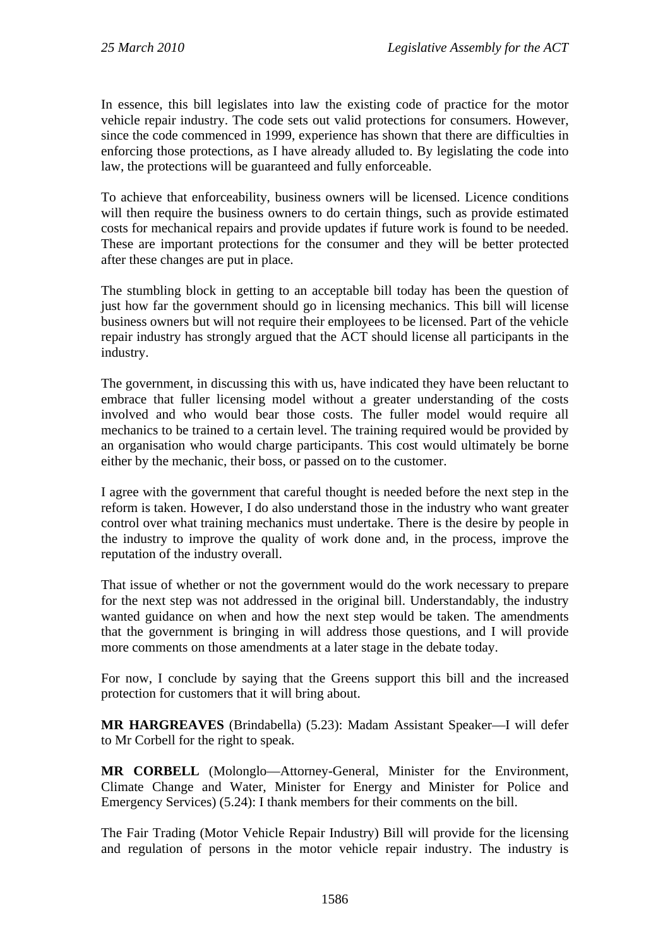In essence, this bill legislates into law the existing code of practice for the motor vehicle repair industry. The code sets out valid protections for consumers. However, since the code commenced in 1999, experience has shown that there are difficulties in enforcing those protections, as I have already alluded to. By legislating the code into law, the protections will be guaranteed and fully enforceable.

To achieve that enforceability, business owners will be licensed. Licence conditions will then require the business owners to do certain things, such as provide estimated costs for mechanical repairs and provide updates if future work is found to be needed. These are important protections for the consumer and they will be better protected after these changes are put in place.

The stumbling block in getting to an acceptable bill today has been the question of just how far the government should go in licensing mechanics. This bill will license business owners but will not require their employees to be licensed. Part of the vehicle repair industry has strongly argued that the ACT should license all participants in the industry.

The government, in discussing this with us, have indicated they have been reluctant to embrace that fuller licensing model without a greater understanding of the costs involved and who would bear those costs. The fuller model would require all mechanics to be trained to a certain level. The training required would be provided by an organisation who would charge participants. This cost would ultimately be borne either by the mechanic, their boss, or passed on to the customer.

I agree with the government that careful thought is needed before the next step in the reform is taken. However, I do also understand those in the industry who want greater control over what training mechanics must undertake. There is the desire by people in the industry to improve the quality of work done and, in the process, improve the reputation of the industry overall.

That issue of whether or not the government would do the work necessary to prepare for the next step was not addressed in the original bill. Understandably, the industry wanted guidance on when and how the next step would be taken. The amendments that the government is bringing in will address those questions, and I will provide more comments on those amendments at a later stage in the debate today.

For now, I conclude by saying that the Greens support this bill and the increased protection for customers that it will bring about.

**MR HARGREAVES** (Brindabella) (5.23): Madam Assistant Speaker—I will defer to Mr Corbell for the right to speak.

**MR CORBELL** (Molonglo—Attorney-General, Minister for the Environment, Climate Change and Water, Minister for Energy and Minister for Police and Emergency Services) (5.24): I thank members for their comments on the bill.

The Fair Trading (Motor Vehicle Repair Industry) Bill will provide for the licensing and regulation of persons in the motor vehicle repair industry. The industry is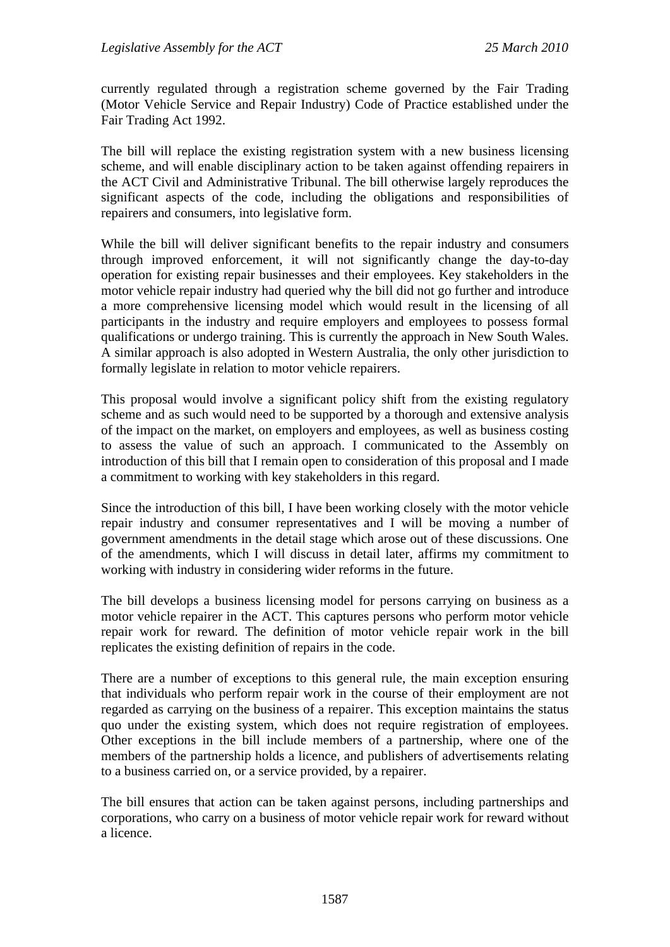currently regulated through a registration scheme governed by the Fair Trading (Motor Vehicle Service and Repair Industry) Code of Practice established under the Fair Trading Act 1992.

The bill will replace the existing registration system with a new business licensing scheme, and will enable disciplinary action to be taken against offending repairers in the ACT Civil and Administrative Tribunal. The bill otherwise largely reproduces the significant aspects of the code, including the obligations and responsibilities of repairers and consumers, into legislative form.

While the bill will deliver significant benefits to the repair industry and consumers through improved enforcement, it will not significantly change the day-to-day operation for existing repair businesses and their employees. Key stakeholders in the motor vehicle repair industry had queried why the bill did not go further and introduce a more comprehensive licensing model which would result in the licensing of all participants in the industry and require employers and employees to possess formal qualifications or undergo training. This is currently the approach in New South Wales. A similar approach is also adopted in Western Australia, the only other jurisdiction to formally legislate in relation to motor vehicle repairers.

This proposal would involve a significant policy shift from the existing regulatory scheme and as such would need to be supported by a thorough and extensive analysis of the impact on the market, on employers and employees, as well as business costing to assess the value of such an approach. I communicated to the Assembly on introduction of this bill that I remain open to consideration of this proposal and I made a commitment to working with key stakeholders in this regard.

Since the introduction of this bill, I have been working closely with the motor vehicle repair industry and consumer representatives and I will be moving a number of government amendments in the detail stage which arose out of these discussions. One of the amendments, which I will discuss in detail later, affirms my commitment to working with industry in considering wider reforms in the future.

The bill develops a business licensing model for persons carrying on business as a motor vehicle repairer in the ACT. This captures persons who perform motor vehicle repair work for reward. The definition of motor vehicle repair work in the bill replicates the existing definition of repairs in the code.

There are a number of exceptions to this general rule, the main exception ensuring that individuals who perform repair work in the course of their employment are not regarded as carrying on the business of a repairer. This exception maintains the status quo under the existing system, which does not require registration of employees. Other exceptions in the bill include members of a partnership, where one of the members of the partnership holds a licence, and publishers of advertisements relating to a business carried on, or a service provided, by a repairer.

The bill ensures that action can be taken against persons, including partnerships and corporations, who carry on a business of motor vehicle repair work for reward without a licence.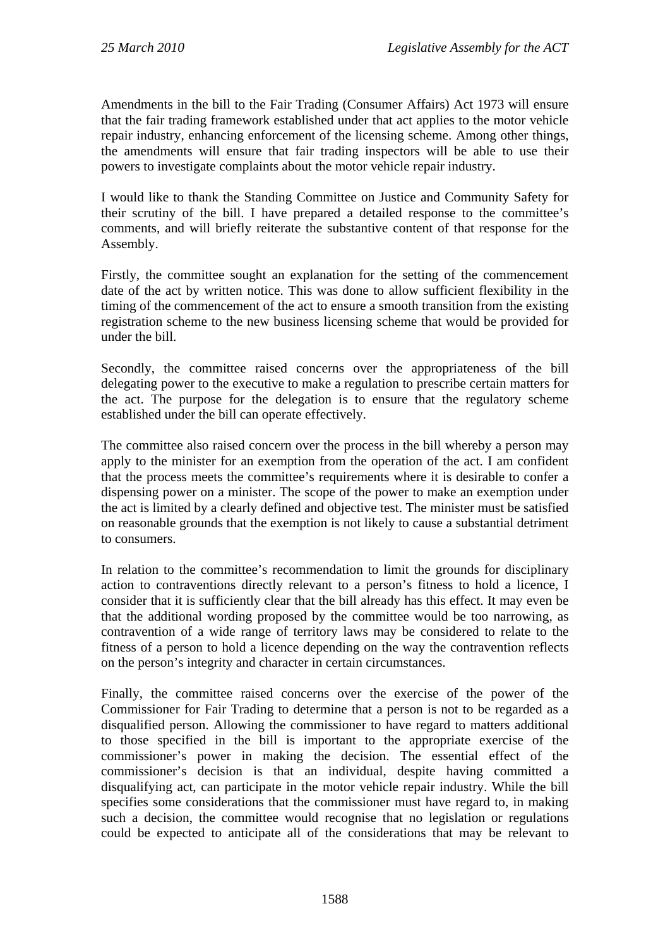Amendments in the bill to the Fair Trading (Consumer Affairs) Act 1973 will ensure that the fair trading framework established under that act applies to the motor vehicle repair industry, enhancing enforcement of the licensing scheme. Among other things, the amendments will ensure that fair trading inspectors will be able to use their powers to investigate complaints about the motor vehicle repair industry.

I would like to thank the Standing Committee on Justice and Community Safety for their scrutiny of the bill. I have prepared a detailed response to the committee's comments, and will briefly reiterate the substantive content of that response for the Assembly.

Firstly, the committee sought an explanation for the setting of the commencement date of the act by written notice. This was done to allow sufficient flexibility in the timing of the commencement of the act to ensure a smooth transition from the existing registration scheme to the new business licensing scheme that would be provided for under the bill.

Secondly, the committee raised concerns over the appropriateness of the bill delegating power to the executive to make a regulation to prescribe certain matters for the act. The purpose for the delegation is to ensure that the regulatory scheme established under the bill can operate effectively.

The committee also raised concern over the process in the bill whereby a person may apply to the minister for an exemption from the operation of the act. I am confident that the process meets the committee's requirements where it is desirable to confer a dispensing power on a minister. The scope of the power to make an exemption under the act is limited by a clearly defined and objective test. The minister must be satisfied on reasonable grounds that the exemption is not likely to cause a substantial detriment to consumers.

In relation to the committee's recommendation to limit the grounds for disciplinary action to contraventions directly relevant to a person's fitness to hold a licence, I consider that it is sufficiently clear that the bill already has this effect. It may even be that the additional wording proposed by the committee would be too narrowing, as contravention of a wide range of territory laws may be considered to relate to the fitness of a person to hold a licence depending on the way the contravention reflects on the person's integrity and character in certain circumstances.

Finally, the committee raised concerns over the exercise of the power of the Commissioner for Fair Trading to determine that a person is not to be regarded as a disqualified person. Allowing the commissioner to have regard to matters additional to those specified in the bill is important to the appropriate exercise of the commissioner's power in making the decision. The essential effect of the commissioner's decision is that an individual, despite having committed a disqualifying act, can participate in the motor vehicle repair industry. While the bill specifies some considerations that the commissioner must have regard to, in making such a decision, the committee would recognise that no legislation or regulations could be expected to anticipate all of the considerations that may be relevant to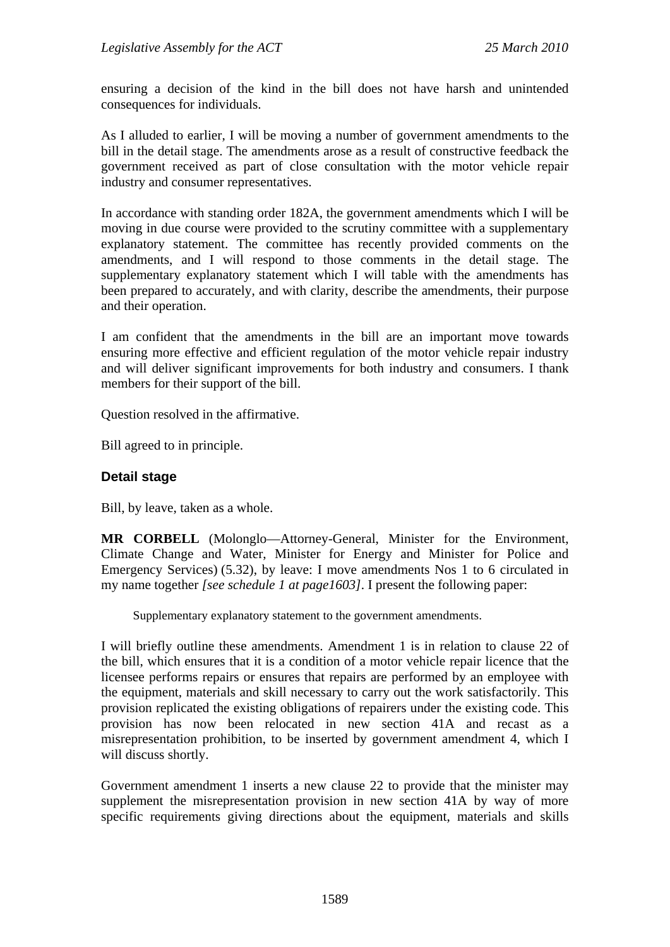ensuring a decision of the kind in the bill does not have harsh and unintended consequences for individuals.

As I alluded to earlier, I will be moving a number of government amendments to the bill in the detail stage. The amendments arose as a result of constructive feedback the government received as part of close consultation with the motor vehicle repair industry and consumer representatives.

In accordance with standing order 182A, the government amendments which I will be moving in due course were provided to the scrutiny committee with a supplementary explanatory statement. The committee has recently provided comments on the amendments, and I will respond to those comments in the detail stage. The supplementary explanatory statement which I will table with the amendments has been prepared to accurately, and with clarity, describe the amendments, their purpose and their operation.

I am confident that the amendments in the bill are an important move towards ensuring more effective and efficient regulation of the motor vehicle repair industry and will deliver significant improvements for both industry and consumers. I thank members for their support of the bill.

Question resolved in the affirmative.

Bill agreed to in principle.

# **Detail stage**

Bill, by leave, taken as a whole.

**MR CORBELL** (Molonglo—Attorney-General, Minister for the Environment, Climate Change and Water, Minister for Energy and Minister for Police and Emergency Services) (5.32), by leave: I move amendments Nos 1 to 6 circulated in my name together *[see schedule 1 at page1603]*. I present the following paper:

Supplementary explanatory statement to the government amendments.

I will briefly outline these amendments. Amendment 1 is in relation to clause 22 of the bill, which ensures that it is a condition of a motor vehicle repair licence that the licensee performs repairs or ensures that repairs are performed by an employee with the equipment, materials and skill necessary to carry out the work satisfactorily. This provision replicated the existing obligations of repairers under the existing code. This provision has now been relocated in new section 41A and recast as a misrepresentation prohibition, to be inserted by government amendment 4, which I will discuss shortly.

Government amendment 1 inserts a new clause 22 to provide that the minister may supplement the misrepresentation provision in new section 41A by way of more specific requirements giving directions about the equipment, materials and skills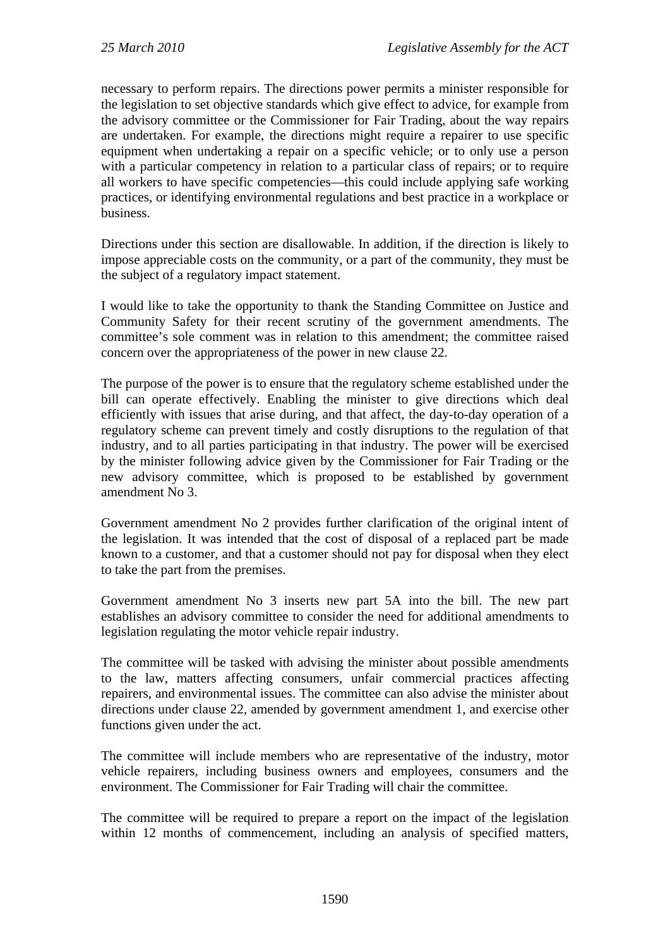necessary to perform repairs. The directions power permits a minister responsible for the legislation to set objective standards which give effect to advice, for example from the advisory committee or the Commissioner for Fair Trading, about the way repairs are undertaken. For example, the directions might require a repairer to use specific equipment when undertaking a repair on a specific vehicle; or to only use a person with a particular competency in relation to a particular class of repairs; or to require all workers to have specific competencies—this could include applying safe working practices, or identifying environmental regulations and best practice in a workplace or business.

Directions under this section are disallowable. In addition, if the direction is likely to impose appreciable costs on the community, or a part of the community, they must be the subject of a regulatory impact statement.

I would like to take the opportunity to thank the Standing Committee on Justice and Community Safety for their recent scrutiny of the government amendments. The committee's sole comment was in relation to this amendment; the committee raised concern over the appropriateness of the power in new clause 22.

The purpose of the power is to ensure that the regulatory scheme established under the bill can operate effectively. Enabling the minister to give directions which deal efficiently with issues that arise during, and that affect, the day-to-day operation of a regulatory scheme can prevent timely and costly disruptions to the regulation of that industry, and to all parties participating in that industry. The power will be exercised by the minister following advice given by the Commissioner for Fair Trading or the new advisory committee, which is proposed to be established by government amendment No 3.

Government amendment No 2 provides further clarification of the original intent of the legislation. It was intended that the cost of disposal of a replaced part be made known to a customer, and that a customer should not pay for disposal when they elect to take the part from the premises.

Government amendment No 3 inserts new part 5A into the bill. The new part establishes an advisory committee to consider the need for additional amendments to legislation regulating the motor vehicle repair industry.

The committee will be tasked with advising the minister about possible amendments to the law, matters affecting consumers, unfair commercial practices affecting repairers, and environmental issues. The committee can also advise the minister about directions under clause 22, amended by government amendment 1, and exercise other functions given under the act.

The committee will include members who are representative of the industry, motor vehicle repairers, including business owners and employees, consumers and the environment. The Commissioner for Fair Trading will chair the committee.

The committee will be required to prepare a report on the impact of the legislation within 12 months of commencement, including an analysis of specified matters,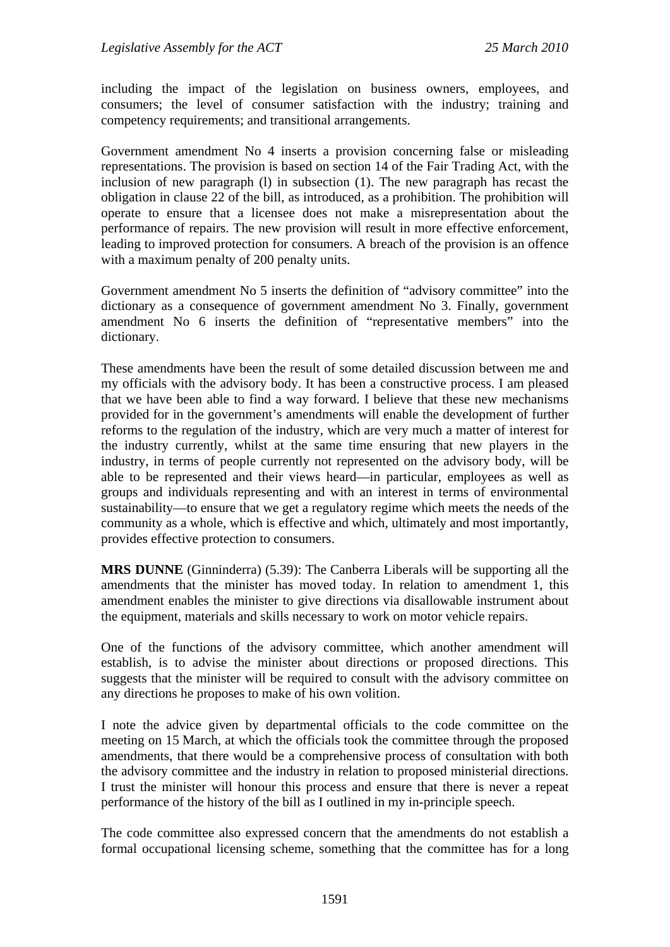including the impact of the legislation on business owners, employees, and consumers; the level of consumer satisfaction with the industry; training and competency requirements; and transitional arrangements.

Government amendment No 4 inserts a provision concerning false or misleading representations. The provision is based on section 14 of the Fair Trading Act, with the inclusion of new paragraph (l) in subsection (1). The new paragraph has recast the obligation in clause 22 of the bill, as introduced, as a prohibition. The prohibition will operate to ensure that a licensee does not make a misrepresentation about the performance of repairs. The new provision will result in more effective enforcement, leading to improved protection for consumers. A breach of the provision is an offence with a maximum penalty of 200 penalty units.

Government amendment No 5 inserts the definition of "advisory committee" into the dictionary as a consequence of government amendment No 3. Finally, government amendment No 6 inserts the definition of "representative members" into the dictionary.

These amendments have been the result of some detailed discussion between me and my officials with the advisory body. It has been a constructive process. I am pleased that we have been able to find a way forward. I believe that these new mechanisms provided for in the government's amendments will enable the development of further reforms to the regulation of the industry, which are very much a matter of interest for the industry currently, whilst at the same time ensuring that new players in the industry, in terms of people currently not represented on the advisory body, will be able to be represented and their views heard—in particular, employees as well as groups and individuals representing and with an interest in terms of environmental sustainability—to ensure that we get a regulatory regime which meets the needs of the community as a whole, which is effective and which, ultimately and most importantly, provides effective protection to consumers.

**MRS DUNNE** (Ginninderra) (5.39): The Canberra Liberals will be supporting all the amendments that the minister has moved today. In relation to amendment 1, this amendment enables the minister to give directions via disallowable instrument about the equipment, materials and skills necessary to work on motor vehicle repairs.

One of the functions of the advisory committee, which another amendment will establish, is to advise the minister about directions or proposed directions. This suggests that the minister will be required to consult with the advisory committee on any directions he proposes to make of his own volition.

I note the advice given by departmental officials to the code committee on the meeting on 15 March, at which the officials took the committee through the proposed amendments, that there would be a comprehensive process of consultation with both the advisory committee and the industry in relation to proposed ministerial directions. I trust the minister will honour this process and ensure that there is never a repeat performance of the history of the bill as I outlined in my in-principle speech.

The code committee also expressed concern that the amendments do not establish a formal occupational licensing scheme, something that the committee has for a long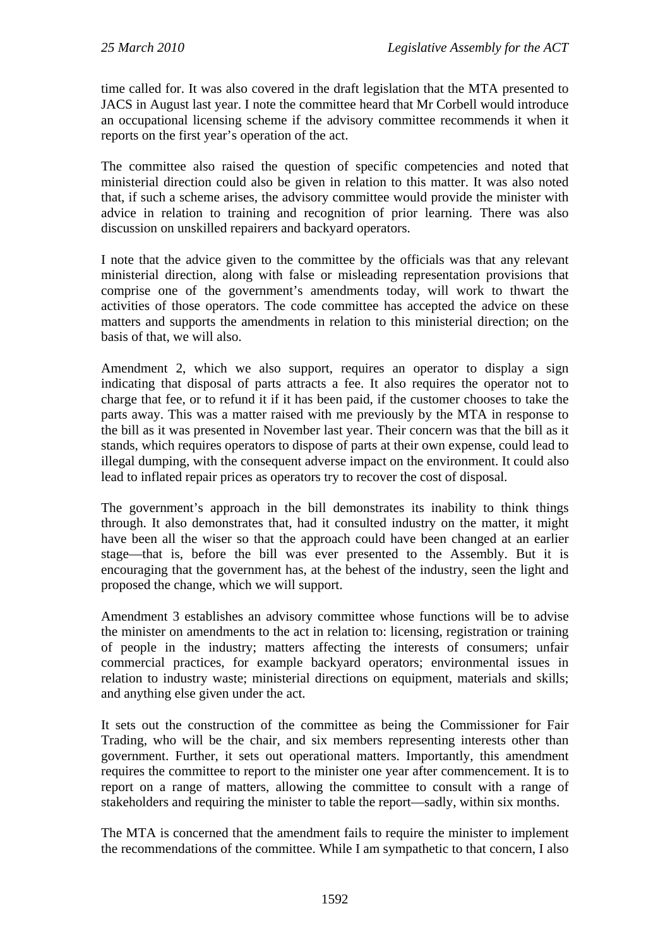time called for. It was also covered in the draft legislation that the MTA presented to JACS in August last year. I note the committee heard that Mr Corbell would introduce an occupational licensing scheme if the advisory committee recommends it when it reports on the first year's operation of the act.

The committee also raised the question of specific competencies and noted that ministerial direction could also be given in relation to this matter. It was also noted that, if such a scheme arises, the advisory committee would provide the minister with advice in relation to training and recognition of prior learning. There was also discussion on unskilled repairers and backyard operators.

I note that the advice given to the committee by the officials was that any relevant ministerial direction, along with false or misleading representation provisions that comprise one of the government's amendments today, will work to thwart the activities of those operators. The code committee has accepted the advice on these matters and supports the amendments in relation to this ministerial direction; on the basis of that, we will also.

Amendment 2, which we also support, requires an operator to display a sign indicating that disposal of parts attracts a fee. It also requires the operator not to charge that fee, or to refund it if it has been paid, if the customer chooses to take the parts away. This was a matter raised with me previously by the MTA in response to the bill as it was presented in November last year. Their concern was that the bill as it stands, which requires operators to dispose of parts at their own expense, could lead to illegal dumping, with the consequent adverse impact on the environment. It could also lead to inflated repair prices as operators try to recover the cost of disposal.

The government's approach in the bill demonstrates its inability to think things through. It also demonstrates that, had it consulted industry on the matter, it might have been all the wiser so that the approach could have been changed at an earlier stage—that is, before the bill was ever presented to the Assembly. But it is encouraging that the government has, at the behest of the industry, seen the light and proposed the change, which we will support.

Amendment 3 establishes an advisory committee whose functions will be to advise the minister on amendments to the act in relation to: licensing, registration or training of people in the industry; matters affecting the interests of consumers; unfair commercial practices, for example backyard operators; environmental issues in relation to industry waste; ministerial directions on equipment, materials and skills; and anything else given under the act.

It sets out the construction of the committee as being the Commissioner for Fair Trading, who will be the chair, and six members representing interests other than government. Further, it sets out operational matters. Importantly, this amendment requires the committee to report to the minister one year after commencement. It is to report on a range of matters, allowing the committee to consult with a range of stakeholders and requiring the minister to table the report—sadly, within six months.

The MTA is concerned that the amendment fails to require the minister to implement the recommendations of the committee. While I am sympathetic to that concern, I also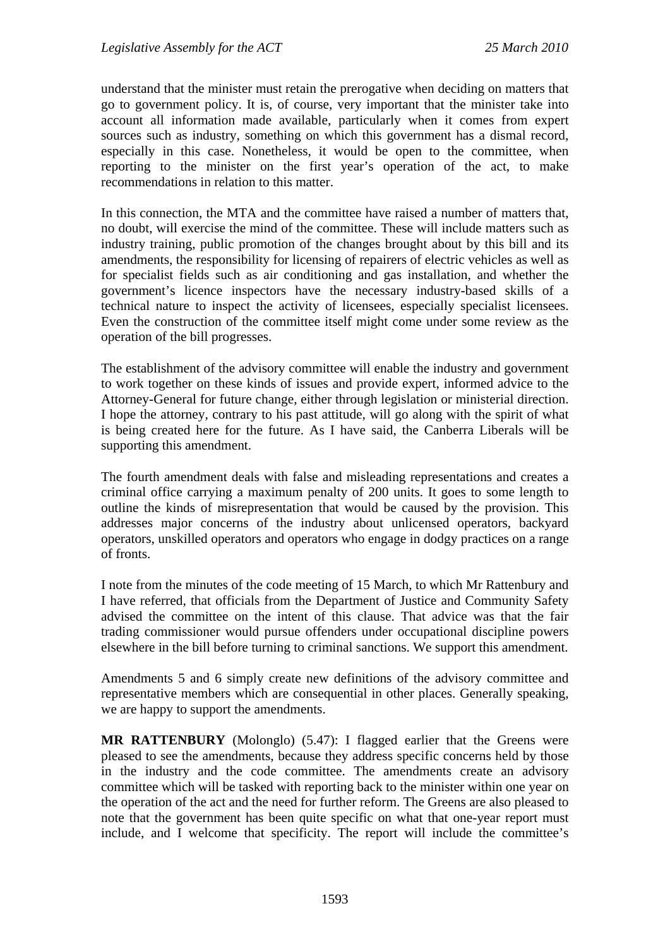understand that the minister must retain the prerogative when deciding on matters that go to government policy. It is, of course, very important that the minister take into account all information made available, particularly when it comes from expert sources such as industry, something on which this government has a dismal record, especially in this case. Nonetheless, it would be open to the committee, when reporting to the minister on the first year's operation of the act, to make recommendations in relation to this matter.

In this connection, the MTA and the committee have raised a number of matters that, no doubt, will exercise the mind of the committee. These will include matters such as industry training, public promotion of the changes brought about by this bill and its amendments, the responsibility for licensing of repairers of electric vehicles as well as for specialist fields such as air conditioning and gas installation, and whether the government's licence inspectors have the necessary industry-based skills of a technical nature to inspect the activity of licensees, especially specialist licensees. Even the construction of the committee itself might come under some review as the operation of the bill progresses.

The establishment of the advisory committee will enable the industry and government to work together on these kinds of issues and provide expert, informed advice to the Attorney-General for future change, either through legislation or ministerial direction. I hope the attorney, contrary to his past attitude, will go along with the spirit of what is being created here for the future. As I have said, the Canberra Liberals will be supporting this amendment.

The fourth amendment deals with false and misleading representations and creates a criminal office carrying a maximum penalty of 200 units. It goes to some length to outline the kinds of misrepresentation that would be caused by the provision. This addresses major concerns of the industry about unlicensed operators, backyard operators, unskilled operators and operators who engage in dodgy practices on a range of fronts.

I note from the minutes of the code meeting of 15 March, to which Mr Rattenbury and I have referred, that officials from the Department of Justice and Community Safety advised the committee on the intent of this clause. That advice was that the fair trading commissioner would pursue offenders under occupational discipline powers elsewhere in the bill before turning to criminal sanctions. We support this amendment.

Amendments 5 and 6 simply create new definitions of the advisory committee and representative members which are consequential in other places. Generally speaking, we are happy to support the amendments.

**MR RATTENBURY** (Molonglo) (5.47): I flagged earlier that the Greens were pleased to see the amendments, because they address specific concerns held by those in the industry and the code committee. The amendments create an advisory committee which will be tasked with reporting back to the minister within one year on the operation of the act and the need for further reform. The Greens are also pleased to note that the government has been quite specific on what that one-year report must include, and I welcome that specificity. The report will include the committee's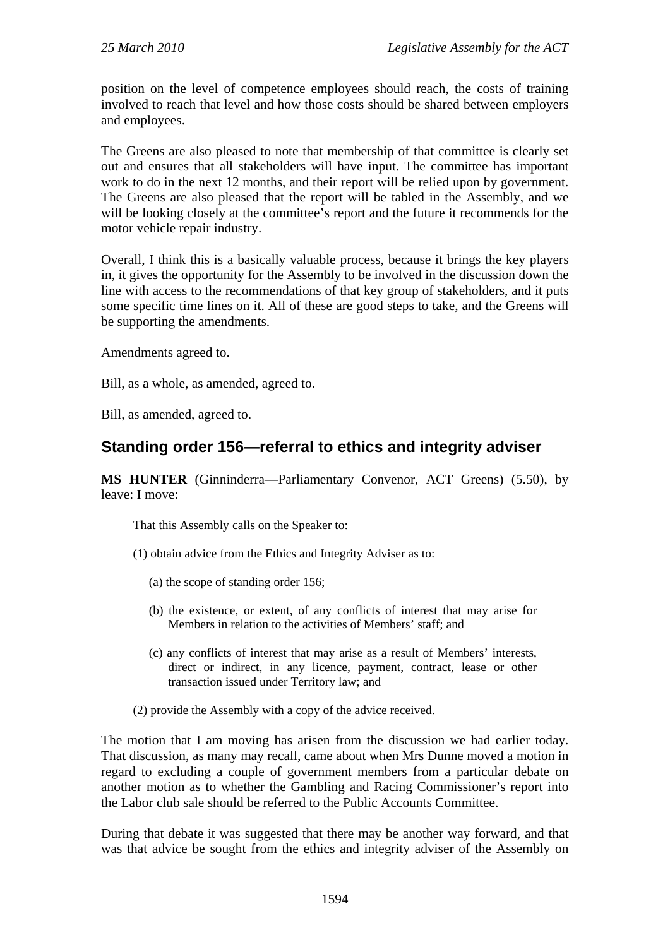position on the level of competence employees should reach, the costs of training involved to reach that level and how those costs should be shared between employers and employees.

The Greens are also pleased to note that membership of that committee is clearly set out and ensures that all stakeholders will have input. The committee has important work to do in the next 12 months, and their report will be relied upon by government. The Greens are also pleased that the report will be tabled in the Assembly, and we will be looking closely at the committee's report and the future it recommends for the motor vehicle repair industry.

Overall, I think this is a basically valuable process, because it brings the key players in, it gives the opportunity for the Assembly to be involved in the discussion down the line with access to the recommendations of that key group of stakeholders, and it puts some specific time lines on it. All of these are good steps to take, and the Greens will be supporting the amendments.

Amendments agreed to.

Bill, as a whole, as amended, agreed to.

Bill, as amended, agreed to.

# **Standing order 156—referral to ethics and integrity adviser**

**MS HUNTER** (Ginninderra—Parliamentary Convenor, ACT Greens) (5.50), by leave: I move:

That this Assembly calls on the Speaker to:

- (1) obtain advice from the Ethics and Integrity Adviser as to:
	- (a) the scope of standing order 156;
	- (b) the existence, or extent, of any conflicts of interest that may arise for Members in relation to the activities of Members' staff; and
	- (c) any conflicts of interest that may arise as a result of Members' interests, direct or indirect, in any licence, payment, contract, lease or other transaction issued under Territory law; and
- (2) provide the Assembly with a copy of the advice received.

The motion that I am moving has arisen from the discussion we had earlier today. That discussion, as many may recall, came about when Mrs Dunne moved a motion in regard to excluding a couple of government members from a particular debate on another motion as to whether the Gambling and Racing Commissioner's report into the Labor club sale should be referred to the Public Accounts Committee.

During that debate it was suggested that there may be another way forward, and that was that advice be sought from the ethics and integrity adviser of the Assembly on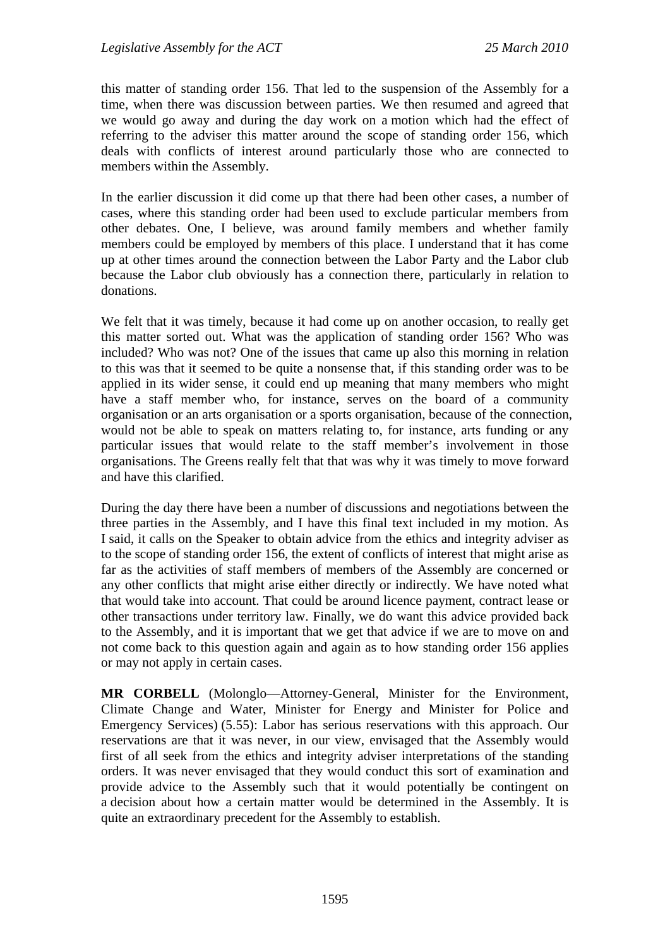this matter of standing order 156. That led to the suspension of the Assembly for a time, when there was discussion between parties. We then resumed and agreed that we would go away and during the day work on a motion which had the effect of referring to the adviser this matter around the scope of standing order 156, which deals with conflicts of interest around particularly those who are connected to members within the Assembly.

In the earlier discussion it did come up that there had been other cases, a number of cases, where this standing order had been used to exclude particular members from other debates. One, I believe, was around family members and whether family members could be employed by members of this place. I understand that it has come up at other times around the connection between the Labor Party and the Labor club because the Labor club obviously has a connection there, particularly in relation to donations.

We felt that it was timely, because it had come up on another occasion, to really get this matter sorted out. What was the application of standing order 156? Who was included? Who was not? One of the issues that came up also this morning in relation to this was that it seemed to be quite a nonsense that, if this standing order was to be applied in its wider sense, it could end up meaning that many members who might have a staff member who, for instance, serves on the board of a community organisation or an arts organisation or a sports organisation, because of the connection, would not be able to speak on matters relating to, for instance, arts funding or any particular issues that would relate to the staff member's involvement in those organisations. The Greens really felt that that was why it was timely to move forward and have this clarified.

During the day there have been a number of discussions and negotiations between the three parties in the Assembly, and I have this final text included in my motion. As I said, it calls on the Speaker to obtain advice from the ethics and integrity adviser as to the scope of standing order 156, the extent of conflicts of interest that might arise as far as the activities of staff members of members of the Assembly are concerned or any other conflicts that might arise either directly or indirectly. We have noted what that would take into account. That could be around licence payment, contract lease or other transactions under territory law. Finally, we do want this advice provided back to the Assembly, and it is important that we get that advice if we are to move on and not come back to this question again and again as to how standing order 156 applies or may not apply in certain cases.

**MR CORBELL** (Molonglo—Attorney-General, Minister for the Environment, Climate Change and Water, Minister for Energy and Minister for Police and Emergency Services) (5.55): Labor has serious reservations with this approach. Our reservations are that it was never, in our view, envisaged that the Assembly would first of all seek from the ethics and integrity adviser interpretations of the standing orders. It was never envisaged that they would conduct this sort of examination and provide advice to the Assembly such that it would potentially be contingent on a decision about how a certain matter would be determined in the Assembly. It is quite an extraordinary precedent for the Assembly to establish.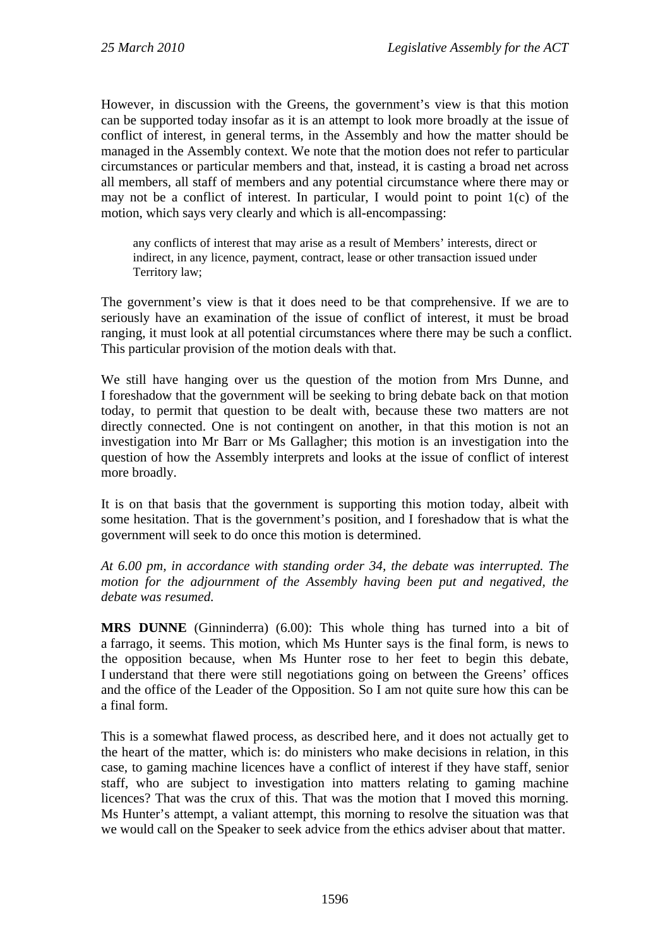However, in discussion with the Greens, the government's view is that this motion can be supported today insofar as it is an attempt to look more broadly at the issue of conflict of interest, in general terms, in the Assembly and how the matter should be managed in the Assembly context. We note that the motion does not refer to particular circumstances or particular members and that, instead, it is casting a broad net across all members, all staff of members and any potential circumstance where there may or may not be a conflict of interest. In particular, I would point to point 1(c) of the motion, which says very clearly and which is all-encompassing:

any conflicts of interest that may arise as a result of Members' interests, direct or indirect, in any licence, payment, contract, lease or other transaction issued under Territory law;

The government's view is that it does need to be that comprehensive. If we are to seriously have an examination of the issue of conflict of interest, it must be broad ranging, it must look at all potential circumstances where there may be such a conflict. This particular provision of the motion deals with that.

We still have hanging over us the question of the motion from Mrs Dunne, and I foreshadow that the government will be seeking to bring debate back on that motion today, to permit that question to be dealt with, because these two matters are not directly connected. One is not contingent on another, in that this motion is not an investigation into Mr Barr or Ms Gallagher; this motion is an investigation into the question of how the Assembly interprets and looks at the issue of conflict of interest more broadly.

It is on that basis that the government is supporting this motion today, albeit with some hesitation. That is the government's position, and I foreshadow that is what the government will seek to do once this motion is determined.

*At 6.00 pm, in accordance with standing order 34, the debate was interrupted. The motion for the adjournment of the Assembly having been put and negatived, the debate was resumed.* 

**MRS DUNNE** (Ginninderra) (6.00): This whole thing has turned into a bit of a farrago, it seems. This motion, which Ms Hunter says is the final form, is news to the opposition because, when Ms Hunter rose to her feet to begin this debate, I understand that there were still negotiations going on between the Greens' offices and the office of the Leader of the Opposition. So I am not quite sure how this can be a final form.

This is a somewhat flawed process, as described here, and it does not actually get to the heart of the matter, which is: do ministers who make decisions in relation, in this case, to gaming machine licences have a conflict of interest if they have staff, senior staff, who are subject to investigation into matters relating to gaming machine licences? That was the crux of this. That was the motion that I moved this morning. Ms Hunter's attempt, a valiant attempt, this morning to resolve the situation was that we would call on the Speaker to seek advice from the ethics adviser about that matter.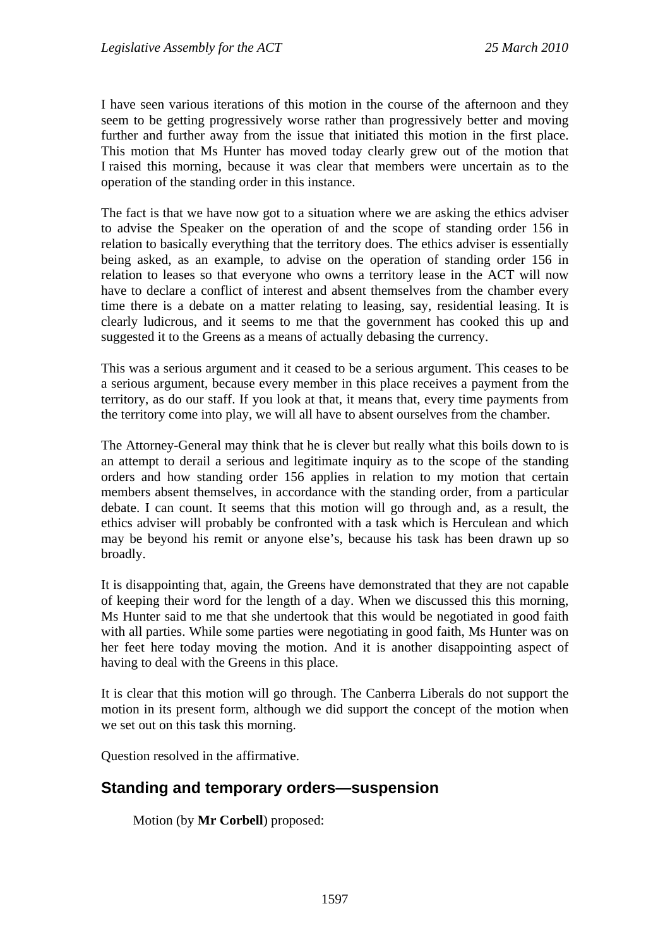I have seen various iterations of this motion in the course of the afternoon and they seem to be getting progressively worse rather than progressively better and moving further and further away from the issue that initiated this motion in the first place. This motion that Ms Hunter has moved today clearly grew out of the motion that I raised this morning, because it was clear that members were uncertain as to the operation of the standing order in this instance.

The fact is that we have now got to a situation where we are asking the ethics adviser to advise the Speaker on the operation of and the scope of standing order 156 in relation to basically everything that the territory does. The ethics adviser is essentially being asked, as an example, to advise on the operation of standing order 156 in relation to leases so that everyone who owns a territory lease in the ACT will now have to declare a conflict of interest and absent themselves from the chamber every time there is a debate on a matter relating to leasing, say, residential leasing. It is clearly ludicrous, and it seems to me that the government has cooked this up and suggested it to the Greens as a means of actually debasing the currency.

This was a serious argument and it ceased to be a serious argument. This ceases to be a serious argument, because every member in this place receives a payment from the territory, as do our staff. If you look at that, it means that, every time payments from the territory come into play, we will all have to absent ourselves from the chamber.

The Attorney-General may think that he is clever but really what this boils down to is an attempt to derail a serious and legitimate inquiry as to the scope of the standing orders and how standing order 156 applies in relation to my motion that certain members absent themselves, in accordance with the standing order, from a particular debate. I can count. It seems that this motion will go through and, as a result, the ethics adviser will probably be confronted with a task which is Herculean and which may be beyond his remit or anyone else's, because his task has been drawn up so broadly.

It is disappointing that, again, the Greens have demonstrated that they are not capable of keeping their word for the length of a day. When we discussed this this morning, Ms Hunter said to me that she undertook that this would be negotiated in good faith with all parties. While some parties were negotiating in good faith, Ms Hunter was on her feet here today moving the motion. And it is another disappointing aspect of having to deal with the Greens in this place.

It is clear that this motion will go through. The Canberra Liberals do not support the motion in its present form, although we did support the concept of the motion when we set out on this task this morning.

Question resolved in the affirmative.

# **Standing and temporary orders—suspension**

Motion (by **Mr Corbell**) proposed: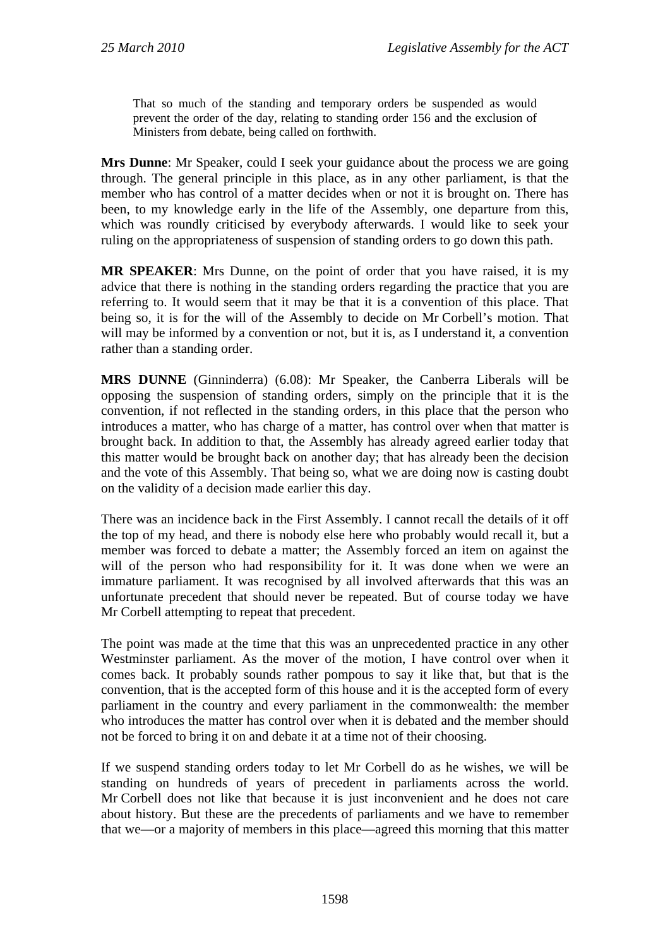That so much of the standing and temporary orders be suspended as would prevent the order of the day, relating to standing order 156 and the exclusion of Ministers from debate, being called on forthwith.

**Mrs Dunne**: Mr Speaker, could I seek your guidance about the process we are going through. The general principle in this place, as in any other parliament, is that the member who has control of a matter decides when or not it is brought on. There has been, to my knowledge early in the life of the Assembly, one departure from this, which was roundly criticised by everybody afterwards. I would like to seek your ruling on the appropriateness of suspension of standing orders to go down this path.

**MR SPEAKER**: Mrs Dunne, on the point of order that you have raised, it is my advice that there is nothing in the standing orders regarding the practice that you are referring to. It would seem that it may be that it is a convention of this place. That being so, it is for the will of the Assembly to decide on Mr Corbell's motion. That will may be informed by a convention or not, but it is, as I understand it, a convention rather than a standing order.

**MRS DUNNE** (Ginninderra) (6.08): Mr Speaker, the Canberra Liberals will be opposing the suspension of standing orders, simply on the principle that it is the convention, if not reflected in the standing orders, in this place that the person who introduces a matter, who has charge of a matter, has control over when that matter is brought back. In addition to that, the Assembly has already agreed earlier today that this matter would be brought back on another day; that has already been the decision and the vote of this Assembly. That being so, what we are doing now is casting doubt on the validity of a decision made earlier this day.

There was an incidence back in the First Assembly. I cannot recall the details of it off the top of my head, and there is nobody else here who probably would recall it, but a member was forced to debate a matter; the Assembly forced an item on against the will of the person who had responsibility for it. It was done when we were an immature parliament. It was recognised by all involved afterwards that this was an unfortunate precedent that should never be repeated. But of course today we have Mr Corbell attempting to repeat that precedent.

The point was made at the time that this was an unprecedented practice in any other Westminster parliament. As the mover of the motion, I have control over when it comes back. It probably sounds rather pompous to say it like that, but that is the convention, that is the accepted form of this house and it is the accepted form of every parliament in the country and every parliament in the commonwealth: the member who introduces the matter has control over when it is debated and the member should not be forced to bring it on and debate it at a time not of their choosing.

If we suspend standing orders today to let Mr Corbell do as he wishes, we will be standing on hundreds of years of precedent in parliaments across the world. Mr Corbell does not like that because it is just inconvenient and he does not care about history. But these are the precedents of parliaments and we have to remember that we—or a majority of members in this place—agreed this morning that this matter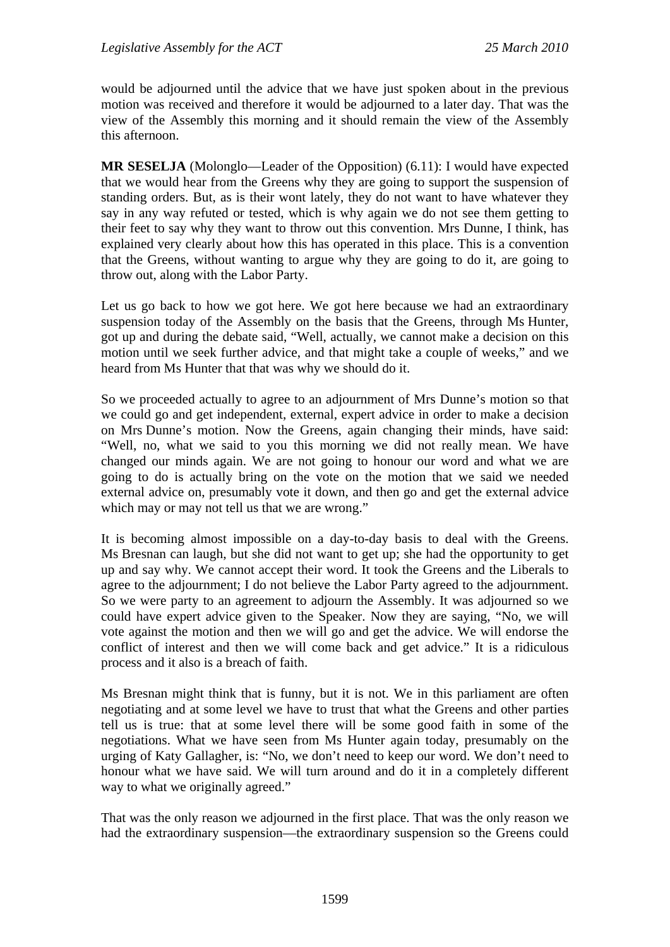would be adjourned until the advice that we have just spoken about in the previous motion was received and therefore it would be adjourned to a later day. That was the view of the Assembly this morning and it should remain the view of the Assembly this afternoon.

**MR SESELJA** (Molonglo—Leader of the Opposition) (6.11): I would have expected that we would hear from the Greens why they are going to support the suspension of standing orders. But, as is their wont lately, they do not want to have whatever they say in any way refuted or tested, which is why again we do not see them getting to their feet to say why they want to throw out this convention. Mrs Dunne, I think, has explained very clearly about how this has operated in this place. This is a convention that the Greens, without wanting to argue why they are going to do it, are going to throw out, along with the Labor Party.

Let us go back to how we got here. We got here because we had an extraordinary suspension today of the Assembly on the basis that the Greens, through Ms Hunter, got up and during the debate said, "Well, actually, we cannot make a decision on this motion until we seek further advice, and that might take a couple of weeks," and we heard from Ms Hunter that that was why we should do it.

So we proceeded actually to agree to an adjournment of Mrs Dunne's motion so that we could go and get independent, external, expert advice in order to make a decision on Mrs Dunne's motion. Now the Greens, again changing their minds, have said: "Well, no, what we said to you this morning we did not really mean. We have changed our minds again. We are not going to honour our word and what we are going to do is actually bring on the vote on the motion that we said we needed external advice on, presumably vote it down, and then go and get the external advice which may or may not tell us that we are wrong."

It is becoming almost impossible on a day-to-day basis to deal with the Greens. Ms Bresnan can laugh, but she did not want to get up; she had the opportunity to get up and say why. We cannot accept their word. It took the Greens and the Liberals to agree to the adjournment; I do not believe the Labor Party agreed to the adjournment. So we were party to an agreement to adjourn the Assembly. It was adjourned so we could have expert advice given to the Speaker. Now they are saying, "No, we will vote against the motion and then we will go and get the advice. We will endorse the conflict of interest and then we will come back and get advice." It is a ridiculous process and it also is a breach of faith.

Ms Bresnan might think that is funny, but it is not. We in this parliament are often negotiating and at some level we have to trust that what the Greens and other parties tell us is true: that at some level there will be some good faith in some of the negotiations. What we have seen from Ms Hunter again today, presumably on the urging of Katy Gallagher, is: "No, we don't need to keep our word. We don't need to honour what we have said. We will turn around and do it in a completely different way to what we originally agreed."

That was the only reason we adjourned in the first place. That was the only reason we had the extraordinary suspension—the extraordinary suspension so the Greens could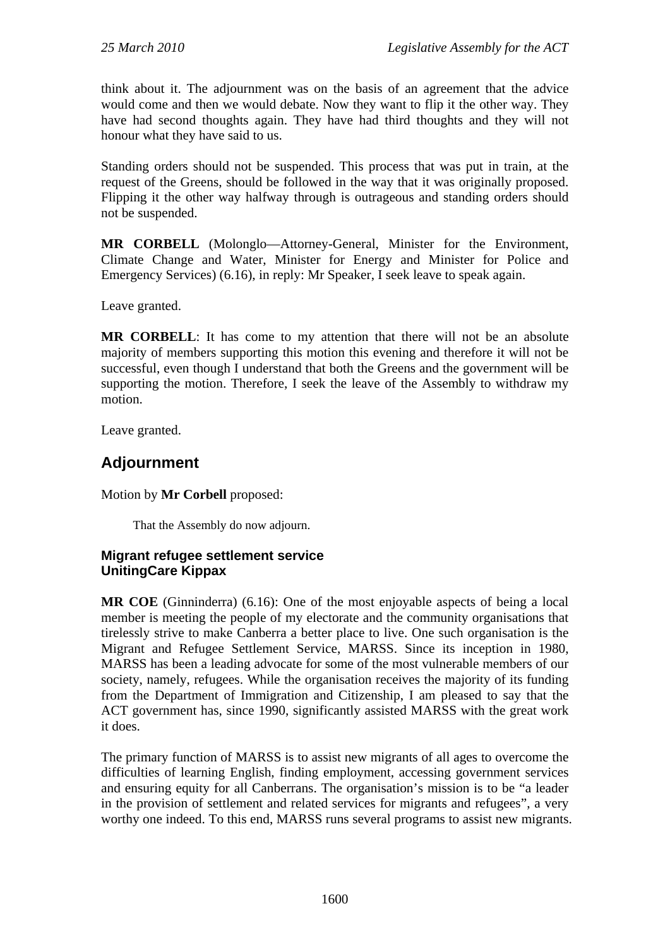think about it. The adjournment was on the basis of an agreement that the advice would come and then we would debate. Now they want to flip it the other way. They have had second thoughts again. They have had third thoughts and they will not honour what they have said to us.

Standing orders should not be suspended. This process that was put in train, at the request of the Greens, should be followed in the way that it was originally proposed. Flipping it the other way halfway through is outrageous and standing orders should not be suspended.

**MR CORBELL** (Molonglo—Attorney-General, Minister for the Environment, Climate Change and Water, Minister for Energy and Minister for Police and Emergency Services) (6.16), in reply: Mr Speaker, I seek leave to speak again.

Leave granted.

**MR CORBELL**: It has come to my attention that there will not be an absolute majority of members supporting this motion this evening and therefore it will not be successful, even though I understand that both the Greens and the government will be supporting the motion. Therefore, I seek the leave of the Assembly to withdraw my motion.

Leave granted.

# **Adjournment**

Motion by **Mr Corbell** proposed:

That the Assembly do now adjourn.

# **Migrant refugee settlement service UnitingCare Kippax**

**MR COE** (Ginninderra) (6.16): One of the most enjoyable aspects of being a local member is meeting the people of my electorate and the community organisations that tirelessly strive to make Canberra a better place to live. One such organisation is the Migrant and Refugee Settlement Service, MARSS. Since its inception in 1980, MARSS has been a leading advocate for some of the most vulnerable members of our society, namely, refugees. While the organisation receives the majority of its funding from the Department of Immigration and Citizenship, I am pleased to say that the ACT government has, since 1990, significantly assisted MARSS with the great work it does.

The primary function of MARSS is to assist new migrants of all ages to overcome the difficulties of learning English, finding employment, accessing government services and ensuring equity for all Canberrans. The organisation's mission is to be "a leader in the provision of settlement and related services for migrants and refugees", a very worthy one indeed. To this end, MARSS runs several programs to assist new migrants.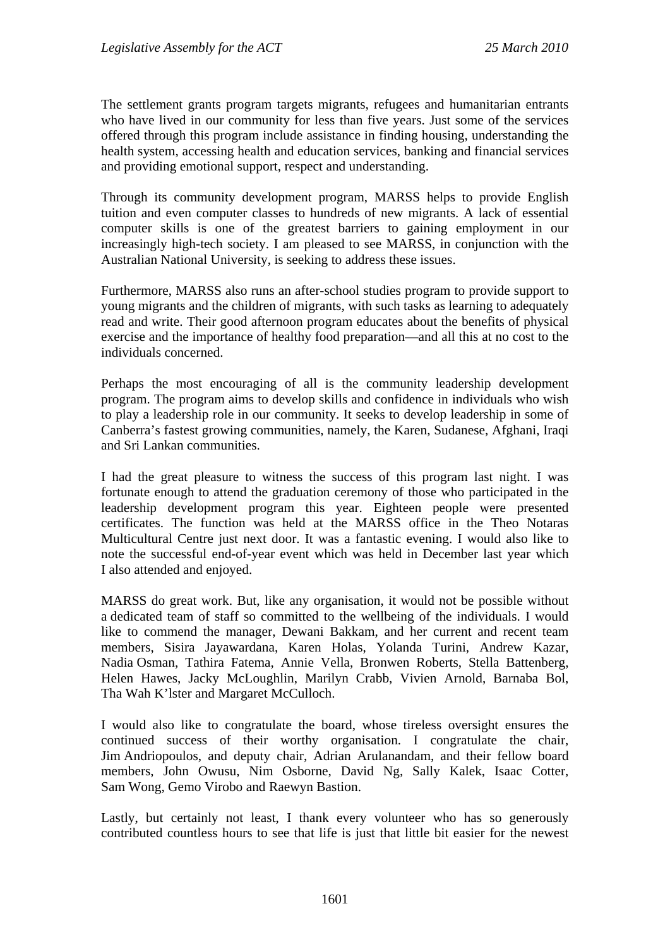The settlement grants program targets migrants, refugees and humanitarian entrants who have lived in our community for less than five years. Just some of the services offered through this program include assistance in finding housing, understanding the health system, accessing health and education services, banking and financial services and providing emotional support, respect and understanding.

Through its community development program, MARSS helps to provide English tuition and even computer classes to hundreds of new migrants. A lack of essential computer skills is one of the greatest barriers to gaining employment in our increasingly high-tech society. I am pleased to see MARSS, in conjunction with the Australian National University, is seeking to address these issues.

Furthermore, MARSS also runs an after-school studies program to provide support to young migrants and the children of migrants, with such tasks as learning to adequately read and write. Their good afternoon program educates about the benefits of physical exercise and the importance of healthy food preparation—and all this at no cost to the individuals concerned.

Perhaps the most encouraging of all is the community leadership development program. The program aims to develop skills and confidence in individuals who wish to play a leadership role in our community. It seeks to develop leadership in some of Canberra's fastest growing communities, namely, the Karen, Sudanese, Afghani, Iraqi and Sri Lankan communities.

I had the great pleasure to witness the success of this program last night. I was fortunate enough to attend the graduation ceremony of those who participated in the leadership development program this year. Eighteen people were presented certificates. The function was held at the MARSS office in the Theo Notaras Multicultural Centre just next door. It was a fantastic evening. I would also like to note the successful end-of-year event which was held in December last year which I also attended and enjoyed.

MARSS do great work. But, like any organisation, it would not be possible without a dedicated team of staff so committed to the wellbeing of the individuals. I would like to commend the manager, Dewani Bakkam, and her current and recent team members, Sisira Jayawardana, Karen Holas, Yolanda Turini, Andrew Kazar, Nadia Osman, Tathira Fatema, Annie Vella, Bronwen Roberts, Stella Battenberg, Helen Hawes, Jacky McLoughlin, Marilyn Crabb, Vivien Arnold, Barnaba Bol, Tha Wah K'lster and Margaret McCulloch.

I would also like to congratulate the board, whose tireless oversight ensures the continued success of their worthy organisation. I congratulate the chair, Jim Andriopoulos, and deputy chair, Adrian Arulanandam, and their fellow board members, John Owusu, Nim Osborne, David Ng, Sally Kalek, Isaac Cotter, Sam Wong, Gemo Virobo and Raewyn Bastion.

Lastly, but certainly not least, I thank every volunteer who has so generously contributed countless hours to see that life is just that little bit easier for the newest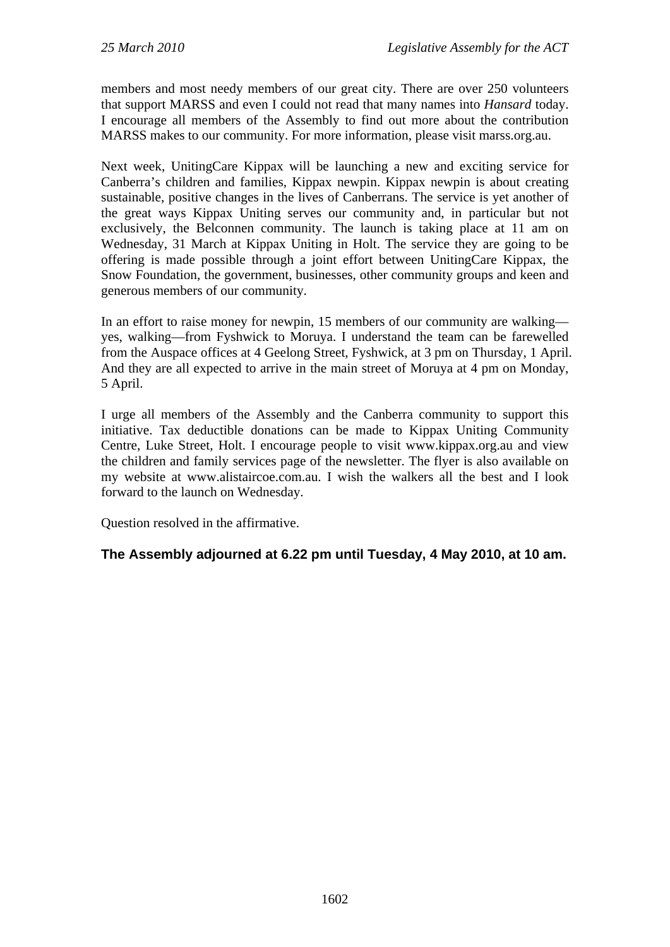members and most needy members of our great city. There are over 250 volunteers that support MARSS and even I could not read that many names into *Hansard* today. I encourage all members of the Assembly to find out more about the contribution MARSS makes to our community. For more information, please visit marss.org.au.

Next week, UnitingCare Kippax will be launching a new and exciting service for Canberra's children and families, Kippax newpin. Kippax newpin is about creating sustainable, positive changes in the lives of Canberrans. The service is yet another of the great ways Kippax Uniting serves our community and, in particular but not exclusively, the Belconnen community. The launch is taking place at 11 am on Wednesday, 31 March at Kippax Uniting in Holt. The service they are going to be offering is made possible through a joint effort between UnitingCare Kippax, the Snow Foundation, the government, businesses, other community groups and keen and generous members of our community.

In an effort to raise money for newpin, 15 members of our community are walking yes, walking—from Fyshwick to Moruya. I understand the team can be farewelled from the Auspace offices at 4 Geelong Street, Fyshwick, at 3 pm on Thursday, 1 April. And they are all expected to arrive in the main street of Moruya at 4 pm on Monday, 5 April.

I urge all members of the Assembly and the Canberra community to support this initiative. Tax deductible donations can be made to Kippax Uniting Community Centre, Luke Street, Holt. I encourage people to visit www.kippax.org.au and view the children and family services page of the newsletter. The flyer is also available on my website at [www.alistaircoe.com.au.](http://www.alistaircoe.com.au/) I wish the walkers all the best and I look forward to the launch on Wednesday.

Question resolved in the affirmative.

# **The Assembly adjourned at 6.22 pm until Tuesday, 4 May 2010, at 10 am.**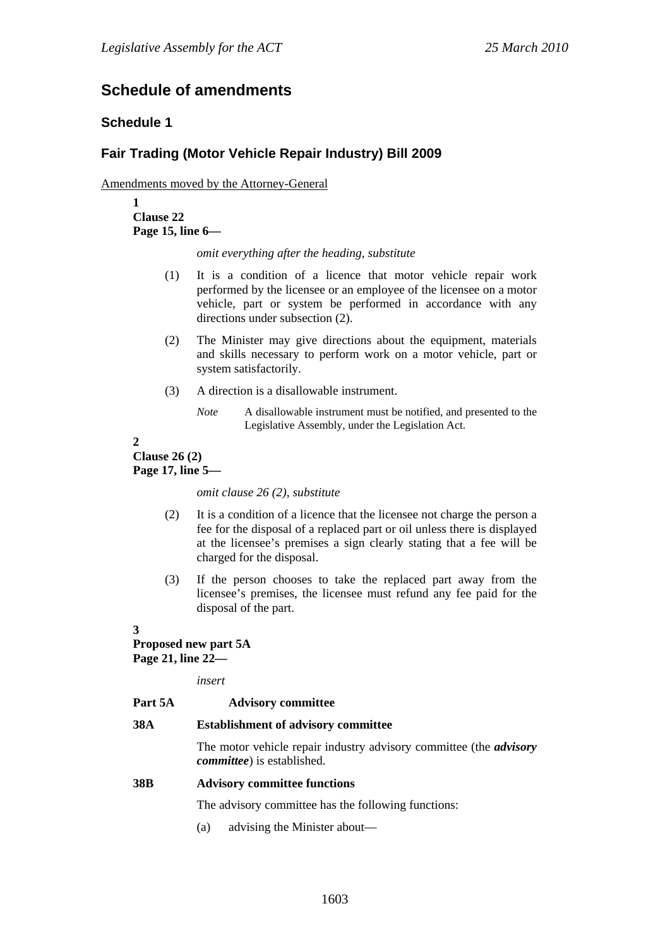# **Schedule of amendments**

## **Schedule 1**

## **Fair Trading (Motor Vehicle Repair Industry) Bill 2009**

Amendments moved by the Attorney-General

**1 Clause 22 Page 15, line 6—** 

*omit everything after the heading, substitute* 

- (1) It is a condition of a licence that motor vehicle repair work performed by the licensee or an employee of the licensee on a motor vehicle, part or system be performed in accordance with any directions under subsection (2).
- (2) The Minister may give directions about the equipment, materials and skills necessary to perform work on a motor vehicle, part or system satisfactorily.
- (3) A direction is a disallowable instrument.
	- *Note* A disallowable instrument must be notified, and presented to the Legislative Assembly, under the Legislation Act.

**2** 

### **Clause 26 (2) Page 17, line 5—**

*omit clause 26 (2), substitute* 

- (2) It is a condition of a licence that the licensee not charge the person a fee for the disposal of a replaced part or oil unless there is displayed at the licensee's premises a sign clearly stating that a fee will be charged for the disposal.
- (3) If the person chooses to take the replaced part away from the licensee's premises, the licensee must refund any fee paid for the disposal of the part.

### **3**

#### **Proposed new part 5A Page 21, line 22—**

*insert* 

### **Part 5A Advisory committee**

### **38A Establishment of advisory committee**

The motor vehicle repair industry advisory committee (the *advisory committee*) is established.

#### **38B Advisory committee functions**

The advisory committee has the following functions:

(a) advising the Minister about—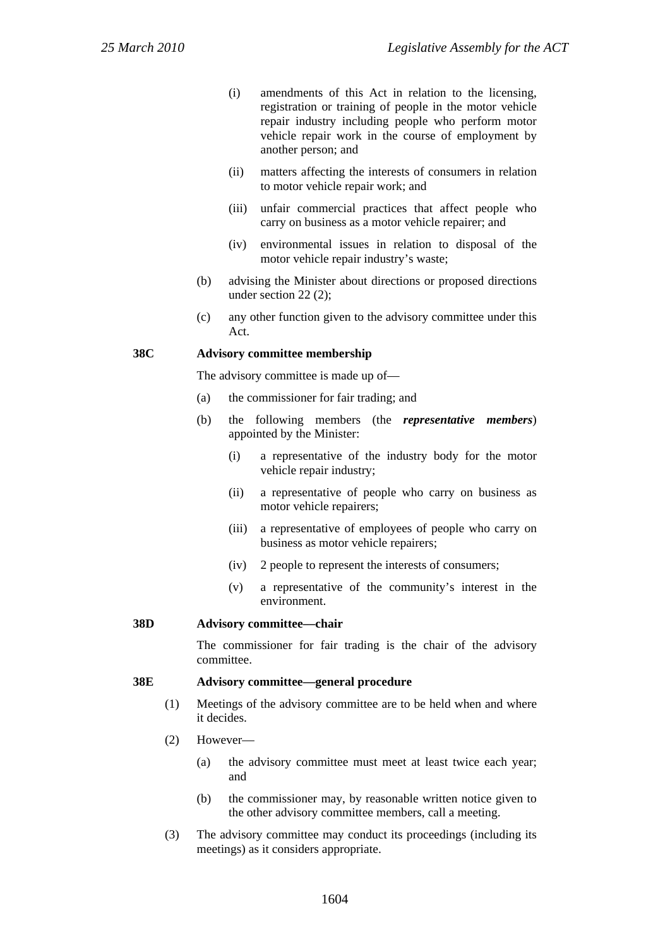- (i) amendments of this Act in relation to the licensing, registration or training of people in the motor vehicle repair industry including people who perform motor vehicle repair work in the course of employment by another person; and
- (ii) matters affecting the interests of consumers in relation to motor vehicle repair work; and
- (iii) unfair commercial practices that affect people who carry on business as a motor vehicle repairer; and
- (iv) environmental issues in relation to disposal of the motor vehicle repair industry's waste;
- (b) advising the Minister about directions or proposed directions under section 22 (2);
- (c) any other function given to the advisory committee under this Act.

#### **38C Advisory committee membership**

The advisory committee is made up of—

- (a) the commissioner for fair trading; and
- (b) the following members (the *representative members*) appointed by the Minister:
	- (i) a representative of the industry body for the motor vehicle repair industry;
	- (ii) a representative of people who carry on business as motor vehicle repairers;
	- (iii) a representative of employees of people who carry on business as motor vehicle repairers;
	- (iv) 2 people to represent the interests of consumers;
	- (v) a representative of the community's interest in the environment.

### **38D Advisory committee––chair**

The commissioner for fair trading is the chair of the advisory committee.

#### **38E Advisory committee—general procedure**

- (1) Meetings of the advisory committee are to be held when and where it decides.
- (2) However—
	- (a) the advisory committee must meet at least twice each year; and
	- (b) the commissioner may, by reasonable written notice given to the other advisory committee members, call a meeting.
- (3) The advisory committee may conduct its proceedings (including its meetings) as it considers appropriate.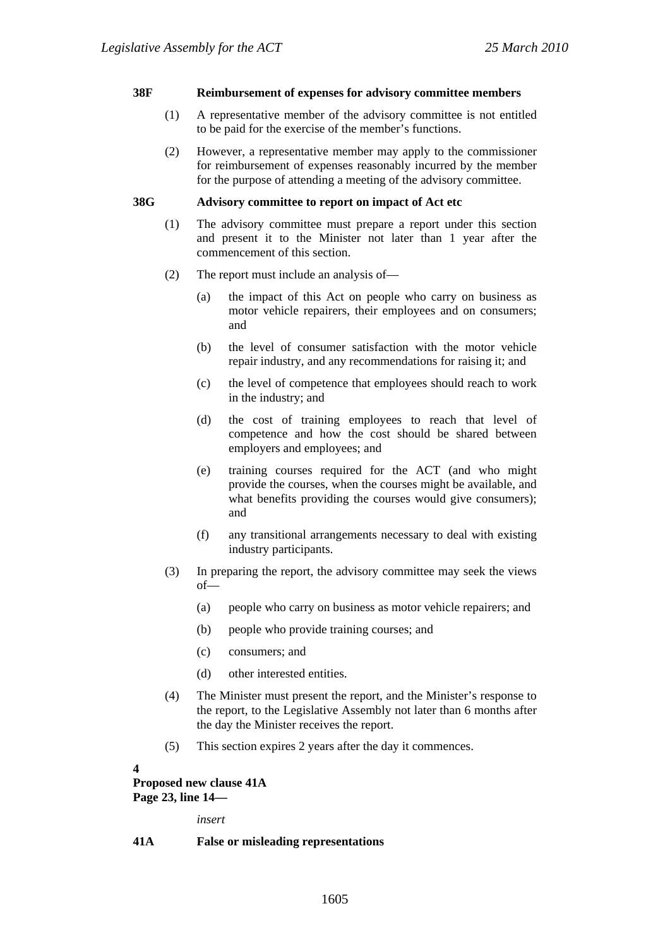#### **38F Reimbursement of expenses for advisory committee members**

- (1) A representative member of the advisory committee is not entitled to be paid for the exercise of the member's functions.
- (2) However, a representative member may apply to the commissioner for reimbursement of expenses reasonably incurred by the member for the purpose of attending a meeting of the advisory committee.

#### **38G Advisory committee to report on impact of Act etc**

- (1) The advisory committee must prepare a report under this section and present it to the Minister not later than 1 year after the commencement of this section.
- (2) The report must include an analysis of—
	- (a) the impact of this Act on people who carry on business as motor vehicle repairers, their employees and on consumers; and
	- (b) the level of consumer satisfaction with the motor vehicle repair industry, and any recommendations for raising it; and
	- (c) the level of competence that employees should reach to work in the industry; and
	- (d) the cost of training employees to reach that level of competence and how the cost should be shared between employers and employees; and
	- (e) training courses required for the ACT (and who might provide the courses, when the courses might be available, and what benefits providing the courses would give consumers); and
	- (f) any transitional arrangements necessary to deal with existing industry participants.
- (3) In preparing the report, the advisory committee may seek the views  $of$ 
	- (a) people who carry on business as motor vehicle repairers; and
	- (b) people who provide training courses; and
	- (c) consumers; and
	- (d) other interested entities.
- (4) The Minister must present the report, and the Minister's response to the report, to the Legislative Assembly not later than 6 months after the day the Minister receives the report.
- (5) This section expires 2 years after the day it commences.

### **4**

### **Proposed new clause 41A Page 23, line 14—**

*insert* 

### **41A False or misleading representations**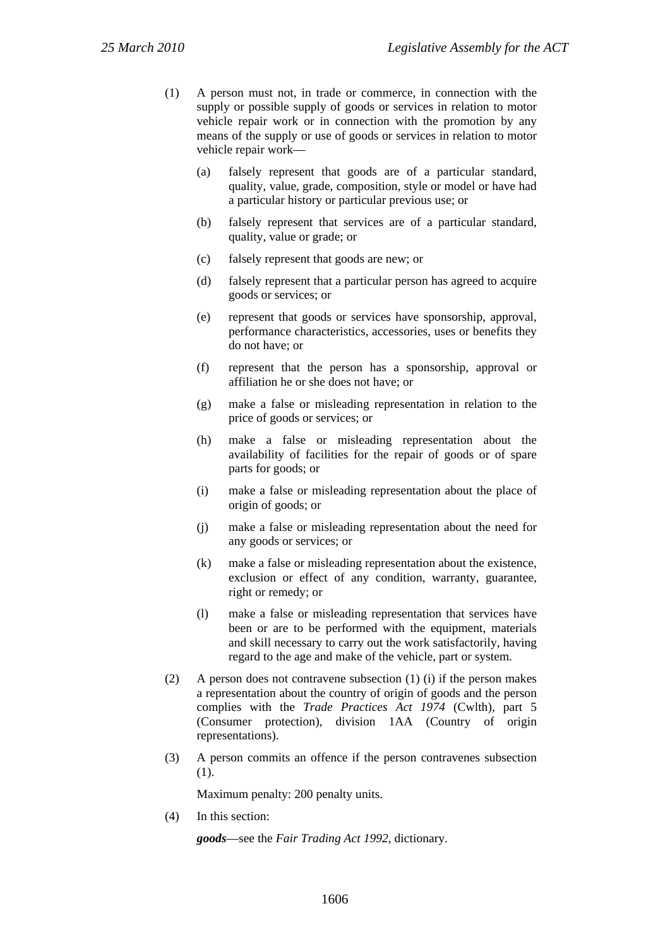- (1) A person must not, in trade or commerce, in connection with the supply or possible supply of goods or services in relation to motor vehicle repair work or in connection with the promotion by any means of the supply or use of goods or services in relation to motor vehicle repair work—
	- (a) falsely represent that goods are of a particular standard, quality, value, grade, composition, style or model or have had a particular history or particular previous use; or
	- (b) falsely represent that services are of a particular standard, quality, value or grade; or
	- (c) falsely represent that goods are new; or
	- (d) falsely represent that a particular person has agreed to acquire goods or services; or
	- (e) represent that goods or services have sponsorship, approval, performance characteristics, accessories, uses or benefits they do not have; or
	- (f) represent that the person has a sponsorship, approval or affiliation he or she does not have; or
	- (g) make a false or misleading representation in relation to the price of goods or services; or
	- (h) make a false or misleading representation about the availability of facilities for the repair of goods or of spare parts for goods; or
	- (i) make a false or misleading representation about the place of origin of goods; or
	- (j) make a false or misleading representation about the need for any goods or services; or
	- (k) make a false or misleading representation about the existence, exclusion or effect of any condition, warranty, guarantee, right or remedy; or
	- (l) make a false or misleading representation that services have been or are to be performed with the equipment, materials and skill necessary to carry out the work satisfactorily, having regard to the age and make of the vehicle, part or system.
- (2) A person does not contravene subsection (1) (i) if the person makes a representation about the country of origin of goods and the person complies with the *Trade Practices Act 1974* (Cwlth), part 5 (Consumer protection), division 1AA (Country of origin representations).
- (3) A person commits an offence if the person contravenes subsection (1).

Maximum penalty: 200 penalty units.

(4) In this section:

*goods*—see the *Fair Trading Act 1992*, dictionary.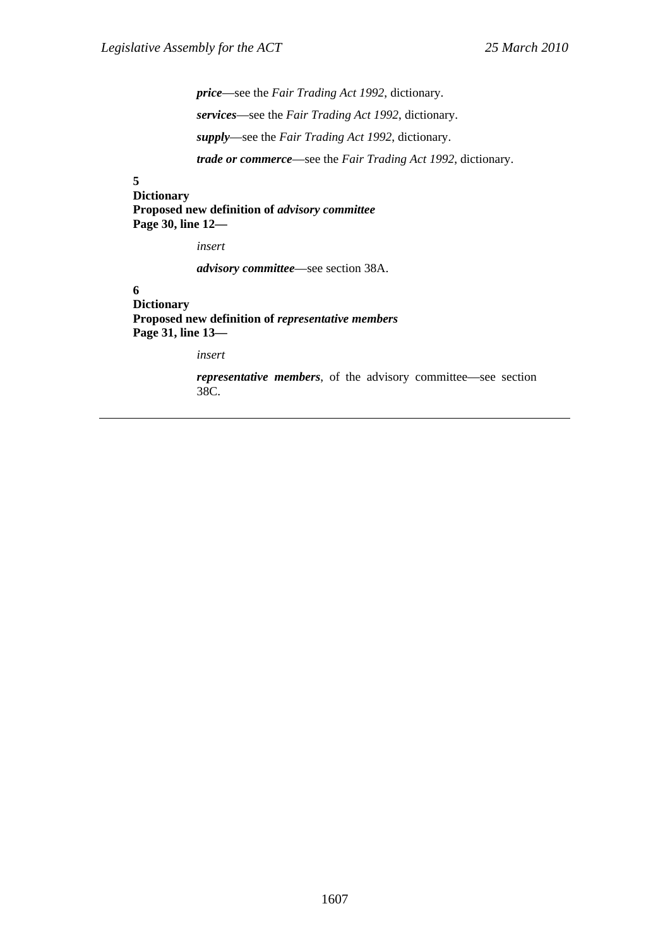*price*—see the *Fair Trading Act 1992*, dictionary. *services*—see the *Fair Trading Act 1992*, dictionary. *supply*—see the *Fair Trading Act 1992*, dictionary. *trade or commerce*—see the *Fair Trading Act 1992*, dictionary.

**5** 

**Dictionary Proposed new definition of** *advisory committee* **Page 30, line 12—** 

*insert* 

*advisory committee*—see section 38A.

**6** 

**Dictionary Proposed new definition of** *representative members* **Page 31, line 13—** 

*insert* 

*representative members*, of the advisory committee—see section 38C.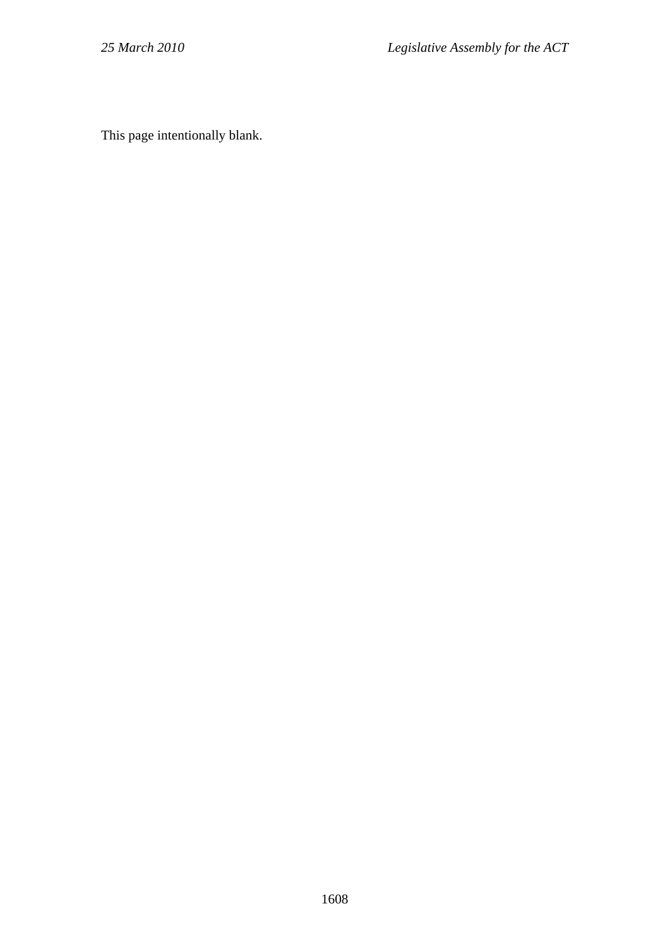This page intentionally blank.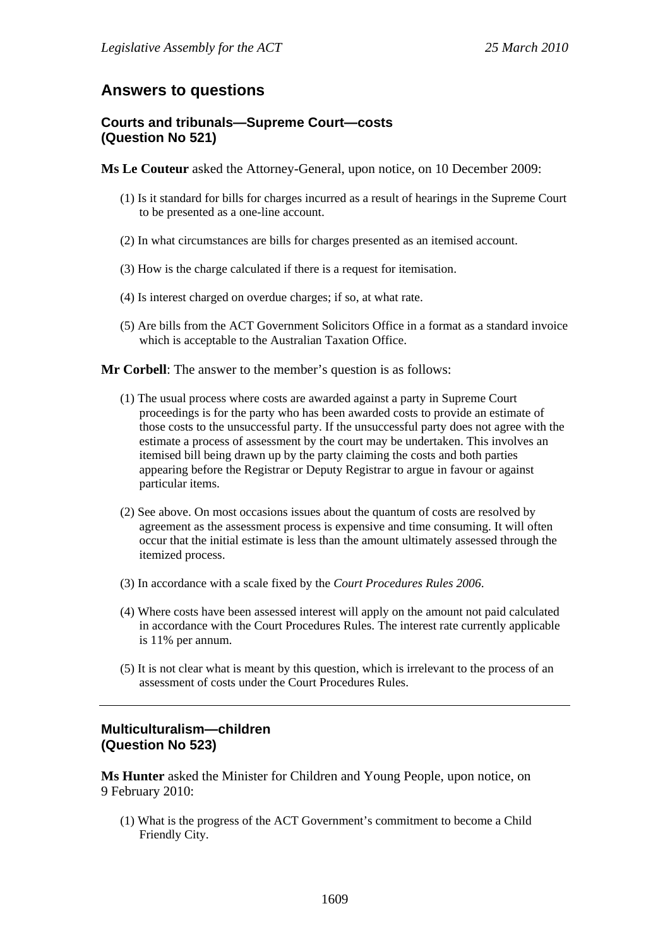# **Answers to questions**

## **Courts and tribunals—Supreme Court—costs (Question No 521)**

**Ms Le Couteur** asked the Attorney-General, upon notice, on 10 December 2009:

- (1) Is it standard for bills for charges incurred as a result of hearings in the Supreme Court to be presented as a one-line account.
- (2) In what circumstances are bills for charges presented as an itemised account.
- (3) How is the charge calculated if there is a request for itemisation.
- (4) Is interest charged on overdue charges; if so, at what rate.
- (5) Are bills from the ACT Government Solicitors Office in a format as a standard invoice which is acceptable to the Australian Taxation Office.

**Mr Corbell:** The answer to the member's question is as follows:

- (1) The usual process where costs are awarded against a party in Supreme Court proceedings is for the party who has been awarded costs to provide an estimate of those costs to the unsuccessful party. If the unsuccessful party does not agree with the estimate a process of assessment by the court may be undertaken. This involves an itemised bill being drawn up by the party claiming the costs and both parties appearing before the Registrar or Deputy Registrar to argue in favour or against particular items.
- (2) See above. On most occasions issues about the quantum of costs are resolved by agreement as the assessment process is expensive and time consuming. It will often occur that the initial estimate is less than the amount ultimately assessed through the itemized process.
- (3) In accordance with a scale fixed by the *Court Procedures Rules 2006*.
- (4) Where costs have been assessed interest will apply on the amount not paid calculated in accordance with the Court Procedures Rules. The interest rate currently applicable is 11% per annum.
- (5) It is not clear what is meant by this question, which is irrelevant to the process of an assessment of costs under the Court Procedures Rules.

## **Multiculturalism—children (Question No 523)**

**Ms Hunter** asked the Minister for Children and Young People, upon notice, on 9 February 2010:

(1) What is the progress of the ACT Government's commitment to become a Child Friendly City.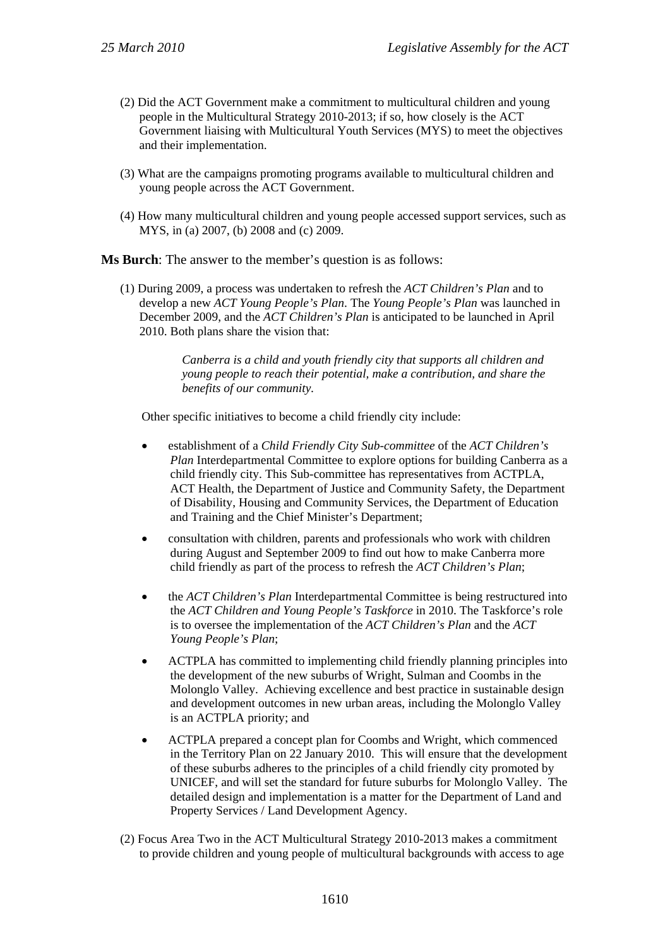- (2) Did the ACT Government make a commitment to multicultural children and young people in the Multicultural Strategy 2010-2013; if so, how closely is the ACT Government liaising with Multicultural Youth Services (MYS) to meet the objectives and their implementation.
- (3) What are the campaigns promoting programs available to multicultural children and young people across the ACT Government.
- (4) How many multicultural children and young people accessed support services, such as MYS, in (a) 2007, (b) 2008 and (c) 2009.

**Ms Burch**: The answer to the member's question is as follows:

(1) During 2009, a process was undertaken to refresh the *ACT Children's Plan* and to develop a new *ACT Young People's Plan*. The *Young People's Plan* was launched in December 2009, and the *ACT Children's Plan* is anticipated to be launched in April 2010. Both plans share the vision that:

> *Canberra is a child and youth friendly city that supports all children and young people to reach their potential, make a contribution, and share the benefits of our community.*

Other specific initiatives to become a child friendly city include:

- establishment of a *Child Friendly City Sub-committee* of the *ACT Children's Plan* Interdepartmental Committee to explore options for building Canberra as a child friendly city. This Sub-committee has representatives from ACTPLA, ACT Health, the Department of Justice and Community Safety, the Department of Disability, Housing and Community Services, the Department of Education and Training and the Chief Minister's Department;
- consultation with children, parents and professionals who work with children during August and September 2009 to find out how to make Canberra more child friendly as part of the process to refresh the *ACT Children's Plan*;
- the *ACT Children's Plan* Interdepartmental Committee is being restructured into the *ACT Children and Young People's Taskforce* in 2010. The Taskforce's role is to oversee the implementation of the *ACT Children's Plan* and the *ACT Young People's Plan*;
- ACTPLA has committed to implementing child friendly planning principles into the development of the new suburbs of Wright, Sulman and Coombs in the Molonglo Valley. Achieving excellence and best practice in sustainable design and development outcomes in new urban areas, including the Molonglo Valley is an ACTPLA priority; and
- ACTPLA prepared a concept plan for Coombs and Wright, which commenced in the Territory Plan on 22 January 2010. This will ensure that the development of these suburbs adheres to the principles of a child friendly city promoted by UNICEF, and will set the standard for future suburbs for Molonglo Valley. The detailed design and implementation is a matter for the Department of Land and Property Services / Land Development Agency.
- (2) Focus Area Two in the ACT Multicultural Strategy 2010-2013 makes a commitment to provide children and young people of multicultural backgrounds with access to age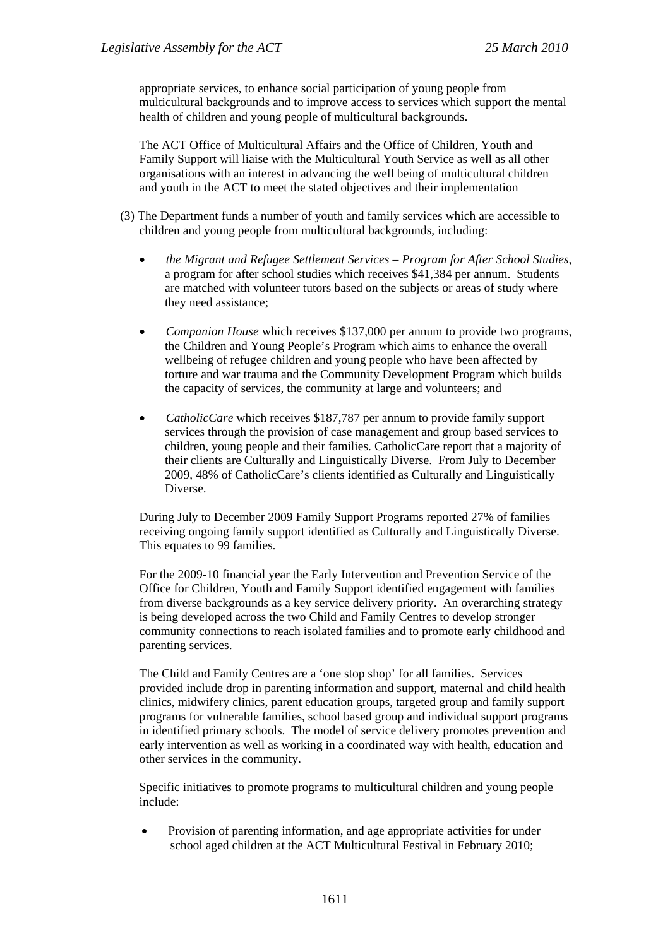appropriate services, to enhance social participation of young people from multicultural backgrounds and to improve access to services which support the mental health of children and young people of multicultural backgrounds.

The ACT Office of Multicultural Affairs and the Office of Children, Youth and Family Support will liaise with the Multicultural Youth Service as well as all other organisations with an interest in advancing the well being of multicultural children and youth in the ACT to meet the stated objectives and their implementation

- (3) The Department funds a number of youth and family services which are accessible to children and young people from multicultural backgrounds, including:
	- *the Migrant and Refugee Settlement Services Program for After School Studies*, a program for after school studies which receives \$41,384 per annum. Students are matched with volunteer tutors based on the subjects or areas of study where they need assistance;
	- *Companion House* which receives \$137,000 per annum to provide two programs, the Children and Young People's Program which aims to enhance the overall wellbeing of refugee children and young people who have been affected by torture and war trauma and the Community Development Program which builds the capacity of services, the community at large and volunteers; and
	- *CatholicCare* which receives \$187,787 per annum to provide family support services through the provision of case management and group based services to children, young people and their families. CatholicCare report that a majority of their clients are Culturally and Linguistically Diverse. From July to December 2009, 48% of CatholicCare's clients identified as Culturally and Linguistically Diverse.

During July to December 2009 Family Support Programs reported 27% of families receiving ongoing family support identified as Culturally and Linguistically Diverse. This equates to 99 families.

For the 2009-10 financial year the Early Intervention and Prevention Service of the Office for Children, Youth and Family Support identified engagement with families from diverse backgrounds as a key service delivery priority. An overarching strategy is being developed across the two Child and Family Centres to develop stronger community connections to reach isolated families and to promote early childhood and parenting services.

The Child and Family Centres are a 'one stop shop' for all families. Services provided include drop in parenting information and support, maternal and child health clinics, midwifery clinics, parent education groups, targeted group and family support programs for vulnerable families, school based group and individual support programs in identified primary schools. The model of service delivery promotes prevention and early intervention as well as working in a coordinated way with health, education and other services in the community.

Specific initiatives to promote programs to multicultural children and young people include:

 Provision of parenting information, and age appropriate activities for under school aged children at the ACT Multicultural Festival in February 2010;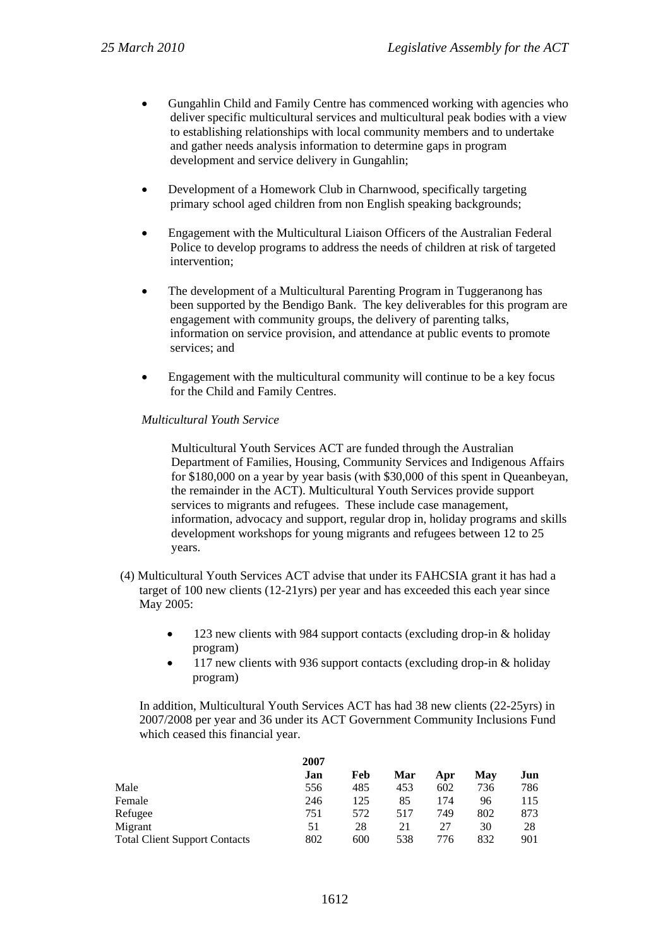- Gungahlin Child and Family Centre has commenced working with agencies who deliver specific multicultural services and multicultural peak bodies with a view to establishing relationships with local community members and to undertake and gather needs analysis information to determine gaps in program development and service delivery in Gungahlin;
- Development of a Homework Club in Charnwood, specifically targeting primary school aged children from non English speaking backgrounds;
- Engagement with the Multicultural Liaison Officers of the Australian Federal Police to develop programs to address the needs of children at risk of targeted intervention;
- The development of a Multicultural Parenting Program in Tuggeranong has been supported by the Bendigo Bank. The key deliverables for this program are engagement with community groups, the delivery of parenting talks, information on service provision, and attendance at public events to promote services; and
- Engagement with the multicultural community will continue to be a key focus for the Child and Family Centres.

### *Multicultural Youth Service*

Multicultural Youth Services ACT are funded through the Australian Department of Families, Housing, Community Services and Indigenous Affairs for \$180,000 on a year by year basis (with \$30,000 of this spent in Queanbeyan, the remainder in the ACT). Multicultural Youth Services provide support services to migrants and refugees. These include case management, information, advocacy and support, regular drop in, holiday programs and skills development workshops for young migrants and refugees between 12 to 25 years.

- (4) Multicultural Youth Services ACT advise that under its FAHCSIA grant it has had a target of 100 new clients (12-21yrs) per year and has exceeded this each year since May 2005:
	- $\bullet$  123 new clients with 984 support contacts (excluding drop-in & holiday program)
	- 117 new clients with 936 support contacts (excluding drop-in & holiday program)

In addition, Multicultural Youth Services ACT has had 38 new clients (22-25yrs) in 2007/2008 per year and 36 under its ACT Government Community Inclusions Fund which ceased this financial year.

|                                      | 2007 |     |     |     |     |     |
|--------------------------------------|------|-----|-----|-----|-----|-----|
|                                      | Jan  | Feb | Mar | Apr | May | Jun |
| Male                                 | 556  | 485 | 453 | 602 | 736 | 786 |
| Female                               | 246  | 125 | 85  | 174 | 96  | 115 |
| Refugee                              | 751  | 572 | 517 | 749 | 802 | 873 |
| Migrant                              | 51   | 28  | 21  | 27  | 30  | 28  |
| <b>Total Client Support Contacts</b> | 802  | 600 | 538 | 776 | 832 | 901 |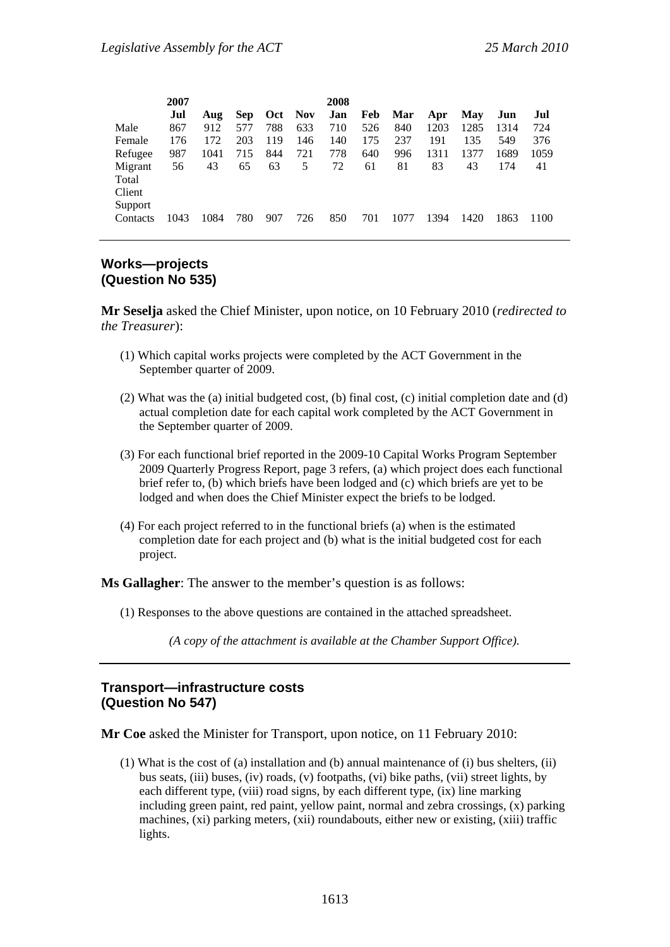|                                       | 2007 |      |     |     |         | 2008 |            |            |      |            |      |      |
|---------------------------------------|------|------|-----|-----|---------|------|------------|------------|------|------------|------|------|
|                                       | Jul  | Aug  | Sep |     | Oct Nov | Jan  | <b>Feb</b> | <b>Mar</b> | Apr  | <b>May</b> | Jun  | Jul  |
| Male                                  | 867  | 912  | 577 | 788 | 633     | 710  | 526        | 840        | 1203 | 1285       | 1314 | 724  |
| Female                                | 176  | 172  | 203 | 119 | 146     | 140  | 175        | 237        | 191  | 135        | 549  | 376  |
| Refugee                               | 987  | 1041 | 715 | 844 | 721     | 778  | 640        | 996        | 1311 | 1377       | 1689 | 1059 |
| Migrant<br>Total<br>Client<br>Support | 56   | 43   | 65  | 63  | 5       | 72   | 61         | 81         | 83   | 43         | 174  | 41   |
| Contacts                              | 1043 | 1084 | 780 | 907 | 726     | 850  | 701        | 1077       | 1394 | 1420       | 1863 | 1100 |

## **Works—projects (Question No 535)**

**Mr Seselja** asked the Chief Minister, upon notice, on 10 February 2010 (*redirected to the Treasurer*):

- (1) Which capital works projects were completed by the ACT Government in the September quarter of 2009.
- (2) What was the (a) initial budgeted cost, (b) final cost, (c) initial completion date and (d) actual completion date for each capital work completed by the ACT Government in the September quarter of 2009.
- (3) For each functional brief reported in the 2009-10 Capital Works Program September 2009 Quarterly Progress Report, page 3 refers, (a) which project does each functional brief refer to, (b) which briefs have been lodged and (c) which briefs are yet to be lodged and when does the Chief Minister expect the briefs to be lodged.
- (4) For each project referred to in the functional briefs (a) when is the estimated completion date for each project and (b) what is the initial budgeted cost for each project.

**Ms Gallagher**: The answer to the member's question is as follows:

(1) Responses to the above questions are contained in the attached spreadsheet.

*(A copy of the attachment is available at the Chamber Support Office).* 

# **Transport—infrastructure costs (Question No 547)**

**Mr Coe** asked the Minister for Transport, upon notice, on 11 February 2010:

 $(1)$  What is the cost of (a) installation and (b) annual maintenance of (i) bus shelters, (ii) bus seats, (iii) buses, (iv) roads, (v) footpaths, (vi) bike paths, (vii) street lights, by each different type, (viii) road signs, by each different type, (ix) line marking including green paint, red paint, yellow paint, normal and zebra crossings, (x) parking machines, (xi) parking meters, (xii) roundabouts, either new or existing, (xiii) traffic lights.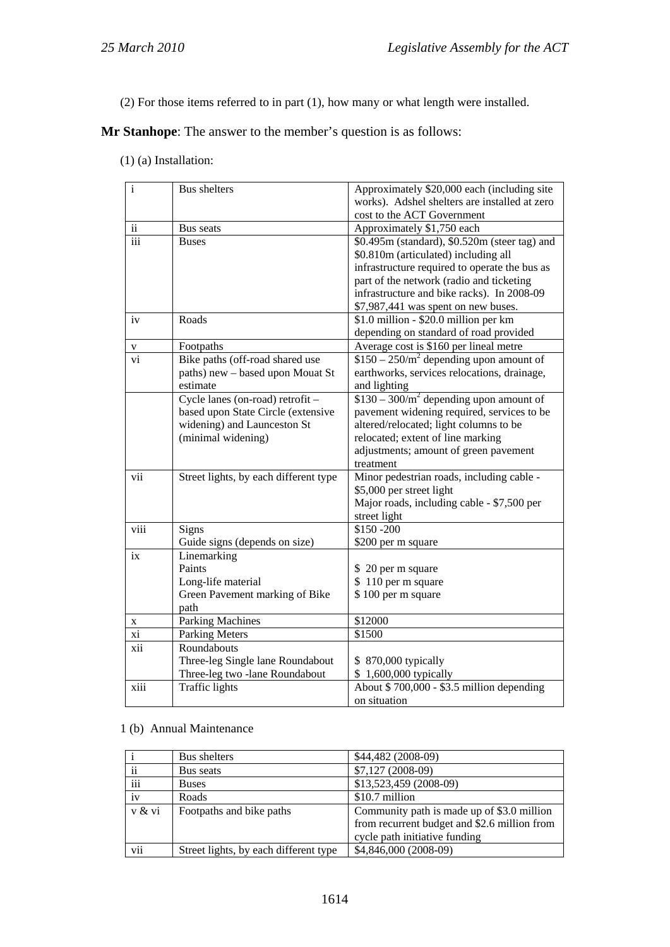(2) For those items referred to in part (1), how many or what length were installed.

**Mr Stanhope**: The answer to the member's question is as follows:

(1) (a) Installation:

| $\rm i$ | <b>Bus shelters</b>                   | Approximately \$20,000 each (including site   |
|---------|---------------------------------------|-----------------------------------------------|
|         |                                       | works). Adshel shelters are installed at zero |
|         |                                       | cost to the ACT Government                    |
| ii      | Bus seats                             | Approximately \$1,750 each                    |
| iii     | <b>Buses</b>                          | \$0.495m (standard), \$0.520m (steer tag) and |
|         |                                       | \$0.810m (articulated) including all          |
|         |                                       | infrastructure required to operate the bus as |
|         |                                       | part of the network (radio and ticketing      |
|         |                                       | infrastructure and bike racks). In 2008-09    |
|         |                                       | \$7,987,441 was spent on new buses.           |
| iv      | Roads                                 | \$1.0 million - \$20.0 million per km         |
|         |                                       | depending on standard of road provided        |
| V       | Footpaths                             | Average cost is \$160 per lineal metre        |
| vi      | Bike paths (off-road shared use       | $$150 - 250/m2$ depending upon amount of      |
|         | paths) new - based upon Mouat St      | earthworks, services relocations, drainage,   |
|         | estimate                              | and lighting                                  |
|         | Cycle lanes (on-road) retrofit -      | $$130 - 300/m2$ depending upon amount of      |
|         | based upon State Circle (extensive    | pavement widening required, services to be    |
|         | widening) and Launceston St           | altered/relocated; light columns to be        |
|         | (minimal widening)                    | relocated; extent of line marking             |
|         |                                       | adjustments; amount of green pavement         |
|         |                                       | treatment                                     |
| vii     | Street lights, by each different type | Minor pedestrian roads, including cable -     |
|         |                                       | \$5,000 per street light                      |
|         |                                       | Major roads, including cable - \$7,500 per    |
|         |                                       | street light                                  |
| viii    | Signs                                 | $$150 - 200$                                  |
|         | Guide signs (depends on size)         | \$200 per m square                            |
| ix      | Linemarking                           |                                               |
|         | Paints                                | \$ 20 per m square                            |
|         | Long-life material                    | \$110 per m square                            |
|         | Green Pavement marking of Bike        | \$100 per m square                            |
|         | path                                  |                                               |
| X       | <b>Parking Machines</b>               | \$12000                                       |
| хi      | <b>Parking Meters</b>                 | \$1500                                        |
| xii     | Roundabouts                           |                                               |
|         | Three-leg Single lane Roundabout      | \$870,000 typically                           |
|         | Three-leg two -lane Roundabout        | \$1,600,000 typically                         |
| xiii    | <b>Traffic lights</b>                 | About $$700,000 - $3.5$ million depending     |
|         |                                       | on situation                                  |

### 1 (b) Annual Maintenance

|        | Bus shelters                          | \$44,482 (2008-09)                           |
|--------|---------------------------------------|----------------------------------------------|
| ii     | Bus seats                             | \$7,127 (2008-09)                            |
| iii    | <b>Buses</b>                          | \$13,523,459 (2008-09)                       |
| iv     | Roads                                 | \$10.7 million                               |
| v & vi | Footpaths and bike paths              | Community path is made up of \$3.0 million   |
|        |                                       | from recurrent budget and \$2.6 million from |
|        |                                       | cycle path initiative funding                |
| vii    | Street lights, by each different type | \$4,846,000 (2008-09)                        |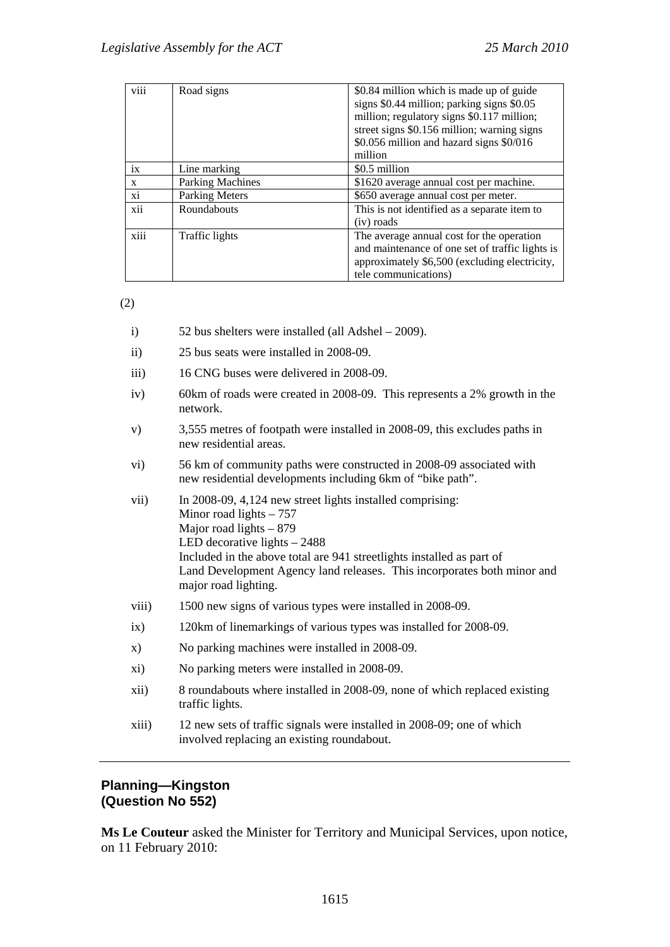| viii | Road signs              | \$0.84 million which is made up of guide<br>signs \$0.44 million; parking signs \$0.05<br>million; regulatory signs \$0.117 million;<br>street signs \$0.156 million; warning signs<br>\$0.056 million and hazard signs \$0/016<br>million |
|------|-------------------------|--------------------------------------------------------------------------------------------------------------------------------------------------------------------------------------------------------------------------------------------|
| ix   | Line marking            | \$0.5 million                                                                                                                                                                                                                              |
| X    | <b>Parking Machines</b> | \$1620 average annual cost per machine.                                                                                                                                                                                                    |
| xi   | <b>Parking Meters</b>   | \$650 average annual cost per meter.                                                                                                                                                                                                       |
| xii  | Roundabouts             | This is not identified as a separate item to                                                                                                                                                                                               |
|      |                         | $(iv)$ roads                                                                                                                                                                                                                               |
| xiii | Traffic lights          | The average annual cost for the operation<br>and maintenance of one set of traffic lights is<br>approximately \$6,500 (excluding electricity,<br>tele communications)                                                                      |

(2)

- i) 52 bus shelters were installed (all Adshel 2009).
- ii) 25 bus seats were installed in 2008-09.
- iii) 16 CNG buses were delivered in 2008-09.
- iv) 60km of roads were created in 2008-09. This represents a 2% growth in the network.
- v) 3,555 metres of footpath were installed in 2008-09, this excludes paths in new residential areas.
- vi) 56 km of community paths were constructed in 2008-09 associated with new residential developments including 6km of "bike path".
- vii) In 2008-09, 4,124 new street lights installed comprising: Minor road lights – 757 Major road lights – 879 LED decorative lights – 2488 Included in the above total are 941 streetlights installed as part of Land Development Agency land releases. This incorporates both minor and major road lighting.
- viii) 1500 new signs of various types were installed in 2008-09.
- ix) 120km of linemarkings of various types was installed for 2008-09.
- x) No parking machines were installed in 2008-09.
- xi) No parking meters were installed in 2008-09.
- xii) 8 roundabouts where installed in 2008-09, none of which replaced existing traffic lights.
- xiii) 12 new sets of traffic signals were installed in 2008-09; one of which involved replacing an existing roundabout.

# **Planning—Kingston (Question No 552)**

**Ms Le Couteur** asked the Minister for Territory and Municipal Services, upon notice, on 11 February 2010: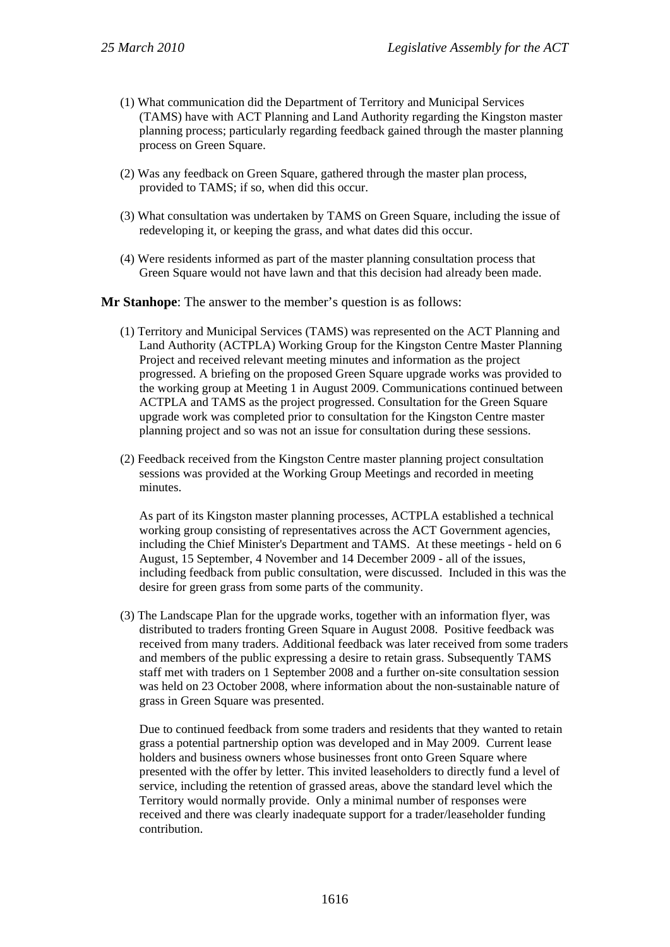- (1) What communication did the Department of Territory and Municipal Services (TAMS) have with ACT Planning and Land Authority regarding the Kingston master planning process; particularly regarding feedback gained through the master planning process on Green Square.
- (2) Was any feedback on Green Square, gathered through the master plan process, provided to TAMS; if so, when did this occur.
- (3) What consultation was undertaken by TAMS on Green Square, including the issue of redeveloping it, or keeping the grass, and what dates did this occur.
- (4) Were residents informed as part of the master planning consultation process that Green Square would not have lawn and that this decision had already been made.

**Mr Stanhope**: The answer to the member's question is as follows:

- (1) Territory and Municipal Services (TAMS) was represented on the ACT Planning and Land Authority (ACTPLA) Working Group for the Kingston Centre Master Planning Project and received relevant meeting minutes and information as the project progressed. A briefing on the proposed Green Square upgrade works was provided to the working group at Meeting 1 in August 2009. Communications continued between ACTPLA and TAMS as the project progressed. Consultation for the Green Square upgrade work was completed prior to consultation for the Kingston Centre master planning project and so was not an issue for consultation during these sessions.
- (2) Feedback received from the Kingston Centre master planning project consultation sessions was provided at the Working Group Meetings and recorded in meeting minutes.

As part of its Kingston master planning processes, ACTPLA established a technical working group consisting of representatives across the ACT Government agencies, including the Chief Minister's Department and TAMS. At these meetings - held on 6 August, 15 September, 4 November and 14 December 2009 - all of the issues, including feedback from public consultation, were discussed. Included in this was the desire for green grass from some parts of the community.

(3) The Landscape Plan for the upgrade works, together with an information flyer, was distributed to traders fronting Green Square in August 2008. Positive feedback was received from many traders. Additional feedback was later received from some traders and members of the public expressing a desire to retain grass. Subsequently TAMS staff met with traders on 1 September 2008 and a further on-site consultation session was held on 23 October 2008, where information about the non-sustainable nature of grass in Green Square was presented.

Due to continued feedback from some traders and residents that they wanted to retain grass a potential partnership option was developed and in May 2009. Current lease holders and business owners whose businesses front onto Green Square where presented with the offer by letter. This invited leaseholders to directly fund a level of service, including the retention of grassed areas, above the standard level which the Territory would normally provide. Only a minimal number of responses were received and there was clearly inadequate support for a trader/leaseholder funding contribution.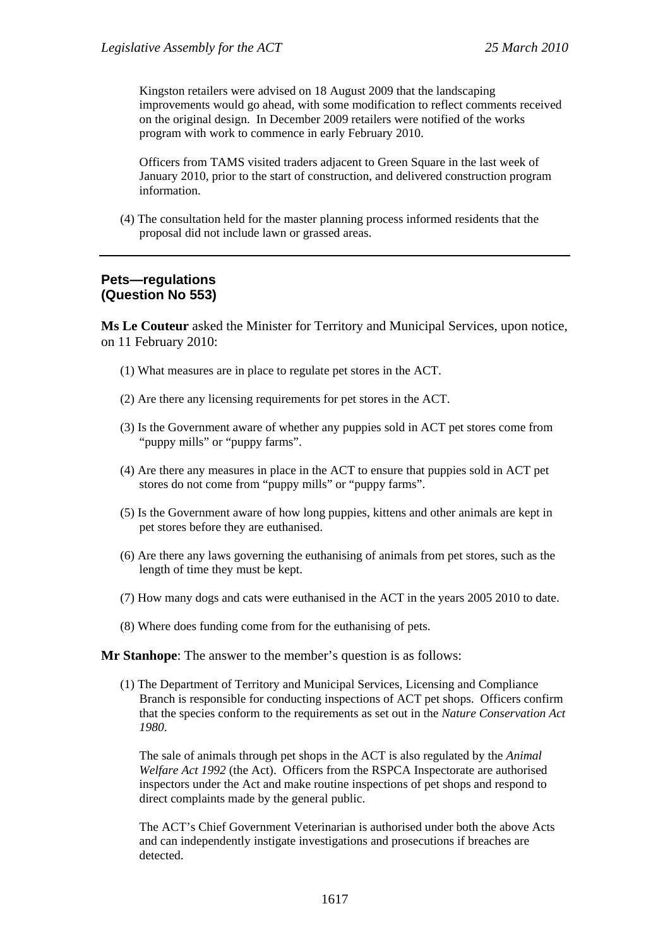Kingston retailers were advised on 18 August 2009 that the landscaping improvements would go ahead, with some modification to reflect comments received on the original design. In December 2009 retailers were notified of the works program with work to commence in early February 2010.

Officers from TAMS visited traders adjacent to Green Square in the last week of January 2010, prior to the start of construction, and delivered construction program information.

(4) The consultation held for the master planning process informed residents that the proposal did not include lawn or grassed areas.

### **Pets—regulations (Question No 553)**

**Ms Le Couteur** asked the Minister for Territory and Municipal Services, upon notice, on 11 February 2010:

- (1) What measures are in place to regulate pet stores in the ACT.
- (2) Are there any licensing requirements for pet stores in the ACT.
- (3) Is the Government aware of whether any puppies sold in ACT pet stores come from "puppy mills" or "puppy farms".
- (4) Are there any measures in place in the ACT to ensure that puppies sold in ACT pet stores do not come from "puppy mills" or "puppy farms".
- (5) Is the Government aware of how long puppies, kittens and other animals are kept in pet stores before they are euthanised.
- (6) Are there any laws governing the euthanising of animals from pet stores, such as the length of time they must be kept.
- (7) How many dogs and cats were euthanised in the ACT in the years 2005 2010 to date.
- (8) Where does funding come from for the euthanising of pets.

**Mr Stanhope**: The answer to the member's question is as follows:

(1) The Department of Territory and Municipal Services, Licensing and Compliance Branch is responsible for conducting inspections of ACT pet shops. Officers confirm that the species conform to the requirements as set out in the *Nature Conservation Act 1980*.

The sale of animals through pet shops in the ACT is also regulated by the *Animal Welfare Act 1992* (the Act). Officers from the RSPCA Inspectorate are authorised inspectors under the Act and make routine inspections of pet shops and respond to direct complaints made by the general public.

The ACT's Chief Government Veterinarian is authorised under both the above Acts and can independently instigate investigations and prosecutions if breaches are detected.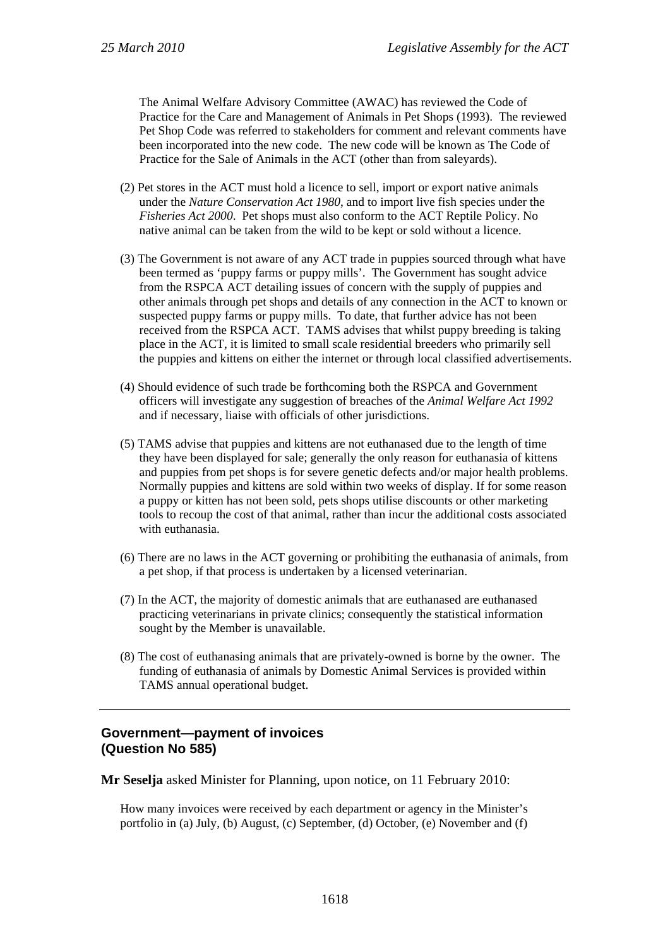The Animal Welfare Advisory Committee (AWAC) has reviewed the Code of Practice for the Care and Management of Animals in Pet Shops (1993). The reviewed Pet Shop Code was referred to stakeholders for comment and relevant comments have been incorporated into the new code. The new code will be known as The Code of Practice for the Sale of Animals in the ACT (other than from saleyards).

- (2) Pet stores in the ACT must hold a licence to sell, import or export native animals under the *Nature Conservation Act 1980*, and to import live fish species under the *Fisheries Act 2000*. Pet shops must also conform to the ACT Reptile Policy. No native animal can be taken from the wild to be kept or sold without a licence.
- (3) The Government is not aware of any ACT trade in puppies sourced through what have been termed as 'puppy farms or puppy mills'. The Government has sought advice from the RSPCA ACT detailing issues of concern with the supply of puppies and other animals through pet shops and details of any connection in the ACT to known or suspected puppy farms or puppy mills. To date, that further advice has not been received from the RSPCA ACT. TAMS advises that whilst puppy breeding is taking place in the ACT, it is limited to small scale residential breeders who primarily sell the puppies and kittens on either the internet or through local classified advertisements.
- (4) Should evidence of such trade be forthcoming both the RSPCA and Government officers will investigate any suggestion of breaches of the *Animal Welfare Act 1992* and if necessary, liaise with officials of other jurisdictions.
- (5) TAMS advise that puppies and kittens are not euthanased due to the length of time they have been displayed for sale; generally the only reason for euthanasia of kittens and puppies from pet shops is for severe genetic defects and/or major health problems. Normally puppies and kittens are sold within two weeks of display. If for some reason a puppy or kitten has not been sold, pets shops utilise discounts or other marketing tools to recoup the cost of that animal, rather than incur the additional costs associated with euthanasia.
- (6) There are no laws in the ACT governing or prohibiting the euthanasia of animals, from a pet shop, if that process is undertaken by a licensed veterinarian.
- (7) In the ACT, the majority of domestic animals that are euthanased are euthanased practicing veterinarians in private clinics; consequently the statistical information sought by the Member is unavailable.
- (8) The cost of euthanasing animals that are privately-owned is borne by the owner. The funding of euthanasia of animals by Domestic Animal Services is provided within TAMS annual operational budget.

### **Government—payment of invoices (Question No 585)**

**Mr Seselja** asked Minister for Planning, upon notice, on 11 February 2010:

How many invoices were received by each department or agency in the Minister's portfolio in (a) July, (b) August, (c) September, (d) October, (e) November and (f)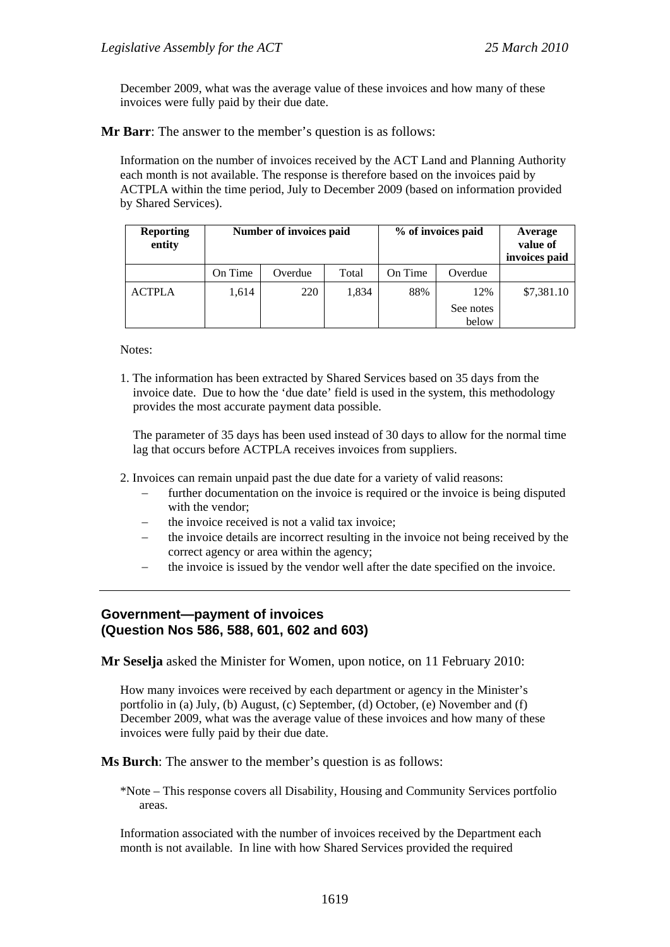December 2009, what was the average value of these invoices and how many of these invoices were fully paid by their due date.

**Mr Barr:** The answer to the member's question is as follows:

Information on the number of invoices received by the ACT Land and Planning Authority each month is not available. The response is therefore based on the invoices paid by ACTPLA within the time period, July to December 2009 (based on information provided by Shared Services).

| <b>Reporting</b><br>entity | Number of invoices paid |         |       | % of invoices paid | Average<br>value of<br>invoices paid |            |
|----------------------------|-------------------------|---------|-------|--------------------|--------------------------------------|------------|
|                            | On Time                 | Overdue | Total | On Time            | Overdue                              |            |
| <b>ACTPLA</b>              | 1,614                   | 220     | 1,834 | 88%                | 12%<br>See notes                     | \$7,381.10 |
|                            |                         |         |       |                    | below                                |            |

Notes:

1. The information has been extracted by Shared Services based on 35 days from the invoice date. Due to how the 'due date' field is used in the system, this methodology provides the most accurate payment data possible.

The parameter of 35 days has been used instead of 30 days to allow for the normal time lag that occurs before ACTPLA receives invoices from suppliers.

2. Invoices can remain unpaid past the due date for a variety of valid reasons:

- further documentation on the invoice is required or the invoice is being disputed with the vendor;
- the invoice received is not a valid tax invoice;
- the invoice details are incorrect resulting in the invoice not being received by the correct agency or area within the agency;
- the invoice is issued by the vendor well after the date specified on the invoice.

# **Government—payment of invoices (Question Nos 586, 588, 601, 602 and 603)**

**Mr Seselja** asked the Minister for Women, upon notice, on 11 February 2010:

How many invoices were received by each department or agency in the Minister's portfolio in (a) July, (b) August, (c) September, (d) October, (e) November and (f) December 2009, what was the average value of these invoices and how many of these invoices were fully paid by their due date.

**Ms Burch**: The answer to the member's question is as follows:

\*Note – This response covers all Disability, Housing and Community Services portfolio areas.

Information associated with the number of invoices received by the Department each month is not available. In line with how Shared Services provided the required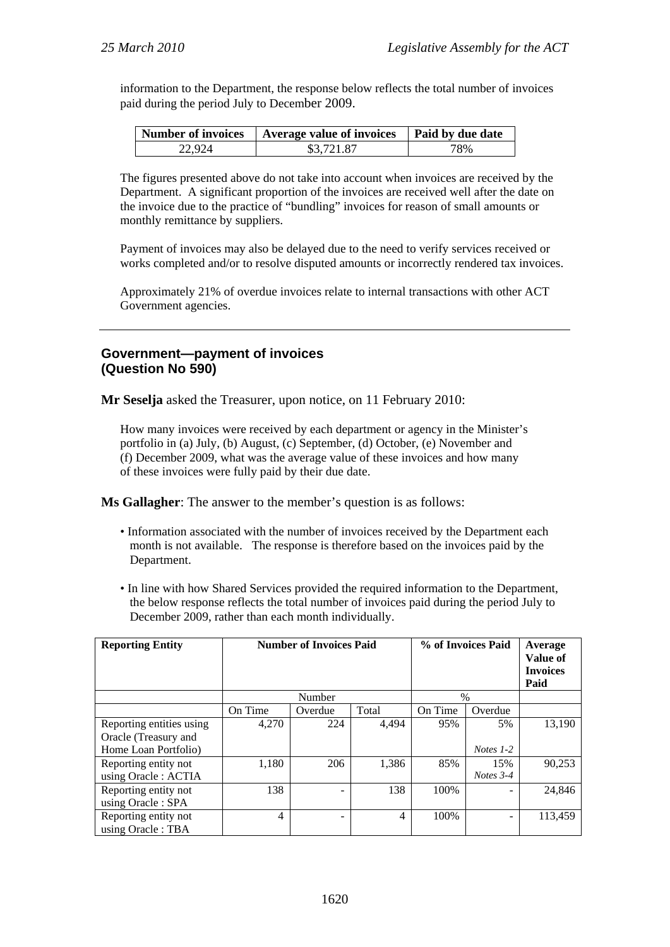information to the Department, the response below reflects the total number of invoices paid during the period July to December 2009.

| Number of invoices | Average value of invoices | <b>Paid by due date</b> |
|--------------------|---------------------------|-------------------------|
| 22,924             | \$3,721.87                | 78%                     |

The figures presented above do not take into account when invoices are received by the Department. A significant proportion of the invoices are received well after the date on the invoice due to the practice of "bundling" invoices for reason of small amounts or monthly remittance by suppliers.

Payment of invoices may also be delayed due to the need to verify services received or works completed and/or to resolve disputed amounts or incorrectly rendered tax invoices.

Approximately 21% of overdue invoices relate to internal transactions with other ACT Government agencies.

### **Government—payment of invoices (Question No 590)**

**Mr Seselja** asked the Treasurer, upon notice, on 11 February 2010:

How many invoices were received by each department or agency in the Minister's portfolio in (a) July, (b) August, (c) September, (d) October, (e) November and (f) December 2009, what was the average value of these invoices and how many of these invoices were fully paid by their due date.

**Ms Gallagher**: The answer to the member's question is as follows:

- Information associated with the number of invoices received by the Department each month is not available. The response is therefore based on the invoices paid by the Department.
- In line with how Shared Services provided the required information to the Department, the below response reflects the total number of invoices paid during the period July to December 2009, rather than each month individually.

| <b>Reporting Entity</b>                                                  |         | <b>Number of Invoices Paid</b> |       |         | % of Invoices Paid           | Average<br>Value of<br><b>Invoices</b><br>Paid |
|--------------------------------------------------------------------------|---------|--------------------------------|-------|---------|------------------------------|------------------------------------------------|
|                                                                          |         | Number                         |       |         | %                            |                                                |
|                                                                          | On Time | Overdue                        | Total | On Time | Overdue                      |                                                |
| Reporting entities using<br>Oracle (Treasury and<br>Home Loan Portfolio) | 4.270   | 224                            | 4.494 | 95%     | 5%<br>$Notes 1-2$            | 13,190                                         |
| Reporting entity not<br>using Oracle : ACTIA                             | 1,180   | 206                            | 1,386 | 85%     | 15%<br>Notes $3-4$           | 90,253                                         |
| Reporting entity not<br>using Oracle: SPA                                | 138     | ۰                              | 138   | 100%    | ۰                            | 24,846                                         |
| Reporting entity not<br>using Oracle: TBA                                | 4       | ۰                              | 4     | 100%    | $\qquad \qquad \blacksquare$ | 113,459                                        |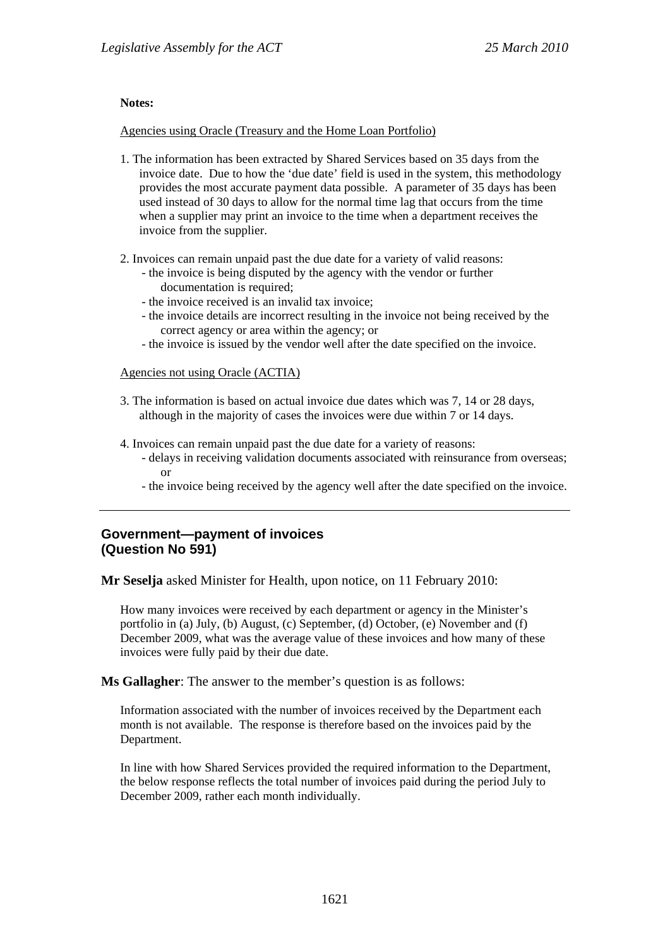#### **Notes:**

#### Agencies using Oracle (Treasury and the Home Loan Portfolio)

- 1. The information has been extracted by Shared Services based on 35 days from the invoice date. Due to how the 'due date' field is used in the system, this methodology provides the most accurate payment data possible. A parameter of 35 days has been used instead of 30 days to allow for the normal time lag that occurs from the time when a supplier may print an invoice to the time when a department receives the invoice from the supplier.
- 2. Invoices can remain unpaid past the due date for a variety of valid reasons:
	- the invoice is being disputed by the agency with the vendor or further documentation is required;
	- the invoice received is an invalid tax invoice;
	- the invoice details are incorrect resulting in the invoice not being received by the correct agency or area within the agency; or
	- the invoice is issued by the vendor well after the date specified on the invoice.

Agencies not using Oracle (ACTIA)

- 3. The information is based on actual invoice due dates which was 7, 14 or 28 days, although in the majority of cases the invoices were due within 7 or 14 days.
- 4. Invoices can remain unpaid past the due date for a variety of reasons:
	- delays in receiving validation documents associated with reinsurance from overseas; or
	- the invoice being received by the agency well after the date specified on the invoice.

#### **Government—payment of invoices (Question No 591)**

**Mr Seselja** asked Minister for Health, upon notice, on 11 February 2010:

How many invoices were received by each department or agency in the Minister's portfolio in (a) July, (b) August, (c) September, (d) October, (e) November and (f) December 2009, what was the average value of these invoices and how many of these invoices were fully paid by their due date.

**Ms Gallagher**: The answer to the member's question is as follows:

Information associated with the number of invoices received by the Department each month is not available. The response is therefore based on the invoices paid by the Department.

In line with how Shared Services provided the required information to the Department, the below response reflects the total number of invoices paid during the period July to December 2009, rather each month individually.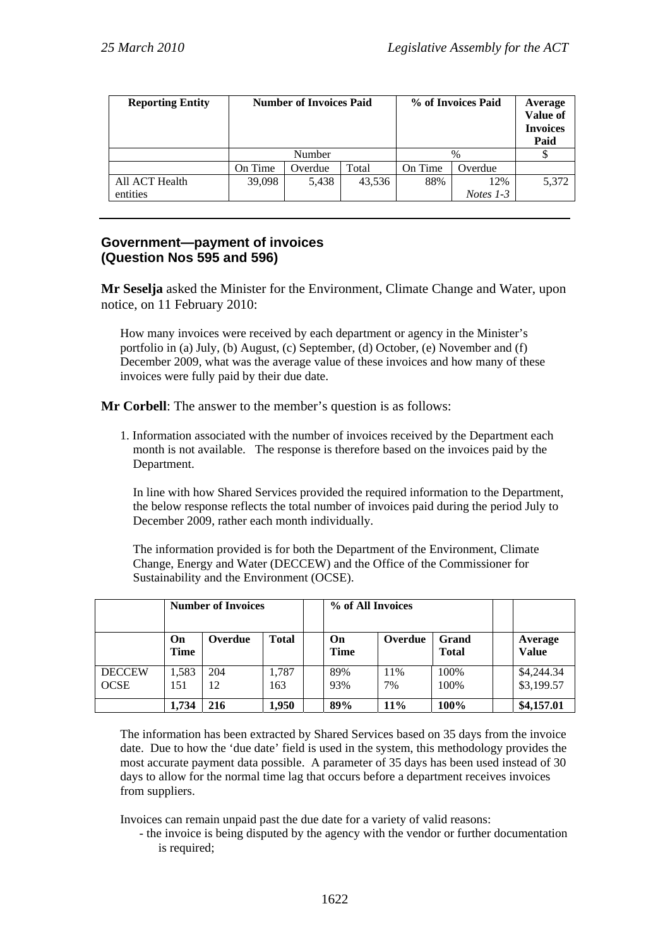| <b>Reporting Entity</b> | <b>Number of Invoices Paid</b> |         |       | % of Invoices Paid |             | Average<br>Value of<br><b>Invoices</b><br>Paid |
|-------------------------|--------------------------------|---------|-------|--------------------|-------------|------------------------------------------------|
|                         |                                | Number  |       | $\frac{0}{0}$      |             |                                                |
|                         | On Time                        | Overdue | Total | On Time            | Overdue     |                                                |
| All ACT Health          | 39,098<br>5,438<br>43.536      |         |       | 88%                | 12%         | 5,372                                          |
| entities                |                                |         |       |                    | Notes $1-3$ |                                                |

## **Government—payment of invoices (Question Nos 595 and 596)**

**Mr Seselja** asked the Minister for the Environment, Climate Change and Water, upon notice, on 11 February 2010:

How many invoices were received by each department or agency in the Minister's portfolio in (a) July, (b) August, (c) September, (d) October, (e) November and (f) December 2009, what was the average value of these invoices and how many of these invoices were fully paid by their due date.

**Mr Corbell**: The answer to the member's question is as follows:

1. Information associated with the number of invoices received by the Department each month is not available. The response is therefore based on the invoices paid by the Department.

In line with how Shared Services provided the required information to the Department, the below response reflects the total number of invoices paid during the period July to December 2009, rather each month individually.

The information provided is for both the Department of the Environment, Climate Change, Energy and Water (DECCEW) and the Office of the Commissioner for Sustainability and the Environment (OCSE).

|                              | <b>Number of Invoices</b> |           |              | % of All Invoices |           |                       |  |                          |
|------------------------------|---------------------------|-----------|--------------|-------------------|-----------|-----------------------|--|--------------------------|
|                              | On<br><b>Time</b>         | Overdue   | <b>Total</b> | On<br><b>Time</b> | Overdue   | Grand<br><b>Total</b> |  | Average<br><b>Value</b>  |
| <b>DECCEW</b><br><b>OCSE</b> | 1,583<br>151              | 204<br>12 | 1,787<br>163 | 89%<br>93%        | 11%<br>7% | 100%<br>100%          |  | \$4,244.34<br>\$3,199.57 |
|                              | 1.734                     | 216       | 1.950        | 89%               | $11\%$    | 100%                  |  | \$4,157.01               |

The information has been extracted by Shared Services based on 35 days from the invoice date. Due to how the 'due date' field is used in the system, this methodology provides the most accurate payment data possible. A parameter of 35 days has been used instead of 30 days to allow for the normal time lag that occurs before a department receives invoices from suppliers.

Invoices can remain unpaid past the due date for a variety of valid reasons:

- the invoice is being disputed by the agency with the vendor or further documentation is required;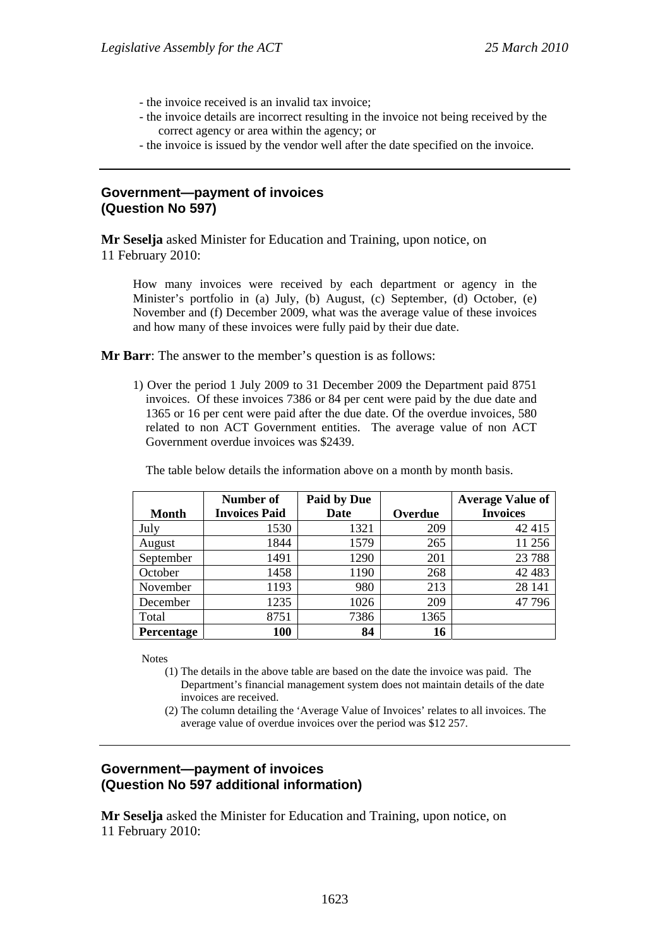- the invoice received is an invalid tax invoice;
- the invoice details are incorrect resulting in the invoice not being received by the correct agency or area within the agency; or
- the invoice is issued by the vendor well after the date specified on the invoice.

### **Government—payment of invoices (Question No 597)**

**Mr Seselja** asked Minister for Education and Training, upon notice, on 11 February 2010:

How many invoices were received by each department or agency in the Minister's portfolio in (a) July, (b) August, (c) September, (d) October, (e) November and (f) December 2009, what was the average value of these invoices and how many of these invoices were fully paid by their due date.

**Mr Barr**: The answer to the member's question is as follows:

1) Over the period 1 July 2009 to 31 December 2009 the Department paid 8751 invoices. Of these invoices 7386 or 84 per cent were paid by the due date and 1365 or 16 per cent were paid after the due date. Of the overdue invoices, 580 related to non ACT Government entities. The average value of non ACT Government overdue invoices was \$2439.

The table below details the information above on a month by month basis.

|              | Number of            | Paid by Due |         | <b>Average Value of</b> |
|--------------|----------------------|-------------|---------|-------------------------|
| <b>Month</b> | <b>Invoices Paid</b> | Date        | Overdue | <b>Invoices</b>         |
| July         | 1530                 | 1321        | 209     | 42 415                  |
| August       | 1844                 | 1579        | 265     | 11 256                  |
| September    | 1491                 | 1290        | 201     | 23 788                  |
| October      | 1458                 | 1190        | 268     | 42 483                  |
| November     | 1193                 | 980         | 213     | 28 14 1                 |
| December     | 1235                 | 1026        | 209     | 47 796                  |
| Total        | 8751                 | 7386        | 1365    |                         |
| Percentage   | 100                  | 84          | 16      |                         |

**Notes** 

- (1) The details in the above table are based on the date the invoice was paid. The Department's financial management system does not maintain details of the date invoices are received.
- (2) The column detailing the 'Average Value of Invoices' relates to all invoices. The average value of overdue invoices over the period was \$12 257.

### **Government—payment of invoices (Question No 597 additional information)**

**Mr Seselja** asked the Minister for Education and Training, upon notice, on 11 February 2010: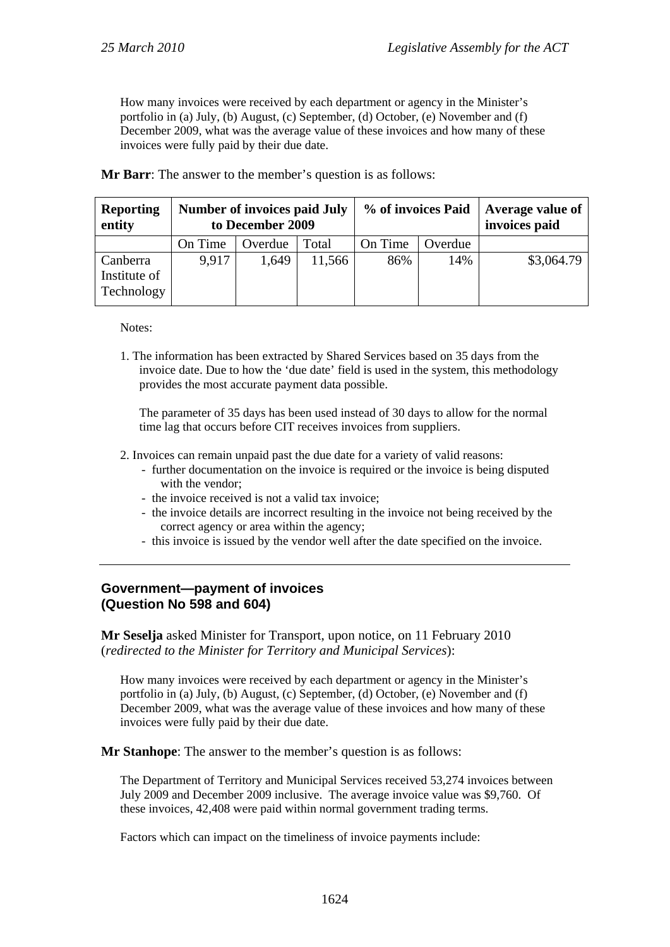How many invoices were received by each department or agency in the Minister's portfolio in (a) July, (b) August, (c) September, (d) October, (e) November and (f) December 2009, what was the average value of these invoices and how many of these invoices were fully paid by their due date.

**Mr Barr**: The answer to the member's question is as follows:

| <b>Reporting</b><br>entity |         | Number of invoices paid July<br>to December 2009 |        | % of invoices Paid |         | Average value of<br>invoices paid |
|----------------------------|---------|--------------------------------------------------|--------|--------------------|---------|-----------------------------------|
|                            | On Time | Overdue                                          | Total  | On Time            | Overdue |                                   |
| Canberra                   | 9.917   | 1,649                                            | 11,566 | 86%                | 14%     | \$3,064.79                        |
| Institute of               |         |                                                  |        |                    |         |                                   |
| Technology                 |         |                                                  |        |                    |         |                                   |

Notes:

1. The information has been extracted by Shared Services based on 35 days from the invoice date. Due to how the 'due date' field is used in the system, this methodology provides the most accurate payment data possible.

The parameter of 35 days has been used instead of 30 days to allow for the normal time lag that occurs before CIT receives invoices from suppliers.

- 2. Invoices can remain unpaid past the due date for a variety of valid reasons:
	- further documentation on the invoice is required or the invoice is being disputed with the vendor;
	- the invoice received is not a valid tax invoice;
	- the invoice details are incorrect resulting in the invoice not being received by the correct agency or area within the agency;
	- this invoice is issued by the vendor well after the date specified on the invoice.

# **Government—payment of invoices (Question No 598 and 604)**

**Mr Seselja** asked Minister for Transport, upon notice, on 11 February 2010 (*redirected to the Minister for Territory and Municipal Services*):

How many invoices were received by each department or agency in the Minister's portfolio in (a) July, (b) August, (c) September, (d) October, (e) November and (f) December 2009, what was the average value of these invoices and how many of these invoices were fully paid by their due date.

**Mr Stanhope**: The answer to the member's question is as follows:

The Department of Territory and Municipal Services received 53,274 invoices between July 2009 and December 2009 inclusive. The average invoice value was \$9,760. Of these invoices, 42,408 were paid within normal government trading terms.

Factors which can impact on the timeliness of invoice payments include: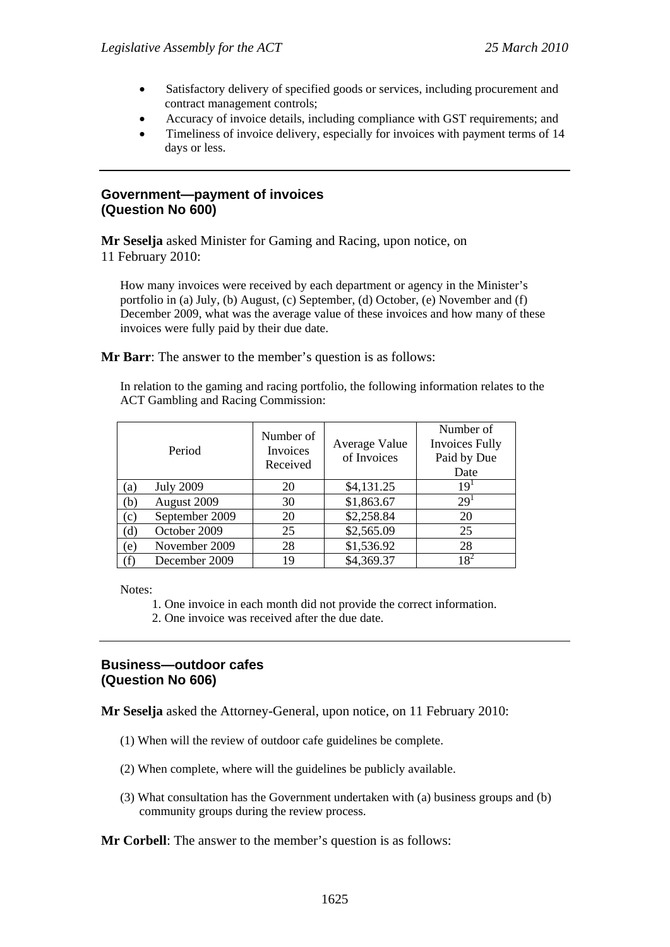- Satisfactory delivery of specified goods or services, including procurement and contract management controls;
- Accuracy of invoice details, including compliance with GST requirements; and
- Timeliness of invoice delivery, especially for invoices with payment terms of 14 days or less.

### **Government—payment of invoices (Question No 600)**

**Mr Seselja** asked Minister for Gaming and Racing, upon notice, on 11 February 2010:

How many invoices were received by each department or agency in the Minister's portfolio in (a) July, (b) August, (c) September, (d) October, (e) November and (f) December 2009, what was the average value of these invoices and how many of these invoices were fully paid by their due date.

**Mr Barr**: The answer to the member's question is as follows:

In relation to the gaming and racing portfolio, the following information relates to the ACT Gambling and Racing Commission:

|     | Period           | Number of<br>Invoices<br>Received | Average Value<br>of Invoices | Number of<br><b>Invoices Fully</b><br>Paid by Due<br>Date |
|-----|------------------|-----------------------------------|------------------------------|-----------------------------------------------------------|
| (a) | <b>July 2009</b> | 20                                | \$4,131.25                   | 19 <sup>1</sup>                                           |
| (b) | August 2009      | 30                                | \$1,863.67                   | 29 <sup>1</sup>                                           |
| (c) | September 2009   | 20                                | \$2,258.84                   | 20                                                        |
| (d) | October 2009     | 25                                | \$2,565.09                   | 25                                                        |
| (e) | November 2009    | 28                                | \$1,536.92                   | 28                                                        |
| (f) | December 2009    | 19                                | \$4,369.37                   | $18^2$                                                    |

Notes:

- 1. One invoice in each month did not provide the correct information.
- 2. One invoice was received after the due date.

## **Business—outdoor cafes (Question No 606)**

**Mr Seselja** asked the Attorney-General, upon notice, on 11 February 2010:

- (1) When will the review of outdoor cafe guidelines be complete.
- (2) When complete, where will the guidelines be publicly available.
- (3) What consultation has the Government undertaken with (a) business groups and (b) community groups during the review process.

**Mr Corbell**: The answer to the member's question is as follows: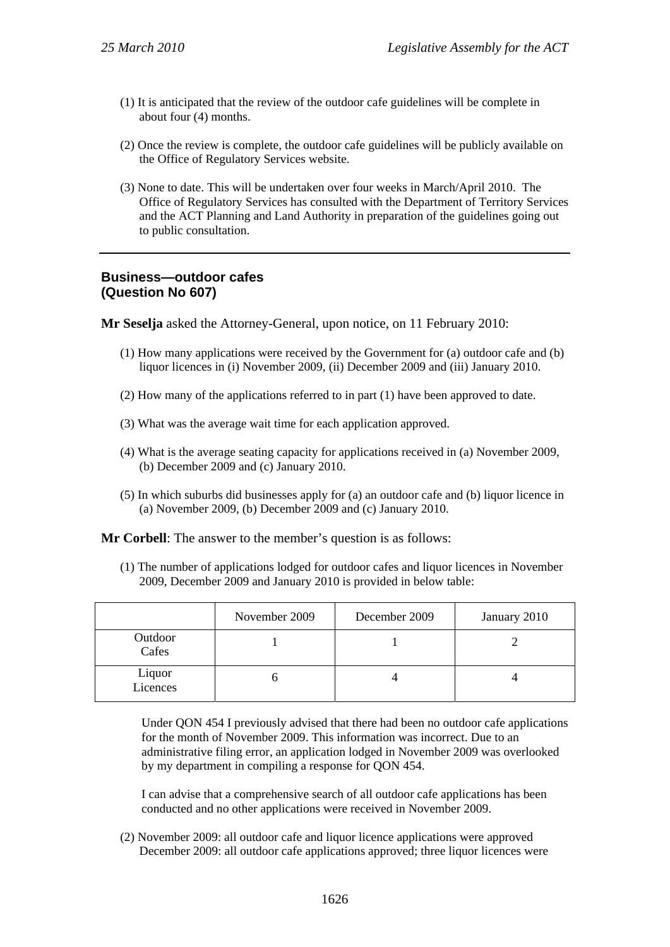- (1) It is anticipated that the review of the outdoor cafe guidelines will be complete in about four (4) months.
- (2) Once the review is complete, the outdoor cafe guidelines will be publicly available on the Office of Regulatory Services website.
- (3) None to date. This will be undertaken over four weeks in March/April 2010. The Office of Regulatory Services has consulted with the Department of Territory Services and the ACT Planning and Land Authority in preparation of the guidelines going out to public consultation.

#### **Business—outdoor cafes (Question No 607)**

**Mr Seselja** asked the Attorney-General, upon notice, on 11 February 2010:

- (1) How many applications were received by the Government for (a) outdoor cafe and (b) liquor licences in (i) November 2009, (ii) December 2009 and (iii) January 2010.
- (2) How many of the applications referred to in part (1) have been approved to date.
- (3) What was the average wait time for each application approved.
- (4) What is the average seating capacity for applications received in (a) November 2009, (b) December 2009 and (c) January 2010.
- (5) In which suburbs did businesses apply for (a) an outdoor cafe and (b) liquor licence in (a) November 2009, (b) December 2009 and (c) January 2010.

**Mr Corbell**: The answer to the member's question is as follows:

(1) The number of applications lodged for outdoor cafes and liquor licences in November 2009, December 2009 and January 2010 is provided in below table:

|                    | November 2009 | December 2009 | January 2010 |
|--------------------|---------------|---------------|--------------|
| Outdoor<br>Cafes   |               |               |              |
| Liquor<br>Licences |               |               |              |

Under QON 454 I previously advised that there had been no outdoor cafe applications for the month of November 2009. This information was incorrect. Due to an administrative filing error, an application lodged in November 2009 was overlooked by my department in compiling a response for QON 454.

I can advise that a comprehensive search of all outdoor cafe applications has been conducted and no other applications were received in November 2009.

(2) November 2009: all outdoor cafe and liquor licence applications were approved December 2009: all outdoor cafe applications approved; three liquor licences were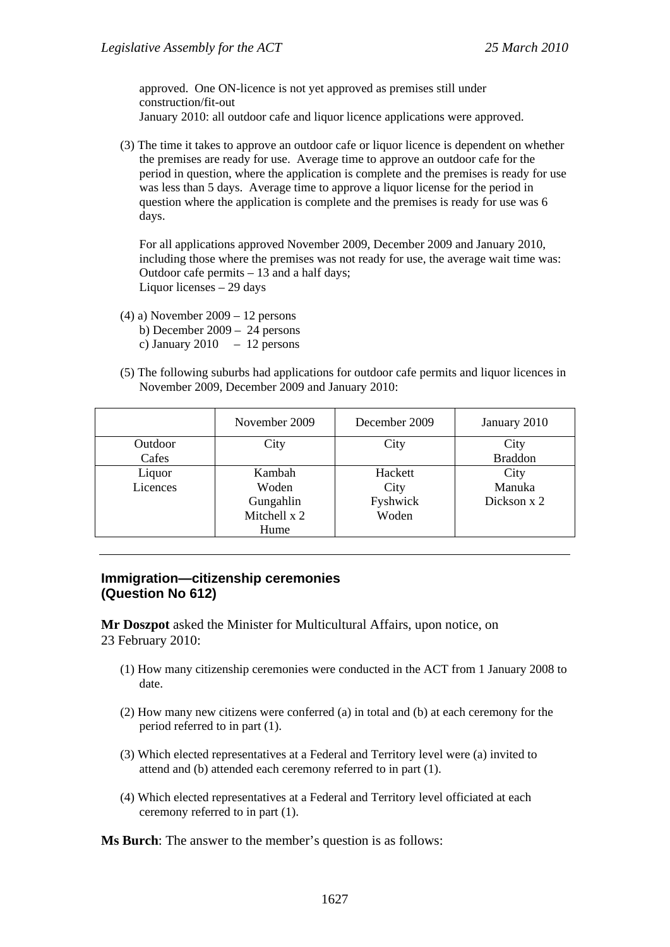approved. One ON-licence is not yet approved as premises still under construction/fit-out January 2010: all outdoor cafe and liquor licence applications were approved.

(3) The time it takes to approve an outdoor cafe or liquor licence is dependent on whether the premises are ready for use. Average time to approve an outdoor cafe for the period in question, where the application is complete and the premises is ready for use was less than 5 days. Average time to approve a liquor license for the period in question where the application is complete and the premises is ready for use was 6 days.

For all applications approved November 2009, December 2009 and January 2010, including those where the premises was not ready for use, the average wait time was: Outdoor cafe permits – 13 and a half days; Liquor licenses – 29 days

- (4) a) November 2009 12 persons b) December 2009 – 24 persons c) January 2010 – 12 persons
- (5) The following suburbs had applications for outdoor cafe permits and liquor licences in November 2009, December 2009 and January 2010:

|          | November 2009 | December 2009 | January 2010   |
|----------|---------------|---------------|----------------|
| Outdoor  | City          | City          | City           |
| Cafes    |               |               | <b>Braddon</b> |
| Liquor   | Kambah        | Hackett       | City           |
| Licences | Woden         | City          | Manuka         |
|          | Gungahlin     | Fyshwick      | Dickson x 2    |
|          | Mitchell x 2  | Woden         |                |
|          | Hume          |               |                |

### **Immigration—citizenship ceremonies (Question No 612)**

**Mr Doszpot** asked the Minister for Multicultural Affairs, upon notice, on 23 February 2010:

- (1) How many citizenship ceremonies were conducted in the ACT from 1 January 2008 to date.
- (2) How many new citizens were conferred (a) in total and (b) at each ceremony for the period referred to in part (1).
- (3) Which elected representatives at a Federal and Territory level were (a) invited to attend and (b) attended each ceremony referred to in part (1).
- (4) Which elected representatives at a Federal and Territory level officiated at each ceremony referred to in part (1).

**Ms Burch**: The answer to the member's question is as follows: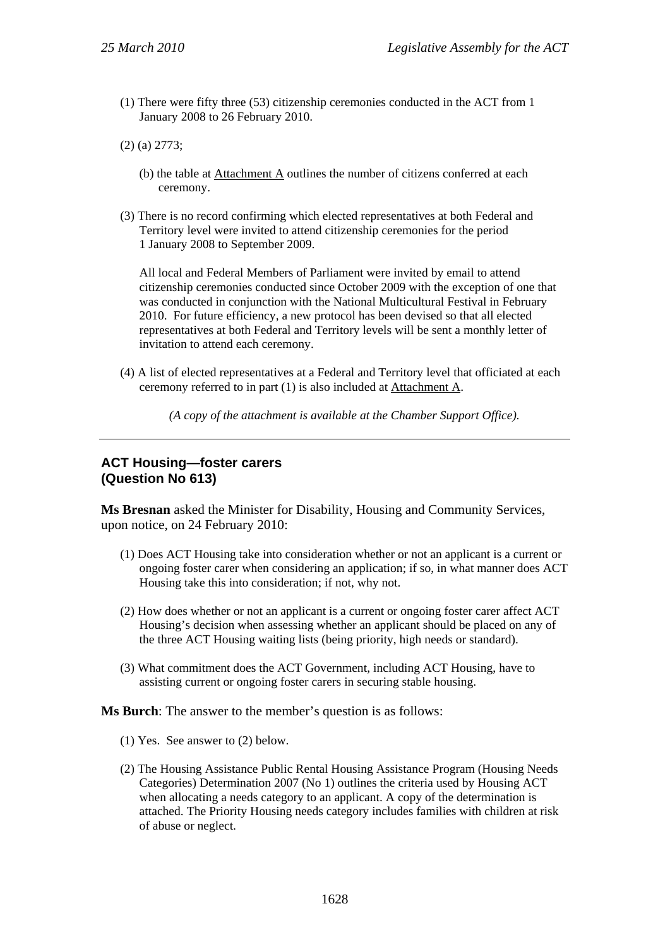- (1) There were fifty three (53) citizenship ceremonies conducted in the ACT from 1 January 2008 to 26 February 2010.
- (2) (a) 2773;
	- (b) the table at Attachment A outlines the number of citizens conferred at each ceremony.
- (3) There is no record confirming which elected representatives at both Federal and Territory level were invited to attend citizenship ceremonies for the period 1 January 2008 to September 2009.

All local and Federal Members of Parliament were invited by email to attend citizenship ceremonies conducted since October 2009 with the exception of one that was conducted in conjunction with the National Multicultural Festival in February 2010. For future efficiency, a new protocol has been devised so that all elected representatives at both Federal and Territory levels will be sent a monthly letter of invitation to attend each ceremony.

(4) A list of elected representatives at a Federal and Territory level that officiated at each ceremony referred to in part (1) is also included at Attachment A.

*(A copy of the attachment is available at the Chamber Support Office).* 

# **ACT Housing—foster carers (Question No 613)**

**Ms Bresnan** asked the Minister for Disability, Housing and Community Services, upon notice, on 24 February 2010:

- (1) Does ACT Housing take into consideration whether or not an applicant is a current or ongoing foster carer when considering an application; if so, in what manner does ACT Housing take this into consideration; if not, why not.
- (2) How does whether or not an applicant is a current or ongoing foster carer affect ACT Housing's decision when assessing whether an applicant should be placed on any of the three ACT Housing waiting lists (being priority, high needs or standard).
- (3) What commitment does the ACT Government, including ACT Housing, have to assisting current or ongoing foster carers in securing stable housing.

**Ms Burch**: The answer to the member's question is as follows:

- (1) Yes. See answer to (2) below.
- (2) The Housing Assistance Public Rental Housing Assistance Program (Housing Needs Categories) Determination 2007 (No 1) outlines the criteria used by Housing ACT when allocating a needs category to an applicant. A copy of the determination is attached. The Priority Housing needs category includes families with children at risk of abuse or neglect.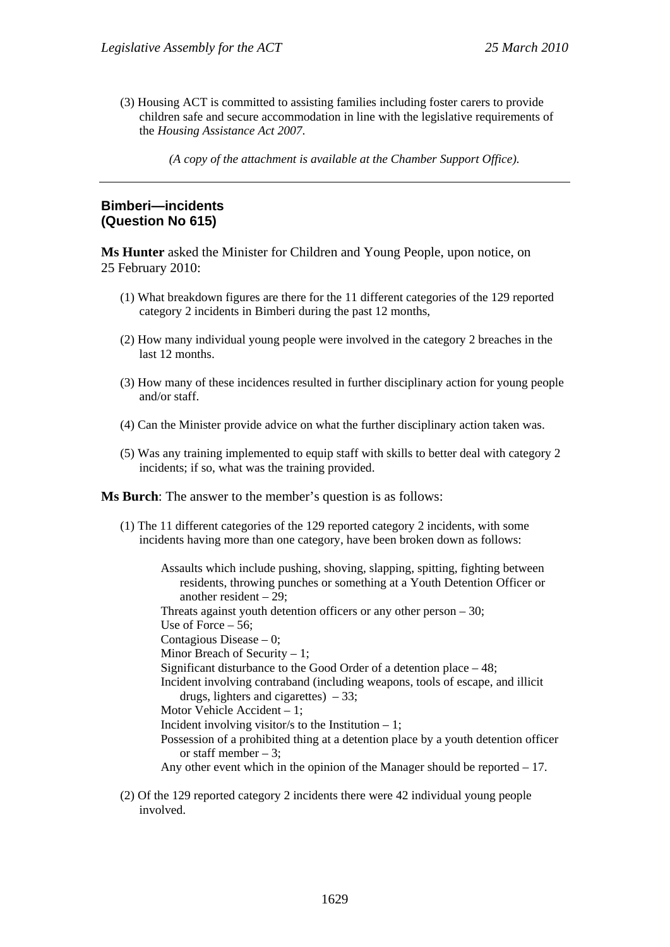(3) Housing ACT is committed to assisting families including foster carers to provide children safe and secure accommodation in line with the legislative requirements of the *Housing Assistance Act 2007*.

*(A copy of the attachment is available at the Chamber Support Office).* 

#### **Bimberi—incidents (Question No 615)**

**Ms Hunter** asked the Minister for Children and Young People, upon notice, on 25 February 2010:

- (1) What breakdown figures are there for the 11 different categories of the 129 reported category 2 incidents in Bimberi during the past 12 months,
- (2) How many individual young people were involved in the category 2 breaches in the last 12 months.
- (3) How many of these incidences resulted in further disciplinary action for young people and/or staff.
- (4) Can the Minister provide advice on what the further disciplinary action taken was.
- (5) Was any training implemented to equip staff with skills to better deal with category 2 incidents; if so, what was the training provided.

**Ms Burch**: The answer to the member's question is as follows:

(1) The 11 different categories of the 129 reported category 2 incidents, with some incidents having more than one category, have been broken down as follows:

Assaults which include pushing, shoving, slapping, spitting, fighting between residents, throwing punches or something at a Youth Detention Officer or another resident – 29; Threats against youth detention officers or any other person  $-30$ ; Use of Force  $-56$ : Contagious Disease – 0; Minor Breach of Security – 1; Significant disturbance to the Good Order of a detention place – 48; Incident involving contraband (including weapons, tools of escape, and illicit drugs, lighters and cigarettes)  $-33$ ; Motor Vehicle Accident – 1; Incident involving visitor/s to the Institution  $-1$ : Possession of a prohibited thing at a detention place by a youth detention officer or staff member – 3; Any other event which in the opinion of the Manager should be reported – 17.

(2) Of the 129 reported category 2 incidents there were 42 individual young people involved.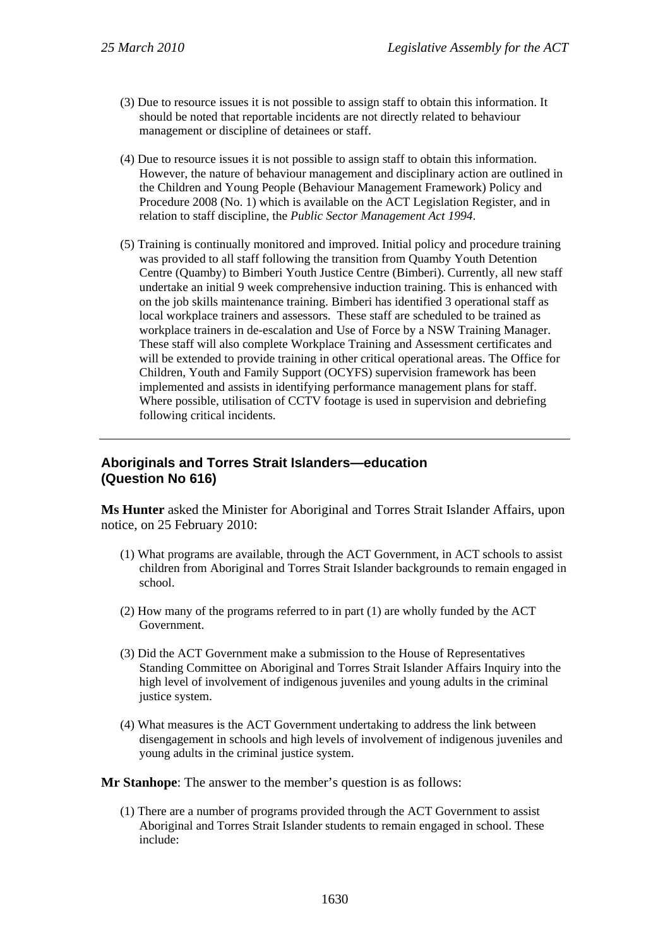- (3) Due to resource issues it is not possible to assign staff to obtain this information. It should be noted that reportable incidents are not directly related to behaviour management or discipline of detainees or staff.
- (4) Due to resource issues it is not possible to assign staff to obtain this information. However, the nature of behaviour management and disciplinary action are outlined in the Children and Young People (Behaviour Management Framework) Policy and Procedure 2008 (No. 1) which is available on the ACT Legislation Register, and in relation to staff discipline, the *Public Sector Management Act 1994*.
- (5) Training is continually monitored and improved. Initial policy and procedure training was provided to all staff following the transition from Quamby Youth Detention Centre (Quamby) to Bimberi Youth Justice Centre (Bimberi). Currently, all new staff undertake an initial 9 week comprehensive induction training. This is enhanced with on the job skills maintenance training. Bimberi has identified 3 operational staff as local workplace trainers and assessors. These staff are scheduled to be trained as workplace trainers in de-escalation and Use of Force by a NSW Training Manager. These staff will also complete Workplace Training and Assessment certificates and will be extended to provide training in other critical operational areas. The Office for Children, Youth and Family Support (OCYFS) supervision framework has been implemented and assists in identifying performance management plans for staff. Where possible, utilisation of CCTV footage is used in supervision and debriefing following critical incidents.

## **Aboriginals and Torres Strait Islanders—education (Question No 616)**

**Ms Hunter** asked the Minister for Aboriginal and Torres Strait Islander Affairs, upon notice, on 25 February 2010:

- (1) What programs are available, through the ACT Government, in ACT schools to assist children from Aboriginal and Torres Strait Islander backgrounds to remain engaged in school.
- (2) How many of the programs referred to in part (1) are wholly funded by the ACT Government.
- (3) Did the ACT Government make a submission to the House of Representatives Standing Committee on Aboriginal and Torres Strait Islander Affairs Inquiry into the high level of involvement of indigenous juveniles and young adults in the criminal justice system.
- (4) What measures is the ACT Government undertaking to address the link between disengagement in schools and high levels of involvement of indigenous juveniles and young adults in the criminal justice system.
- **Mr Stanhope**: The answer to the member's question is as follows:
	- (1) There are a number of programs provided through the ACT Government to assist Aboriginal and Torres Strait Islander students to remain engaged in school. These include: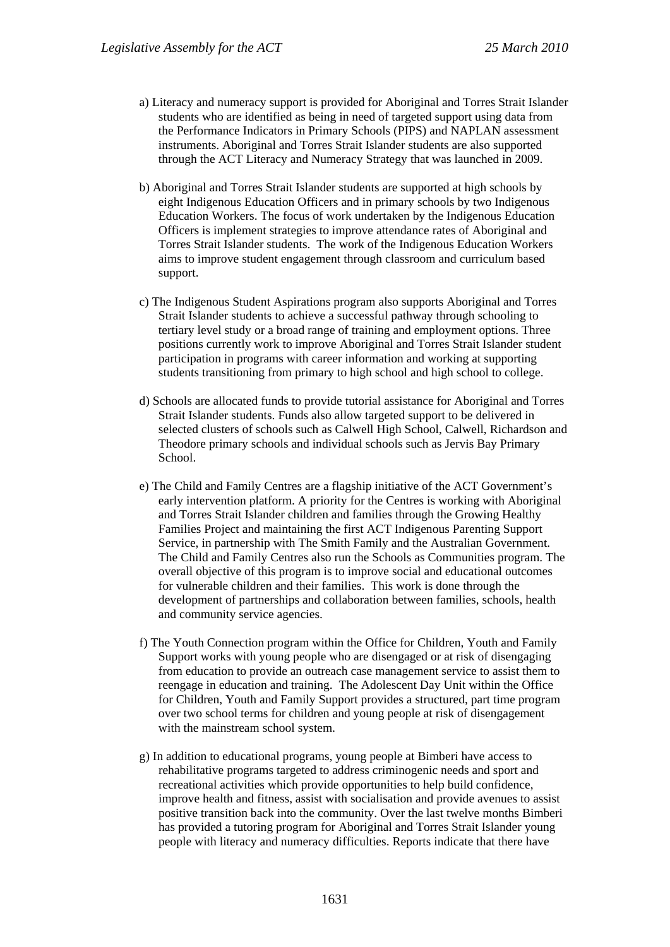- a) Literacy and numeracy support is provided for Aboriginal and Torres Strait Islander students who are identified as being in need of targeted support using data from the Performance Indicators in Primary Schools (PIPS) and NAPLAN assessment instruments. Aboriginal and Torres Strait Islander students are also supported through the ACT Literacy and Numeracy Strategy that was launched in 2009.
- b) Aboriginal and Torres Strait Islander students are supported at high schools by eight Indigenous Education Officers and in primary schools by two Indigenous Education Workers. The focus of work undertaken by the Indigenous Education Officers is implement strategies to improve attendance rates of Aboriginal and Torres Strait Islander students. The work of the Indigenous Education Workers aims to improve student engagement through classroom and curriculum based support.
- c) The Indigenous Student Aspirations program also supports Aboriginal and Torres Strait Islander students to achieve a successful pathway through schooling to tertiary level study or a broad range of training and employment options. Three positions currently work to improve Aboriginal and Torres Strait Islander student participation in programs with career information and working at supporting students transitioning from primary to high school and high school to college.
- d) Schools are allocated funds to provide tutorial assistance for Aboriginal and Torres Strait Islander students. Funds also allow targeted support to be delivered in selected clusters of schools such as Calwell High School, Calwell, Richardson and Theodore primary schools and individual schools such as Jervis Bay Primary School.
- e) The Child and Family Centres are a flagship initiative of the ACT Government's early intervention platform. A priority for the Centres is working with Aboriginal and Torres Strait Islander children and families through the Growing Healthy Families Project and maintaining the first ACT Indigenous Parenting Support Service, in partnership with The Smith Family and the Australian Government. The Child and Family Centres also run the Schools as Communities program. The overall objective of this program is to improve social and educational outcomes for vulnerable children and their families. This work is done through the development of partnerships and collaboration between families, schools, health and community service agencies.
- f) The Youth Connection program within the Office for Children, Youth and Family Support works with young people who are disengaged or at risk of disengaging from education to provide an outreach case management service to assist them to reengage in education and training. The Adolescent Day Unit within the Office for Children, Youth and Family Support provides a structured, part time program over two school terms for children and young people at risk of disengagement with the mainstream school system.
- g) In addition to educational programs, young people at Bimberi have access to rehabilitative programs targeted to address criminogenic needs and sport and recreational activities which provide opportunities to help build confidence, improve health and fitness, assist with socialisation and provide avenues to assist positive transition back into the community. Over the last twelve months Bimberi has provided a tutoring program for Aboriginal and Torres Strait Islander young people with literacy and numeracy difficulties. Reports indicate that there have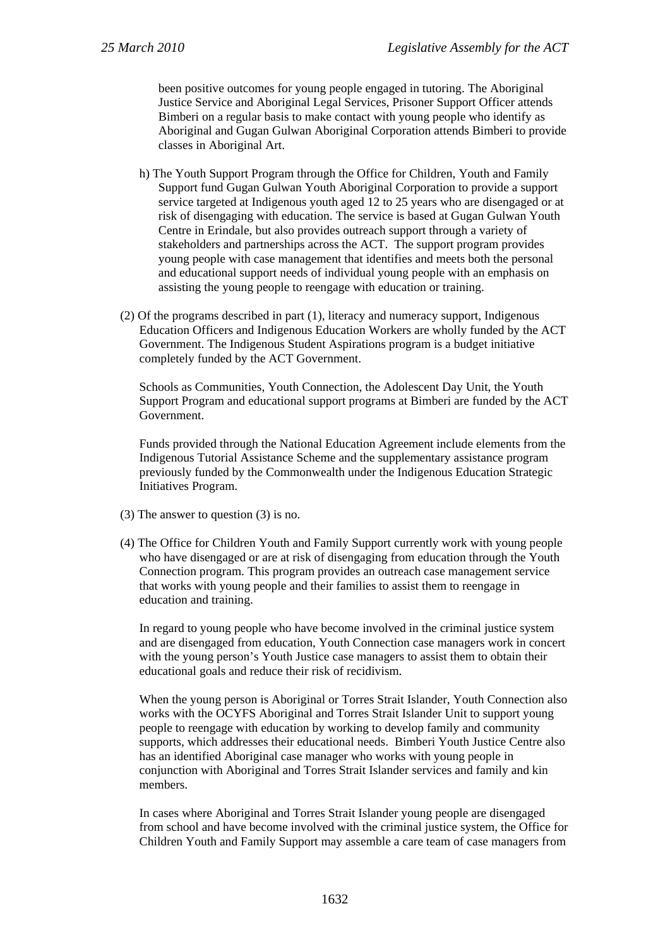been positive outcomes for young people engaged in tutoring. The Aboriginal Justice Service and Aboriginal Legal Services, Prisoner Support Officer attends Bimberi on a regular basis to make contact with young people who identify as Aboriginal and Gugan Gulwan Aboriginal Corporation attends Bimberi to provide classes in Aboriginal Art.

- h) The Youth Support Program through the Office for Children, Youth and Family Support fund Gugan Gulwan Youth Aboriginal Corporation to provide a support service targeted at Indigenous youth aged 12 to 25 years who are disengaged or at risk of disengaging with education. The service is based at Gugan Gulwan Youth Centre in Erindale, but also provides outreach support through a variety of stakeholders and partnerships across the ACT. The support program provides young people with case management that identifies and meets both the personal and educational support needs of individual young people with an emphasis on assisting the young people to reengage with education or training.
- (2) Of the programs described in part (1), literacy and numeracy support, Indigenous Education Officers and Indigenous Education Workers are wholly funded by the ACT Government. The Indigenous Student Aspirations program is a budget initiative completely funded by the ACT Government.

Schools as Communities, Youth Connection, the Adolescent Day Unit, the Youth Support Program and educational support programs at Bimberi are funded by the ACT Government.

Funds provided through the National Education Agreement include elements from the Indigenous Tutorial Assistance Scheme and the supplementary assistance program previously funded by the Commonwealth under the Indigenous Education Strategic Initiatives Program.

- (3) The answer to question (3) is no.
- (4) The Office for Children Youth and Family Support currently work with young people who have disengaged or are at risk of disengaging from education through the Youth Connection program. This program provides an outreach case management service that works with young people and their families to assist them to reengage in education and training.

In regard to young people who have become involved in the criminal justice system and are disengaged from education, Youth Connection case managers work in concert with the young person's Youth Justice case managers to assist them to obtain their educational goals and reduce their risk of recidivism.

When the young person is Aboriginal or Torres Strait Islander, Youth Connection also works with the OCYFS Aboriginal and Torres Strait Islander Unit to support young people to reengage with education by working to develop family and community supports, which addresses their educational needs. Bimberi Youth Justice Centre also has an identified Aboriginal case manager who works with young people in conjunction with Aboriginal and Torres Strait Islander services and family and kin members.

In cases where Aboriginal and Torres Strait Islander young people are disengaged from school and have become involved with the criminal justice system, the Office for Children Youth and Family Support may assemble a care team of case managers from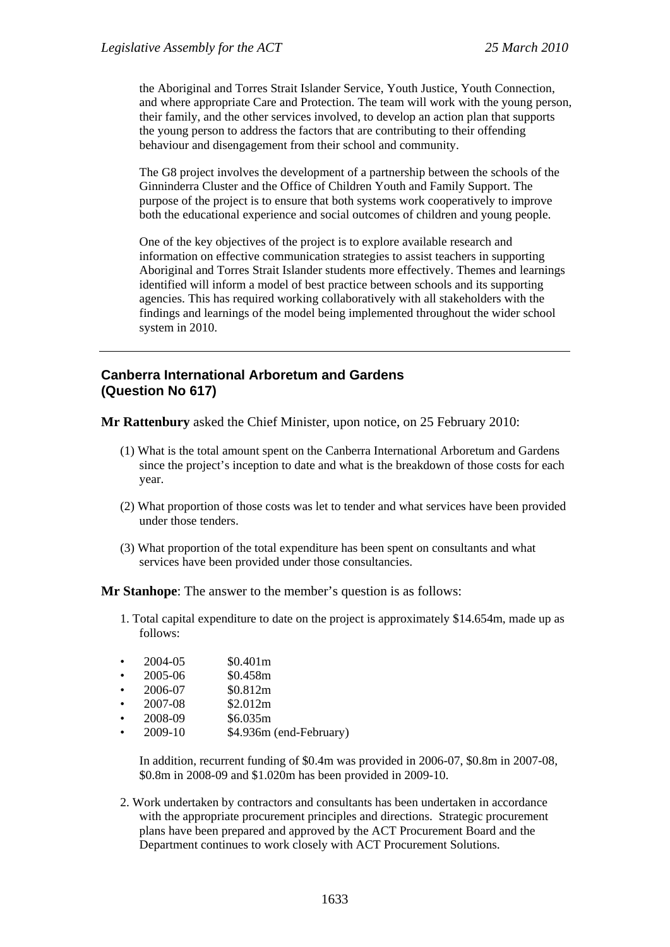the Aboriginal and Torres Strait Islander Service, Youth Justice, Youth Connection, and where appropriate Care and Protection. The team will work with the young person, their family, and the other services involved, to develop an action plan that supports the young person to address the factors that are contributing to their offending behaviour and disengagement from their school and community.

The G8 project involves the development of a partnership between the schools of the Ginninderra Cluster and the Office of Children Youth and Family Support. The purpose of the project is to ensure that both systems work cooperatively to improve both the educational experience and social outcomes of children and young people.

One of the key objectives of the project is to explore available research and information on effective communication strategies to assist teachers in supporting Aboriginal and Torres Strait Islander students more effectively. Themes and learnings identified will inform a model of best practice between schools and its supporting agencies. This has required working collaboratively with all stakeholders with the findings and learnings of the model being implemented throughout the wider school system in 2010.

# **Canberra International Arboretum and Gardens (Question No 617)**

**Mr Rattenbury** asked the Chief Minister, upon notice, on 25 February 2010:

- (1) What is the total amount spent on the Canberra International Arboretum and Gardens since the project's inception to date and what is the breakdown of those costs for each year.
- (2) What proportion of those costs was let to tender and what services have been provided under those tenders.
- (3) What proportion of the total expenditure has been spent on consultants and what services have been provided under those consultancies.

**Mr Stanhope**: The answer to the member's question is as follows:

- 1. Total capital expenditure to date on the project is approximately \$14.654m, made up as follows:
- $2004-05$  \$0.401m
- 2005-06 \$0.458m
- 2006-07 \$0.812m
- 2007-08 \$2.012m
- 2008-09 \$6.035m
- 2009-10 \$4.936m (end-February)

In addition, recurrent funding of \$0.4m was provided in 2006-07, \$0.8m in 2007-08, \$0.8m in 2008-09 and \$1.020m has been provided in 2009-10.

2. Work undertaken by contractors and consultants has been undertaken in accordance with the appropriate procurement principles and directions. Strategic procurement plans have been prepared and approved by the ACT Procurement Board and the Department continues to work closely with ACT Procurement Solutions.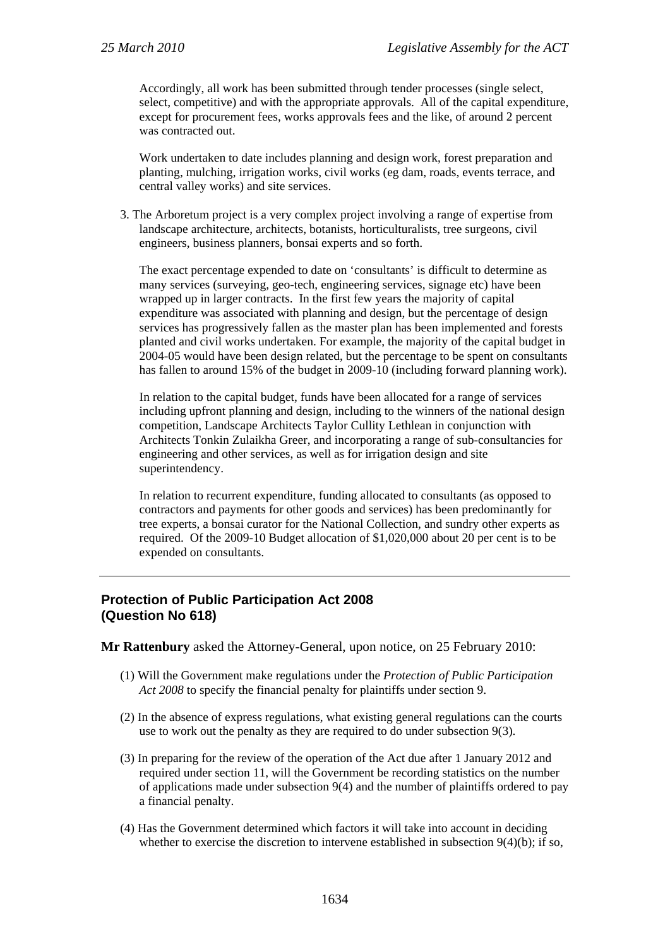Accordingly, all work has been submitted through tender processes (single select, select, competitive) and with the appropriate approvals. All of the capital expenditure, except for procurement fees, works approvals fees and the like, of around 2 percent was contracted out.

Work undertaken to date includes planning and design work, forest preparation and planting, mulching, irrigation works, civil works (eg dam, roads, events terrace, and central valley works) and site services.

3. The Arboretum project is a very complex project involving a range of expertise from landscape architecture, architects, botanists, horticulturalists, tree surgeons, civil engineers, business planners, bonsai experts and so forth.

The exact percentage expended to date on 'consultants' is difficult to determine as many services (surveying, geo-tech, engineering services, signage etc) have been wrapped up in larger contracts. In the first few years the majority of capital expenditure was associated with planning and design, but the percentage of design services has progressively fallen as the master plan has been implemented and forests planted and civil works undertaken. For example, the majority of the capital budget in 2004-05 would have been design related, but the percentage to be spent on consultants has fallen to around 15% of the budget in 2009-10 (including forward planning work).

In relation to the capital budget, funds have been allocated for a range of services including upfront planning and design, including to the winners of the national design competition, Landscape Architects Taylor Cullity Lethlean in conjunction with Architects Tonkin Zulaikha Greer, and incorporating a range of sub-consultancies for engineering and other services, as well as for irrigation design and site superintendency.

In relation to recurrent expenditure, funding allocated to consultants (as opposed to contractors and payments for other goods and services) has been predominantly for tree experts, a bonsai curator for the National Collection, and sundry other experts as required. Of the 2009-10 Budget allocation of \$1,020,000 about 20 per cent is to be expended on consultants.

### **Protection of Public Participation Act 2008 (Question No 618)**

**Mr Rattenbury** asked the Attorney-General, upon notice, on 25 February 2010:

- (1) Will the Government make regulations under the *Protection of Public Participation Act 2008* to specify the financial penalty for plaintiffs under section 9.
- (2) In the absence of express regulations, what existing general regulations can the courts use to work out the penalty as they are required to do under subsection 9(3).
- (3) In preparing for the review of the operation of the Act due after 1 January 2012 and required under section 11, will the Government be recording statistics on the number of applications made under subsection 9(4) and the number of plaintiffs ordered to pay a financial penalty.
- (4) Has the Government determined which factors it will take into account in deciding whether to exercise the discretion to intervene established in subsection  $9(4)(b)$ ; if so,